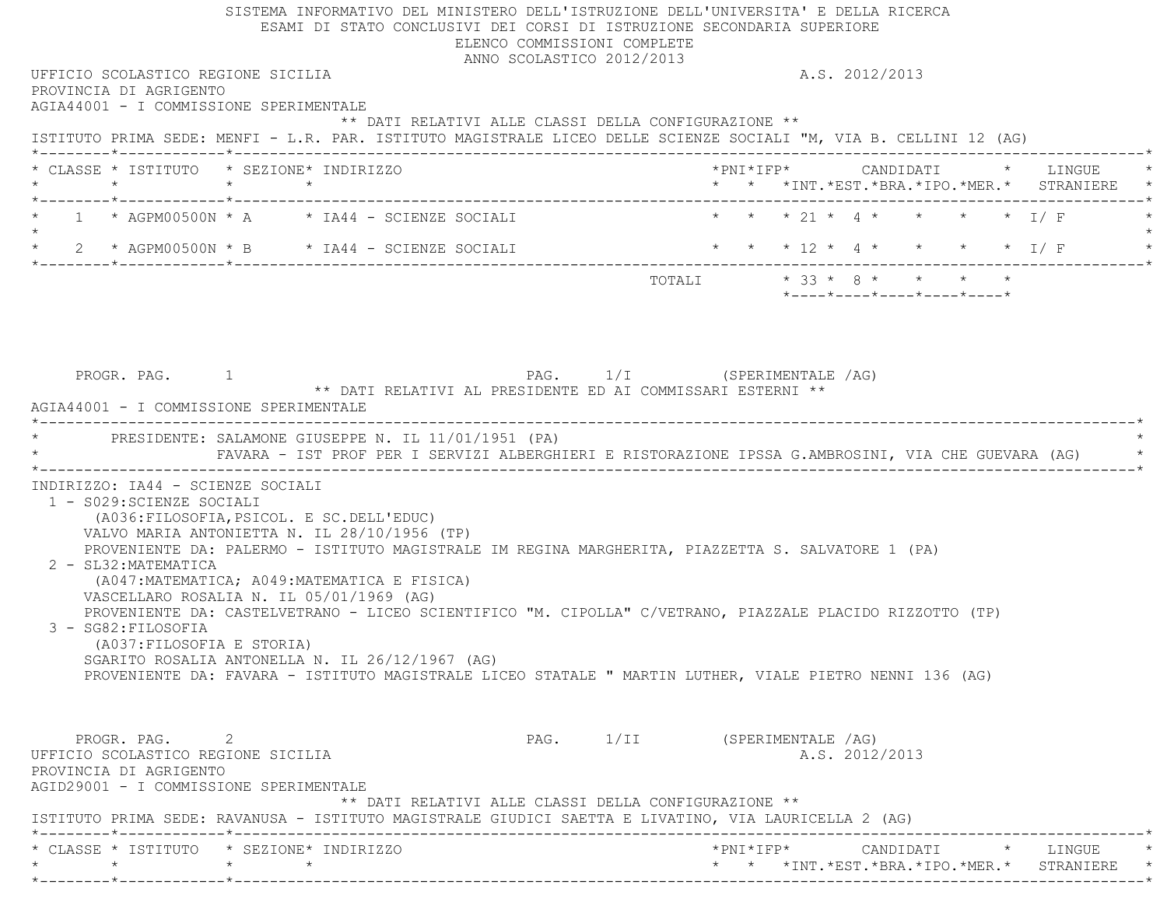SISTEMA INFORMATIVO DEL MINISTERO DELL'ISTRUZIONE DELL'UNIVERSITA' E DELLA RICERCA ESAMI DI STATO CONCLUSIVI DEI CORSI DI ISTRUZIONE SECONDARIA SUPERIORE ELENCO COMMISSIONI COMPLETE ANNO SCOLASTICO 2012/2013 UFFICIO SCOLASTICO REGIONE SICILIA A.S. 2012/2013 PROVINCIA DI AGRIGENTO AGIA44001 - I COMMISSIONE SPERIMENTALE \*\* DATI RELATIVI ALLE CLASSI DELLA CONFIGURAZIONE \*\* ISTITUTO PRIMA SEDE: MENFI - L.R. PAR. ISTITUTO MAGISTRALE LICEO DELLE SCIENZE SOCIALI "M, VIA B. CELLINI 12 (AG) \*--------\*------------\*-------------------------------------------------------------------------------------------------------\* \* CLASSE \* ISTITUTO \* SEZIONE\* INDIRIZZO \*PNI\*IFP\* CANDIDATI \* LINGUE \* \* \* \* \* \* \* \*INT.\*EST.\*BRA.\*IPO.\*MER.\* STRANIERE \* \*--------\*------------\*-------------------------------------------------------------------------------------------------------\*1 \* AGPM00500N \* A \* IA44 - SCIENZE SOCIALI \* \* \* \* 21 \* 4 \* \* \* \* \* \* 1/ F  $\star$ \* 2 \* AGPM00500N \* B \* IA44 - SCIENZE SOCIALI \* \* \* \* 12 \* 4 \* \* \* \* \* \* I/ F \* \* \*--------\*------------\*-------------------------------------------------------------------------------------------------------\* $\texttt{TOTALI} \qquad \qquad \star \quad 33 \; \star \quad 8 \; \star \qquad \star \qquad \star \qquad \star \qquad \star$  \*----\*----\*----\*----\*----\*PROGR. PAG. 1 1 PAG. 1/I (SPERIMENTALE /AG) \*\* DATI RELATIVI AL PRESIDENTE ED AI COMMISSARI ESTERNI \*\* AGIA44001 - I COMMISSIONE SPERIMENTALE \*----------------------------------------------------------------------------------------------------------------------------\*PRESIDENTE: SALAMONE GIUSEPPE N. IL 11/01/1951 (PA) \* FAVARA - IST PROF PER I SERVIZI ALBERGHIERI E RISTORAZIONE IPSSA G.AMBROSINI, VIA CHE GUEVARA (AG) \*

 \*----------------------------------------------------------------------------------------------------------------------------\* INDIRIZZO: IA44 - SCIENZE SOCIALI1 - S029:SCIENZE SOCIALI

 (A036:FILOSOFIA,PSICOL. E SC.DELL'EDUC) VALVO MARIA ANTONIETTA N. IL 28/10/1956 (TP) PROVENIENTE DA: PALERMO - ISTITUTO MAGISTRALE IM REGINA MARGHERITA, PIAZZETTA S. SALVATORE 1 (PA) 2 - SL32:MATEMATICA (A047:MATEMATICA; A049:MATEMATICA E FISICA) VASCELLARO ROSALIA N. IL 05/01/1969 (AG)

 PROVENIENTE DA: CASTELVETRANO - LICEO SCIENTIFICO "M. CIPOLLA" C/VETRANO, PIAZZALE PLACIDO RIZZOTTO (TP) 3 - SG82:FILOSOFIA(A037:FILOSOFIA E STORIA)

 SGARITO ROSALIA ANTONELLA N. IL 26/12/1967 (AG) PROVENIENTE DA: FAVARA - ISTITUTO MAGISTRALE LICEO STATALE " MARTIN LUTHER, VIALE PIETRO NENNI 136 (AG)

PROGR. PAG. 2 2 PAG. 1/II (SPERIMENTALE /AG) UFFICIO SCOLASTICO REGIONE SICILIA A.S. 2012/2013 PROVINCIA DI AGRIGENTO AGID29001 - I COMMISSIONE SPERIMENTALE \*\* DATI RELATIVI ALLE CLASSI DELLA CONFIGURAZIONE \*\* ISTITUTO PRIMA SEDE: RAVANUSA - ISTITUTO MAGISTRALE GIUDICI SAETTA E LIVATINO, VIA LAURICELLA 2 (AG) \*--------\*------------\*-------------------------------------------------------------------------------------------------------\* \* CLASSE \* ISTITUTO \* SEZIONE\* INDIRIZZO \*PNI\*IFP\* CANDIDATI \* LINGUE \* \* \* \* \* \* \* \*INT.\*EST.\*BRA.\*IPO.\*MER.\* STRANIERE \* \*--------\*------------\*-------------------------------------------------------------------------------------------------------\*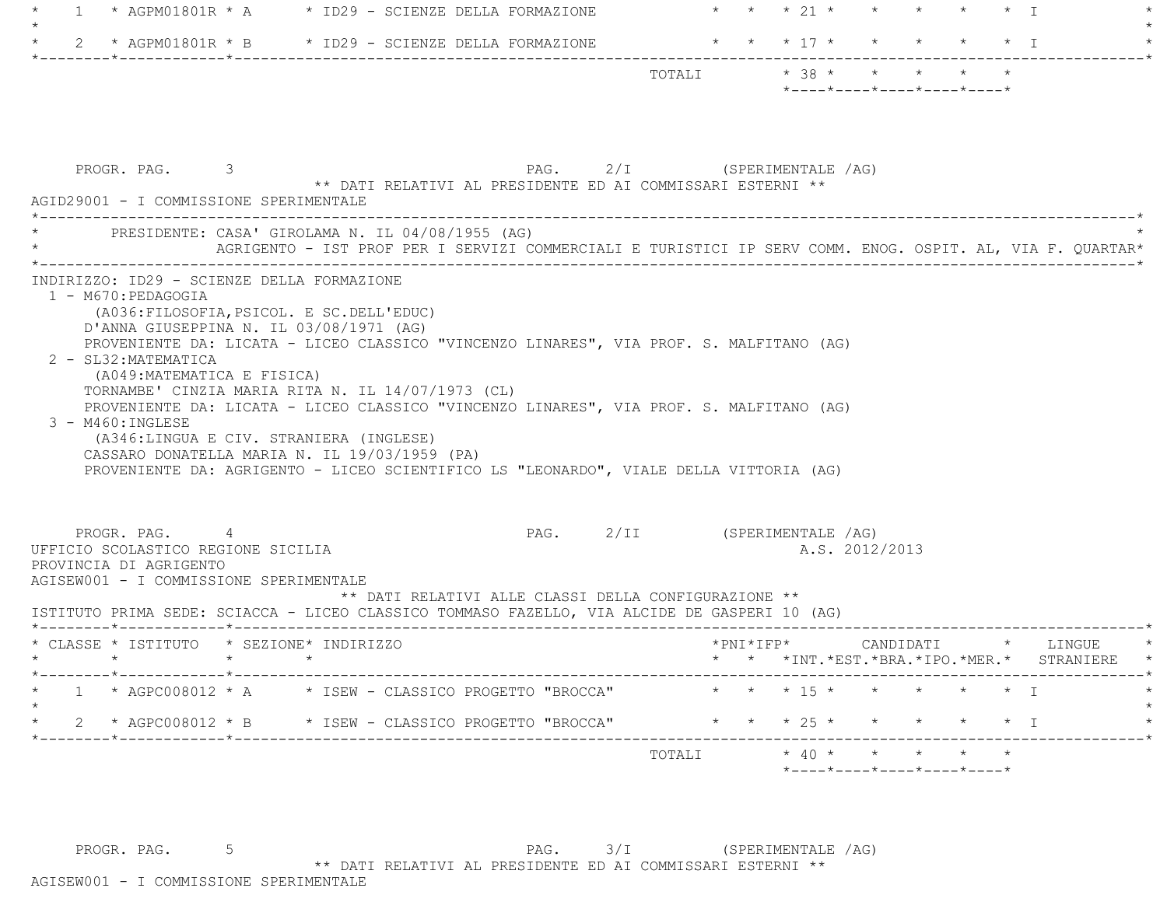| $\overline{1}$ | * AGPM01801R * A * ID29 - SCIENZE DELLA FORMAZIONE                                                                                                                                                                                                                                                                                                                                                                                                                                                                                                     |  |                                                                                                           |  | * * * 21 * * * * * * I       |                                            |  |  |                |                                                  |                            |           |                                          |  |
|----------------|--------------------------------------------------------------------------------------------------------------------------------------------------------------------------------------------------------------------------------------------------------------------------------------------------------------------------------------------------------------------------------------------------------------------------------------------------------------------------------------------------------------------------------------------------------|--|-----------------------------------------------------------------------------------------------------------|--|------------------------------|--------------------------------------------|--|--|----------------|--------------------------------------------------|----------------------------|-----------|------------------------------------------|--|
|                | 2 * AGPM01801R * B * ID29 - SCIENZE DELLA FORMAZIONE                                                                                                                                                                                                                                                                                                                                                                                                                                                                                                   |  |                                                                                                           |  |                              | * * * 17 * * * * * * 1                     |  |  |                |                                                  |                            |           |                                          |  |
|                |                                                                                                                                                                                                                                                                                                                                                                                                                                                                                                                                                        |  |                                                                                                           |  |                              |                                            |  |  |                | $*$ ---- $*$ ---- $*$ ---- $*$ ---- $*$ ---- $*$ |                            |           |                                          |  |
|                | PROGR. PAG. 3<br>AGID29001 - I COMMISSIONE SPERIMENTALE                                                                                                                                                                                                                                                                                                                                                                                                                                                                                                |  | ** DATI RELATIVI AL PRESIDENTE ED AI COMMISSARI ESTERNI **                                                |  | PAG. 2/I (SPERIMENTALE /AG)  |                                            |  |  |                |                                                  |                            |           |                                          |  |
|                | * PRESIDENTE: CASA' GIROLAMA N. IL 04/08/1955 (AG)                                                                                                                                                                                                                                                                                                                                                                                                                                                                                                     |  | AGRIGENTO - IST PROF PER I SERVIZI COMMERCIALI E TURISTICI IP SERV COMM. ENOG. OSPIT. AL, VIA F. QUARTAR* |  |                              |                                            |  |  |                |                                                  |                            |           |                                          |  |
|                | D'ANNA GIUSEPPINA N. IL 03/08/1971 (AG)<br>PROVENIENTE DA: LICATA - LICEO CLASSICO "VINCENZO LINARES", VIA PROF. S. MALFITANO (AG)<br>2 - SL32: MATEMATICA<br>(A049: MATEMATICA E FISICA)<br>TORNAMBE' CINZIA MARIA RITA N. IL 14/07/1973 (CL)<br>PROVENIENTE DA: LICATA - LICEO CLASSICO "VINCENZO LINARES", VIA PROF. S. MALFITANO (AG)<br>$3 - M460: INGLESE$<br>(A346:LINGUA E CIV. STRANIERA (INGLESE)<br>CASSARO DONATELLA MARIA N. IL 19/03/1959 (PA)<br>PROVENIENTE DA: AGRIGENTO - LICEO SCIENTIFICO LS "LEONARDO", VIALE DELLA VITTORIA (AG) |  |                                                                                                           |  |                              |                                            |  |  |                |                                                  |                            |           |                                          |  |
|                | PROGR. PAG. 4<br>UFFICIO SCOLASTICO REGIONE SICILIA<br>PROVINCIA DI AGRIGENTO<br>AGISEW001 - I COMMISSIONE SPERIMENTALE<br>ISTITUTO PRIMA SEDE: SCIACCA - LICEO CLASSICO TOMMASO FAZELLO, VIA ALCIDE DE GASPERI 10 (AG)                                                                                                                                                                                                                                                                                                                                |  | ** DATI RELATIVI ALLE CLASSI DELLA CONFIGURAZIONE **                                                      |  | PAG. 2/II (SPERIMENTALE /AG) |                                            |  |  | A.S. 2012/2013 |                                                  |                            |           |                                          |  |
|                | * CLASSE * ISTITUTO * SEZIONE* INDIRIZZO                                                                                                                                                                                                                                                                                                                                                                                                                                                                                                               |  |                                                                                                           |  |                              |                                            |  |  |                |                                                  |                            |           | * * *INT.*EST.*BRA.*IPO.*MER.* STRANIERE |  |
|                | 1 * AGPC008012 * A * ISEW - CLASSICO PROGETTO "BROCCA"                                                                                                                                                                                                                                                                                                                                                                                                                                                                                                 |  |                                                                                                           |  |                              | * * * 15 * * * * * * I                     |  |  |                |                                                  |                            |           |                                          |  |
|                | 2 * AGPC008012 * B * ISEW - CLASSICO PROGETTO "BROCCA"<br>------*------------*---------                                                                                                                                                                                                                                                                                                                                                                                                                                                                |  |                                                                                                           |  |                              | $\star$ $\star$ $\star$ 25 $\star$ $\star$ |  |  |                |                                                  |                            | $\star$ T |                                          |  |
|                |                                                                                                                                                                                                                                                                                                                                                                                                                                                                                                                                                        |  |                                                                                                           |  |                              | TOTALI                                     |  |  |                | $*$ 40 * * * *                                   | *----*----*----*----*----* |           |                                          |  |

PROGR. PAG. 5 5 \*\* DATT RELATIVI AL PRESIDENTE ED AT COMMISSARI ESTERNI \*\* PAG. 3/I \*\* DATI RELATIVI AL PRESIDENTE ED AI COMMISSARI ESTERNI \*\*

## AGISEW001 - I COMMISSIONE SPERIMENTALE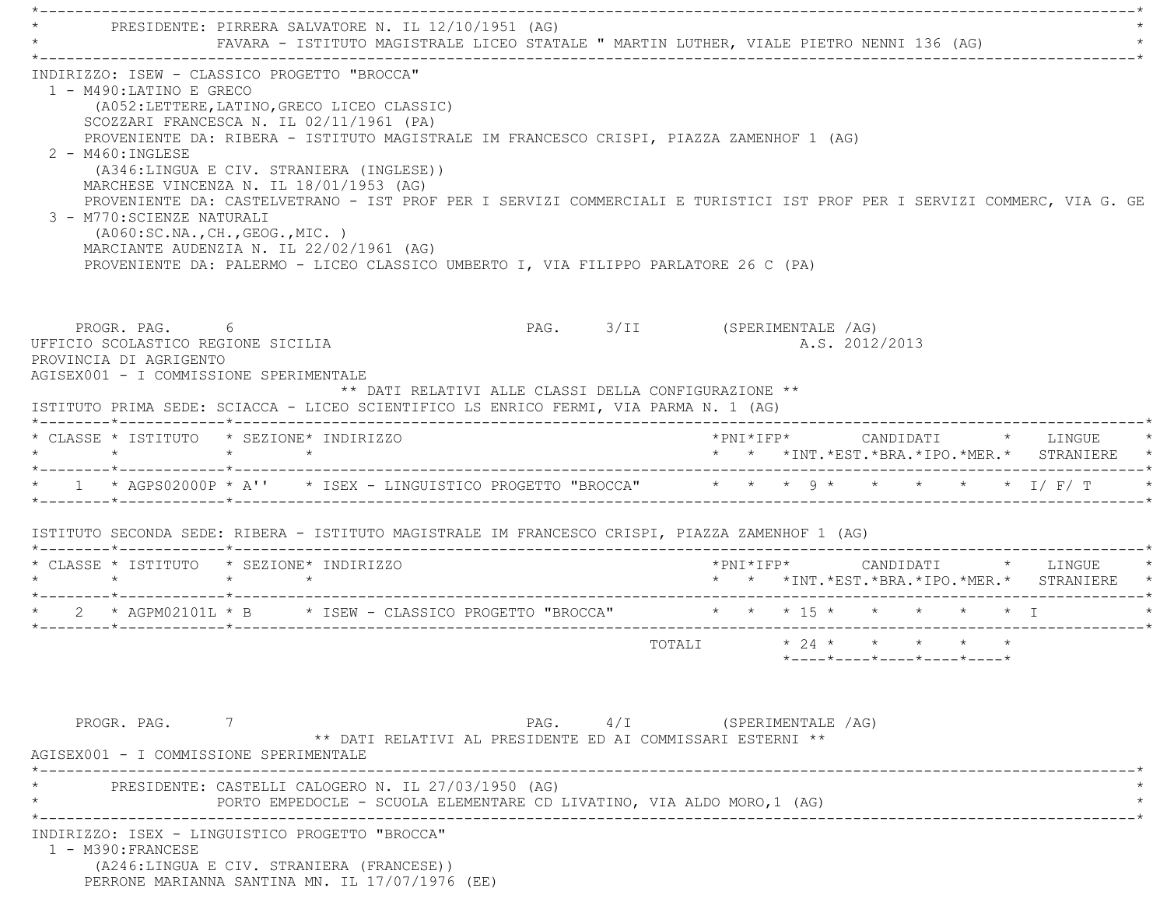\*----------------------------------------------------------------------------------------------------------------------------\* \* PRESIDENTE: PIRRERA SALVATORE N. IL 12/10/1951 (AG) \* FAVARA - ISTITUTO MAGISTRALE LICEO STATALE " MARTIN LUTHER, VIALE PIETRO NENNI 136 (AG) \*----------------------------------------------------------------------------------------------------------------------------\* INDIRIZZO: ISEW - CLASSICO PROGETTO "BROCCA" 1 - M490:LATINO E GRECO (A052:LETTERE,LATINO,GRECO LICEO CLASSIC) SCOZZARI FRANCESCA N. IL 02/11/1961 (PA) PROVENIENTE DA: RIBERA - ISTITUTO MAGISTRALE IM FRANCESCO CRISPI, PIAZZA ZAMENHOF 1 (AG) 2 - M460:INGLESE (A346:LINGUA E CIV. STRANIERA (INGLESE)) MARCHESE VINCENZA N. IL 18/01/1953 (AG) PROVENIENTE DA: CASTELVETRANO - IST PROF PER I SERVIZI COMMERCIALI E TURISTICI IST PROF PER I SERVIZI COMMERC, VIA G. GE 3 - M770:SCIENZE NATURALI (A060:SC.NA.,CH.,GEOG.,MIC. ) MARCIANTE AUDENZIA N. IL 22/02/1961 (AG) PROVENIENTE DA: PALERMO - LICEO CLASSICO UMBERTO I, VIA FILIPPO PARLATORE 26 C (PA) PROGR. PAG. 6 PAG. 3/II (SPERIMENTALE /AG) UFFICIO SCOLASTICO REGIONE SICILIA A.S. 2012/2013 PROVINCIA DI AGRIGENTO AGISEX001 - I COMMISSIONE SPERIMENTALE \*\* DATI RELATIVI ALLE CLASSI DELLA CONFIGURAZIONE \*\* ISTITUTO PRIMA SEDE: SCIACCA - LICEO SCIENTIFICO LS ENRICO FERMI, VIA PARMA N. 1 (AG) \*--------\*------------\*-------------------------------------------------------------------------------------------------------\* \* CLASSE \* ISTITUTO \* SEZIONE\* INDIRIZZO \*PNI\*IFP\* CANDIDATI \* LINGUE \*\* \* \* \* \*INT.\*EST.\*BRA.\*IPO.\*MER.\* STRANIERE \* \*--------\*------------\*-------------------------------------------------------------------------------------------------------\* \* 1 \* AGPS02000P \* A'' \* ISEX - LINGUISTICO PROGETTO "BROCCA" \* \* \* 9 \* \* \* \* \* I/ F/ T \* \*--------\*------------\*-------------------------------------------------------------------------------------------------------\* ISTITUTO SECONDA SEDE: RIBERA - ISTITUTO MAGISTRALE IM FRANCESCO CRISPI, PIAZZA ZAMENHOF 1 (AG) \*--------\*------------\*-------------------------------------------------------------------------------------------------------\* \* CLASSE \* ISTITUTO \* SEZIONE\* INDIRIZZO \*PNI\*IFP\* CANDIDATI \* LINGUE \* \* \* \* \* \* \* \*INT.\*EST.\*BRA.\*IPO.\*MER.\* STRANIERE \* \*--------\*------------\*-------------------------------------------------------------------------------------------------------\* \* 2 \* AGPM02101L \* B \* ISEW - CLASSICO PROGETTO "BROCCA" \* \* \* 15 \* \* \* \* \* I \* \*--------\*------------\*-------------------------------------------------------------------------------------------------------\* $\texttt{TOTAL} \qquad \qquad \star \quad 24 \; \star \qquad \star \qquad \star \qquad \star \qquad \star \qquad \star$  \*----\*----\*----\*----\*----\*PROGR. PAG. 7 7 PAG. PAG. 4/I (SPERIMENTALE /AG) \*\* DATI RELATIVI AL PRESIDENTE ED AI COMMISSARI ESTERNI \*\* AGISEX001 - I COMMISSIONE SPERIMENTALE \*----------------------------------------------------------------------------------------------------------------------------\*PRESIDENTE: CASTELLI CALOGERO N. IL 27/03/1950 (AG) PORTO EMPEDOCLE - SCUOLA ELEMENTARE CD LIVATINO, VIA ALDO MORO, 1 (AG) \*----------------------------------------------------------------------------------------------------------------------------\* INDIRIZZO: ISEX - LINGUISTICO PROGETTO "BROCCA" 1 - M390:FRANCESE (A246:LINGUA E CIV. STRANIERA (FRANCESE)) PERRONE MARIANNA SANTINA MN. IL 17/07/1976 (EE)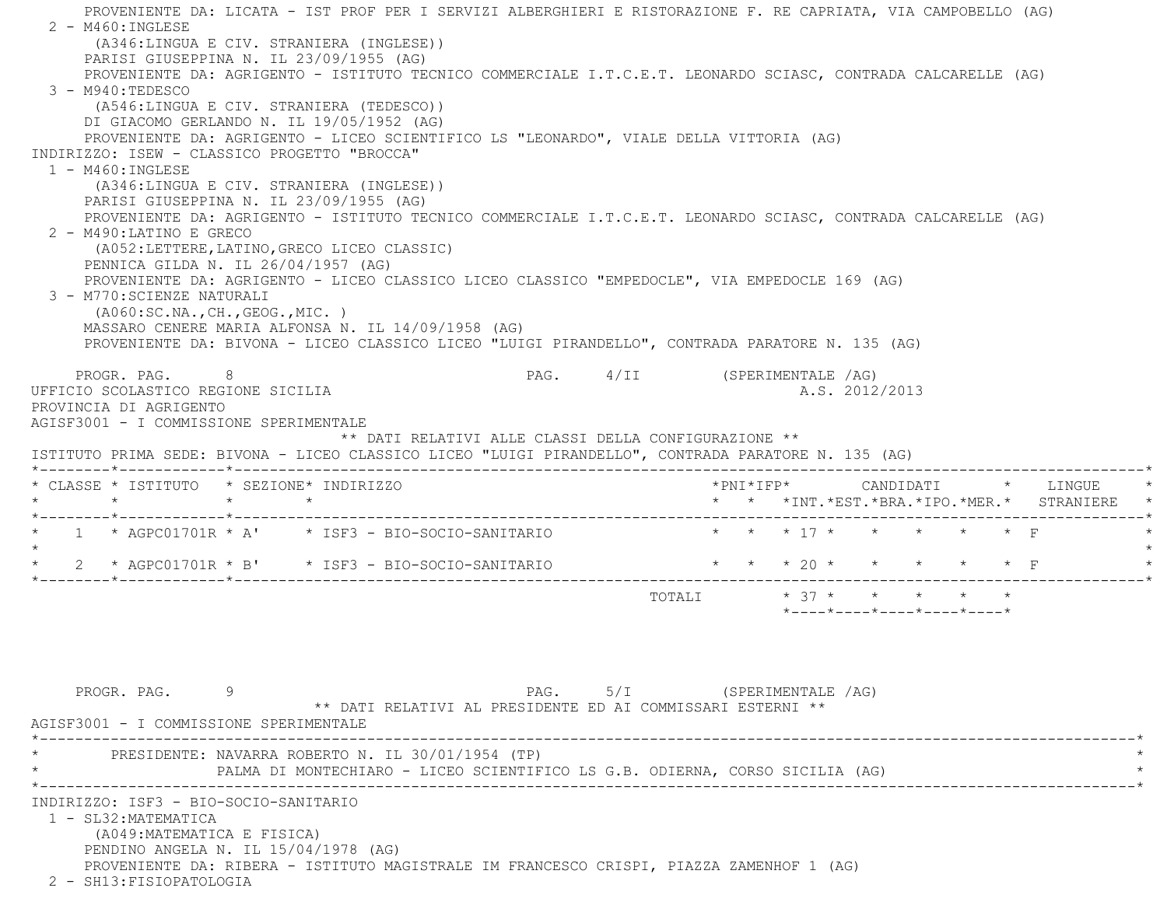PROVENIENTE DA: LICATA - IST PROF PER I SERVIZI ALBERGHIERI E RISTORAZIONE F. RE CAPRIATA, VIA CAMPOBELLO (AG)  $2 - M460$ : INGLESE (A346:LINGUA E CIV. STRANIERA (INGLESE)) PARISI GIUSEPPINA N. IL 23/09/1955 (AG) PROVENIENTE DA: AGRIGENTO - ISTITUTO TECNICO COMMERCIALE I.T.C.E.T. LEONARDO SCIASC, CONTRADA CALCARELLE (AG) 3 - M940:TEDESCO (A546:LINGUA E CIV. STRANIERA (TEDESCO)) DI GIACOMO GERLANDO N. IL 19/05/1952 (AG) PROVENIENTE DA: AGRIGENTO - LICEO SCIENTIFICO LS "LEONARDO", VIALE DELLA VITTORIA (AG) INDIRIZZO: ISEW - CLASSICO PROGETTO "BROCCA" 1 - M460:INGLESE (A346:LINGUA E CIV. STRANIERA (INGLESE)) PARISI GIUSEPPINA N. IL 23/09/1955 (AG) PROVENIENTE DA: AGRIGENTO - ISTITUTO TECNICO COMMERCIALE I.T.C.E.T. LEONARDO SCIASC, CONTRADA CALCARELLE (AG) 2 - M490:LATINO E GRECO (A052:LETTERE,LATINO,GRECO LICEO CLASSIC) PENNICA GILDA N. IL 26/04/1957 (AG) PROVENIENTE DA: AGRIGENTO - LICEO CLASSICO LICEO CLASSICO "EMPEDOCLE", VIA EMPEDOCLE 169 (AG) 3 - M770:SCIENZE NATURALI (A060:SC.NA.,CH.,GEOG.,MIC. ) MASSARO CENERE MARIA ALFONSA N. IL 14/09/1958 (AG) PROVENIENTE DA: BIVONA - LICEO CLASSICO LICEO "LUIGI PIRANDELLO", CONTRADA PARATORE N. 135 (AG) PROGR. PAG. 8 PAG. 4/II (SPERIMENTALE /AG) UFFICIO SCOLASTICO REGIONE SICILIA A.S. 2012/2013 PROVINCIA DI AGRIGENTO AGISF3001 - I COMMISSIONE SPERIMENTALE \*\* DATI RELATIVI ALLE CLASSI DELLA CONFIGURAZIONE \*\* ISTITUTO PRIMA SEDE: BIVONA - LICEO CLASSICO LICEO "LUIGI PIRANDELLO", CONTRADA PARATORE N. 135 (AG) \*--------\*------------\*-------------------------------------------------------------------------------------------------------\* \* CLASSE \* ISTITUTO \* SEZIONE\* INDIRIZZO \*PNI\*IFP\* CANDIDATI \* LINGUE \* \* \* \* \* \* \* \*INT.\*EST.\*BRA.\*IPO.\*MER.\* STRANIERE \* \*--------\*------------\*-------------------------------------------------------------------------------------------------------\* \* 1 \* AGPC01701R \* A' \* ISF3 - BIO-SOCIO-SANITARIO \* \* \* 17 \* \* \* \* \* F \* $\star$  \* 2 \* AGPC01701R \* B' \* ISF3 - BIO-SOCIO-SANITARIO \* \* \* 20 \* \* \* \* \* F \* \*--------\*------------\*-------------------------------------------------------------------------------------------------------\* $\texttt{TOTALI} \qquad \qquad \star \quad \texttt{37} \; \star \qquad \star \qquad \star \qquad \star \qquad \star \qquad \star \qquad \star$  \*----\*----\*----\*----\*----\* PROGR. PAG. 9 PAG. 5/I (SPERIMENTALE /AG) \*\* DATI RELATIVI AL PRESIDENTE ED AI COMMISSARI ESTERNI \*\* AGISF3001 - I COMMISSIONE SPERIMENTALE \*----------------------------------------------------------------------------------------------------------------------------\*PRESIDENTE: NAVARRA ROBERTO N. IL 30/01/1954 (TP) PALMA DI MONTECHIARO - LICEO SCIENTIFICO LS G.B. ODIERNA, CORSO SICILIA (AG) \*----------------------------------------------------------------------------------------------------------------------------\* INDIRIZZO: ISF3 - BIO-SOCIO-SANITARIO 1 - SL32:MATEMATICA (A049:MATEMATICA E FISICA) PENDINO ANGELA N. IL 15/04/1978 (AG) PROVENIENTE DA: RIBERA - ISTITUTO MAGISTRALE IM FRANCESCO CRISPI, PIAZZA ZAMENHOF 1 (AG) 2 - SH13:FISIOPATOLOGIA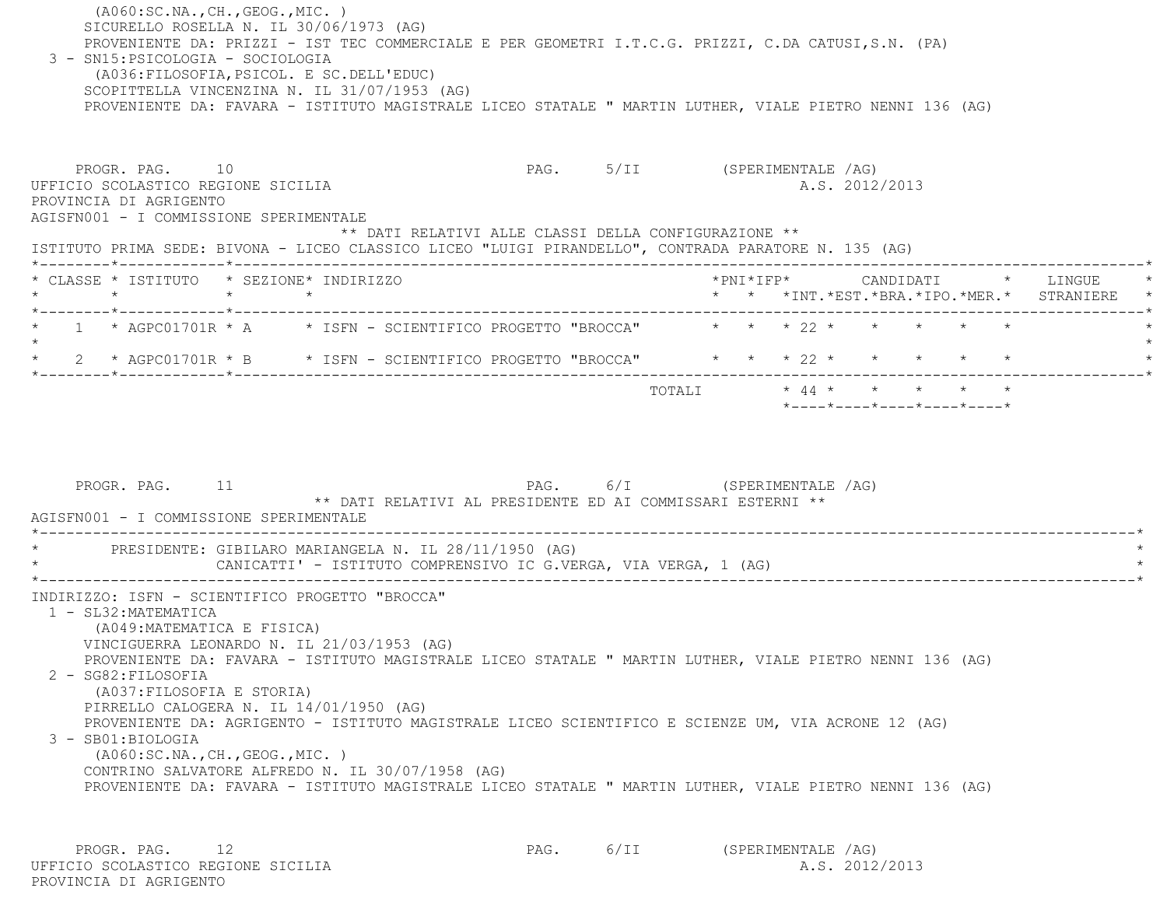(A060:SC.NA.,CH.,GEOG.,MIC. ) SICURELLO ROSELLA N. IL 30/06/1973 (AG) PROVENIENTE DA: PRIZZI - IST TEC COMMERCIALE E PER GEOMETRI I.T.C.G. PRIZZI, C.DA CATUSI,S.N. (PA) 3 - SN15:PSICOLOGIA - SOCIOLOGIA (A036:FILOSOFIA,PSICOL. E SC.DELL'EDUC) SCOPITTELLA VINCENZINA N. IL 31/07/1953 (AG) PROVENIENTE DA: FAVARA - ISTITUTO MAGISTRALE LICEO STATALE " MARTIN LUTHER, VIALE PIETRO NENNI 136 (AG) PROGR. PAG. 10 **PAG.** PAG. 5/II (SPERIMENTALE /AG) UFFICIO SCOLASTICO REGIONE SICILIA A.S. 2012/2013 PROVINCIA DI AGRIGENTO AGISFN001 - I COMMISSIONE SPERIMENTALE \*\* DATI RELATIVI ALLE CLASSI DELLA CONFIGURAZIONE \*\* ISTITUTO PRIMA SEDE: BIVONA - LICEO CLASSICO LICEO "LUIGI PIRANDELLO", CONTRADA PARATORE N. 135 (AG) \*--------\*------------\*-------------------------------------------------------------------------------------------------------\* \* CLASSE \* ISTITUTO \* SEZIONE\* INDIRIZZO \*PNI\*IFP\* CANDIDATI \* LINGUE \* \* \* \* \* \* \* \*INT.\*EST.\*BRA.\*IPO.\*MER.\* STRANIERE \* \*--------\*------------\*-------------------------------------------------------------------------------------------------------\*1 \* AGPC01701R \* A \* ISFN - SCIENTIFICO PROGETTO "BROCCA" \* \* \* 22 \* \* \* \* \* \* \*  $\star$ \* 2 \* AGPC01701R \* B \* ISFN - SCIENTIFICO PROGETTO "BROCCA" \* \* \* 22 \* \* \* \* \* \* \* \*--------\*------------\*-------------------------------------------------------------------------------------------------------\* TOTALI \* 44 \* \* \* \* \* \*----\*----\*----\*----\*----\*PROGR. PAG. 11 **PAG.** PAG. 6/I (SPERIMENTALE /AG) \*\* DATI RELATIVI AL PRESIDENTE ED AI COMMISSARI ESTERNI \*\* AGISFN001 - I COMMISSIONE SPERIMENTALE------------------------------PRESIDENTE: GIBILARO MARIANGELA N. IL 28/11/1950 (AG) CANICATTI' - ISTITUTO COMPRENSIVO IC G.VERGA, VIA VERGA, 1 (AG) \*----------------------------------------------------------------------------------------------------------------------------\* INDIRIZZO: ISFN - SCIENTIFICO PROGETTO "BROCCA" 1 - SL32:MATEMATICA (A049:MATEMATICA E FISICA) VINCIGUERRA LEONARDO N. IL 21/03/1953 (AG) PROVENIENTE DA: FAVARA - ISTITUTO MAGISTRALE LICEO STATALE " MARTIN LUTHER, VIALE PIETRO NENNI 136 (AG) 2 - SG82:FILOSOFIA (A037:FILOSOFIA E STORIA) PIRRELLO CALOGERA N. IL 14/01/1950 (AG) PROVENIENTE DA: AGRIGENTO - ISTITUTO MAGISTRALE LICEO SCIENTIFICO E SCIENZE UM, VIA ACRONE 12 (AG) 3 - SB01:BIOLOGIA (A060:SC.NA.,CH.,GEOG.,MIC. ) CONTRINO SALVATORE ALFREDO N. IL 30/07/1958 (AG) PROVENIENTE DA: FAVARA - ISTITUTO MAGISTRALE LICEO STATALE " MARTIN LUTHER, VIALE PIETRO NENNI 136 (AG)

PROGR. PAG. 12 12 PAG. 6/II (SPERIMENTALE AG) UFFICIO SCOLASTICO REGIONE SICILIA A.S. 2012/2013 PROVINCIA DI AGRIGENTO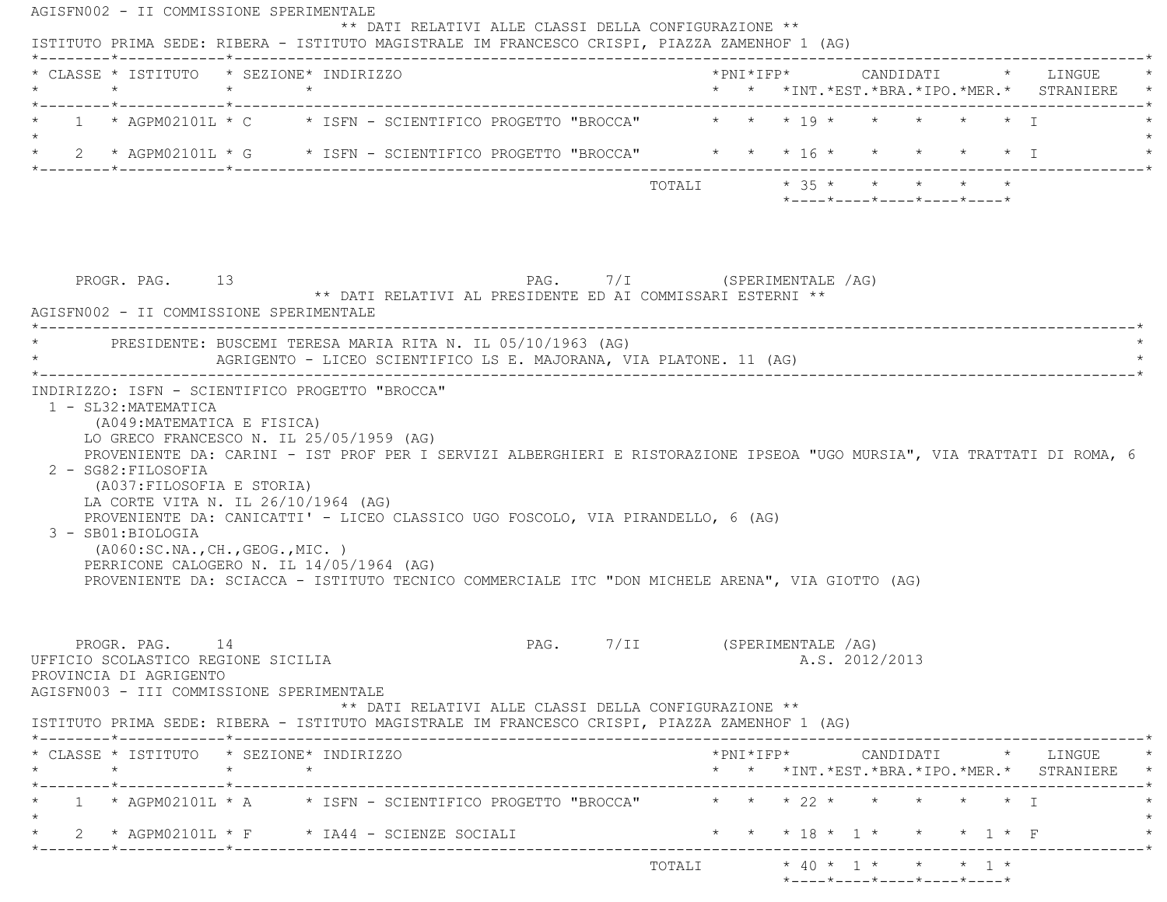| * CLASSE * ISTITUTO * SEZIONE* INDIRIZZO<br>$\star$                                                                                                                                                                                                                                                                                                                                                          | $\star$ $\star$ |  |                                                                                           |                              |        |  |                                                                                               |  | * * *INT.*EST.*BRA.*IPO.*MER.* STRANIERE                                                                                                      |
|--------------------------------------------------------------------------------------------------------------------------------------------------------------------------------------------------------------------------------------------------------------------------------------------------------------------------------------------------------------------------------------------------------------|-----------------|--|-------------------------------------------------------------------------------------------|------------------------------|--------|--|-----------------------------------------------------------------------------------------------|--|-----------------------------------------------------------------------------------------------------------------------------------------------|
| 1 * AGPM02101L * C * ISFN - SCIENTIFICO PROGETTO "BROCCA" * * * 19 * * * * * * * *                                                                                                                                                                                                                                                                                                                           |                 |  |                                                                                           |                              |        |  |                                                                                               |  |                                                                                                                                               |
| * 2 * AGPM02101L * G * ISFN - SCIENTIFICO PROGETTO "BROCCA" * * * 16 * * * * * * * I                                                                                                                                                                                                                                                                                                                         |                 |  |                                                                                           |                              |        |  |                                                                                               |  |                                                                                                                                               |
|                                                                                                                                                                                                                                                                                                                                                                                                              |                 |  |                                                                                           |                              | TOTALI |  | $\star$ 35 $\star$ $\star$ $\star$ $\star$ $\star$<br>$*$ ---- $*$ ---- $*$ ---- $*$ ---- $*$ |  |                                                                                                                                               |
| PROGR. PAG. 13<br>AGISFN002 - II COMMISSIONE SPERIMENTALE                                                                                                                                                                                                                                                                                                                                                    |                 |  | PAG. 7/I (SPERIMENTALE /AG)<br>** DATI RELATIVI AL PRESIDENTE ED AI COMMISSARI ESTERNI ** |                              |        |  |                                                                                               |  |                                                                                                                                               |
| PRESIDENTE: BUSCEMI TERESA MARIA RITA N. IL 05/10/1963 (AG)<br>AGRIGENTO - LICEO SCIENTIFICO LS E. MAJORANA, VIA PLATONE. 11 (AG)                                                                                                                                                                                                                                                                            |                 |  |                                                                                           |                              |        |  |                                                                                               |  |                                                                                                                                               |
| 1 - SL32:MATEMATICA<br>(A049:MATEMATICA E FISICA)<br>LO GRECO FRANCESCO N. IL 25/05/1959 (AG)<br>PROVENIENTE DA: CARINI - IST PROF PER I SERVIZI ALBERGHIERI E RISTORAZIONE IPSEOA "UGO MURSIA", VIA TRATTATI DI ROMA, 6<br>2 - SG82: FILOSOFIA                                                                                                                                                              |                 |  |                                                                                           |                              |        |  |                                                                                               |  |                                                                                                                                               |
| INDIRIZZO: ISFN - SCIENTIFICO PROGETTO "BROCCA"<br>(A037: FILOSOFIA E STORIA)<br>LA CORTE VITA N. IL 26/10/1964 (AG)<br>PROVENIENTE DA: CANICATTI' - LICEO CLASSICO UGO FOSCOLO, VIA PIRANDELLO, 6 (AG)<br>3 - SB01:BIOLOGIA<br>(A060:SC.NA.,CH.,GEOG.,MIC. )<br>PERRICONE CALOGERO N. IL 14/05/1964 (AG)<br>PROVENIENTE DA: SCIACCA - ISTITUTO TECNICO COMMERCIALE ITC "DON MICHELE ARENA", VIA GIOTTO (AG) |                 |  |                                                                                           |                              |        |  |                                                                                               |  |                                                                                                                                               |
| PROGR. PAG. 14<br>UFFICIO SCOLASTICO REGIONE SICILIA<br>PROVINCIA DI AGRIGENTO<br>AGISFN003 - III COMMISSIONE SPERIMENTALE                                                                                                                                                                                                                                                                                   |                 |  | ** DATI RELATIVI ALLE CLASSI DELLA CONFIGURAZIONE **                                      | PAG. 7/II (SPERIMENTALE /AG) |        |  | A.S. 2012/2013                                                                                |  |                                                                                                                                               |
| $\star$                                                                                                                                                                                                                                                                                                                                                                                                      | $\star$ $\star$ |  |                                                                                           |                              |        |  |                                                                                               |  | $*PNI*IFP* \qquad \qquad \text{CANDIDATI} \qquad \qquad * \qquad \text{LINGUE} \qquad \qquad *$<br>* * *INT.*EST.*BRA.*IPO.*MER.* STRANIERE * |
| ISTITUTO PRIMA SEDE: RIBERA - ISTITUTO MAGISTRALE IM FRANCESCO CRISPI, PIAZZA ZAMENHOF 1 (AG)<br>* CLASSE * ISTITUTO * SEZIONE* INDIRIZZO<br>1 * AGPM02101L * A $\rightarrow$ ISFN - SCIENTIFICO PROGETTO "BROCCA" $\rightarrow$ * * 22 * * * * * * *                                                                                                                                                        |                 |  |                                                                                           |                              |        |  |                                                                                               |  |                                                                                                                                               |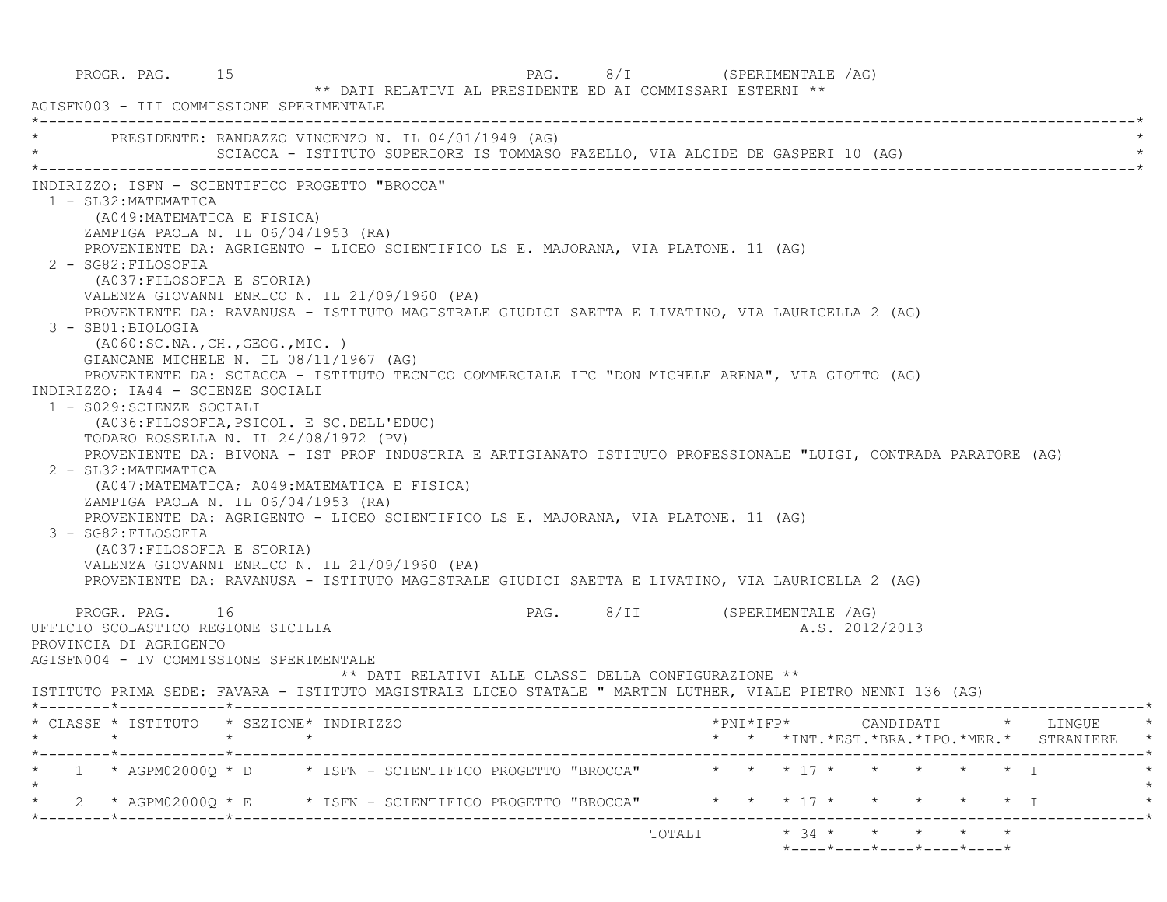| PROGR. PAG. 15<br>AGISFN003 - III COMMISSIONE SPERIMENTALE                                                                                                                                                                                                                                                                                                                                                                                                                                                                                                                                                                                                                                                                                                                                                                                                                                                                                                                                                                                                                                                                                                                                                               | PAG. 8/I (SPERIMENTALE /AG)<br>** DATI RELATIVI AL PRESIDENTE ED AI COMMISSARI ESTERNI **                       |
|--------------------------------------------------------------------------------------------------------------------------------------------------------------------------------------------------------------------------------------------------------------------------------------------------------------------------------------------------------------------------------------------------------------------------------------------------------------------------------------------------------------------------------------------------------------------------------------------------------------------------------------------------------------------------------------------------------------------------------------------------------------------------------------------------------------------------------------------------------------------------------------------------------------------------------------------------------------------------------------------------------------------------------------------------------------------------------------------------------------------------------------------------------------------------------------------------------------------------|-----------------------------------------------------------------------------------------------------------------|
| PRESIDENTE: RANDAZZO VINCENZO N. IL 04/01/1949 (AG)                                                                                                                                                                                                                                                                                                                                                                                                                                                                                                                                                                                                                                                                                                                                                                                                                                                                                                                                                                                                                                                                                                                                                                      |                                                                                                                 |
| INDIRIZZO: ISFN - SCIENTIFICO PROGETTO "BROCCA"<br>1 - SL32: MATEMATICA<br>(A049: MATEMATICA E FISICA)<br>ZAMPIGA PAOLA N. IL 06/04/1953 (RA)<br>PROVENIENTE DA: AGRIGENTO - LICEO SCIENTIFICO LS E. MAJORANA, VIA PLATONE. 11 (AG)<br>2 - SG82: FILOSOFIA<br>(A037: FILOSOFIA E STORIA)<br>VALENZA GIOVANNI ENRICO N. IL 21/09/1960 (PA)<br>PROVENIENTE DA: RAVANUSA - ISTITUTO MAGISTRALE GIUDICI SAETTA E LIVATINO, VIA LAURICELLA 2 (AG)<br>3 - SB01:BIOLOGIA<br>(AO60:SC.NA., CH., GEOG., MIC. )<br>GIANCANE MICHELE N. IL 08/11/1967 (AG)<br>PROVENIENTE DA: SCIACCA - ISTITUTO TECNICO COMMERCIALE ITC "DON MICHELE ARENA", VIA GIOTTO (AG)<br>INDIRIZZO: IA44 - SCIENZE SOCIALI<br>1 - S029: SCIENZE SOCIALI<br>(A036: FILOSOFIA, PSICOL. E SC. DELL'EDUC)<br>TODARO ROSSELLA N. IL 24/08/1972 (PV)<br>2 - SL32: MATEMATICA<br>(A047:MATEMATICA; A049:MATEMATICA E FISICA)<br>ZAMPIGA PAOLA N. IL 06/04/1953 (RA)<br>PROVENIENTE DA: AGRIGENTO - LICEO SCIENTIFICO LS E. MAJORANA, VIA PLATONE. 11 (AG)<br>3 - SG82: FILOSOFIA<br>(A037: FILOSOFIA E STORIA)<br>VALENZA GIOVANNI ENRICO N. IL 21/09/1960 (PA)<br>PROVENIENTE DA: RAVANUSA - ISTITUTO MAGISTRALE GIUDICI SAETTA E LIVATINO, VIA LAURICELLA 2 (AG) | PROVENIENTE DA: BIVONA - IST PROF INDUSTRIA E ARTIGIANATO ISTITUTO PROFESSIONALE "LUIGI, CONTRADA PARATORE (AG) |
| PROGR. PAG. 16<br>UFFICIO SCOLASTICO REGIONE SICILIA<br>PROVINCIA DI AGRIGENTO<br>AGISFN004 - IV COMMISSIONE SPERIMENTALE<br>ISTITUTO PRIMA SEDE: FAVARA - ISTITUTO MAGISTRALE LICEO STATALE " MARTIN LUTHER, VIALE PIETRO NENNI 136 (AG)                                                                                                                                                                                                                                                                                                                                                                                                                                                                                                                                                                                                                                                                                                                                                                                                                                                                                                                                                                                | PAG. 8/II (SPERIMENTALE /AG)<br>A.S. 2012/2013<br>** DATI RELATIVI ALLE CLASSI DELLA CONFIGURAZIONE **          |
| * CLASSE * ISTITUTO * SEZIONE* INDIRIZZO                                                                                                                                                                                                                                                                                                                                                                                                                                                                                                                                                                                                                                                                                                                                                                                                                                                                                                                                                                                                                                                                                                                                                                                 | *PNI*IFP*<br>CANDIDATI * LINGUE<br>* * *INT. *EST. *BRA. *IPO. *MER. * STRANIERE                                |
| 1 * AGPM02000Q * D * ISFN - SCIENTIFICO PROGETTO "BROCCA"                                                                                                                                                                                                                                                                                                                                                                                                                                                                                                                                                                                                                                                                                                                                                                                                                                                                                                                                                                                                                                                                                                                                                                | $\star$ $\star$ $\star$ 17 $\star$ $\star$<br>$\star$<br>$\star$ I                                              |
| 2 * AGPM02000Q * E * ISFN - SCIENTIFICO PROGETTO "BROCCA" *                                                                                                                                                                                                                                                                                                                                                                                                                                                                                                                                                                                                                                                                                                                                                                                                                                                                                                                                                                                                                                                                                                                                                              | $*$ 17 $*$<br>$\star$ I                                                                                         |
|                                                                                                                                                                                                                                                                                                                                                                                                                                                                                                                                                                                                                                                                                                                                                                                                                                                                                                                                                                                                                                                                                                                                                                                                                          | $*$ 34 $*$<br>TOTALI                                                                                            |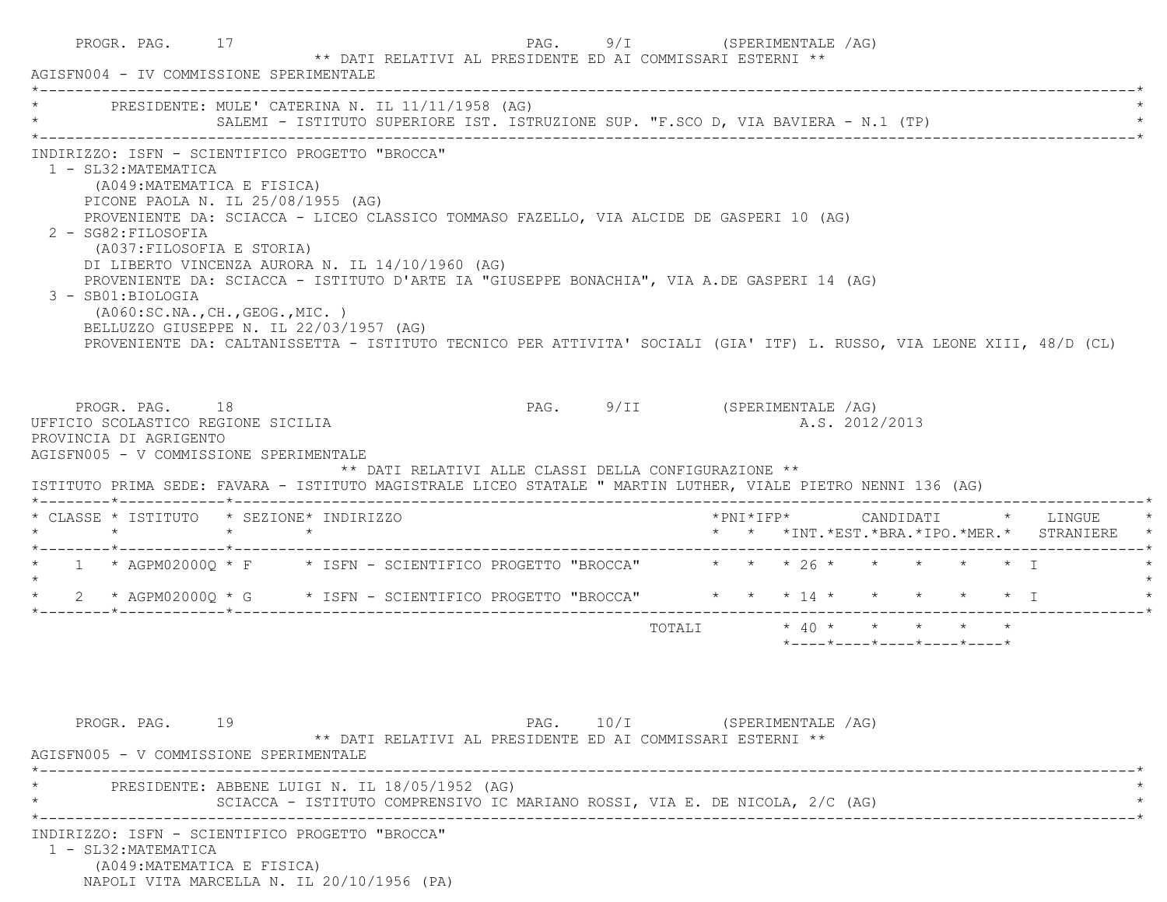| AGISFN004 - IV COMMISSIONE SPERIMENTALE                                                                                                                                                                                                                                                                                                                                                                                                                                                                                                                                                                                                                                    | PROGR. PAG. 17 | ** DATI RELATIVI AL PRESIDENTE ED AI COMMISSARI ESTERNI **                                                                    |                              | PAG. 9/I (SPERIMENTALE /AG) |  |                       |                |                                                                                                |  |                                                                     |
|----------------------------------------------------------------------------------------------------------------------------------------------------------------------------------------------------------------------------------------------------------------------------------------------------------------------------------------------------------------------------------------------------------------------------------------------------------------------------------------------------------------------------------------------------------------------------------------------------------------------------------------------------------------------------|----------------|-------------------------------------------------------------------------------------------------------------------------------|------------------------------|-----------------------------|--|-----------------------|----------------|------------------------------------------------------------------------------------------------|--|---------------------------------------------------------------------|
| * PRESIDENTE: MULE' CATERINA N. IL 11/11/1958 (AG)                                                                                                                                                                                                                                                                                                                                                                                                                                                                                                                                                                                                                         |                | SALEMI - ISTITUTO SUPERIORE IST. ISTRUZIONE SUP. "F.SCO D, VIA BAVIERA - N.1 (TP)                                             |                              |                             |  |                       |                |                                                                                                |  |                                                                     |
| INDIRIZZO: ISFN - SCIENTIFICO PROGETTO "BROCCA"<br>1 - SL32: MATEMATICA<br>(A049:MATEMATICA E FISICA)<br>PICONE PAOLA N. IL 25/08/1955 (AG)<br>PROVENIENTE DA: SCIACCA - LICEO CLASSICO TOMMASO FAZELLO, VIA ALCIDE DE GASPERI 10 (AG)<br>2 - SG82: FILOSOFIA<br>(A037:FILOSOFIA E STORIA)<br>DI LIBERTO VINCENZA AURORA N. IL 14/10/1960 (AG)<br>PROVENIENTE DA: SCIACCA - ISTITUTO D'ARTE IA "GIUSEPPE BONACHIA", VIA A.DE GASPERI 14 (AG)<br>3 - SB01:BIOLOGIA<br>( A060:SC.NA., CH., GEOG., MIC. )<br>BELLUZZO GIUSEPPE N. IL 22/03/1957 (AG)<br>PROVENIENTE DA: CALTANISSETTA - ISTITUTO TECNICO PER ATTIVITA' SOCIALI (GIA' ITF) L. RUSSO, VIA LEONE XIII, 48/D (CL) |                |                                                                                                                               |                              |                             |  |                       |                |                                                                                                |  |                                                                     |
| PROGR. PAG. 18<br>UFFICIO SCOLASTICO REGIONE SICILIA<br>PROVINCIA DI AGRIGENTO<br>AGISFN005 - V COMMISSIONE SPERIMENTALE<br>ISTITUTO PRIMA SEDE: FAVARA - ISTITUTO MAGISTRALE LICEO STATALE " MARTIN LUTHER, VIALE PIETRO NENNI 136 (AG)                                                                                                                                                                                                                                                                                                                                                                                                                                   |                | ** DATI RELATIVI ALLE CLASSI DELLA CONFIGURAZIONE **                                                                          | PAG. 9/II (SPERIMENTALE /AG) |                             |  |                       | A.S. 2012/2013 |                                                                                                |  |                                                                     |
|                                                                                                                                                                                                                                                                                                                                                                                                                                                                                                                                                                                                                                                                            |                |                                                                                                                               |                              |                             |  |                       |                |                                                                                                |  |                                                                     |
|                                                                                                                                                                                                                                                                                                                                                                                                                                                                                                                                                                                                                                                                            |                |                                                                                                                               |                              |                             |  | $*$ PNI $*$ I F P $*$ |                |                                                                                                |  | CANDIDATI * LINGUE<br>* * *INT. *EST. *BRA. *IPO. *MER. * STRANIERE |
|                                                                                                                                                                                                                                                                                                                                                                                                                                                                                                                                                                                                                                                                            |                |                                                                                                                               |                              |                             |  |                       |                |                                                                                                |  |                                                                     |
|                                                                                                                                                                                                                                                                                                                                                                                                                                                                                                                                                                                                                                                                            |                |                                                                                                                               |                              |                             |  |                       |                |                                                                                                |  |                                                                     |
| $\star$                                                                                                                                                                                                                                                                                                                                                                                                                                                                                                                                                                                                                                                                    |                |                                                                                                                               |                              | TOTALI                      |  |                       |                | $\star$ 40 $\star$ $\star$ $\star$ $\star$<br>$*$ ---- $*$ ---- $*$ ---- $*$ ---- $*$ ---- $*$ |  |                                                                     |
| * CLASSE * ISTITUTO * SEZIONE* INDIRIZZO<br>* 1 * AGPM02000Q * F * ISFN - SCIENTIFICO PROGETTO "BROCCA" * * * 26 * * * * * * * I<br>* 2 * AGPM02000Q * G * ISFN - SCIENTIFICO PROGETTO "BROCCA" * * * 14 * * * * * * * I<br>PROGR. PAG. 19<br>AGISFN005 - V COMMISSIONE SPERIMENTALE                                                                                                                                                                                                                                                                                                                                                                                       |                | ** DATI RELATIVI AL PRESIDENTE ED AI COMMISSARI ESTERNI **                                                                    | PAG. 10/I (SPERIMENTALE /AG) |                             |  |                       |                |                                                                                                |  |                                                                     |
|                                                                                                                                                                                                                                                                                                                                                                                                                                                                                                                                                                                                                                                                            |                | PRESIDENTE: ABBENE LUIGI N. IL 18/05/1952 (AG)<br>SCIACCA - ISTITUTO COMPRENSIVO IC MARIANO ROSSI, VIA E. DE NICOLA, 2/C (AG) |                              |                             |  |                       |                |                                                                                                |  |                                                                     |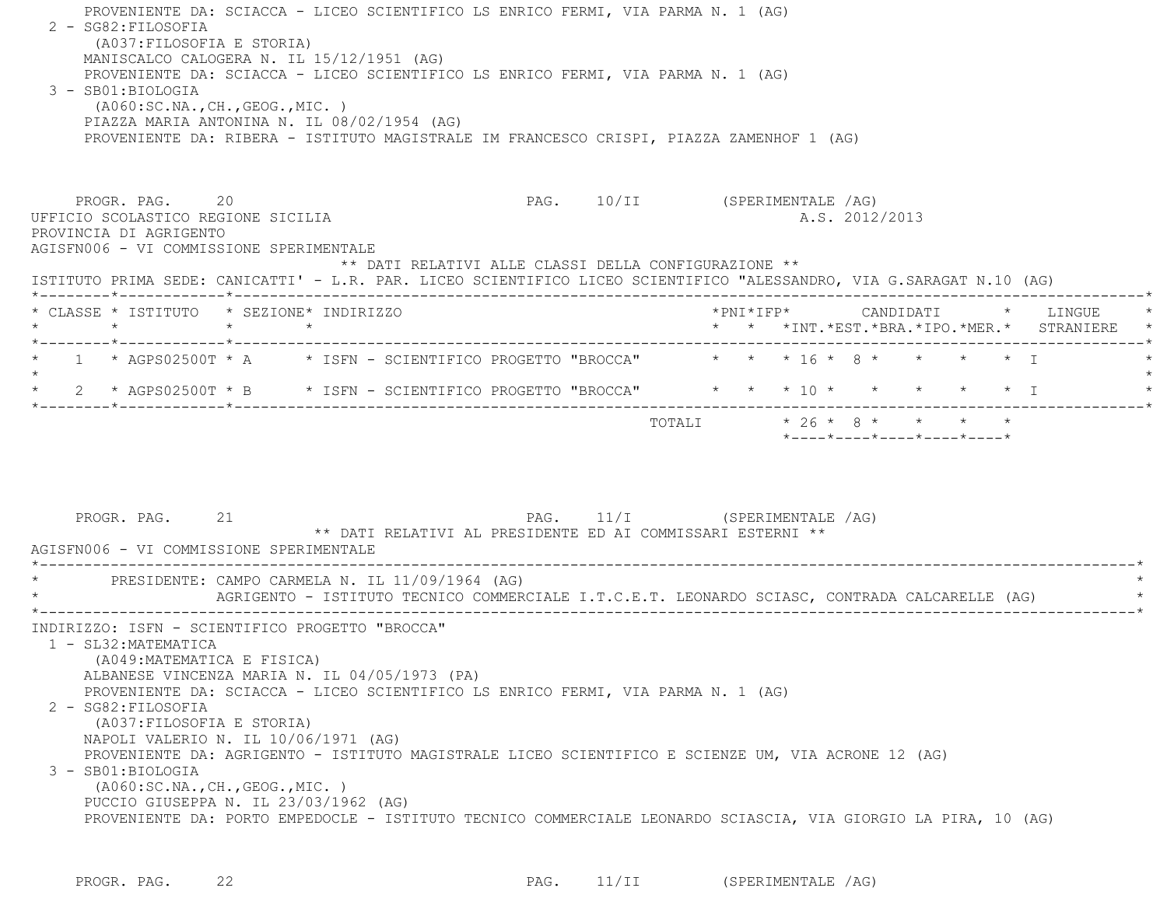| 2 - SG82:FILOSOFIA                                                                                                                                              |                                                                                                                               | PROVENIENTE DA: SCIACCA - LICEO SCIENTIFICO LS ENRICO FERMI, VIA PARMA N. 1 (AG) |                               |                           |  |                                                                 |  |                                                                          |
|-----------------------------------------------------------------------------------------------------------------------------------------------------------------|-------------------------------------------------------------------------------------------------------------------------------|----------------------------------------------------------------------------------|-------------------------------|---------------------------|--|-----------------------------------------------------------------|--|--------------------------------------------------------------------------|
| (A037: FILOSOFIA E STORIA)                                                                                                                                      | MANISCALCO CALOGERA N. IL 15/12/1951 (AG)<br>PROVENIENTE DA: SCIACCA - LICEO SCIENTIFICO LS ENRICO FERMI, VIA PARMA N. 1 (AG) |                                                                                  |                               |                           |  |                                                                 |  |                                                                          |
| 3 - SB01:BIOLOGIA                                                                                                                                               | (AO60:SC.NA., CH., GEOG., MIC. )<br>PIAZZA MARIA ANTONINA N. IL 08/02/1954 (AG)                                               |                                                                                  |                               |                           |  |                                                                 |  |                                                                          |
|                                                                                                                                                                 | PROVENIENTE DA: RIBERA - ISTITUTO MAGISTRALE IM FRANCESCO CRISPI, PIAZZA ZAMENHOF 1 (AG)                                      |                                                                                  |                               |                           |  |                                                                 |  |                                                                          |
| PROGR. PAG. 20<br>UFFICIO SCOLASTICO REGIONE SICILIA<br>PROVINCIA DI AGRIGENTO                                                                                  |                                                                                                                               |                                                                                  | PAG. 10/II (SPERIMENTALE /AG) |                           |  | A.S. 2012/2013                                                  |  |                                                                          |
| AGISFN006 - VI COMMISSIONE SPERIMENTALE<br>ISTITUTO PRIMA SEDE: CANICATTI' - L.R. PAR. LICEO SCIENTIFICO LICEO SCIENTIFICO "ALESSANDRO, VIA G.SARAGAT N.10 (AG) |                                                                                                                               | ** DATI RELATIVI ALLE CLASSI DELLA CONFIGURAZIONE **                             |                               |                           |  |                                                                 |  |                                                                          |
| * CLASSE * ISTITUTO * SEZIONE* INDIRIZZO<br>$\star$<br>*--------*------------*------------                                                                      | $\star$ $\star$                                                                                                               |                                                                                  |                               |                           |  |                                                                 |  | *PNI*IFP* CANDIDATI * LINGUE<br>* * *INT.*EST.*BRA.*IPO.*MER.* STRANIERE |
| 1 * AGPS02500T * A * ISFN - SCIENTIFICO PROGETTO "BROCCA" * * * 16 * 8 * * * * * * T                                                                            |                                                                                                                               |                                                                                  |                               |                           |  |                                                                 |  |                                                                          |
| 2 * AGPS02500T * B * ISFN - SCIENTIFICO PROGETTO "BROCCA" * * * 10 * * * * * * * I                                                                              |                                                                                                                               |                                                                                  |                               |                           |  |                                                                 |  |                                                                          |
|                                                                                                                                                                 |                                                                                                                               |                                                                                  |                               | TOTALI * 26 * 8 * * * * * |  | $*$ - - - - $*$ - - - - $*$ - - - - $*$ - - - - $*$ - - - - $*$ |  |                                                                          |
| PROGR. PAG. 21                                                                                                                                                  |                                                                                                                               | ** DATI RELATIVI AL PRESIDENTE ED AI COMMISSARI ESTERNI **                       | PAG. 11/I (SPERIMENTALE /AG)  |                           |  |                                                                 |  |                                                                          |
| AGISFN006 - VI COMMISSIONE SPERIMENTALE<br>* PRESIDENTE: CAMPO CARMELA N. IL 11/09/1964 (AG)                                                                    | AGRIGENTO - ISTITUTO TECNICO COMMERCIALE I.T.C.E.T. LEONARDO SCIASC, CONTRADA CALCARELLE (AG)                                 | _______________________                                                          |                               |                           |  |                                                                 |  |                                                                          |

PROGR. PAG. 22 22 PAG. 11/II (SPERIMENTALE /AG)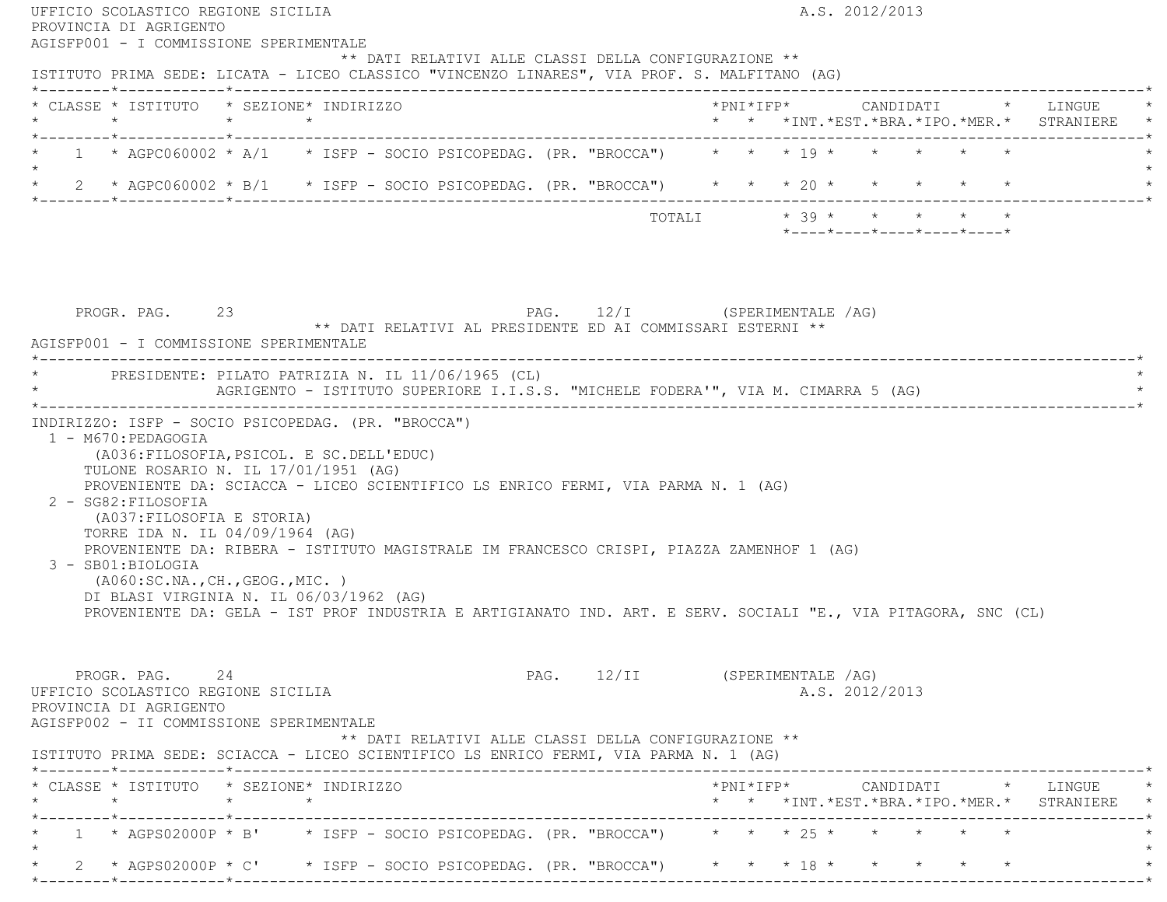| ISTITUTO PRIMA SEDE: LICATA - LICEO CLASSICO "VINCENZO LINARES", VIA PROF. S. MALFITANO (AG)<br>* CLASSE * ISTITUTO * SEZIONE* INDIRIZZO |                                                                                                                                                                                                                                                                                                                                                                                                                                                                                                                                      |  |  |  |                                                                                            |  |  |                            |  | $*$ PNI $*$ IFP $*$ CANDIDATI $*$ LINGUE                                                        |
|------------------------------------------------------------------------------------------------------------------------------------------|--------------------------------------------------------------------------------------------------------------------------------------------------------------------------------------------------------------------------------------------------------------------------------------------------------------------------------------------------------------------------------------------------------------------------------------------------------------------------------------------------------------------------------------|--|--|--|--------------------------------------------------------------------------------------------|--|--|----------------------------|--|-------------------------------------------------------------------------------------------------|
|                                                                                                                                          |                                                                                                                                                                                                                                                                                                                                                                                                                                                                                                                                      |  |  |  |                                                                                            |  |  |                            |  | * * *INT. *EST. *BRA. *IPO. *MER. * STRANIERE *                                                 |
| $\star$                                                                                                                                  | * 1 * AGPC060002 * A/1 * ISFP - SOCIO PSICOPEDAG. (PR. "BROCCA") * * * * 19 * * * * * *                                                                                                                                                                                                                                                                                                                                                                                                                                              |  |  |  |                                                                                            |  |  |                            |  |                                                                                                 |
|                                                                                                                                          | * 2 * AGPC060002 * B/1 * ISFP - SOCIO PSICOPEDAG. (PR. "BROCCA") * * * 20 * * * * * *                                                                                                                                                                                                                                                                                                                                                                                                                                                |  |  |  |                                                                                            |  |  |                            |  |                                                                                                 |
|                                                                                                                                          |                                                                                                                                                                                                                                                                                                                                                                                                                                                                                                                                      |  |  |  |                                                                                            |  |  | *----*----*----*----*----* |  |                                                                                                 |
|                                                                                                                                          | PROGR. PAG. 23<br>AGISFP001 - I COMMISSIONE SPERIMENTALE                                                                                                                                                                                                                                                                                                                                                                                                                                                                             |  |  |  | PAG. 12/I (SPERIMENTALE /AG)<br>** DATI RELATIVI AL PRESIDENTE ED AI COMMISSARI ESTERNI ** |  |  |                            |  |                                                                                                 |
|                                                                                                                                          | * PRESIDENTE: PILATO PATRIZIA N. IL 11/06/1965 (CL)                                                                                                                                                                                                                                                                                                                                                                                                                                                                                  |  |  |  |                                                                                            |  |  |                            |  |                                                                                                 |
|                                                                                                                                          | INDIRIZZO: ISFP - SOCIO PSICOPEDAG. (PR. "BROCCA")                                                                                                                                                                                                                                                                                                                                                                                                                                                                                   |  |  |  | AGRIGENTO - ISTITUTO SUPERIORE I.I.S.S. "MICHELE FODERA'", VIA M. CIMARRA 5 (AG)           |  |  |                            |  |                                                                                                 |
| 1 - M670: PEDAGOGIA<br>2 - SG82: FILOSOFIA<br>3 - SB01:BIOLOGIA                                                                          | (A036: FILOSOFIA, PSICOL. E SC. DELL'EDUC)<br>TULONE ROSARIO N. IL 17/01/1951 (AG)<br>PROVENIENTE DA: SCIACCA - LICEO SCIENTIFICO LS ENRICO FERMI, VIA PARMA N. 1 (AG)<br>(A037: FILOSOFIA E STORIA)<br>TORRE IDA N. IL 04/09/1964 (AG)<br>PROVENIENTE DA: RIBERA - ISTITUTO MAGISTRALE IM FRANCESCO CRISPI, PIAZZA ZAMENHOF 1 (AG)<br>( A060:SC.NA., CH., GEOG., MIC. )<br>DI BLASI VIRGINIA N. IL 06/03/1962 (AG)<br>PROVENIENTE DA: GELA - IST PROF INDUSTRIA E ARTIGIANATO IND. ART. E SERV. SOCIALI "E., VIA PITAGORA, SNC (CL) |  |  |  |                                                                                            |  |  |                            |  |                                                                                                 |
|                                                                                                                                          | PROGR. PAG. 24<br>UFFICIO SCOLASTICO REGIONE SICILIA<br>PROVINCIA DI AGRIGENTO<br>AGISFP002 - II COMMISSIONE SPERIMENTALE                                                                                                                                                                                                                                                                                                                                                                                                            |  |  |  | PAG. 12/II (SPERIMENTALE /AG)<br>** DATI RELATIVI ALLE CLASSI DELLA CONFIGURAZIONE **      |  |  | A.S. 2012/2013             |  |                                                                                                 |
|                                                                                                                                          | ISTITUTO PRIMA SEDE: SCIACCA - LICEO SCIENTIFICO LS ENRICO FERMI, VIA PARMA N. 1 (AG)<br>* CLASSE * ISTITUTO * SEZIONE* INDIRIZZO                                                                                                                                                                                                                                                                                                                                                                                                    |  |  |  |                                                                                            |  |  |                            |  | $*PNI*IFP* \qquad \qquad \text{CANDIDATI} \qquad \qquad * \qquad \text{LINGUE} \qquad \qquad *$ |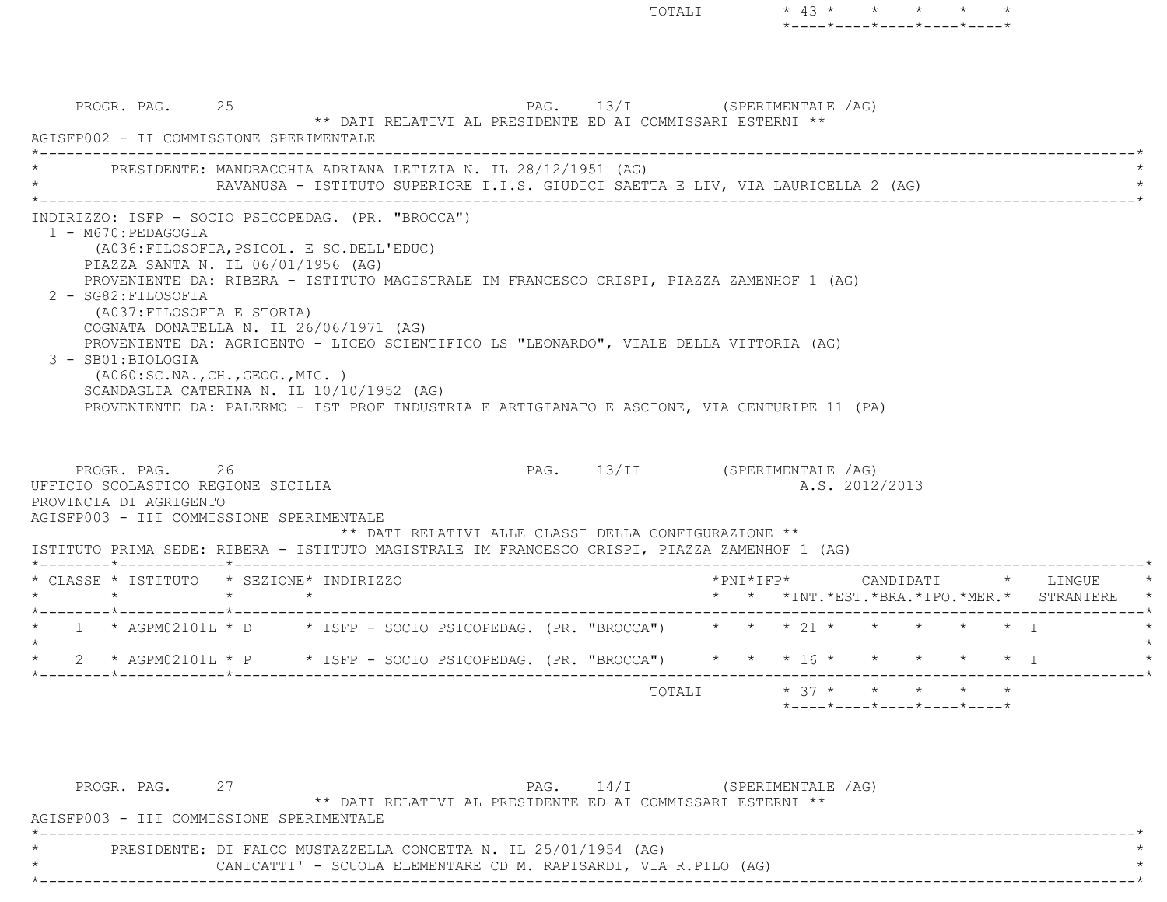PROGR. PAG. 25 25 PAG. 13/I (SPERIMENTALE /AG) \*\* DATI RELATIVI AL PRESIDENTE ED AI COMMISSARI ESTERNI \*\* AGISFP002 - II COMMISSIONE SPERIMENTALE \*----------------------------------------------------------------------------------------------------------------------------\*PRESIDENTE: MANDRACCHIA ADRIANA LETIZIA N. IL 28/12/1951 (AG) RAVANUSA - ISTITUTO SUPERIORE I.I.S. GIUDICI SAETTA E LIV, VIA LAURICELLA 2 (AG) \*----------------------------------------------------------------------------------------------------------------------------\* INDIRIZZO: ISFP - SOCIO PSICOPEDAG. (PR. "BROCCA") 1 - M670:PEDAGOGIA (A036:FILOSOFIA,PSICOL. E SC.DELL'EDUC) PIAZZA SANTA N. IL 06/01/1956 (AG) PROVENIENTE DA: RIBERA - ISTITUTO MAGISTRALE IM FRANCESCO CRISPI, PIAZZA ZAMENHOF 1 (AG) 2 - SG82:FILOSOFIA (A037:FILOSOFIA E STORIA) COGNATA DONATELLA N. IL 26/06/1971 (AG) PROVENIENTE DA: AGRIGENTO - LICEO SCIENTIFICO LS "LEONARDO", VIALE DELLA VITTORIA (AG) 3 - SB01:BIOLOGIA (A060:SC.NA.,CH.,GEOG.,MIC. ) SCANDAGLIA CATERINA N. IL 10/10/1952 (AG) PROVENIENTE DA: PALERMO - IST PROF INDUSTRIA E ARTIGIANATO E ASCIONE, VIA CENTURIPE 11 (PA) PROGR. PAG. 26 26 PAG. 13/II (SPERIMENTALE /AG) UFFICIO SCOLASTICO REGIONE SICILIA A.S. 2012/2013 PROVINCIA DI AGRIGENTO AGISFP003 - III COMMISSIONE SPERIMENTALE \*\* DATI RELATIVI ALLE CLASSI DELLA CONFIGURAZIONE \*\* ISTITUTO PRIMA SEDE: RIBERA - ISTITUTO MAGISTRALE IM FRANCESCO CRISPI, PIAZZA ZAMENHOF 1 (AG) \*--------\*------------\*-------------------------------------------------------------------------------------------------------\* \* CLASSE \* ISTITUTO \* SEZIONE\* INDIRIZZO \*PNI\*IFP\* CANDIDATI \* LINGUE \* \* \* \* \* \* \* \*INT.\*EST.\*BRA.\*IPO.\*MER.\* STRANIERE \* \*--------\*------------\*-------------------------------------------------------------------------------------------------------\* \* 1 \* AGPM02101L \* D \* ISFP - SOCIO PSICOPEDAG. (PR. "BROCCA") \* \* \* 21 \* \* \* \* \* I \*  $\star$ \* 2 \* AGPM02101L \* P \* ISFP - SOCIO PSICOPEDAG. (PR. "BROCCA") \* \* \* 16 \* \* \* \* \* \* \* I \*--------\*------------\*-------------------------------------------------------------------------------------------------------\*TOTALI  $* 37 * * * * * * * * * *$ \*----\*----\*----\*----\*----\*

TOTALI  $* 43 * * * * * * * * *$ 

\*----\*----\*----\*----\*----\*

| PROGR. PAG. |                                                                 |                                                            | $PAG.$ 14/I | (SPERIMENTALE /AG) |  |
|-------------|-----------------------------------------------------------------|------------------------------------------------------------|-------------|--------------------|--|
|             |                                                                 | ** DATI RELATIVI AL PRESIDENTE ED AI COMMISSARI ESTERNI ** |             |                    |  |
|             | AGISFP003 - III COMMISSIONE SPERIMENTALE                        |                                                            |             |                    |  |
|             |                                                                 |                                                            |             |                    |  |
|             | PRESIDENTE: DI FALCO MUSTAZZELLA CONCETTA N. IL 25/01/1954 (AG) |                                                            |             |                    |  |
|             | CANICATTI' - SCUOLA ELEMENTARE CD M. RAPISARDI, VIA R.PILO (AG) |                                                            |             |                    |  |
|             |                                                                 |                                                            |             |                    |  |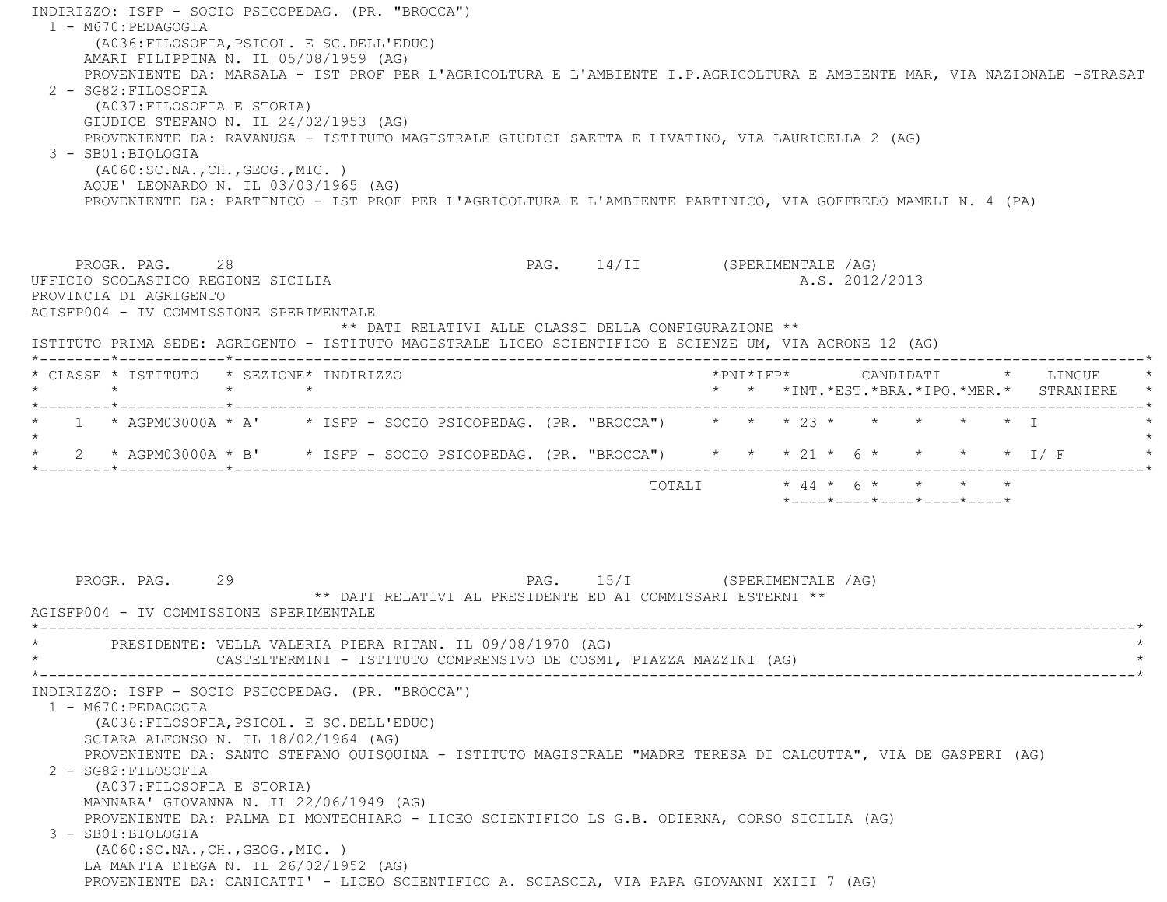INDIRIZZO: ISFP - SOCIO PSICOPEDAG. (PR. "BROCCA") 1 - M670:PEDAGOGIA (A036:FILOSOFIA,PSICOL. E SC.DELL'EDUC) AMARI FILIPPINA N. IL 05/08/1959 (AG) PROVENIENTE DA: MARSALA - IST PROF PER L'AGRICOLTURA E L'AMBIENTE I.P.AGRICOLTURA E AMBIENTE MAR, VIA NAZIONALE -STRASAT 2 - SG82:FILOSOFIA (A037:FILOSOFIA E STORIA) GIUDICE STEFANO N. IL 24/02/1953 (AG) PROVENIENTE DA: RAVANUSA - ISTITUTO MAGISTRALE GIUDICI SAETTA E LIVATINO, VIA LAURICELLA 2 (AG)  $3 - SR01 \cdot RTOLOGTA$  (A060:SC.NA.,CH.,GEOG.,MIC. ) AQUE' LEONARDO N. IL 03/03/1965 (AG) PROVENIENTE DA: PARTINICO - IST PROF PER L'AGRICOLTURA E L'AMBIENTE PARTINICO, VIA GOFFREDO MAMELI N. 4 (PA) PROGR. PAG. 28 28 PAG. 14/II (SPERIMENTALE /AG) UFFICIO SCOLASTICO REGIONE SICILIA A.S. 2012/2013 PROVINCIA DI AGRIGENTO AGISFP004 - IV COMMISSIONE SPERIMENTALE \*\* DATI RELATIVI ALLE CLASSI DELLA CONFIGURAZIONE \*\* ISTITUTO PRIMA SEDE: AGRIGENTO - ISTITUTO MAGISTRALE LICEO SCIENTIFICO E SCIENZE UM, VIA ACRONE 12 (AG) \*--------\*------------\*-------------------------------------------------------------------------------------------------------\* \* CLASSE \* ISTITUTO \* SEZIONE\* INDIRIZZO \*PNI\*IFP\* CANDIDATI \* LINGUE \* \* \* \* \* \* \* \*INT.\*EST.\*BRA.\*IPO.\*MER.\* STRANIERE \* \*--------\*------------\*-------------------------------------------------------------------------------------------------------\*1 \* AGPM03000A \* A' \* ISFP - SOCIO PSICOPEDAG. (PR. "BROCCA") \* \* \* \* 23 \* \* \* \* \* \* \* T  $\star$ \* 2 \* AGPM03000A \* B' \* ISFP - SOCIO PSICOPEDAG. (PR. "BROCCA") \* \* \* 21 \* 6 \* \* \* \* \* I/ F \* \* \*--------\*------------\*-------------------------------------------------------------------------------------------------------\*TOTALI  $* 44 * 6 * * * * * * * *$  \*----\*----\*----\*----\*----\*PROGR. PAG. 29 29 PAG. 15/I (SPERIMENTALE /AG) \*\* DATI RELATIVI AL PRESIDENTE ED AI COMMISSARI ESTERNI \*\* AGISFP004 - IV COMMISSIONE SPERIMENTALE \*----------------------------------------------------------------------------------------------------------------------------\*PRESIDENTE: VELLA VALERIA PIERA RITAN. IL 09/08/1970 (AG) CASTELTERMINI - ISTITUTO COMPRENSIVO DE COSMI, PIAZZA MAZZINI (AG) \*----------------------------------------------------------------------------------------------------------------------------\* INDIRIZZO: ISFP - SOCIO PSICOPEDAG. (PR. "BROCCA") 1 - M670:PEDAGOGIA (A036:FILOSOFIA,PSICOL. E SC.DELL'EDUC) SCIARA ALFONSO N. IL 18/02/1964 (AG) PROVENIENTE DA: SANTO STEFANO QUISQUINA - ISTITUTO MAGISTRALE "MADRE TERESA DI CALCUTTA", VIA DE GASPERI (AG) 2 - SG82:FILOSOFIA (A037:FILOSOFIA E STORIA) MANNARA' GIOVANNA N. IL 22/06/1949 (AG) PROVENIENTE DA: PALMA DI MONTECHIARO - LICEO SCIENTIFICO LS G.B. ODIERNA, CORSO SICILIA (AG) 3 - SB01:BIOLOGIA (A060:SC.NA.,CH.,GEOG.,MIC. ) LA MANTIA DIEGA N. IL 26/02/1952 (AG) PROVENIENTE DA: CANICATTI' - LICEO SCIENTIFICO A. SCIASCIA, VIA PAPA GIOVANNI XXIII 7 (AG)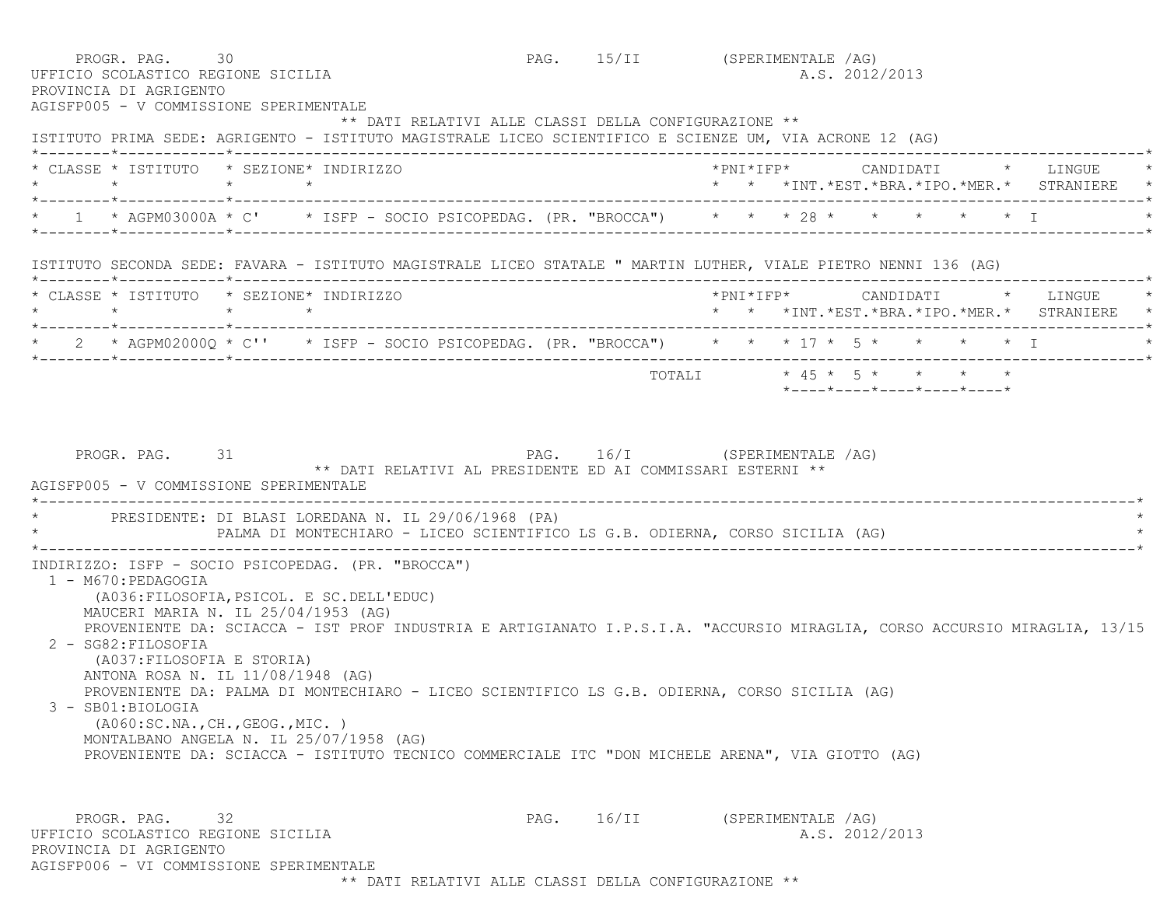| PROGR. PAG. 30<br>UFFICIO SCOLASTICO REGIONE SICILIA<br>PROVINCIA DI AGRIGENTO<br>AGISFP005 - V COMMISSIONE SPERIMENTALE                                                                                                                                                                                                                                     |                                                                                                                                                                                                 |              | PAG. 15/II (SPERIMENTALE /AG)<br>A.S. 2012/2013                                                                          |
|--------------------------------------------------------------------------------------------------------------------------------------------------------------------------------------------------------------------------------------------------------------------------------------------------------------------------------------------------------------|-------------------------------------------------------------------------------------------------------------------------------------------------------------------------------------------------|--------------|--------------------------------------------------------------------------------------------------------------------------|
|                                                                                                                                                                                                                                                                                                                                                              | ** DATI RELATIVI ALLE CLASSI DELLA CONFIGURAZIONE **                                                                                                                                            |              | ISTITUTO PRIMA SEDE: AGRIGENTO - ISTITUTO MAGISTRALE LICEO SCIENTIFICO E SCIENZE UM, VIA ACRONE 12 (AG)                  |
| * CLASSE * ISTITUTO * SEZIONE* INDIRIZZO                                                                                                                                                                                                                                                                                                                     |                                                                                                                                                                                                 |              | * * *INT. *EST. *BRA. *IPO. *MER. * STRANIERE *                                                                          |
|                                                                                                                                                                                                                                                                                                                                                              |                                                                                                                                                                                                 |              | 1 * AGPM03000A * C' * ISFP - SOCIO PSICOPEDAG. (PR. "BROCCA") * * * 28 * * * * * * * I                                   |
|                                                                                                                                                                                                                                                                                                                                                              |                                                                                                                                                                                                 |              | ISTITUTO SECONDA SEDE: FAVARA - ISTITUTO MAGISTRALE LICEO STATALE " MARTIN LUTHER, VIALE PIETRO NENNI 136 (AG)           |
| * CLASSE * ISTITUTO * SEZIONE* INDIRIZZO                                                                                                                                                                                                                                                                                                                     |                                                                                                                                                                                                 |              | * * *INT.*EST.*BRA.*IPO.*MER.* STRANIERE                                                                                 |
|                                                                                                                                                                                                                                                                                                                                                              |                                                                                                                                                                                                 |              | * 2 * AGPM02000Q * C'' * ISFP - SOCIO PSICOPEDAG. (PR. "BROCCA") * * * 17 * 5 * * * * * * I                              |
|                                                                                                                                                                                                                                                                                                                                                              |                                                                                                                                                                                                 |              | TOTALI * 45 * 5 * * * * *<br>$*$ - - - - $*$ - - - - $*$ - - - - $*$ - - - - $*$ - - - - $*$                             |
|                                                                                                                                                                                                                                                                                                                                                              | PRESIDENTE: DI BLASI LOREDANA N. IL 29/06/1968 (PA)<br>PALMA DI MONTECHIARO - LICEO SCIENTIFICO LS G.B. ODIERNA, CORSO SICILIA (AG)                                                             |              |                                                                                                                          |
| INDIRIZZO: ISFP - SOCIO PSICOPEDAG. (PR. "BROCCA")<br>1 - M670: PEDAGOGIA<br>(A036: FILOSOFIA, PSICOL. E SC. DELL'EDUC)<br>MAUCERI MARIA N. IL 25/04/1953 (AG)<br>2 - SG82: FILOSOFIA<br>(A037: FILOSOFIA E STORIA)<br>ANTONA ROSA N. IL 11/08/1948 (AG)<br>3 - SB01:BIOLOGIA<br>(A060:SC.NA., CH., GEOG., MIC. )<br>MONTALBANO ANGELA N. IL 25/07/1958 (AG) | PROVENIENTE DA: PALMA DI MONTECHIARO - LICEO SCIENTIFICO LS G.B. ODIERNA, CORSO SICILIA (AG)<br>PROVENIENTE DA: SCIACCA - ISTITUTO TECNICO COMMERCIALE ITC "DON MICHELE ARENA", VIA GIOTTO (AG) |              | PROVENIENTE DA: SCIACCA - IST PROF INDUSTRIA E ARTIGIANATO I.P.S.I.A. "ACCURSIO MIRAGLIA, CORSO ACCURSIO MIRAGLIA, 13/15 |
| PROGR. PAG. 32<br>UFFICIO SCOLASTICO REGIONE SICILIA<br>PROVINCIA DI AGRIGENTO<br>AGISFP006 - VI COMMISSIONE SPERIMENTALE                                                                                                                                                                                                                                    |                                                                                                                                                                                                 | $PAG.$ 16/II | (SPERIMENTALE /AG)<br>A.S. 2012/2013                                                                                     |

\*\* DATI RELATIVI ALLE CLASSI DELLA CONFIGURAZIONE \*\*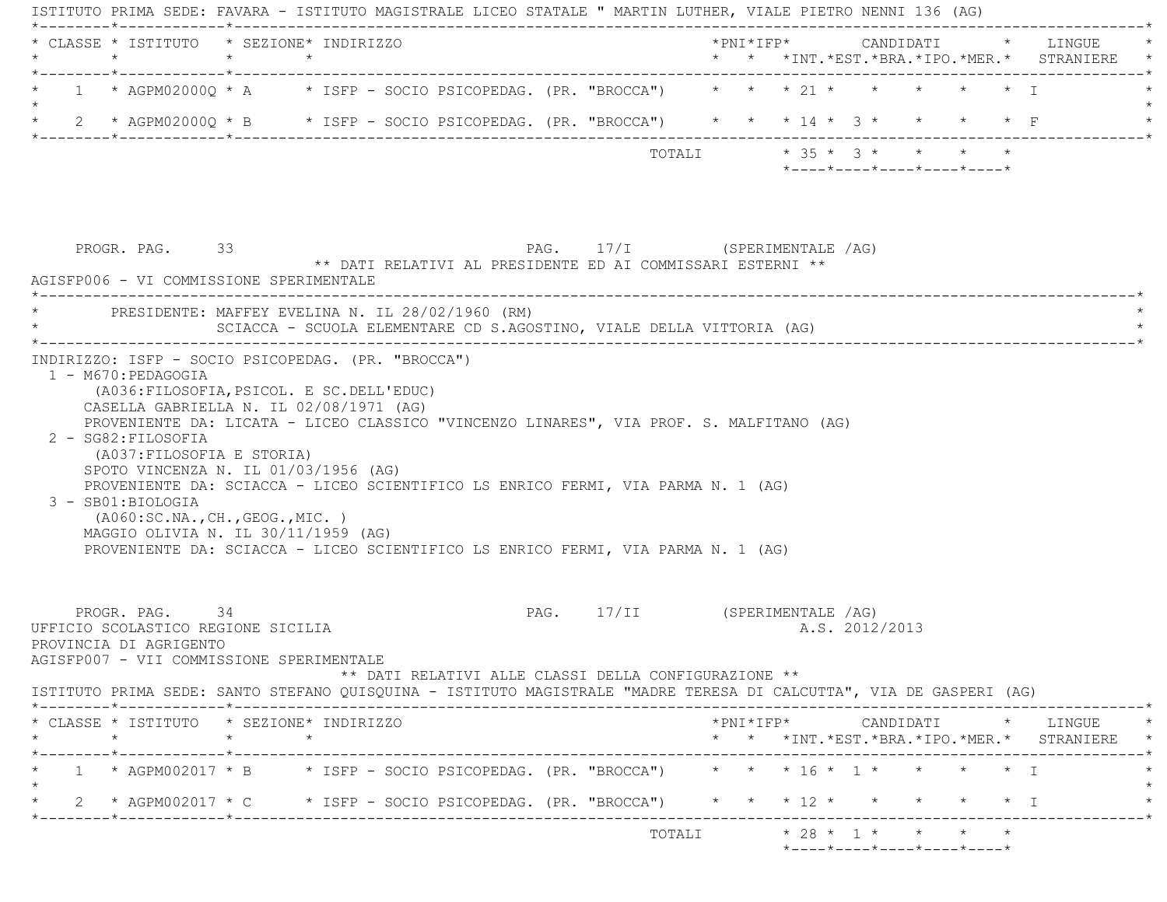|         | * CLASSE * ISTITUTO * SEZIONE* INDIRIZZO<br>$\star$                                                             | $\star$            | $\star$ |  |                                                                                                                                                                             |  |  |                |                            |  | *PNI*IFP* CANDIDATI * LINGUE<br>* * *INT.*EST.*BRA.*IPO.*MER.* STRANIERE |
|---------|-----------------------------------------------------------------------------------------------------------------|--------------------|---------|--|-----------------------------------------------------------------------------------------------------------------------------------------------------------------------------|--|--|----------------|----------------------------|--|--------------------------------------------------------------------------|
|         |                                                                                                                 |                    |         |  | 1 * AGPM02000Q * A * ISFP - SOCIO PSICOPEDAG. (PR. "BROCCA") * * * 21 * * * * * * * I                                                                                       |  |  |                |                            |  |                                                                          |
|         |                                                                                                                 |                    |         |  | * 2 * AGPM02000Q * B * ISFP - SOCIO PSICOPEDAG. (PR. "BROCCA") * * * 14 * 3 * * * * * F                                                                                     |  |  |                |                            |  |                                                                          |
|         |                                                                                                                 |                    |         |  | TOTALI * 35 * 3 * * * * *                                                                                                                                                   |  |  |                | *----*----*----*----*----* |  |                                                                          |
|         | PROGR. PAG. 33<br>AGISFP006 - VI COMMISSIONE SPERIMENTALE<br>* PRESIDENTE: MAFFEY EVELINA N. IL 28/02/1960 (RM) |                    |         |  | PAG. 17/I (SPERIMENTALE /AG)<br>** DATI RELATIVI AL PRESIDENTE ED AI COMMISSARI ESTERNI **<br>SCIACCA - SCUOLA ELEMENTARE CD S.AGOSTINO, VIALE DELLA VITTORIA (AG)          |  |  |                |                            |  |                                                                          |
|         | INDIRIZZO: ISFP - SOCIO PSICOPEDAG. (PR. "BROCCA")                                                              |                    |         |  |                                                                                                                                                                             |  |  |                |                            |  |                                                                          |
|         | 1 - M670: PEDAGOGIA                                                                                             |                    |         |  |                                                                                                                                                                             |  |  |                |                            |  |                                                                          |
|         | (A036: FILOSOFIA, PSICOL. E SC. DELL'EDUC)<br>CASELLA GABRIELLA N. IL 02/08/1971 (AG)                           |                    |         |  |                                                                                                                                                                             |  |  |                |                            |  |                                                                          |
|         | 2 - SG82: FILOSOFIA<br>(A037: FILOSOFIA E STORIA)<br>SPOTO VINCENZA N. IL 01/03/1956 (AG)<br>3 - SB01:BIOLOGIA  |                    |         |  | PROVENIENTE DA: LICATA - LICEO CLASSICO "VINCENZO LINARES", VIA PROF. S. MALFITANO (AG)<br>PROVENIENTE DA: SCIACCA - LICEO SCIENTIFICO LS ENRICO FERMI, VIA PARMA N. 1 (AG) |  |  |                |                            |  |                                                                          |
|         | ( A060:SC.NA., CH., GEOG., MIC. )<br>MAGGIO OLIVIA N. IL $30/11/1959$ (AG)                                      |                    |         |  | PROVENIENTE DA: SCIACCA - LICEO SCIENTIFICO LS ENRICO FERMI, VIA PARMA N. 1 (AG)                                                                                            |  |  |                |                            |  |                                                                          |
|         | PROGR. PAG. 34<br>UFFICIO SCOLASTICO REGIONE SICILIA<br>PROVINCIA DI AGRIGENTO                                  |                    |         |  | PAG. 17/II (SPERIMENTALE /AG)                                                                                                                                               |  |  | A.S. 2012/2013 |                            |  |                                                                          |
|         | AGISFP007 - VII COMMISSIONE SPERIMENTALE                                                                        |                    |         |  | ** DATI RELATIVI ALLE CLASSI DELLA CONFIGURAZIONE **<br>ISTITUTO PRIMA SEDE: SANTO STEFANO QUISQUINA - ISTITUTO MAGISTRALE "MADRE TERESA DI CALCUTTA", VIA DE GASPERI (AG)  |  |  |                |                            |  |                                                                          |
| $\star$ | * CLASSE * ISTITUTO * SEZIONE* INDIRIZZO                                                                        | $\star$<br>$\star$ |         |  |                                                                                                                                                                             |  |  |                |                            |  | * * *INT.*EST.*BRA.*IPO.*MER.* STRANIERE *                               |
|         |                                                                                                                 |                    |         |  | 1 * AGPM002017 * B * ISFP - SOCIO PSICOPEDAG. (PR. "BROCCA") * * * 16 * 1 * * * * * 1                                                                                       |  |  |                |                            |  |                                                                          |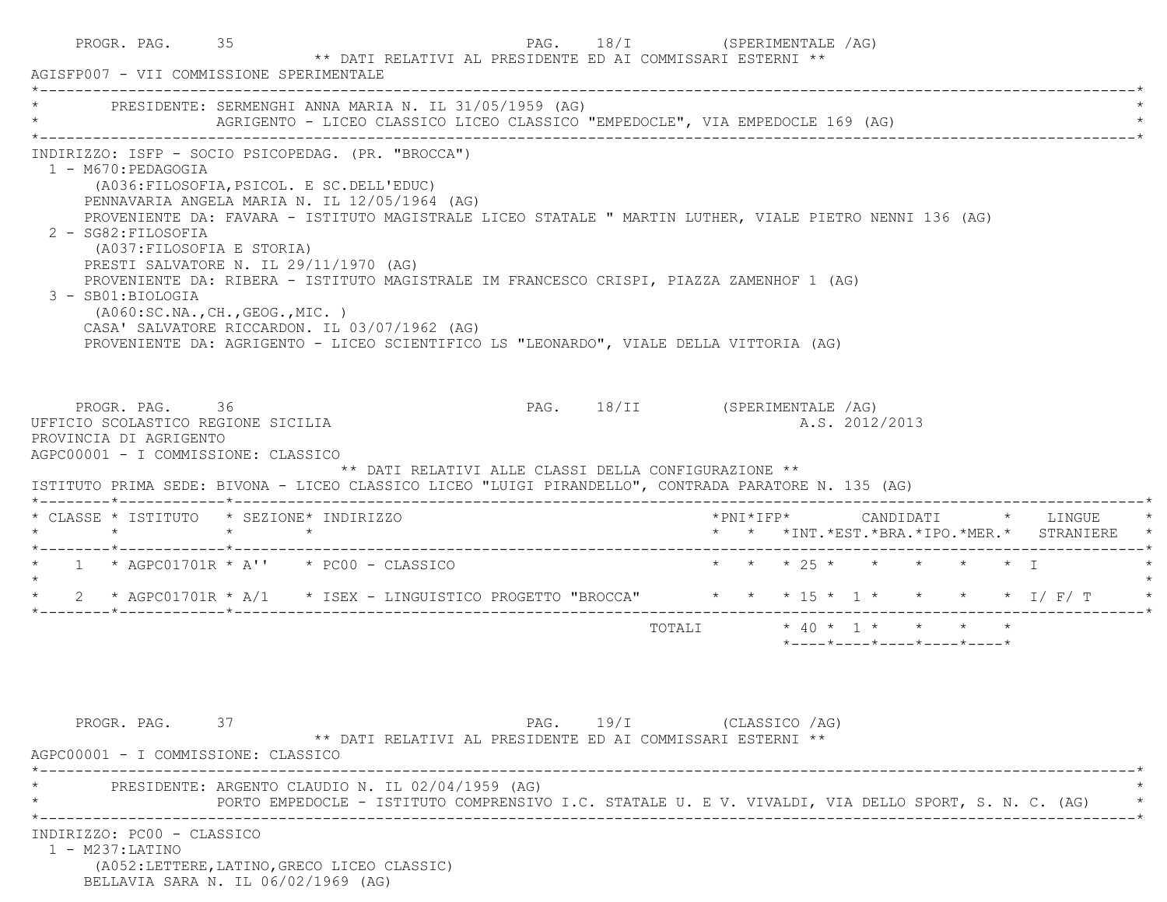| PRESIDENTE: SERMENGHI ANNA MARIA N. IL 31/05/1959 (AG)<br>AGRIGENTO - LICEO CLASSICO LICEO CLASSICO "EMPEDOCLE", VIA EMPEDOCLE 169 (AG)                                                                                                                                                                                                                                                                                                                                                                                                                                                                                                                                        |                        |  |                |                                                                 |  |                                                                                        |
|--------------------------------------------------------------------------------------------------------------------------------------------------------------------------------------------------------------------------------------------------------------------------------------------------------------------------------------------------------------------------------------------------------------------------------------------------------------------------------------------------------------------------------------------------------------------------------------------------------------------------------------------------------------------------------|------------------------|--|----------------|-----------------------------------------------------------------|--|----------------------------------------------------------------------------------------|
| INDIRIZZO: ISFP - SOCIO PSICOPEDAG. (PR. "BROCCA")<br>1 - M670: PEDAGOGIA<br>(A036: FILOSOFIA, PSICOL. E SC. DELL'EDUC)<br>PENNAVARIA ANGELA MARIA N. IL 12/05/1964 (AG)<br>PROVENIENTE DA: FAVARA - ISTITUTO MAGISTRALE LICEO STATALE " MARTIN LUTHER, VIALE PIETRO NENNI 136 (AG)<br>2 - SG82: FILOSOFIA<br>(A037: FILOSOFIA E STORIA)<br>PRESTI SALVATORE N. IL 29/11/1970 (AG)<br>PROVENIENTE DA: RIBERA - ISTITUTO MAGISTRALE IM FRANCESCO CRISPI, PIAZZA ZAMENHOF 1 (AG)<br>3 - SB01:BIOLOGIA<br>(A060:SC.NA.,CH.,GEOG.,MIC.)<br>CASA' SALVATORE RICCARDON. IL 03/07/1962 (AG)<br>PROVENIENTE DA: AGRIGENTO - LICEO SCIENTIFICO LS "LEONARDO", VIALE DELLA VITTORIA (AG) |                        |  |                |                                                                 |  |                                                                                        |
|                                                                                                                                                                                                                                                                                                                                                                                                                                                                                                                                                                                                                                                                                |                        |  |                |                                                                 |  |                                                                                        |
| PAG. 18/II (SPERIMENTALE /AG)<br>PROGR. PAG. 36<br>UFFICIO SCOLASTICO REGIONE SICILIA<br>PROVINCIA DI AGRIGENTO<br>AGPC00001 - I COMMISSIONE: CLASSICO<br>** DATI RELATIVI ALLE CLASSI DELLA CONFIGURAZIONE **<br>ISTITUTO PRIMA SEDE: BIVONA - LICEO CLASSICO LICEO "LUIGI PIRANDELLO", CONTRADA PARATORE N. 135 (AG)                                                                                                                                                                                                                                                                                                                                                         |                        |  | A.S. 2012/2013 |                                                                 |  |                                                                                        |
| * CLASSE * ISTITUTO * SEZIONE* INDIRIZZO<br>$\star$<br>$\star$ $\star$                                                                                                                                                                                                                                                                                                                                                                                                                                                                                                                                                                                                         |                        |  |                |                                                                 |  | *PNI*IFP*     CANDIDATI    *   LINGUE<br>* * *INT. *EST. *BRA. *IPO. *MER. * STRANIERE |
| $*$ 1 $*$ AGPC01701R $*$ A'' $*$ PC00 - CLASSICO                                                                                                                                                                                                                                                                                                                                                                                                                                                                                                                                                                                                                               | * * * 25 * * * * * * I |  |                |                                                                 |  |                                                                                        |
| 2 * AGPC01701R * A/1 * ISEX - LINGUISTICO PROGETTO "BROCCA" * * * 15 * 1 * * * * * 1/ F/ T                                                                                                                                                                                                                                                                                                                                                                                                                                                                                                                                                                                     |                        |  |                |                                                                 |  |                                                                                        |
|                                                                                                                                                                                                                                                                                                                                                                                                                                                                                                                                                                                                                                                                                |                        |  |                | $*$ - - - - $*$ - - - - $*$ - - - - $*$ - - - - $*$ - - - - $*$ |  |                                                                                        |
| PAG. 19/I (CLASSICO /AG)<br>PROGR. PAG. 37<br>** DATI RELATIVI AL PRESIDENTE ED AI COMMISSARI ESTERNI **<br>AGPC00001 - I COMMISSIONE: CLASSICO                                                                                                                                                                                                                                                                                                                                                                                                                                                                                                                                |                        |  |                |                                                                 |  |                                                                                        |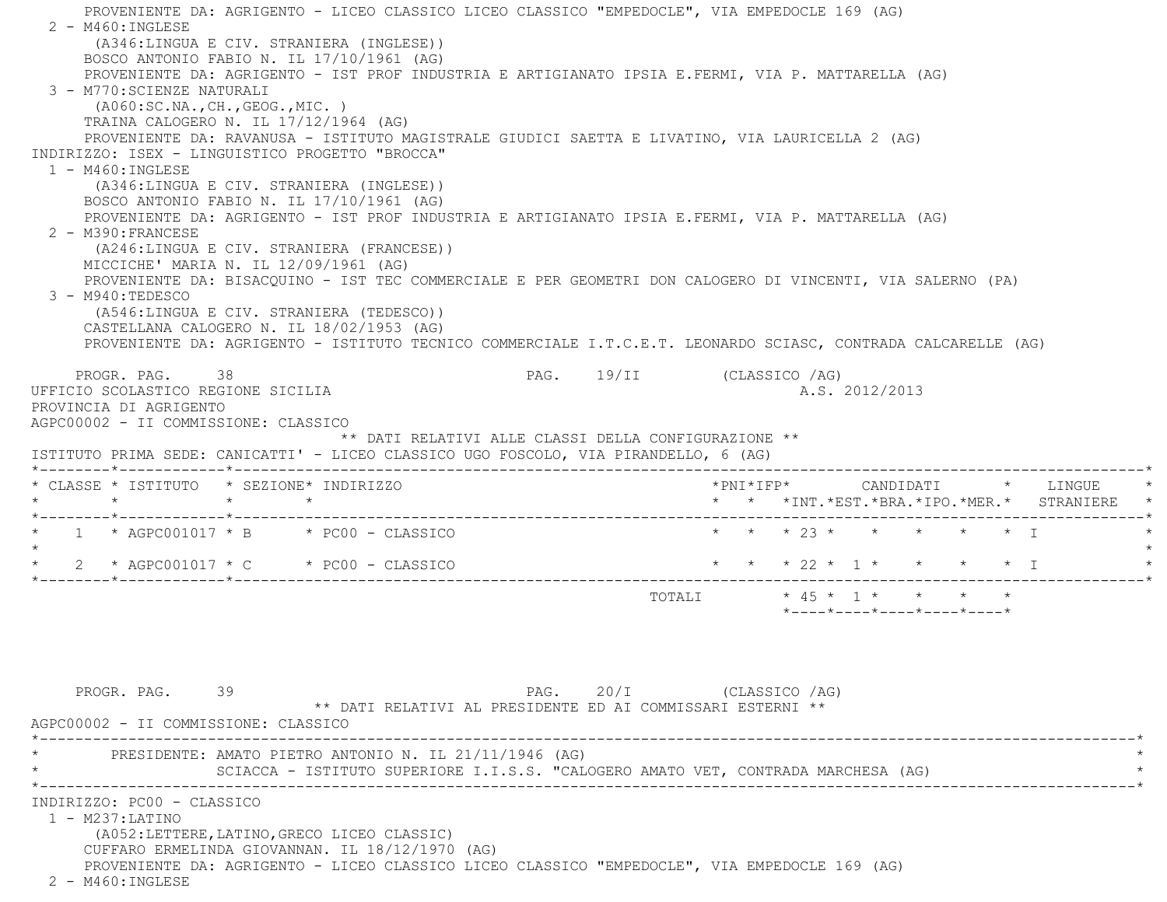PROVENIENTE DA: AGRIGENTO - LICEO CLASSICO LICEO CLASSICO "EMPEDOCLE", VIA EMPEDOCLE 169 (AG) 2 - M460:INGLESE (A346:LINGUA E CIV. STRANIERA (INGLESE)) BOSCO ANTONIO FABIO N. IL 17/10/1961 (AG) PROVENIENTE DA: AGRIGENTO - IST PROF INDUSTRIA E ARTIGIANATO IPSIA E.FERMI, VIA P. MATTARELLA (AG) 3 - M770:SCIENZE NATURALI (A060:SC.NA.,CH.,GEOG.,MIC. ) TRAINA CALOGERO N. IL 17/12/1964 (AG) PROVENIENTE DA: RAVANUSA - ISTITUTO MAGISTRALE GIUDICI SAETTA E LIVATINO, VIA LAURICELLA 2 (AG) INDIRIZZO: ISEX - LINGUISTICO PROGETTO "BROCCA" 1 - M460:INGLESE (A346:LINGUA E CIV. STRANIERA (INGLESE)) BOSCO ANTONIO FABIO N. IL 17/10/1961 (AG) PROVENIENTE DA: AGRIGENTO - IST PROF INDUSTRIA E ARTIGIANATO IPSIA E.FERMI, VIA P. MATTARELLA (AG) 2 - M390:FRANCESE (A246:LINGUA E CIV. STRANIERA (FRANCESE)) MICCICHE' MARIA N. IL 12/09/1961 (AG) PROVENIENTE DA: BISACQUINO - IST TEC COMMERCIALE E PER GEOMETRI DON CALOGERO DI VINCENTI, VIA SALERNO (PA) 3 - M940:TEDESCO (A546:LINGUA E CIV. STRANIERA (TEDESCO)) CASTELLANA CALOGERO N. IL 18/02/1953 (AG) PROVENIENTE DA: AGRIGENTO - ISTITUTO TECNICO COMMERCIALE I.T.C.E.T. LEONARDO SCIASC, CONTRADA CALCARELLE (AG) PROGR. PAG. 38 38 PAG. 19/II (CLASSICO /AG) UFFICIO SCOLASTICO REGIONE SICILIA A.S. 2012/2013 PROVINCIA DI AGRIGENTO AGPC00002 - II COMMISSIONE: CLASSICO \*\* DATI RELATIVI ALLE CLASSI DELLA CONFIGURAZIONE \*\* ISTITUTO PRIMA SEDE: CANICATTI' - LICEO CLASSICO UGO FOSCOLO, VIA PIRANDELLO, 6 (AG) \*--------\*------------\*-------------------------------------------------------------------------------------------------------\* \* CLASSE \* ISTITUTO \* SEZIONE\* INDIRIZZO \*PNI\*IFP\* CANDIDATI \* LINGUE \* \* \* \* \* \* \* \*INT.\*EST.\*BRA.\*IPO.\*MER.\* STRANIERE \* \*--------\*------------\*-------------------------------------------------------------------------------------------------------\* \* 1 \* AGPC001017 \* B \* PC00 - CLASSICO \* \* \* 23 \* \* \* \* \* I \* $\star$ \* 2 \* AGPC001017 \* C \* PC00 - CLASSICO \* \* \* \* 22 \* 1 \* \* \* \* \* \* I \*--------\*------------\*-------------------------------------------------------------------------------------------------------\*TOTALI  $* 45 * 1 * * * * * * *$  \*----\*----\*----\*----\*----\*PROGR. PAG. 39 39 PAG. 20/I (CLASSICO /AG) \*\* DATI RELATIVI AL PRESIDENTE ED AI COMMISSARI ESTERNI \*\* AGPC00002 - II COMMISSIONE: CLASSICO \*----------------------------------------------------------------------------------------------------------------------------\*PRESIDENTE: AMATO PIETRO ANTONIO N. IL 21/11/1946 (AG) SCIACCA - ISTITUTO SUPERIORE I.I.S.S. "CALOGERO AMATO VET, CONTRADA MARCHESA (AG) \*----------------------------------------------------------------------------------------------------------------------------\* INDIRIZZO: PC00 - CLASSICO 1 - M237:LATINO (A052:LETTERE,LATINO,GRECO LICEO CLASSIC) CUFFARO ERMELINDA GIOVANNAN. IL 18/12/1970 (AG) PROVENIENTE DA: AGRIGENTO - LICEO CLASSICO LICEO CLASSICO "EMPEDOCLE", VIA EMPEDOCLE 169 (AG) 2 - M460:INGLESE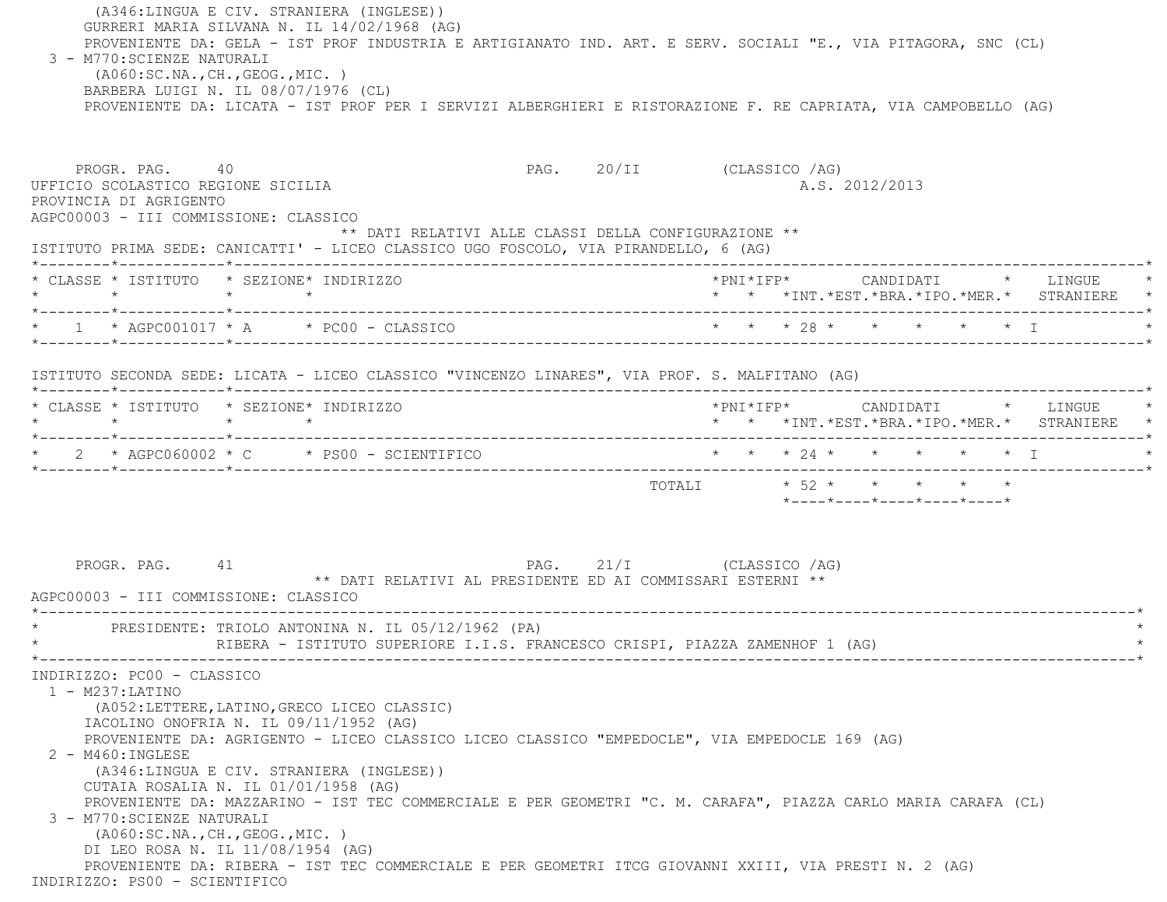(A346:LINGUA E CIV. STRANIERA (INGLESE)) GURRERI MARIA SILVANA N. IL 14/02/1968 (AG) PROVENIENTE DA: GELA - IST PROF INDUSTRIA E ARTIGIANATO IND. ART. E SERV. SOCIALI "E., VIA PITAGORA, SNC (CL) 3 - M770:SCIENZE NATURALI (A060:SC.NA.,CH.,GEOG.,MIC. ) BARBERA LUIGI N. IL 08/07/1976 (CL) PROVENIENTE DA: LICATA - IST PROF PER I SERVIZI ALBERGHIERI E RISTORAZIONE F. RE CAPRIATA, VIA CAMPOBELLO (AG) PROGR. PAG. 40 PAG. 20/II (CLASSICO /AG) UFFICIO SCOLASTICO REGIONE SICILIA A.S. 2012/2013 PROVINCIA DI AGRIGENTO AGPC00003 - III COMMISSIONE: CLASSICO \*\* DATI RELATIVI ALLE CLASSI DELLA CONFIGURAZIONE \*\* ISTITUTO PRIMA SEDE: CANICATTI' - LICEO CLASSICO UGO FOSCOLO, VIA PIRANDELLO, 6 (AG) \*--------\*------------\*-------------------------------------------------------------------------------------------------------\* \* CLASSE \* ISTITUTO \* SEZIONE\* INDIRIZZO \*PNI\*IFP\* CANDIDATI \* LINGUE \* \* \* \* \* \* \* \*INT.\*EST.\*BRA.\*IPO.\*MER.\* STRANIERE \* \*--------\*------------\*-------------------------------------------------------------------------------------------------------\* \* 1 \* AGPC001017 \* A \* PC00 - CLASSICO \* \* \* 28 \* \* \* \* \* I \* \*--------\*------------\*-------------------------------------------------------------------------------------------------------\* ISTITUTO SECONDA SEDE: LICATA - LICEO CLASSICO "VINCENZO LINARES", VIA PROF. S. MALFITANO (AG) \*--------\*------------\*-------------------------------------------------------------------------------------------------------\* \* CLASSE \* ISTITUTO \* SEZIONE\* INDIRIZZO \*PNI\*IFP\* CANDIDATI \* LINGUE \* \* \* \* \* \* \* \*INT.\*EST.\*BRA.\*IPO.\*MER.\* STRANIERE \* \*--------\*------------\*-------------------------------------------------------------------------------------------------------\* \* 2 \* AGPC060002 \* C \* PS00 - SCIENTIFICO \* \* \* 24 \* \* \* \* \* I \* \*--------\*------------\*-------------------------------------------------------------------------------------------------------\*TOTALI  $* 52 * * * * * * * * * *$  \*----\*----\*----\*----\*----\*PROGR. PAG. 41 PAG. 21/I (CLASSICO /AG) \*\* DATI RELATIVI AL PRESIDENTE ED AI COMMISSARI ESTERNI \*\* AGPC00003 - III COMMISSIONE: CLASSICO \*----------------------------------------------------------------------------------------------------------------------------\*PRESIDENTE: TRIOLO ANTONINA N. IL 05/12/1962 (PA) RIBERA - ISTITUTO SUPERIORE I.I.S. FRANCESCO CRISPI, PIAZZA ZAMENHOF 1 (AG) \*----------------------------------------------------------------------------------------------------------------------------\* INDIRIZZO: PC00 - CLASSICO 1 - M237:LATINO (A052:LETTERE,LATINO,GRECO LICEO CLASSIC) IACOLINO ONOFRIA N. IL 09/11/1952 (AG) PROVENIENTE DA: AGRIGENTO - LICEO CLASSICO LICEO CLASSICO "EMPEDOCLE", VIA EMPEDOCLE 169 (AG) 2 - M460:INGLESE (A346:LINGUA E CIV. STRANIERA (INGLESE)) CUTAIA ROSALIA N. IL 01/01/1958 (AG) PROVENIENTE DA: MAZZARINO - IST TEC COMMERCIALE E PER GEOMETRI "C. M. CARAFA", PIAZZA CARLO MARIA CARAFA (CL) 3 - M770:SCIENZE NATURALI (A060:SC.NA.,CH.,GEOG.,MIC. ) DI LEO ROSA N. IL 11/08/1954 (AG) PROVENIENTE DA: RIBERA - IST TEC COMMERCIALE E PER GEOMETRI ITCG GIOVANNI XXIII, VIA PRESTI N. 2 (AG) INDIRIZZO: PS00 - SCIENTIFICO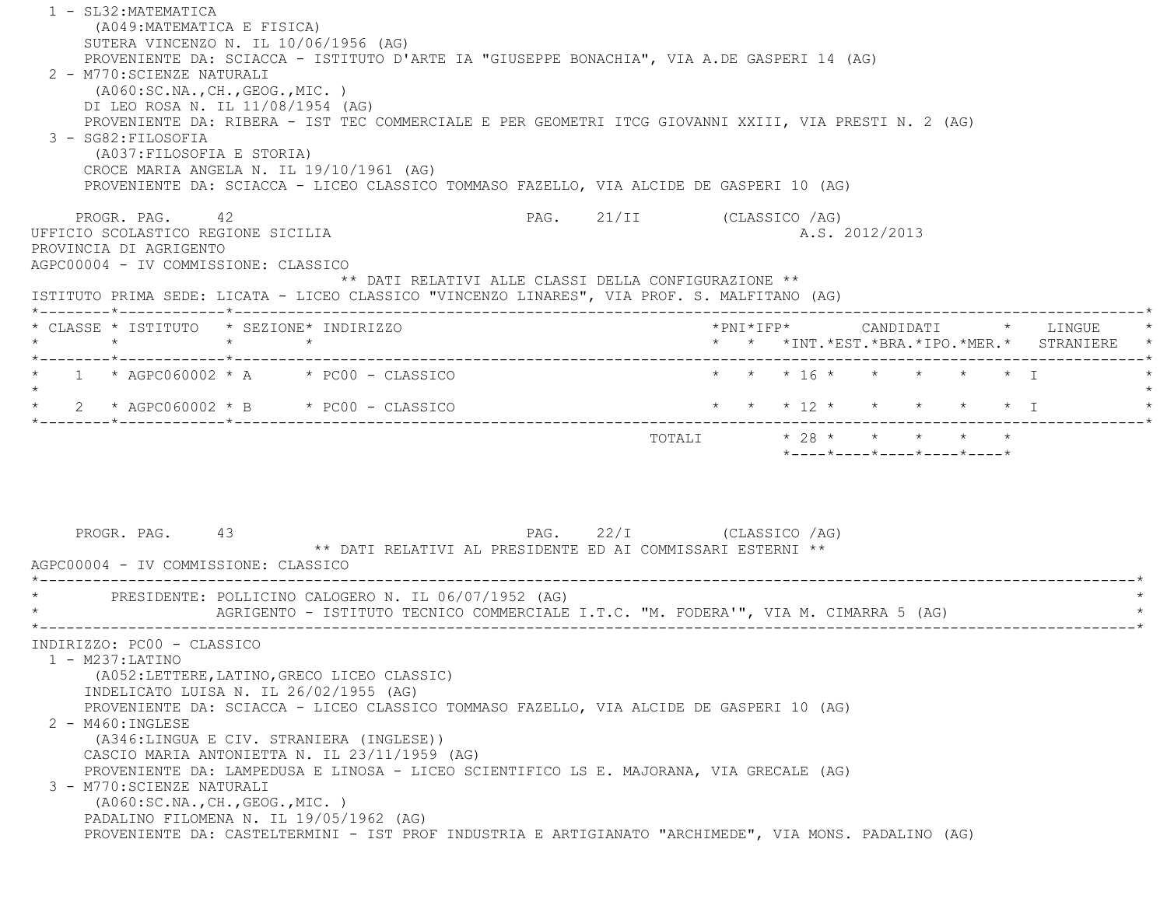1 - SL32:MATEMATICA (A049:MATEMATICA E FISICA) SUTERA VINCENZO N. IL 10/06/1956 (AG) PROVENIENTE DA: SCIACCA - ISTITUTO D'ARTE IA "GIUSEPPE BONACHIA", VIA A.DE GASPERI 14 (AG) 2 - M770:SCIENZE NATURALI (A060:SC.NA.,CH.,GEOG.,MIC. ) DI LEO ROSA N. IL 11/08/1954 (AG) PROVENIENTE DA: RIBERA - IST TEC COMMERCIALE E PER GEOMETRI ITCG GIOVANNI XXIII, VIA PRESTI N. 2 (AG) 3 - SG82:FILOSOFIA (A037:FILOSOFIA E STORIA) CROCE MARIA ANGELA N. IL 19/10/1961 (AG) PROVENIENTE DA: SCIACCA - LICEO CLASSICO TOMMASO FAZELLO, VIA ALCIDE DE GASPERI 10 (AG) PROGR. PAG. 42 42 PAG. 21/II (CLASSICO /AG) UFFICIO SCOLASTICO REGIONE SICILIA A.S. 2012/2013 PROVINCIA DI AGRIGENTO AGPC00004 - IV COMMISSIONE: CLASSICO \*\* DATI RELATIVI ALLE CLASSI DELLA CONFIGURAZIONE \*\* ISTITUTO PRIMA SEDE: LICATA - LICEO CLASSICO "VINCENZO LINARES", VIA PROF. S. MALFITANO (AG) \*--------\*------------\*-------------------------------------------------------------------------------------------------------\* \* CLASSE \* ISTITUTO \* SEZIONE\* INDIRIZZO \*PNI\*IFP\* CANDIDATI \* LINGUE \* \* \* \* \* \* \* \*INT.\*EST.\*BRA.\*IPO.\*MER.\* STRANIERE \* \*--------\*------------\*-------------------------------------------------------------------------------------------------------\*1 \* AGPC060002 \* A \* PC00 - CLASSICO \* \* \* \* \* 16 \* \* \* \* \* \* \* \* \* I  $\star$ \* 2 \* AGPC060002 \* B \* PC00 - CLASSICO \* \* \* \* 12 \* \* \* \* \* \* \* \* I \*--------\*------------\*-------------------------------------------------------------------------------------------------------\* TOTALI \* 28 \* \* \* \* \* \*----\*----\*----\*----\*----\*PROGR. PAG. 43 PAG. 22/I (CLASSICO /AG) \*\* DATI RELATIVI AL PRESIDENTE ED AI COMMISSARI ESTERNI \*\* AGPC00004 - IV COMMISSIONE: CLASSICO \*----------------------------------------------------------------------------------------------------------------------------\*PRESIDENTE: POLLICINO CALOGERO N. IL 06/07/1952 (AG) AGRIGENTO - ISTITUTO TECNICO COMMERCIALE I.T.C. "M. FODERA'", VIA M. CIMARRA 5 (AG) \*----------------------------------------------------------------------------------------------------------------------------\* INDIRIZZO: PC00 - CLASSICO 1 - M237:LATINO (A052:LETTERE,LATINO,GRECO LICEO CLASSIC) INDELICATO LUISA N. IL 26/02/1955 (AG) PROVENIENTE DA: SCIACCA - LICEO CLASSICO TOMMASO FAZELLO, VIA ALCIDE DE GASPERI 10 (AG) 2 - M460:INGLESE (A346:LINGUA E CIV. STRANIERA (INGLESE)) CASCIO MARIA ANTONIETTA N. IL 23/11/1959 (AG) PROVENIENTE DA: LAMPEDUSA E LINOSA - LICEO SCIENTIFICO LS E. MAJORANA, VIA GRECALE (AG) 3 - M770:SCIENZE NATURALI (A060:SC.NA.,CH.,GEOG.,MIC. ) PADALINO FILOMENA N. IL 19/05/1962 (AG) PROVENIENTE DA: CASTELTERMINI - IST PROF INDUSTRIA E ARTIGIANATO "ARCHIMEDE", VIA MONS. PADALINO (AG)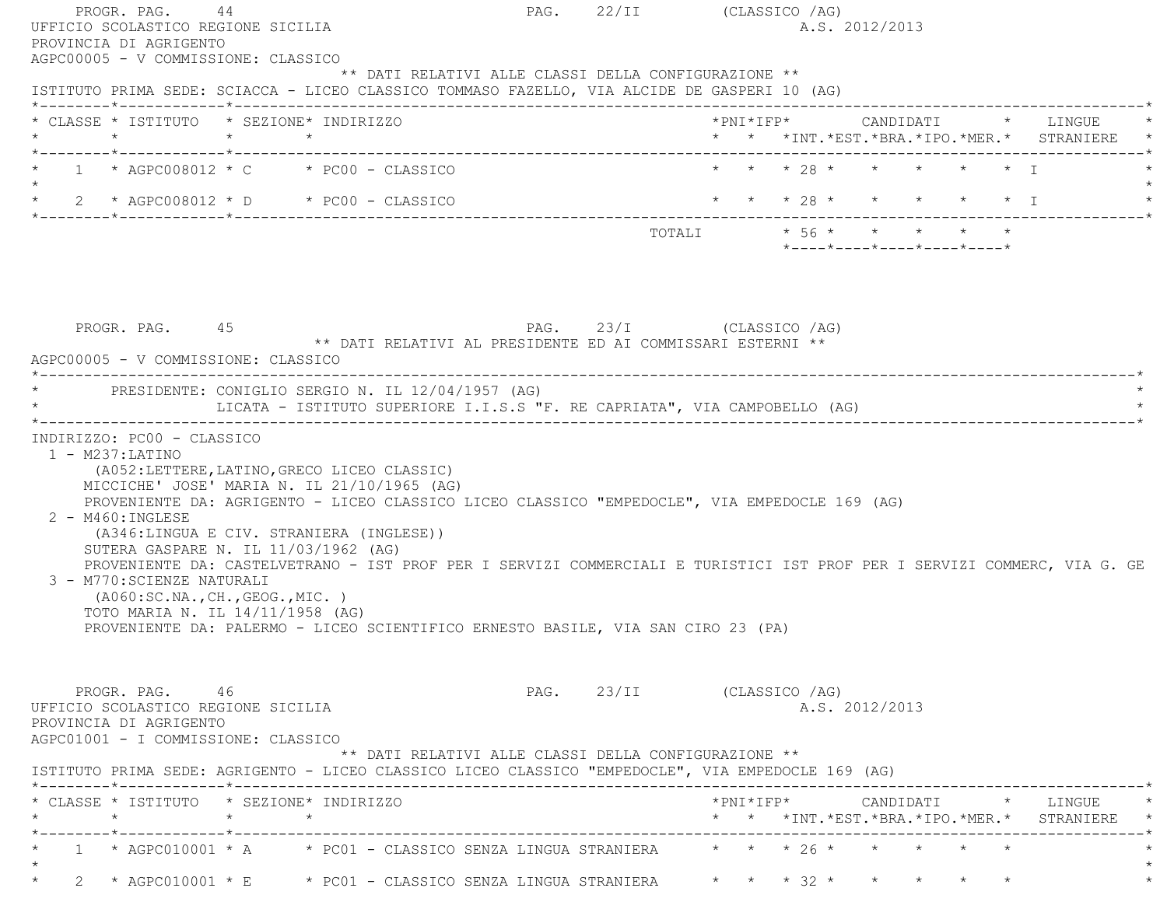| PROGR. PAG. 44<br>UFFICIO SCOLASTICO REGIONE SICILIA<br>PROVINCIA DI AGRIGENTO                                                                                                                                              |                                                                                                                                                                                                                                                        |                                                                                                                                                                                                                                                                                                               | PAG. 22/II (CLASSICO /AG)    |                         |  | A.S. 2012/2013             |                   |                                                                                          |
|-----------------------------------------------------------------------------------------------------------------------------------------------------------------------------------------------------------------------------|--------------------------------------------------------------------------------------------------------------------------------------------------------------------------------------------------------------------------------------------------------|---------------------------------------------------------------------------------------------------------------------------------------------------------------------------------------------------------------------------------------------------------------------------------------------------------------|------------------------------|-------------------------|--|----------------------------|-------------------|------------------------------------------------------------------------------------------|
| AGPC00005 - V COMMISSIONE: CLASSICO<br>ISTITUTO PRIMA SEDE: SCIACCA - LICEO CLASSICO TOMMASO FAZELLO, VIA ALCIDE DE GASPERI 10 (AG)                                                                                         |                                                                                                                                                                                                                                                        | ** DATI RELATIVI ALLE CLASSI DELLA CONFIGURAZIONE **                                                                                                                                                                                                                                                          |                              |                         |  |                            |                   |                                                                                          |
| * CLASSE * ISTITUTO * SEZIONE* INDIRIZZO                                                                                                                                                                                    |                                                                                                                                                                                                                                                        |                                                                                                                                                                                                                                                                                                               |                              |                         |  |                            |                   | * * *INT. *EST. *BRA. *IPO. *MER. * STRANIERE *                                          |
| * $1$ * AGPC008012 * C * PC00 - CLASSICO                                                                                                                                                                                    |                                                                                                                                                                                                                                                        |                                                                                                                                                                                                                                                                                                               |                              | * * * 28 * * *          |  |                            | $\star$ $\star$ T |                                                                                          |
| * 2 * AGPC008012 * D * PC00 - CLASSICO * * * * 28 * * * * * * * * * * T                                                                                                                                                     |                                                                                                                                                                                                                                                        |                                                                                                                                                                                                                                                                                                               |                              |                         |  |                            |                   |                                                                                          |
|                                                                                                                                                                                                                             |                                                                                                                                                                                                                                                        |                                                                                                                                                                                                                                                                                                               |                              | TOTALI * 56 * * * * * * |  | *----*----*----*----*----* |                   |                                                                                          |
|                                                                                                                                                                                                                             |                                                                                                                                                                                                                                                        |                                                                                                                                                                                                                                                                                                               |                              |                         |  |                            |                   |                                                                                          |
| PROGR. PAG. 45<br>AGPC00005 - V COMMISSIONE: CLASSICO                                                                                                                                                                       |                                                                                                                                                                                                                                                        | PAG. 23/I (CLASSICO /AG)<br>** DATI RELATIVI AL PRESIDENTE ED AI COMMISSARI ESTERNI **                                                                                                                                                                                                                        |                              |                         |  |                            |                   |                                                                                          |
| * PRESIDENTE: CONIGLIO SERGIO N. IL 12/04/1957 (AG)                                                                                                                                                                         |                                                                                                                                                                                                                                                        | LICATA - ISTITUTO SUPERIORE I.I.S.S "F. RE CAPRIATA", VIA CAMPOBELLO (AG)                                                                                                                                                                                                                                     |                              |                         |  |                            |                   |                                                                                          |
| $1 - M237: LATINO$<br>2 - M460: INGLESE<br>3 - M770: SCIENZE NATURALI                                                                                                                                                       | (A052:LETTERE, LATINO, GRECO LICEO CLASSIC)<br>MICCICHE' JOSE' MARIA N. IL 21/10/1965 (AG)<br>(A346:LINGUA E CIV. STRANIERA (INGLESE))<br>SUTERA GASPARE N. IL 11/03/1962 (AG)<br>(AO60:SC.NA., CH., GEOG., MIC. )<br>TOTO MARIA N. IL 14/11/1958 (AG) | PROVENIENTE DA: AGRIGENTO - LICEO CLASSICO LICEO CLASSICO "EMPEDOCLE", VIA EMPEDOCLE 169 (AG)<br>PROVENIENTE DA: CASTELVETRANO - IST PROF PER I SERVIZI COMMERCIALI E TURISTICI IST PROF PER I SERVIZI COMMERC, VIA G. GE<br>PROVENIENTE DA: PALERMO - LICEO SCIENTIFICO ERNESTO BASILE, VIA SAN CIRO 23 (PA) |                              |                         |  |                            |                   |                                                                                          |
| PROGR. PAG. 46<br>UFFICIO SCOLASTICO REGIONE SICILIA<br>PROVINCIA DI AGRIGENTO<br>AGPC01001 - I COMMISSIONE: CLASSICO<br>ISTITUTO PRIMA SEDE: AGRIGENTO - LICEO CLASSICO LICEO CLASSICO "EMPEDOCLE", VIA EMPEDOCLE 169 (AG) |                                                                                                                                                                                                                                                        | ** DATI RELATIVI ALLE CLASSI DELLA CONFIGURAZIONE **                                                                                                                                                                                                                                                          | PAG. 23/II (CLASSICO /AG)    |                         |  | A.S. 2012/2013             |                   |                                                                                          |
| * CLASSE * ISTITUTO * SEZIONE* INDIRIZZO                                                                                                                                                                                    |                                                                                                                                                                                                                                                        |                                                                                                                                                                                                                                                                                                               |                              |                         |  |                            |                   | *PNI*IFP*     CANDIDATI    *   LINGUE<br>* * *INT. *EST. *BRA. *IPO. *MER. * STRANIERE * |
|                                                                                                                                                                                                                             |                                                                                                                                                                                                                                                        | 1 * AGPC010001 * A $\rightarrow$ PC01 - CLASSICO SENZA LINGUA STRANIERA $\rightarrow$ * * * 26 * *                                                                                                                                                                                                            | ---------------------------- |                         |  |                            |                   |                                                                                          |
|                                                                                                                                                                                                                             |                                                                                                                                                                                                                                                        |                                                                                                                                                                                                                                                                                                               |                              |                         |  |                            |                   |                                                                                          |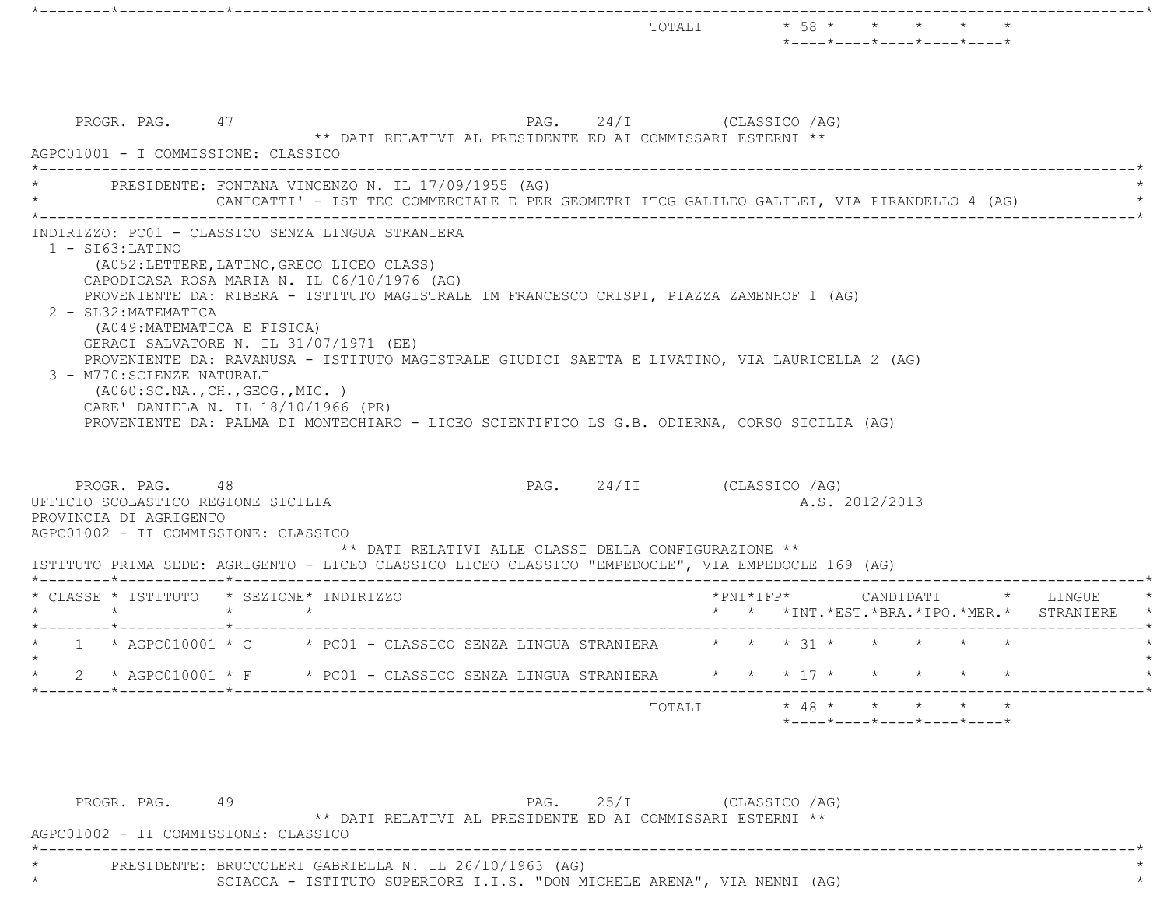|                   | PROGR. PAG. 47<br>AGPC01001 - I COMMISSIONE: CLASSICO                                                                       |                    |                                                                                          |                                                    | PAG. 24/I (CLASSICO /AG)<br>** DATI RELATIVI AL PRESIDENTE ED AI COMMISSARI ESTERNI **                                                                                                      |                       |                |  |  |                                                                     |
|-------------------|-----------------------------------------------------------------------------------------------------------------------------|--------------------|------------------------------------------------------------------------------------------|----------------------------------------------------|---------------------------------------------------------------------------------------------------------------------------------------------------------------------------------------------|-----------------------|----------------|--|--|---------------------------------------------------------------------|
|                   |                                                                                                                             |                    |                                                                                          | PRESIDENTE: FONTANA VINCENZO N. IL 17/09/1955 (AG) | CANICATTI' - IST TEC COMMERCIALE E PER GEOMETRI ITCG GALILEO GALILEI, VIA PIRANDELLO 4 (AG)                                                                                                 |                       |                |  |  |                                                                     |
| $1 - SI63:LATINO$ | 2 - SL32: MATEMATICA<br>(A049: MATEMATICA E FISICA)<br>GERACI SALVATORE N. IL 31/07/1971 (EE)<br>3 - M770: SCIENZE NATURALI |                    | (A052:LETTERE, LATINO, GRECO LICEO CLASS)<br>CAPODICASA ROSA MARIA N. IL 06/10/1976 (AG) |                                                    | PROVENIENTE DA: RIBERA - ISTITUTO MAGISTRALE IM FRANCESCO CRISPI, PIAZZA ZAMENHOF 1 (AG)<br>PROVENIENTE DA: RAVANUSA - ISTITUTO MAGISTRALE GIUDICI SAETTA E LIVATINO, VIA LAURICELLA 2 (AG) |                       |                |  |  |                                                                     |
|                   | (AO60:SC.NA., CH., GEOG., MIC. )<br>CARE' DANIELA N. IL 18/10/1966 (PR)                                                     |                    |                                                                                          |                                                    | PROVENIENTE DA: PALMA DI MONTECHIARO - LICEO SCIENTIFICO LS G.B. ODIERNA, CORSO SICILIA (AG)                                                                                                |                       |                |  |  |                                                                     |
|                   | PROGR. PAG. 48<br>UFFICIO SCOLASTICO REGIONE SICILIA<br>PROVINCIA DI AGRIGENTO<br>AGPC01002 - II COMMISSIONE: CLASSICO      |                    |                                                                                          |                                                    | PAG. 24/II (CLASSICO /AG)<br>** DATI RELATIVI ALLE CLASSI DELLA CONFIGURAZIONE **<br>ISTITUTO PRIMA SEDE: AGRIGENTO - LICEO CLASSICO LICEO CLASSICO "EMPEDOCLE", VIA EMPEDOCLE 169 (AG)     |                       | A.S. 2012/2013 |  |  |                                                                     |
| $\star$           | * CLASSE * ISTITUTO * SEZIONE* INDIRIZZO                                                                                    | $\star$<br>$\star$ |                                                                                          |                                                    |                                                                                                                                                                                             | $*$ PNI $*$ I F P $*$ |                |  |  | CANDIDATI * LINGUE<br>* * *INT. *EST. *BRA. *IPO. *MER. * STRANIERE |
|                   |                                                                                                                             |                    |                                                                                          |                                                    | * 1 * AGPC010001 * C * PC01 - CLASSICO SENZA LINGUA STRANIERA * * * 31 * *                                                                                                                  |                       |                |  |  |                                                                     |
| $\star$           |                                                                                                                             |                    |                                                                                          |                                                    | 2 * AGPC010001 * F * PC01 - CLASSICO SENZA LINGUA STRANIERA * * * * 17 * * * * * * *                                                                                                        |                       |                |  |  |                                                                     |

PROGR. PAG. 49 PAG. 25/I (CLASSICO /AG) \*\* DATI RELATIVI AL PRESIDENTE ED AI COMMISSARI ESTERNI \*\* AGPC01002 - II COMMISSIONE: CLASSICO \*----------------------------------------------------------------------------------------------------------------------------\* \* PRESIDENTE: BRUCCOLERI GABRIELLA N. IL 26/10/1963 (AG) \* \* \* \* SCIACCA - ISTITUTO SUPERIORE I.I.S. "DON MICHELE ARENA", VIA NENNI (AG)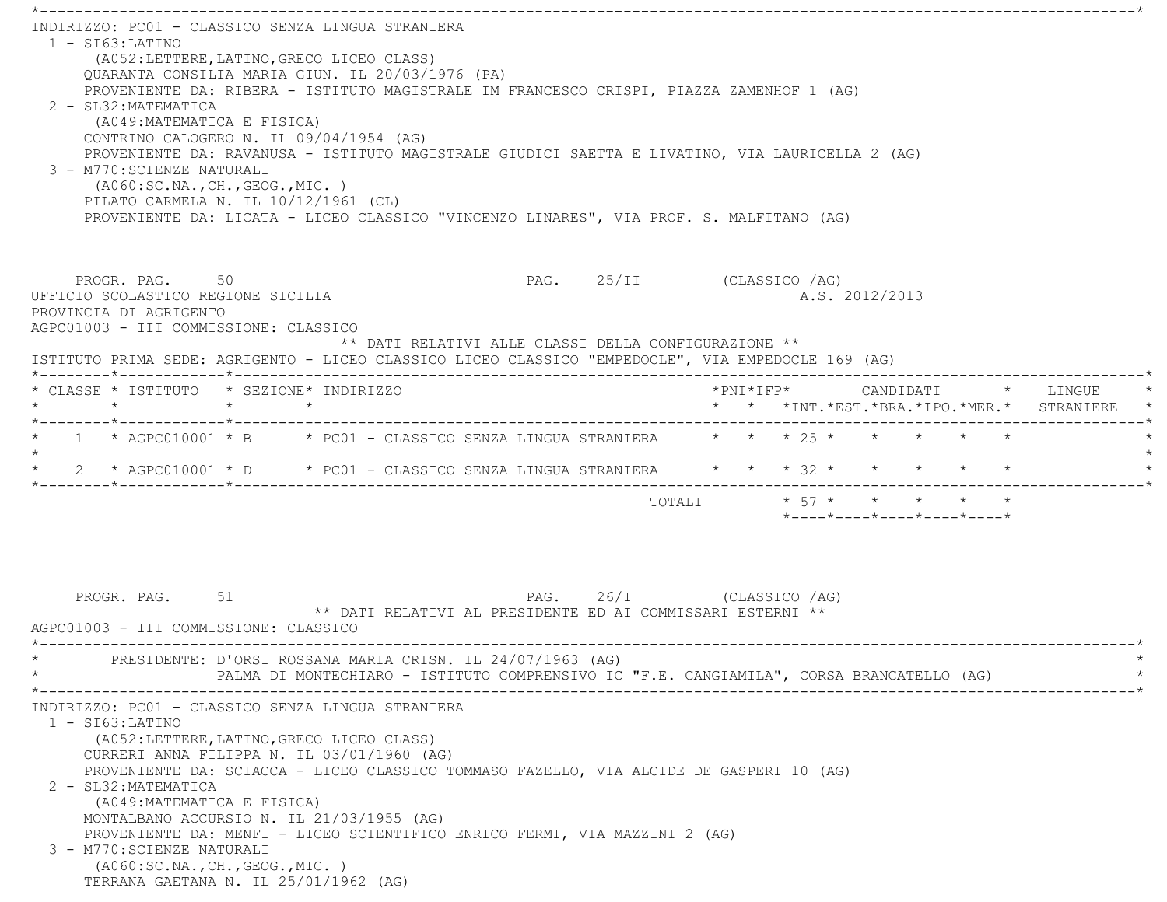\*----------------------------------------------------------------------------------------------------------------------------\* INDIRIZZO: PC01 - CLASSICO SENZA LINGUA STRANIERA $1 - ST63:LATINO$  (A052:LETTERE,LATINO,GRECO LICEO CLASS) QUARANTA CONSILIA MARIA GIUN. IL 20/03/1976 (PA) PROVENIENTE DA: RIBERA - ISTITUTO MAGISTRALE IM FRANCESCO CRISPI, PIAZZA ZAMENHOF 1 (AG) 2 - SL32:MATEMATICA (A049:MATEMATICA E FISICA) CONTRINO CALOGERO N. IL 09/04/1954 (AG) PROVENIENTE DA: RAVANUSA - ISTITUTO MAGISTRALE GIUDICI SAETTA E LIVATINO, VIA LAURICELLA 2 (AG) 3 - M770:SCIENZE NATURALI (A060:SC.NA.,CH.,GEOG.,MIC. ) PILATO CARMELA N. IL 10/12/1961 (CL) PROVENIENTE DA: LICATA - LICEO CLASSICO "VINCENZO LINARES", VIA PROF. S. MALFITANO (AG) PROGR. PAG. 50 50 PAG. 25/II (CLASSICO /AG) UFFICIO SCOLASTICO REGIONE SICILIA A.S. 2012/2013 PROVINCIA DI AGRIGENTO AGPC01003 - III COMMISSIONE: CLASSICO \*\* DATI RELATIVI ALLE CLASSI DELLA CONFIGURAZIONE \*\* ISTITUTO PRIMA SEDE: AGRIGENTO - LICEO CLASSICO LICEO CLASSICO "EMPEDOCLE", VIA EMPEDOCLE 169 (AG) \*--------\*------------\*-------------------------------------------------------------------------------------------------------\* \* CLASSE \* ISTITUTO \* SEZIONE\* INDIRIZZO \*PNI\*IFP\* CANDIDATI \* LINGUE \* \* \* \* \* \* \* \*INT.\*EST.\*BRA.\*IPO.\*MER.\* STRANIERE \* \*--------\*------------\*-------------------------------------------------------------------------------------------------------\*\* 1 \* AGPC010001 \* B \* PC01 - CLASSICO SENZA LINGUA STRANIERA \* \* \* 25 \* \* \* \* \* \*  $\star$ \* 2 \* AGPC010001 \* D \* PC01 - CLASSICO SENZA LINGUA STRANIERA \* \* \* \* 32 \* \* \* \* \* \* \* \*--------\*------------\*-------------------------------------------------------------------------------------------------------\* $\texttt{TOTALI} \qquad \qquad \star \quad \texttt{57} \; \star \qquad \star \qquad \star \qquad \star \qquad \star \qquad \star \qquad \star$  \*----\*----\*----\*----\*----\*PROGR. PAG. 51 51 PAG. 26/I (CLASSICO /AG) \*\* DATI RELATIVI AL PRESIDENTE ED AI COMMISSARI ESTERNI \*\* AGPC01003 - III COMMISSIONE: CLASSICO \*----------------------------------------------------------------------------------------------------------------------------\*PRESIDENTE: D'ORSI ROSSANA MARIA CRISN. IL 24/07/1963 (AG) PALMA DI MONTECHIARO - ISTITUTO COMPRENSIVO IC "F.E. CANGIAMILA", CORSA BRANCATELLO (AG) \*----------------------------------------------------------------------------------------------------------------------------\* INDIRIZZO: PC01 - CLASSICO SENZA LINGUA STRANIERA 1 - SI63:LATINO (A052:LETTERE,LATINO,GRECO LICEO CLASS) CURRERI ANNA FILIPPA N. IL 03/01/1960 (AG) PROVENIENTE DA: SCIACCA - LICEO CLASSICO TOMMASO FAZELLO, VIA ALCIDE DE GASPERI 10 (AG) 2 - SL32:MATEMATICA (A049:MATEMATICA E FISICA) MONTALBANO ACCURSIO N. IL 21/03/1955 (AG) PROVENIENTE DA: MENFI - LICEO SCIENTIFICO ENRICO FERMI, VIA MAZZINI 2 (AG) 3 - M770:SCIENZE NATURALI (A060:SC.NA.,CH.,GEOG.,MIC. ) TERRANA GAETANA N. IL 25/01/1962 (AG)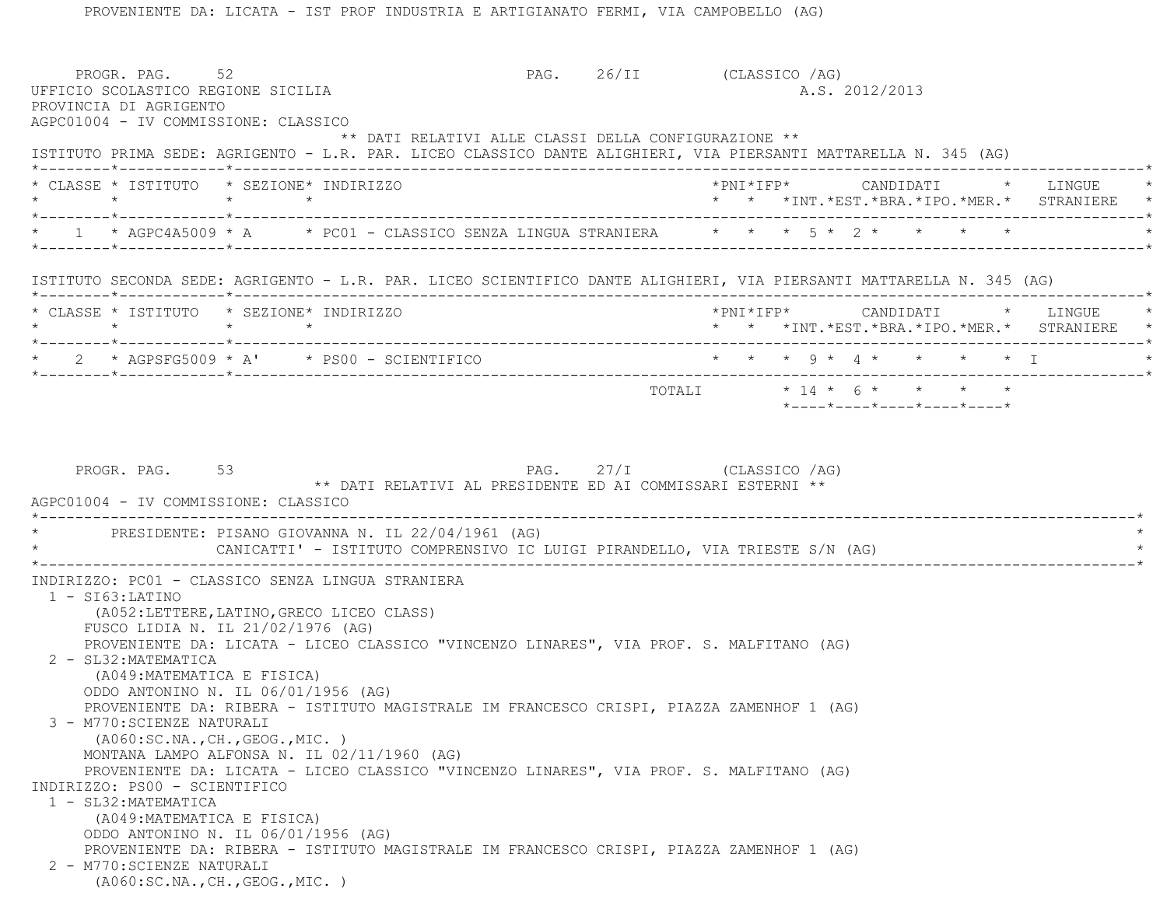|                                                     | UFFICIO SCOLASTICO REGIONE SICILIA<br>AGPC01004 - IV COMMISSIONE: CLASSICO                                                                                              | PAG. 26/II (CLASSICO / AG)                                                                           |                                                            |  | A.S. 2012/2013 |                            |  |                                                                                     |
|-----------------------------------------------------|-------------------------------------------------------------------------------------------------------------------------------------------------------------------------|------------------------------------------------------------------------------------------------------|------------------------------------------------------------|--|----------------|----------------------------|--|-------------------------------------------------------------------------------------|
|                                                     | ** DATI RELATIVI ALLE CLASSI DELLA CONFIGURAZIONE **<br>ISTITUTO PRIMA SEDE: AGRIGENTO - L.R. PAR. LICEO CLASSICO DANTE ALIGHIERI, VIA PIERSANTI MATTARELLA N. 345 (AG) |                                                                                                      |                                                            |  |                |                            |  |                                                                                     |
| * CLASSE * ISTITUTO * SEZIONE* INDIRIZZO            | $\star$ $\star$                                                                                                                                                         |                                                                                                      |                                                            |  |                |                            |  | *PNI*IFP* CANDIDATI * LINGUE<br>* * *INT.*EST.*BRA.*IPO.*MER.* STRANIERE *          |
|                                                     | * 1 * AGPC4A5009 * A * PC01 - CLASSICO SENZA LINGUA STRANIERA * * * 5 * 2 * * * * *                                                                                     |                                                                                                      |                                                            |  |                |                            |  |                                                                                     |
|                                                     | ISTITUTO SECONDA SEDE: AGRIGENTO - L.R. PAR. LICEO SCIENTIFICO DANTE ALIGHIERI, VIA PIERSANTI MATTARELLA N. 345 (AG)                                                    |                                                                                                      |                                                            |  |                |                            |  |                                                                                     |
| * CLASSE * ISTITUTO * SEZIONE* INDIRIZZO<br>$\star$ | $\star$<br>$\star$                                                                                                                                                      |                                                                                                      |                                                            |  |                |                            |  | *PNI*IFP*     CANDIDATI    *   LINGUE<br>* * *INT.*EST.*BRA.*IPO.*MER.* STRANIERE * |
|                                                     | * $2$ * AGPSFG5009 * A' * PS00 - SCIENTIFICO                                                                                                                            | $\star$ $\star$ $\star$ $\circ$ $\star$ $\star$ $\star$ $\star$ $\star$ $\star$ $\star$ $\downarrow$ |                                                            |  |                |                            |  |                                                                                     |
|                                                     |                                                                                                                                                                         |                                                                                                      |                                                            |  |                | *----*----*----*----*----* |  |                                                                                     |
|                                                     | AGPC01004 - IV COMMISSIONE: CLASSICO                                                                                                                                    |                                                                                                      | ** DATI RELATIVI AL PRESIDENTE ED AI COMMISSARI ESTERNI ** |  |                |                            |  |                                                                                     |
|                                                     | * PRESIDENTE: PISANO GIOVANNA N. IL 22/04/1961 (AG)<br>CANICATTI' - ISTITUTO COMPRENSIVO IC LUIGI PIRANDELLO, VIA TRIESTE S/N (AG)                                      |                                                                                                      |                                                            |  |                |                            |  |                                                                                     |

PROVENIENTE DA: LICATA - IST PROF INDUSTRIA E ARTIGIANATO FERMI, VIA CAMPOBELLO (AG)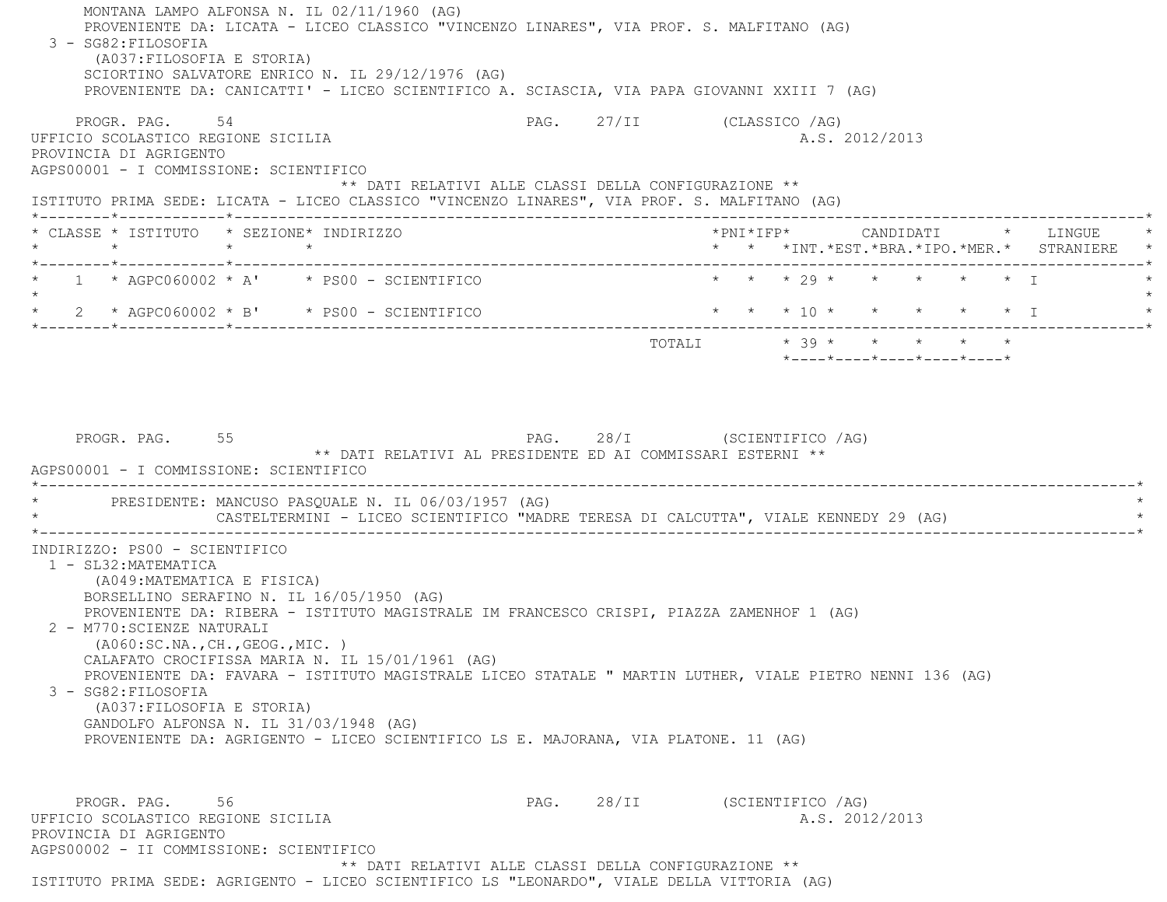MONTANA LAMPO ALFONSA N. IL 02/11/1960 (AG) PROVENIENTE DA: LICATA - LICEO CLASSICO "VINCENZO LINARES", VIA PROF. S. MALFITANO (AG) 3 - SG82:FILOSOFIA (A037:FILOSOFIA E STORIA) SCIORTINO SALVATORE ENRICO N. IL 29/12/1976 (AG) PROVENIENTE DA: CANICATTI' - LICEO SCIENTIFICO A. SCIASCIA, VIA PAPA GIOVANNI XXIII 7 (AG) PROGR. PAG. 54 54 PAG. 27/II (CLASSICO / AG) UFFICIO SCOLASTICO REGIONE SICILIA A.S. 2012/2013 PROVINCIA DI AGRIGENTO AGPS00001 - I COMMISSIONE: SCIENTIFICO \*\* DATI RELATIVI ALLE CLASSI DELLA CONFIGURAZIONE \*\* ISTITUTO PRIMA SEDE: LICATA - LICEO CLASSICO "VINCENZO LINARES", VIA PROF. S. MALFITANO (AG) \*--------\*------------\*-------------------------------------------------------------------------------------------------------\* \* CLASSE \* ISTITUTO \* SEZIONE\* INDIRIZZO \*PNI\*IFP\* CANDIDATI \* LINGUE \* \* \* \* \* \* \* \*INT.\*EST.\*BRA.\*IPO.\*MER.\* STRANIERE \* \*--------\*------------\*-------------------------------------------------------------------------------------------------------\*1 \* AGPC060002 \* A' \* PS00 - SCIENTIFICO \* \* \* \* 29 \* \* \* \* \* \* \* I  $\star$ 2 \* AGPC060002 \* B' \* PS00 - SCIENTIFICO \* \* \* \* \* 10 \* \* \* \* \* \* \* \* I \*--------\*------------\*-------------------------------------------------------------------------------------------------------\*TOTALI  $* 39 * * * * * * * * * *$  \*----\*----\*----\*----\*----\*PROGR. PAG. 55 5 PAG. 28/I (SCIENTIFICO /AG) \*\* DATI RELATIVI AL PRESIDENTE ED AI COMMISSARI ESTERNI \*\* AGPS00001 - I COMMISSIONE: SCIENTIFICO \*----------------------------------------------------------------------------------------------------------------------------\*PRESIDENTE: MANCUSO PASOUALE N. IL 06/03/1957 (AG) CASTELTERMINI - LICEO SCIENTIFICO "MADRE TERESA DI CALCUTTA", VIALE KENNEDY 29 (AG) \*----------------------------------------------------------------------------------------------------------------------------\* INDIRIZZO: PS00 - SCIENTIFICO 1 - SL32:MATEMATICA (A049:MATEMATICA E FISICA) BORSELLINO SERAFINO N. IL 16/05/1950 (AG) PROVENIENTE DA: RIBERA - ISTITUTO MAGISTRALE IM FRANCESCO CRISPI, PIAZZA ZAMENHOF 1 (AG) 2 - M770:SCIENZE NATURALI (A060:SC.NA.,CH.,GEOG.,MIC. ) CALAFATO CROCIFISSA MARIA N. IL 15/01/1961 (AG) PROVENIENTE DA: FAVARA - ISTITUTO MAGISTRALE LICEO STATALE " MARTIN LUTHER, VIALE PIETRO NENNI 136 (AG) 3 - SG82:FILOSOFIA (A037:FILOSOFIA E STORIA) GANDOLFO ALFONSA N. IL 31/03/1948 (AG) PROVENIENTE DA: AGRIGENTO - LICEO SCIENTIFICO LS E. MAJORANA, VIA PLATONE. 11 (AG) PROGR. PAG. 56 56 PAG. 28/II (SCIENTIFICO /AG) UFFICIO SCOLASTICO REGIONE SICILIA A.S. 2012/2013 PROVINCIA DI AGRIGENTO AGPS00002 - II COMMISSIONE: SCIENTIFICO\*\* DATI RELATIVI ALLE CLASSI DELLA CONFIGURAZIONE \*\*

ISTITUTO PRIMA SEDE: AGRIGENTO - LICEO SCIENTIFICO LS "LEONARDO", VIALE DELLA VITTORIA (AG)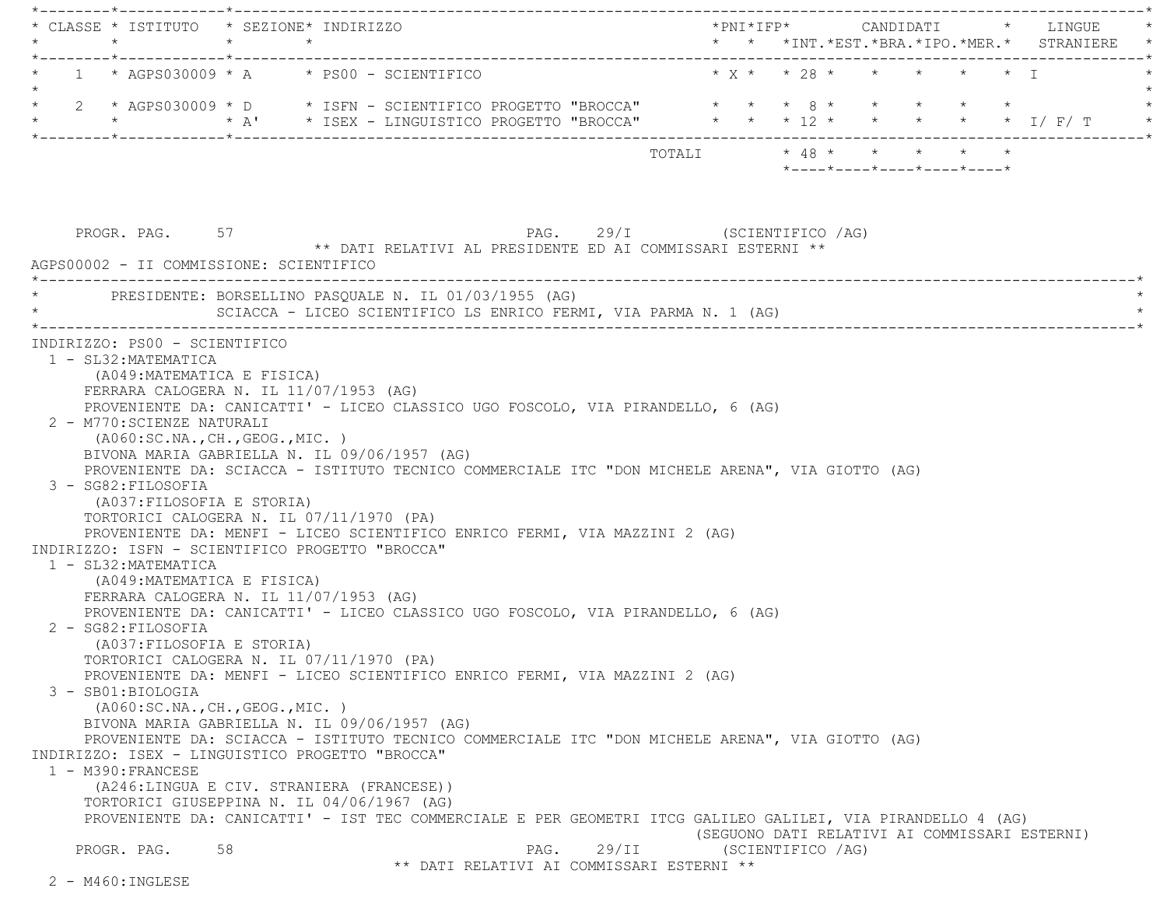\*--------\*------------\*-------------------------------------------------------------------------------------------------------\* \* CLASSE \* ISTITUTO \* SEZIONE\* INDIRIZZO \*PNI\*IFP\* CANDIDATI \* LINGUE \* \* \* \* \* \* \* \*INT.\*EST.\*BRA.\*IPO.\*MER.\* STRANIERE \* \*--------\*------------\*-------------------------------------------------------------------------------------------------------\*1 \* AGPS030009 \* A \* PS00 - SCIENTIFICO \* \* X \* \* 28 \* \* \* \* \* \* \* I  $\star$  \* 2 \* AGPS030009 \* D \* ISFN - SCIENTIFICO PROGETTO "BROCCA" \* \* \* 8 \* \* \* \* \* \*\* A' \* ISEX - LINGUISTICO PROGETTO "BROCCA" \* \* \* 12 \* \* \* \* \* \* \* 1/ F/ T \*--------\*------------\*-------------------------------------------------------------------------------------------------------\* TOTALI \* 48 \* \* \* \* \* \*----\*----\*----\*----\*----\*PROGR. PAG. 57 ST 29/I (SCIENTIFICO /AG) \*\* DATI RELATIVI AL PRESIDENTE ED AI COMMISSARI ESTERNI \*\* AGPS00002 - II COMMISSIONE: SCIENTIFICO \*----------------------------------------------------------------------------------------------------------------------------\*PRESIDENTE: BORSELLINO PASOUALE N. IL 01/03/1955 (AG) SCIACCA - LICEO SCIENTIFICO LS ENRICO FERMI, VIA PARMA N. 1 (AG) \*----------------------------------------------------------------------------------------------------------------------------\* INDIRIZZO: PS00 - SCIENTIFICO 1 - SL32:MATEMATICA (A049:MATEMATICA E FISICA) FERRARA CALOGERA N. IL 11/07/1953 (AG) PROVENIENTE DA: CANICATTI' - LICEO CLASSICO UGO FOSCOLO, VIA PIRANDELLO, 6 (AG) 2 - M770:SCIENZE NATURALI (A060:SC.NA.,CH.,GEOG.,MIC. ) BIVONA MARIA GABRIELLA N. IL 09/06/1957 (AG) PROVENIENTE DA: SCIACCA - ISTITUTO TECNICO COMMERCIALE ITC "DON MICHELE ARENA", VIA GIOTTO (AG) 3 - SG82:FILOSOFIA (A037:FILOSOFIA E STORIA) TORTORICI CALOGERA N. IL 07/11/1970 (PA) PROVENIENTE DA: MENFI - LICEO SCIENTIFICO ENRICO FERMI, VIA MAZZINI 2 (AG) INDIRIZZO: ISFN - SCIENTIFICO PROGETTO "BROCCA" 1 - SL32:MATEMATICA (A049:MATEMATICA E FISICA) FERRARA CALOGERA N. IL 11/07/1953 (AG) PROVENIENTE DA: CANICATTI' - LICEO CLASSICO UGO FOSCOLO, VIA PIRANDELLO, 6 (AG) 2 - SG82:FILOSOFIA (A037:FILOSOFIA E STORIA) TORTORICI CALOGERA N. IL 07/11/1970 (PA) PROVENIENTE DA: MENFI - LICEO SCIENTIFICO ENRICO FERMI, VIA MAZZINI 2 (AG) 3 - SB01:BIOLOGIA (A060:SC.NA.,CH.,GEOG.,MIC. ) BIVONA MARIA GABRIELLA N. IL 09/06/1957 (AG) PROVENIENTE DA: SCIACCA - ISTITUTO TECNICO COMMERCIALE ITC "DON MICHELE ARENA", VIA GIOTTO (AG) INDIRIZZO: ISEX - LINGUISTICO PROGETTO "BROCCA" 1 - M390:FRANCESE (A246:LINGUA E CIV. STRANIERA (FRANCESE)) TORTORICI GIUSEPPINA N. IL 04/06/1967 (AG) PROVENIENTE DA: CANICATTI' - IST TEC COMMERCIALE E PER GEOMETRI ITCG GALILEO GALILEI, VIA PIRANDELLO 4 (AG) (SEGUONO DATI RELATIVI AI COMMISSARI ESTERNI) PROGR. PAG. 58 58 PAG. 29/II (SCIENTIFICO /AG) \*\* DATI RELATIVI AI COMMISSARI ESTERNI \*\*2 - M460:INGLESE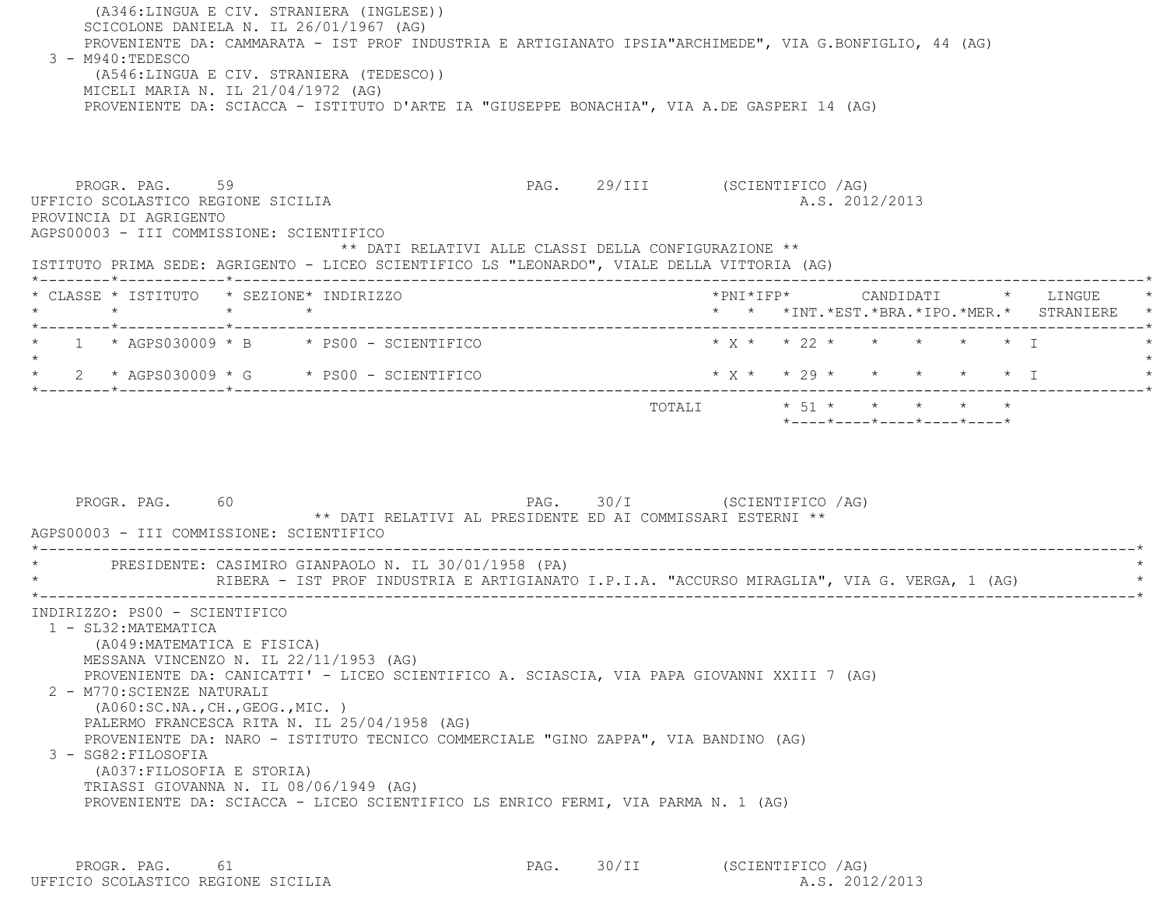(A346:LINGUA E CIV. STRANIERA (INGLESE)) SCICOLONE DANIELA N. IL 26/01/1967 (AG) PROVENIENTE DA: CAMMARATA - IST PROF INDUSTRIA E ARTIGIANATO IPSIA"ARCHIMEDE", VIA G.BONFIGLIO, 44 (AG) 3 - M940:TEDESCO (A546:LINGUA E CIV. STRANIERA (TEDESCO)) MICELI MARIA N. IL 21/04/1972 (AG) PROVENIENTE DA: SCIACCA - ISTITUTO D'ARTE IA "GIUSEPPE BONACHIA", VIA A.DE GASPERI 14 (AG) PROGR. PAG. 59 59 PAG. 29/III (SCIENTIFICO /AG) UFFICIO SCOLASTICO REGIONE SICILIA A.S. 2012/2013 PROVINCIA DI AGRIGENTO AGPS00003 - III COMMISSIONE: SCIENTIFICO \*\* DATI RELATIVI ALLE CLASSI DELLA CONFIGURAZIONE \*\* ISTITUTO PRIMA SEDE: AGRIGENTO - LICEO SCIENTIFICO LS "LEONARDO", VIALE DELLA VITTORIA (AG) \*--------\*------------\*-------------------------------------------------------------------------------------------------------\* \* CLASSE \* ISTITUTO \* SEZIONE\* INDIRIZZO \*PNI\*IFP\* CANDIDATI \* LINGUE \* \* \* \* \* \* \* \*INT.\*EST.\*BRA.\*IPO.\*MER.\* STRANIERE \* \*--------\*------------\*-------------------------------------------------------------------------------------------------------\*1 \* AGPS030009 \* B \* PS00 - SCIENTIFICO \* \* \* \* \* \* \* \* \* \* \* \* T  $\star$  \* 2 \* AGPS030009 \* G \* PS00 - SCIENTIFICO \* X \* \* 29 \* \* \* \* \* I \* \*--------\*------------\*-------------------------------------------------------------------------------------------------------\*TOTALI  $* 51 * * * * * * * * * *$  \*----\*----\*----\*----\*----\*PROGR. PAG. 60 60 PAG. 30/I (SCIENTIFICO /AG) \*\* DATI RELATIVI AL PRESIDENTE ED AI COMMISSARI ESTERNI \*\* AGPS00003 - III COMMISSIONE: SCIENTIFICO \*----------------------------------------------------------------------------------------------------------------------------\*PRESIDENTE: CASIMIRO GIANPAOLO N. IL 30/01/1958 (PA) RIBERA - IST PROF INDUSTRIA E ARTIGIANATO I.P.I.A. "ACCURSO MIRAGLIA", VIA G. VERGA, 1 (AG) \*----------------------------------------------------------------------------------------------------------------------------\* INDIRIZZO: PS00 - SCIENTIFICO 1 - SL32:MATEMATICA (A049:MATEMATICA E FISICA) MESSANA VINCENZO N. IL 22/11/1953 (AG) PROVENIENTE DA: CANICATTI' - LICEO SCIENTIFICO A. SCIASCIA, VIA PAPA GIOVANNI XXIII 7 (AG) 2 - M770:SCIENZE NATURALI (A060:SC.NA.,CH.,GEOG.,MIC. ) PALERMO FRANCESCA RITA N. IL 25/04/1958 (AG) PROVENIENTE DA: NARO - ISTITUTO TECNICO COMMERCIALE "GINO ZAPPA", VIA BANDINO (AG) 3 - SG82:FILOSOFIA (A037:FILOSOFIA E STORIA) TRIASSI GIOVANNA N. IL 08/06/1949 (AG) PROVENIENTE DA: SCIACCA - LICEO SCIENTIFICO LS ENRICO FERMI, VIA PARMA N. 1 (AG)

PROGR. PAG. 61 61 PAG. 30/II (SCIENTIFICO /AG) UFFICIO SCOLASTICO REGIONE SICILIA A.S. 2012/2013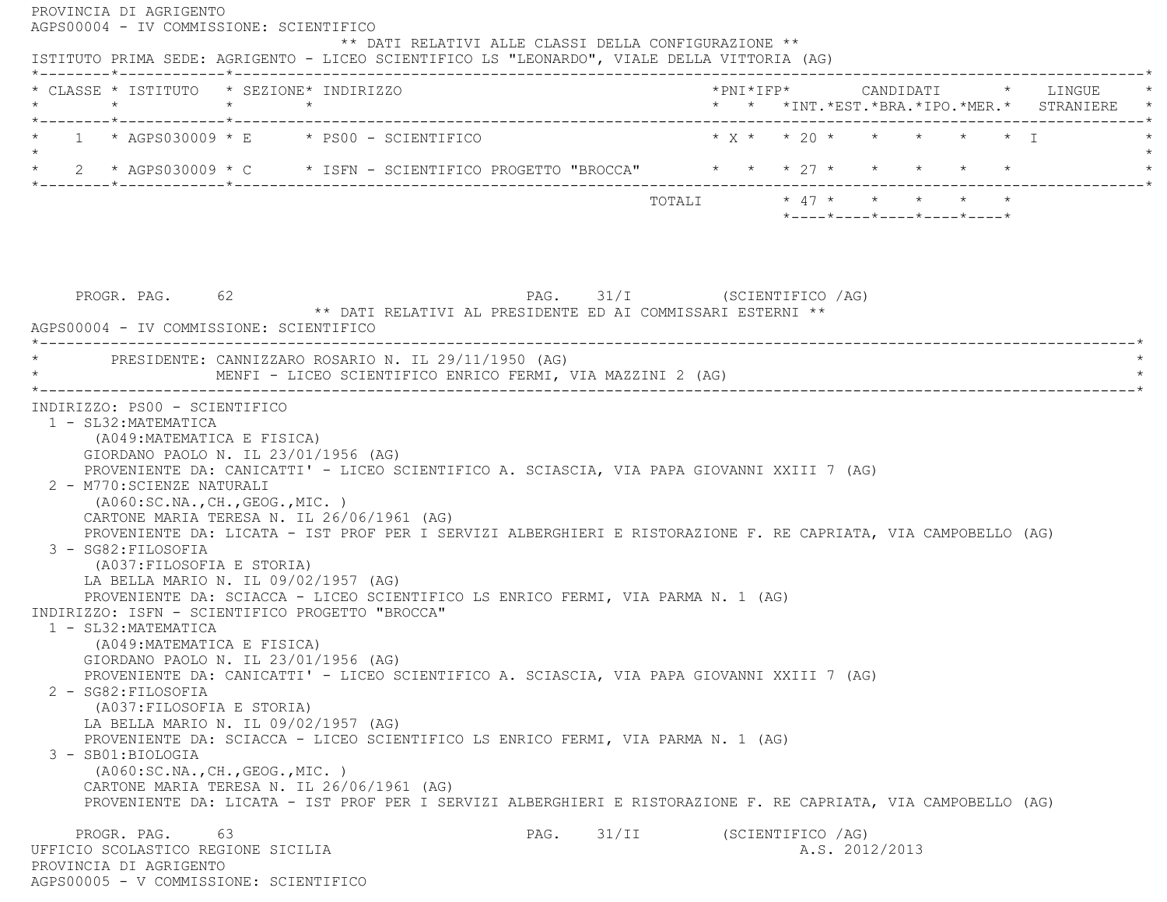| $\star$                                                                                                                                                                                 | * CLASSE * ISTITUTO * SEZIONE* INDIRIZZO<br>$\star$ $\star$                                                                                                                                                                                                                                                                                 |                                                                                           |                                                                                              |  | * * *INT.*EST.*BRA.*IPO.*MER.* STRANIERE |
|-----------------------------------------------------------------------------------------------------------------------------------------------------------------------------------------|---------------------------------------------------------------------------------------------------------------------------------------------------------------------------------------------------------------------------------------------------------------------------------------------------------------------------------------------|-------------------------------------------------------------------------------------------|----------------------------------------------------------------------------------------------|--|------------------------------------------|
|                                                                                                                                                                                         | $1 * AGPS030009 * E * PS00 - SCIENTIFICO$                                                                                                                                                                                                                                                                                                   |                                                                                           | $\star$ y $\star$ $\star$ $\to$ $\to$ $\star$ $\star$ $\star$ $\star$ $\star$ $\star$ $\top$ |  |                                          |
|                                                                                                                                                                                         | * 2 * AGPS030009 * C * ISFN - SCIENTIFICO PROGETTO "BROCCA" * * * 27 * * * * * * *                                                                                                                                                                                                                                                          |                                                                                           |                                                                                              |  |                                          |
|                                                                                                                                                                                         |                                                                                                                                                                                                                                                                                                                                             |                                                                                           | *----*----*----*----*----*                                                                   |  |                                          |
|                                                                                                                                                                                         |                                                                                                                                                                                                                                                                                                                                             |                                                                                           |                                                                                              |  |                                          |
| PROGR. PAG. 62                                                                                                                                                                          |                                                                                                                                                                                                                                                                                                                                             | PAG. 31/I (SCIENTIFICO /AG)<br>** DATI RELATIVI AL PRESIDENTE ED AI COMMISSARI ESTERNI ** |                                                                                              |  |                                          |
| AGPS00004 - IV COMMISSIONE: SCIENTIFICO                                                                                                                                                 | PRESIDENTE: CANNIZZARO ROSARIO N. IL 29/11/1950 (AG)                                                                                                                                                                                                                                                                                        |                                                                                           |                                                                                              |  |                                          |
|                                                                                                                                                                                         |                                                                                                                                                                                                                                                                                                                                             |                                                                                           |                                                                                              |  |                                          |
| (A049: MATEMATICA E FISICA)<br>( A060:SC.NA., CH., GEOG., MIC. )                                                                                                                        | GIORDANO PAOLO N. IL 23/01/1956 (AG)<br>PROVENIENTE DA: CANICATTI' - LICEO SCIENTIFICO A. SCIASCIA, VIA PAPA GIOVANNI XXIII 7 (AG)                                                                                                                                                                                                          | MENFI - LICEO SCIENTIFICO ENRICO FERMI, VIA MAZZINI 2 (AG)                                |                                                                                              |  |                                          |
| (A037:FILOSOFIA E STORIA)<br>(A049: MATEMATICA E FISICA)                                                                                                                                | CARTONE MARIA TERESA N. IL 26/06/1961 (AG)<br>PROVENIENTE DA: LICATA - IST PROF PER I SERVIZI ALBERGHIERI E RISTORAZIONE F. RE CAPRIATA, VIA CAMPOBELLO (AG)<br>LA BELLA MARIO N. IL 09/02/1957 (AG)<br>PROVENIENTE DA: SCIACCA - LICEO SCIENTIFICO LS ENRICO FERMI, VIA PARMA N. 1 (AG)<br>INDIRIZZO: ISFN - SCIENTIFICO PROGETTO "BROCCA" |                                                                                           |                                                                                              |  |                                          |
| INDIRIZZO: PS00 - SCIENTIFICO<br>1 - SL32: MATEMATICA<br>2 - M770: SCIENZE NATURALI<br>3 - SG82: FILOSOFIA<br>1 - SL32: MATEMATICA<br>2 - SG82: FILOSOFIA<br>(A037: FILOSOFIA E STORIA) | GIORDANO PAOLO N. IL $23/01/1956$ (AG)<br>PROVENIENTE DA: CANICATTI' - LICEO SCIENTIFICO A. SCIASCIA, VIA PAPA GIOVANNI XXIII 7 (AG)<br>LA BELLA MARIO N. IL 09/02/1957 (AG)<br>PROVENIENTE DA: SCIACCA - LICEO SCIENTIFICO LS ENRICO FERMI, VIA PARMA N. 1 (AG)                                                                            |                                                                                           |                                                                                              |  |                                          |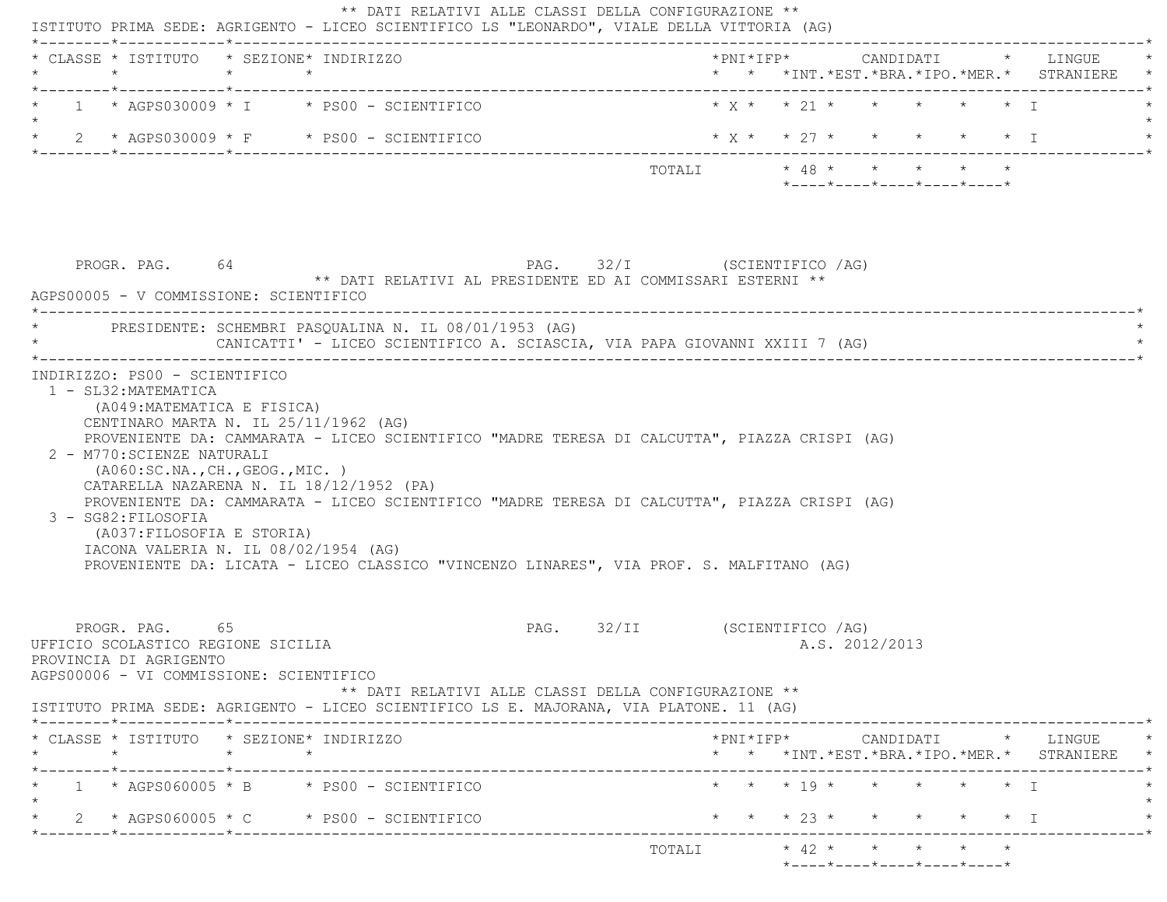| * CLASSE * ISTITUTO * SEZIONE* INDIRIZZO<br>$\star$                                                                       | $\star$ $\star$               |                                                                                                                                                                                                                                                                             |                                                                                      |                                                                             |                |                                   |           | *PNI*IFP* CANDIDATI * LINGUE<br>* * *INT.*EST.*BRA.*IPO.*MER.* STRANIERE                        |
|---------------------------------------------------------------------------------------------------------------------------|-------------------------------|-----------------------------------------------------------------------------------------------------------------------------------------------------------------------------------------------------------------------------------------------------------------------------|--------------------------------------------------------------------------------------|-----------------------------------------------------------------------------|----------------|-----------------------------------|-----------|-------------------------------------------------------------------------------------------------|
|                                                                                                                           |                               | $1 \times AGPS030009 \times I \times PS00 - SCIENTIFICO$                                                                                                                                                                                                                    |                                                                                      | $* x * x * 21 * * * * * * * T$                                              |                |                                   |           |                                                                                                 |
|                                                                                                                           |                               | 2 * AGPS030009 * F * PS00 - SCIENTIFICO                                                                                                                                                                                                                                     |                                                                                      | $* x * * 27 * * * * * * * T$                                                |                |                                   |           |                                                                                                 |
|                                                                                                                           |                               |                                                                                                                                                                                                                                                                             |                                                                                      | TOTALI * 48 * * * * * *<br>$*$ ---- $*$ ---- $*$ ---- $*$ ---- $*$ ---- $*$ |                |                                   |           |                                                                                                 |
| PROGR. PAG. 64<br>AGPS00005 - V COMMISSIONE: SCIENTIFICO                                                                  |                               | ** DATI RELATIVI AL PRESIDENTE ED AI COMMISSARI ESTERNI **                                                                                                                                                                                                                  | PAG. 32/I (SCIENTIFICO /AG)                                                          |                                                                             |                |                                   |           |                                                                                                 |
|                                                                                                                           |                               | PRESIDENTE: SCHEMBRI PASQUALINA N. IL 08/01/1953 (AG)<br>CANICATTI' - LICEO SCIENTIFICO A. SCIASCIA, VIA PAPA GIOVANNI XXIII 7 (AG)                                                                                                                                         |                                                                                      |                                                                             |                |                                   |           |                                                                                                 |
| 1 - SL32: MATEMATICA<br>(A049: MATEMATICA E FISICA)<br>2 - M770: SCIENZE NATURALI                                         | INDIRIZZO: PS00 - SCIENTIFICO | CENTINARO MARTA N. IL 25/11/1962 (AG)<br>PROVENIENTE DA: CAMMARATA - LICEO SCIENTIFICO "MADRE TERESA DI CALCUTTA", PIAZZA CRISPI (AG)                                                                                                                                       |                                                                                      |                                                                             |                |                                   |           |                                                                                                 |
| (AO60:SC.NA., CH., GEOG., MIC. )<br>3 - SG82: FILOSOFIA<br>(A037:FILOSOFIA E STORIA)                                      |                               | CATARELLA NAZARENA N. IL 18/12/1952 (PA)<br>PROVENIENTE DA: CAMMARATA - LICEO SCIENTIFICO "MADRE TERESA DI CALCUTTA", PIAZZA CRISPI (AG)<br>IACONA VALERIA N. IL 08/02/1954 (AG)<br>PROVENIENTE DA: LICATA - LICEO CLASSICO "VINCENZO LINARES", VIA PROF. S. MALFITANO (AG) |                                                                                      |                                                                             |                |                                   |           |                                                                                                 |
| PROGR. PAG. 65<br>UFFICIO SCOLASTICO REGIONE SICILIA<br>PROVINCIA DI AGRIGENTO<br>AGPS00006 - VI COMMISSIONE: SCIENTIFICO |                               | ISTITUTO PRIMA SEDE: AGRIGENTO - LICEO SCIENTIFICO LS E. MAJORANA, VIA PLATONE. 11 (AG)                                                                                                                                                                                     | PAG. 32/II (SCIENTIFICO /AG)<br>** DATI RELATIVI ALLE CLASSI DELLA CONFIGURAZIONE ** |                                                                             | A.S. 2012/2013 |                                   |           |                                                                                                 |
| $\star$                                                                                                                   |                               |                                                                                                                                                                                                                                                                             |                                                                                      |                                                                             |                |                                   |           | $*PNI*IFP* \qquad \qquad \text{CANDIDATI} \qquad \qquad * \qquad \text{LINGUE} \qquad \qquad *$ |
| * CLASSE * ISTITUTO * SEZIONE* INDIRIZZO                                                                                  |                               |                                                                                                                                                                                                                                                                             |                                                                                      |                                                                             |                |                                   |           | * * *INT.*EST.*BRA.*IPO.*MER.* STRANIERE *                                                      |
|                                                                                                                           |                               | $1 * AGPS060005 * B * PS00 - SCIENTIFICO$<br>2 * AGPS060005 * C * PS00 - SCIENTIFICO                                                                                                                                                                                        |                                                                                      | $\star$ $\star$ $\star$ 19 $\star$<br>* * * 23 * * * * *                    |                | $\star$ $\star$ $\star$ $\star$ T | $\star$ T |                                                                                                 |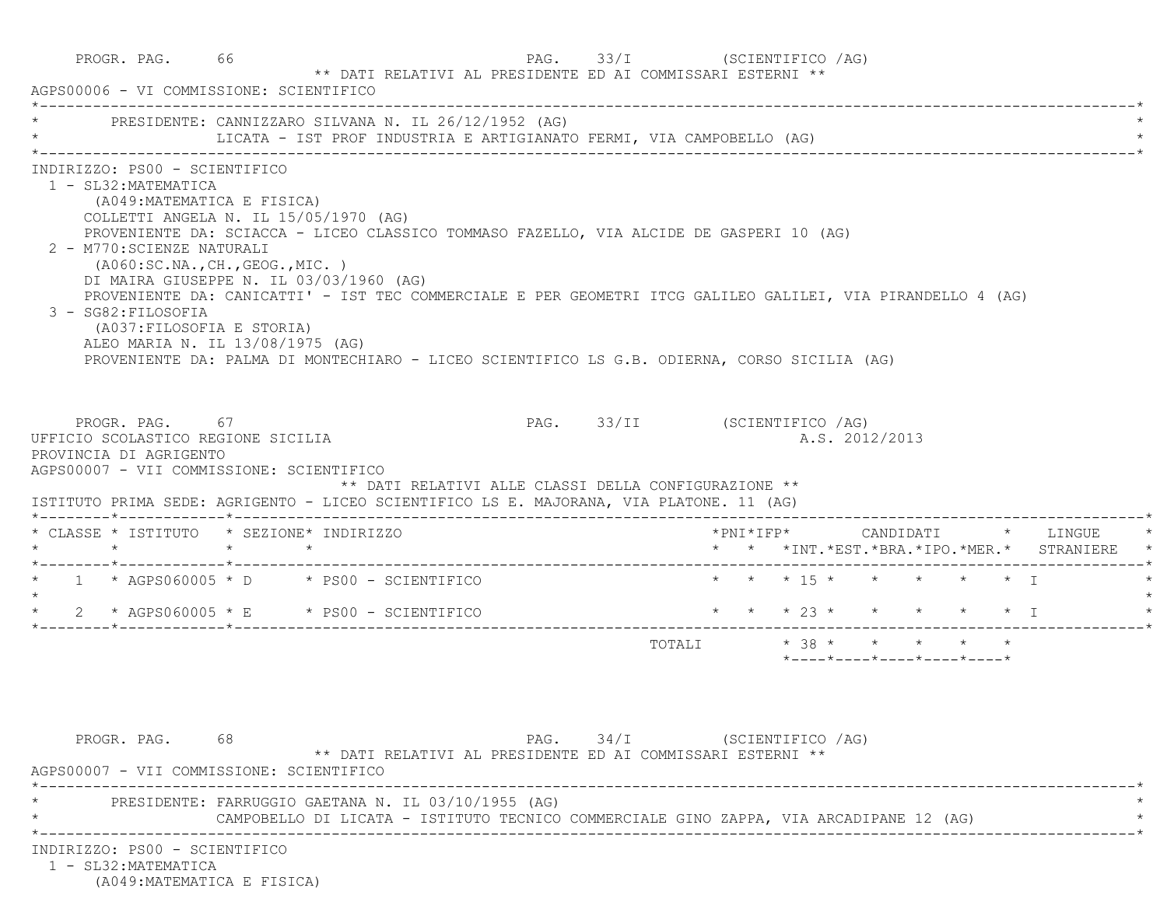|                                                                                                           | PROGR. PAG. 66<br>AGPS00006 - VI COMMISSIONE: SCIENTIFICO                                                                                                                                                                                                                                                                                                                                                                                                                                                                        | ** DATI RELATIVI AL PRESIDENTE ED AI COMMISSARI ESTERNI ** | PAG. 33/I (SCIENTIFICO /AG)  |                                                                     |  |
|-----------------------------------------------------------------------------------------------------------|----------------------------------------------------------------------------------------------------------------------------------------------------------------------------------------------------------------------------------------------------------------------------------------------------------------------------------------------------------------------------------------------------------------------------------------------------------------------------------------------------------------------------------|------------------------------------------------------------|------------------------------|---------------------------------------------------------------------|--|
|                                                                                                           | * PRESIDENTE: CANNIZZARO SILVANA N. IL 26/12/1952 (AG)                                                                                                                                                                                                                                                                                                                                                                                                                                                                           |                                                            |                              |                                                                     |  |
| INDIRIZZO: PS00 - SCIENTIFICO<br>1 - SL32: MATEMATICA<br>2 - M770: SCIENZE NATURALI<br>3 - SG82:FILOSOFIA | (A049: MATEMATICA E FISICA)<br>COLLETTI ANGELA N. IL 15/05/1970 (AG)<br>PROVENIENTE DA: SCIACCA - LICEO CLASSICO TOMMASO FAZELLO, VIA ALCIDE DE GASPERI 10 (AG)<br>( A060:SC.NA., CH., GEOG., MIC. )<br>DI MAIRA GIUSEPPE N. IL 03/03/1960 (AG)<br>PROVENIENTE DA: CANICATTI' - IST TEC COMMERCIALE E PER GEOMETRI ITCG GALILEO GALILEI, VIA PIRANDELLO 4 (AG)<br>(A037: FILOSOFIA E STORIA)<br>ALEO MARIA N. IL 13/08/1975 (AG)<br>PROVENIENTE DA: PALMA DI MONTECHIARO - LICEO SCIENTIFICO LS G.B. ODIERNA, CORSO SICILIA (AG) |                                                            |                              |                                                                     |  |
| UFFICIO SCOLASTICO REGIONE SICILIA<br>PROVINCIA DI AGRIGENTO                                              | PROGR. PAG. 67<br>AGPS00007 - VII COMMISSIONE: SCIENTIFICO                                                                                                                                                                                                                                                                                                                                                                                                                                                                       |                                                            | PAG. 33/II (SCIENTIFICO /AG) | A.S. 2012/2013                                                      |  |
|                                                                                                           | ISTITUTO PRIMA SEDE: AGRIGENTO - LICEO SCIENTIFICO LS E. MAJORANA, VIA PLATONE. 11 (AG)                                                                                                                                                                                                                                                                                                                                                                                                                                          | ** DATI RELATIVI ALLE CLASSI DELLA CONFIGURAZIONE **       |                              |                                                                     |  |
|                                                                                                           | * CLASSE * ISTITUTO * SEZIONE* INDIRIZZO                                                                                                                                                                                                                                                                                                                                                                                                                                                                                         |                                                            | *PNI*IFP*                    | CANDIDATI * LINGUE<br>* * *INT. *EST. *BRA. *IPO. *MER. * STRANIERE |  |
|                                                                                                           | $\star$ 1 $\star$ AGPS060005 $\star$ D $\star$ PS00 - SCIENTIFICO                                                                                                                                                                                                                                                                                                                                                                                                                                                                |                                                            |                              | * * * 15 * * * * * * I                                              |  |
|                                                                                                           | $\star$ 2 $\star$ AGPS060005 $\star$ E $\star$ PS00 - SCIENTIFICO                                                                                                                                                                                                                                                                                                                                                                                                                                                                |                                                            |                              | * * * 23 * * * * * * I                                              |  |
|                                                                                                           |                                                                                                                                                                                                                                                                                                                                                                                                                                                                                                                                  |                                                            |                              | $*$ ---- $*$ ---- $*$ ---- $*$ ---- $*$ ---- $*$                    |  |
| PROGR. PAG. 68                                                                                            | AGPS00007 - VII COMMISSIONE: SCIENTIFICO                                                                                                                                                                                                                                                                                                                                                                                                                                                                                         | ** DATI RELATIVI AL PRESIDENTE ED AI COMMISSARI ESTERNI ** | PAG. 34/I (SCIENTIFICO /AG)  |                                                                     |  |
|                                                                                                           | PRESIDENTE: FARRUGGIO GAETANA N. IL 03/10/1955 (AG)<br>CAMPOBELLO DI LICATA - ISTITUTO TECNICO COMMERCIALE GINO ZAPPA, VIA ARCADIPANE 12 (AG)                                                                                                                                                                                                                                                                                                                                                                                    |                                                            |                              |                                                                     |  |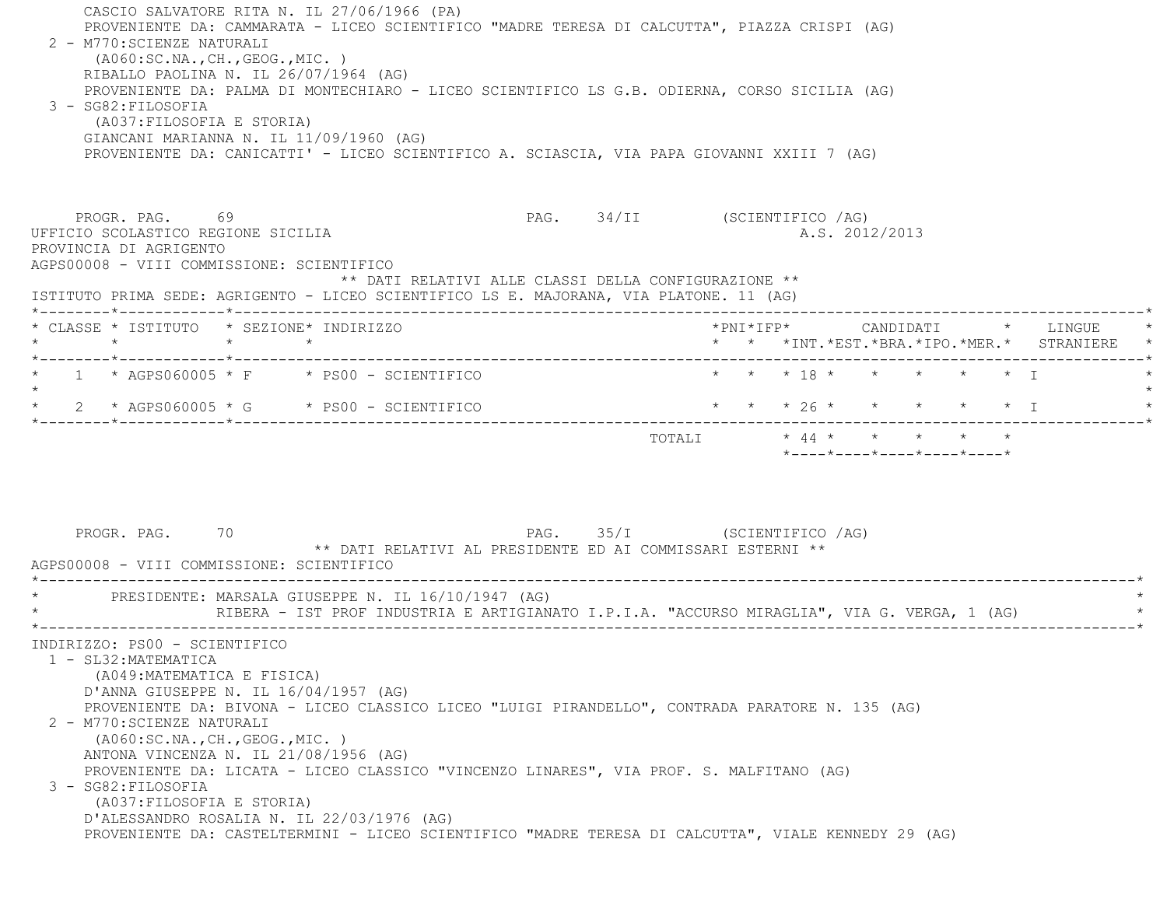CASCIO SALVATORE RITA N. IL 27/06/1966 (PA) PROVENIENTE DA: CAMMARATA - LICEO SCIENTIFICO "MADRE TERESA DI CALCUTTA", PIAZZA CRISPI (AG) 2 - M770:SCIENZE NATURALI (A060:SC.NA.,CH.,GEOG.,MIC. ) RIBALLO PAOLINA N. IL 26/07/1964 (AG) PROVENIENTE DA: PALMA DI MONTECHIARO - LICEO SCIENTIFICO LS G.B. ODIERNA, CORSO SICILIA (AG) 3 - SG82:FILOSOFIA (A037:FILOSOFIA E STORIA) GIANCANI MARIANNA N. IL 11/09/1960 (AG) PROVENIENTE DA: CANICATTI' - LICEO SCIENTIFICO A. SCIASCIA, VIA PAPA GIOVANNI XXIII 7 (AG) PROGR. PAG. 69 69 PAG. 34/II (SCIENTIFICO / AG) UFFICIO SCOLASTICO REGIONE SICILIA A.S. 2012/2013 PROVINCIA DI AGRIGENTO AGPS00008 - VIII COMMISSIONE: SCIENTIFICO \*\* DATI RELATIVI ALLE CLASSI DELLA CONFIGURAZIONE \*\* ISTITUTO PRIMA SEDE: AGRIGENTO - LICEO SCIENTIFICO LS E. MAJORANA, VIA PLATONE. 11 (AG) \*--------\*------------\*-------------------------------------------------------------------------------------------------------\* \* CLASSE \* ISTITUTO \* SEZIONE\* INDIRIZZO \*PNI\*IFP\* CANDIDATI \* LINGUE \* \* \* \* \* \* \* \*INT.\*EST.\*BRA.\*IPO.\*MER.\* STRANIERE \* \*--------\*------------\*-------------------------------------------------------------------------------------------------------\*1 \* AGPS060005 \* F \* PS00 - SCIENTIFICO \* \* \* \* 18 \* \* \* \* \* \* \* \* I  $\star$  \* 2 \* AGPS060005 \* G \* PS00 - SCIENTIFICO \* \* \* 26 \* \* \* \* \* I \* \*--------\*------------\*-------------------------------------------------------------------------------------------------------\* TOTALI \* 44 \* \* \* \* \* \*----\*----\*----\*----\*----\*PROGR. PAG. 70 70 PAG. 35/I (SCIENTIFICO / AG) \*\* DATI RELATIVI AL PRESIDENTE ED AI COMMISSARI ESTERNI \*\* AGPS00008 - VIII COMMISSIONE: SCIENTIFICO \*----------------------------------------------------------------------------------------------------------------------------\*PRESIDENTE: MARSALA GIUSEPPE N. IL 16/10/1947 (AG) RIBERA - IST PROF INDUSTRIA E ARTIGIANATO I.P.I.A. "ACCURSO MIRAGLIA", VIA G. VERGA, 1 (AG) \*----------------------------------------------------------------------------------------------------------------------------\* INDIRIZZO: PS00 - SCIENTIFICO 1 - SL32:MATEMATICA (A049:MATEMATICA E FISICA) D'ANNA GIUSEPPE N. IL 16/04/1957 (AG) PROVENIENTE DA: BIVONA - LICEO CLASSICO LICEO "LUIGI PIRANDELLO", CONTRADA PARATORE N. 135 (AG) 2 - M770:SCIENZE NATURALI (A060:SC.NA.,CH.,GEOG.,MIC. ) ANTONA VINCENZA N. IL 21/08/1956 (AG) PROVENIENTE DA: LICATA - LICEO CLASSICO "VINCENZO LINARES", VIA PROF. S. MALFITANO (AG) 3 - SG82:FILOSOFIA (A037:FILOSOFIA E STORIA) D'ALESSANDRO ROSALIA N. IL 22/03/1976 (AG) PROVENIENTE DA: CASTELTERMINI - LICEO SCIENTIFICO "MADRE TERESA DI CALCUTTA", VIALE KENNEDY 29 (AG)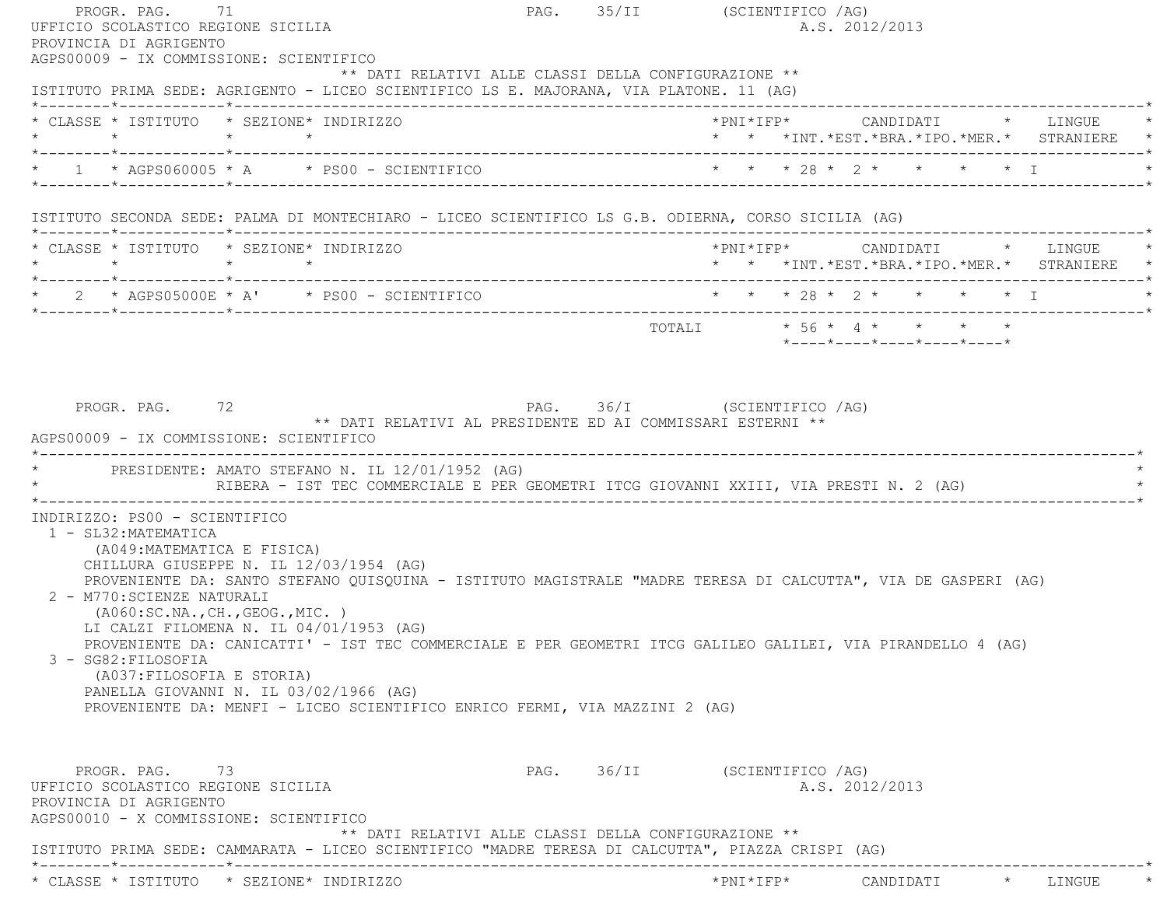| PROGR. PAG. 71<br>UFFICIO SCOLASTICO REGIONE SICILIA<br>PROVINCIA DI AGRIGENTO                                                                                                                                      |                                                                                                                                                                                                                                                                                | PAG. 35/II (SCIENTIFICO /AG) |  | A.S. 2012/2013                             |  |  |
|---------------------------------------------------------------------------------------------------------------------------------------------------------------------------------------------------------------------|--------------------------------------------------------------------------------------------------------------------------------------------------------------------------------------------------------------------------------------------------------------------------------|------------------------------|--|--------------------------------------------|--|--|
| AGPS00009 - IX COMMISSIONE: SCIENTIFICO                                                                                                                                                                             | ** DATI RELATIVI ALLE CLASSI DELLA CONFIGURAZIONE **<br>ISTITUTO PRIMA SEDE: AGRIGENTO - LICEO SCIENTIFICO LS E. MAJORANA, VIA PLATONE. 11 (AG)                                                                                                                                |                              |  |                                            |  |  |
| * CLASSE * ISTITUTO * SEZIONE* INDIRIZZO                                                                                                                                                                            |                                                                                                                                                                                                                                                                                |                              |  | * * *INT.*EST.*BRA.*IPO.*MER.* STRANIERE * |  |  |
|                                                                                                                                                                                                                     | * 1 * AGPS060005 * A * PS00 - SCIENTIFICO * * * * 28 * 2 * * * * * * I * * * I * * * * I * * * T                                                                                                                                                                               |                              |  |                                            |  |  |
|                                                                                                                                                                                                                     | ISTITUTO SECONDA SEDE: PALMA DI MONTECHIARO - LICEO SCIENTIFICO LS G.B. ODIERNA, CORSO SICILIA (AG)                                                                                                                                                                            |                              |  |                                            |  |  |
| * CLASSE * ISTITUTO * SEZIONE* INDIRIZZO<br>$\star$ $\star$ $\star$ $\star$                                                                                                                                         |                                                                                                                                                                                                                                                                                |                              |  | * * *INT.*EST.*BRA.*IPO.*MER.* STRANIERE * |  |  |
|                                                                                                                                                                                                                     | * 2 * AGPS05000E * A' * PS00 - SCIENTIFICO * * * * 28 * 2 * * * * * * I                                                                                                                                                                                                        |                              |  |                                            |  |  |
|                                                                                                                                                                                                                     |                                                                                                                                                                                                                                                                                |                              |  | *----*----*----*----*----*                 |  |  |
|                                                                                                                                                                                                                     | RIBERA - IST TEC COMMERCIALE E PER GEOMETRI ITCG GIOVANNI XXIII, VIA PRESTI N. 2 (AG)                                                                                                                                                                                          |                              |  |                                            |  |  |
| PROGR. PAG. 72<br>AGPS00009 - IX COMMISSIONE: SCIENTIFICO<br>INDIRIZZO: PS00 - SCIENTIFICO<br>1 - SL32:MATEMATICA<br>(A049: MATEMATICA E FISICA)<br>2 - M770: SCIENZE NATURALI<br>( A060:SC.NA., CH., GEOG., MIC. ) | ** DATI RELATIVI AL PRESIDENTE ED AI COMMISSARI ESTERNI **<br>* PRESIDENTE: AMATO STEFANO N. IL 12/01/1952 (AG)<br>CHILLURA GIUSEPPE N. IL 12/03/1954 (AG)<br>PROVENIENTE DA: SANTO STEFANO QUISQUINA - ISTITUTO MAGISTRALE "MADRE TERESA DI CALCUTTA", VIA DE GASPERI (AG)    | PAG. 36/I (SCIENTIFICO /AG)  |  |                                            |  |  |
| 3 - SG82: FILOSOFIA<br>(A037: FILOSOFIA E STORIA)                                                                                                                                                                   | LI CALZI FILOMENA N. IL 04/01/1953 (AG)<br>PROVENIENTE DA: CANICATTI' - IST TEC COMMERCIALE E PER GEOMETRI ITCG GALILEO GALILEI, VIA PIRANDELLO 4 (AG)<br>PANELLA GIOVANNI N. IL 03/02/1966 (AG)<br>PROVENIENTE DA: MENFI - LICEO SCIENTIFICO ENRICO FERMI, VIA MAZZINI 2 (AG) |                              |  |                                            |  |  |
| PROGR. PAG. 73<br>UFFICIO SCOLASTICO REGIONE SICILIA<br>PROVINCIA DI AGRIGENTO<br>AGPS00010 - X COMMISSIONE: SCIENTIFICO                                                                                            | ** DATI RELATIVI ALLE CLASSI DELLA CONFIGURAZIONE **                                                                                                                                                                                                                           | PAG. 36/II (SCIENTIFICO /AG) |  | A.S. 2012/2013                             |  |  |
|                                                                                                                                                                                                                     | ISTITUTO PRIMA SEDE: CAMMARATA - LICEO SCIENTIFICO "MADRE TERESA DI CALCUTTA", PIAZZA CRISPI (AG)                                                                                                                                                                              |                              |  |                                            |  |  |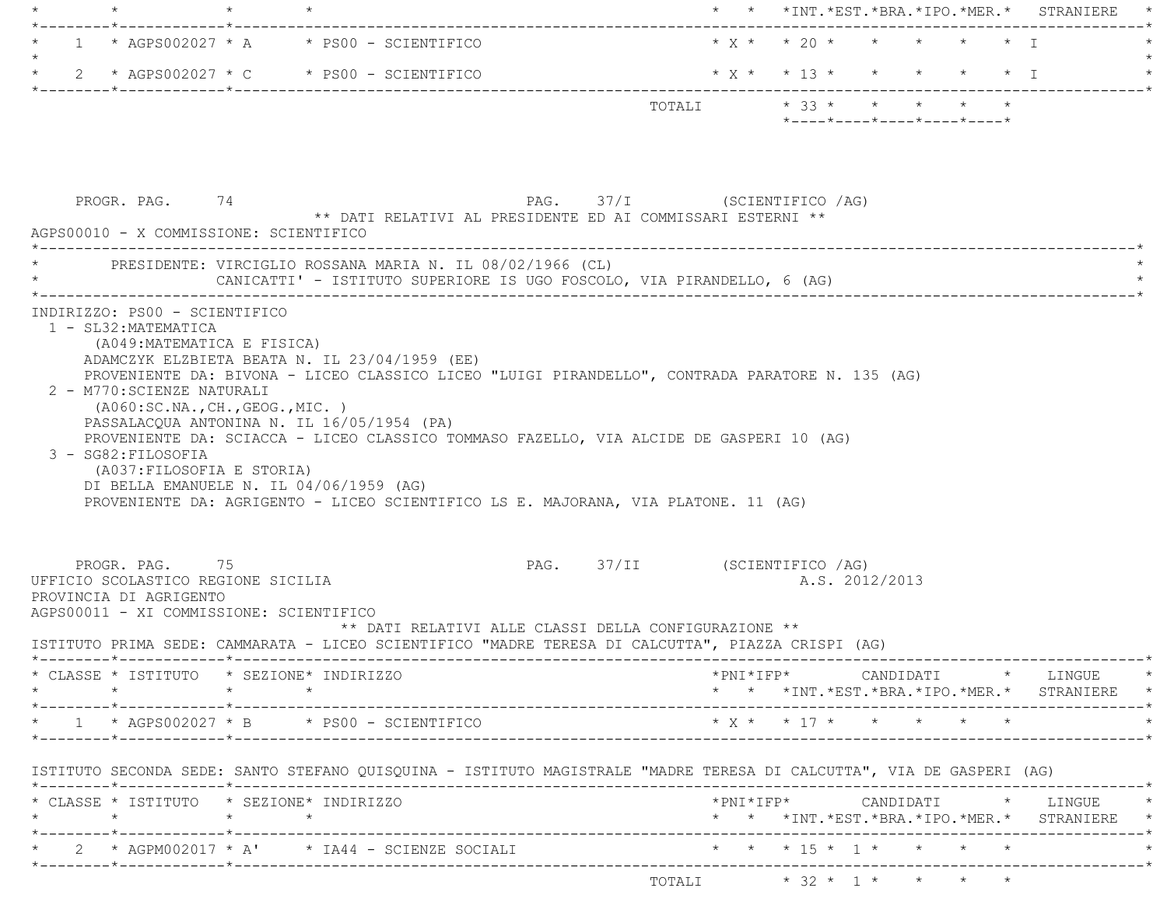| $1 * AGPS002027 * A * PS00 - SCIENTIFICO$                                                                                                                                                                                                                                                     |                                                                                                                                                                                                                                                                                  | * * *INT. *EST. *BRA. *IPO. *MER. * STRANIERE |                                                                                                                                                    |
|-----------------------------------------------------------------------------------------------------------------------------------------------------------------------------------------------------------------------------------------------------------------------------------------------|----------------------------------------------------------------------------------------------------------------------------------------------------------------------------------------------------------------------------------------------------------------------------------|-----------------------------------------------|----------------------------------------------------------------------------------------------------------------------------------------------------|
|                                                                                                                                                                                                                                                                                               |                                                                                                                                                                                                                                                                                  |                                               | $* x * x * 20 * * * * * * * T$                                                                                                                     |
| 2 * AGPS002027 * C * PS00 - SCIENTIFICO                                                                                                                                                                                                                                                       |                                                                                                                                                                                                                                                                                  |                                               | $*$ X $*$ $*$ 13 $*$ $*$ $*$ $*$ $*$ $*$ I                                                                                                         |
|                                                                                                                                                                                                                                                                                               |                                                                                                                                                                                                                                                                                  |                                               | $*$ ---- $*$ ---- $*$ ---- $*$ ---- $*$ ---- $*$                                                                                                   |
| PROGR. PAG. 74<br>AGPS00010 - X COMMISSIONE: SCIENTIFICO                                                                                                                                                                                                                                      | PAG. 37/I (SCIENTIFICO /AG)<br>** DATI RELATIVI AL PRESIDENTE ED AI COMMISSARI ESTERNI **                                                                                                                                                                                        |                                               |                                                                                                                                                    |
|                                                                                                                                                                                                                                                                                               | PRESIDENTE: VIRCIGLIO ROSSANA MARIA N. IL 08/02/1966 (CL)<br>CANICATTI' - ISTITUTO SUPERIORE IS UGO FOSCOLO, VIA PIRANDELLO, 6 (AG)                                                                                                                                              |                                               |                                                                                                                                                    |
| (A049: MATEMATICA E FISICA)<br>ADAMCZYK ELZBIETA BEATA N. IL 23/04/1959 (EE)<br>2 - M770: SCIENZE NATURALI<br>( A060:SC.NA., CH., GEOG., MIC. )<br>PASSALACQUA ANTONINA N. IL 16/05/1954 (PA)<br>3 - SG82: FILOSOFIA<br>(A037: FILOSOFIA E STORIA)<br>DI BELLA EMANUELE N. IL 04/06/1959 (AG) | PROVENIENTE DA: BIVONA - LICEO CLASSICO LICEO "LUIGI PIRANDELLO", CONTRADA PARATORE N. 135 (AG)<br>PROVENIENTE DA: SCIACCA - LICEO CLASSICO TOMMASO FAZELLO, VIA ALCIDE DE GASPERI 10 (AG)<br>PROVENIENTE DA: AGRIGENTO - LICEO SCIENTIFICO LS E. MAJORANA, VIA PLATONE. 11 (AG) |                                               |                                                                                                                                                    |
|                                                                                                                                                                                                                                                                                               |                                                                                                                                                                                                                                                                                  |                                               |                                                                                                                                                    |
| PROGR. PAG. 75                                                                                                                                                                                                                                                                                | ** DATI RELATIVI ALLE CLASSI DELLA CONFIGURAZIONE **                                                                                                                                                                                                                             | PAG. 37/II (SCIENTIFICO /AG)                  | A.S. 2012/2013                                                                                                                                     |
|                                                                                                                                                                                                                                                                                               | ISTITUTO PRIMA SEDE: CAMMARATA - LICEO SCIENTIFICO "MADRE TERESA DI CALCUTTA", PIAZZA CRISPI (AG)                                                                                                                                                                                |                                               |                                                                                                                                                    |
|                                                                                                                                                                                                                                                                                               |                                                                                                                                                                                                                                                                                  |                                               | $*PNI*IFP* \qquad \qquad \text{CANDIDATI} \qquad \qquad * \qquad \text{LINGUE} \qquad \qquad *$<br>* * *INT. *EST. *BRA. *IPO. *MER. * STRANIERE * |
|                                                                                                                                                                                                                                                                                               |                                                                                                                                                                                                                                                                                  |                                               |                                                                                                                                                    |
|                                                                                                                                                                                                                                                                                               | ISTITUTO SECONDA SEDE: SANTO STEFANO QUISQUINA - ISTITUTO MAGISTRALE "MADRE TERESA DI CALCUTTA", VIA DE GASPERI (AG)                                                                                                                                                             |                                               |                                                                                                                                                    |
|                                                                                                                                                                                                                                                                                               |                                                                                                                                                                                                                                                                                  |                                               |                                                                                                                                                    |
| UFFICIO SCOLASTICO REGIONE SICILIA<br>PROVINCIA DI AGRIGENTO<br>AGPS00011 - XI COMMISSIONE: SCIENTIFICO<br>* CLASSE * ISTITUTO * SEZIONE* INDIRIZZO<br>* $1$ * AGPS002027 * B * PS00 - SCIENTIFICO<br>* CLASSE * ISTITUTO * SEZIONE* INDIRIZZO                                                | * 2 * AGPM002017 * A' * IA44 - SCIENZE SOCIALI * * * * 15 * 1 * * * * * *                                                                                                                                                                                                        |                                               | * * *INT.*EST.*BRA.*IPO.*MER.* STRANIERE *                                                                                                         |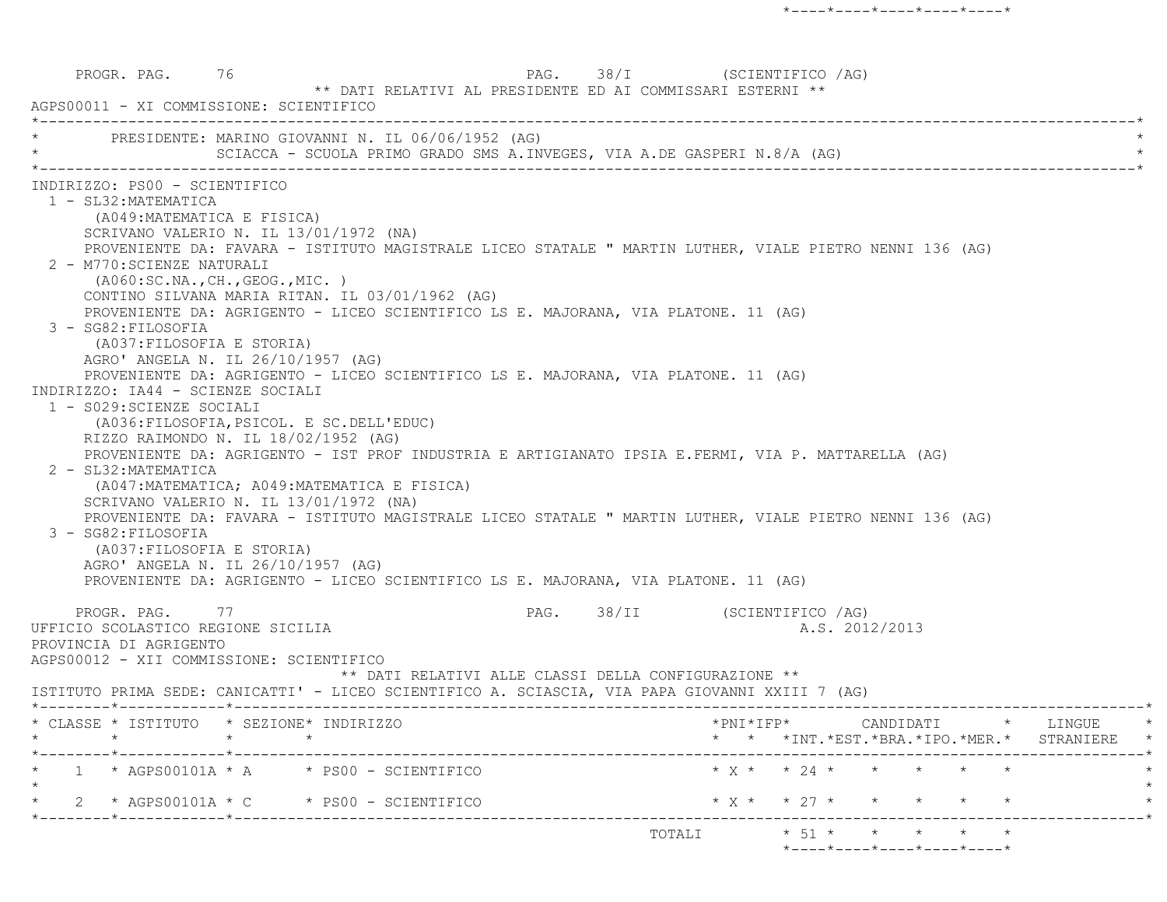PROGR. PAG. 76 76 PAG. 28/I (SCIENTIFICO /AG) \*\* DATI RELATIVI AL PRESIDENTE ED AI COMMISSARI ESTERNI \*\* AGPS00011 - XI COMMISSIONE: SCIENTIFICO \*----------------------------------------------------------------------------------------------------------------------------\*PRESIDENTE: MARINO GIOVANNI N. IL 06/06/1952 (AG) SCIACCA - SCUOLA PRIMO GRADO SMS A.INVEGES, VIA A.DE GASPERI N.8/A (AG) \*----------------------------------------------------------------------------------------------------------------------------\* INDIRIZZO: PS00 - SCIENTIFICO 1 - SL32:MATEMATICA (A049:MATEMATICA E FISICA) SCRIVANO VALERIO N. IL 13/01/1972 (NA) PROVENIENTE DA: FAVARA - ISTITUTO MAGISTRALE LICEO STATALE " MARTIN LUTHER, VIALE PIETRO NENNI 136 (AG) 2 - M770:SCIENZE NATURALI (A060:SC.NA.,CH.,GEOG.,MIC. ) CONTINO SILVANA MARIA RITAN. IL 03/01/1962 (AG) PROVENIENTE DA: AGRIGENTO - LICEO SCIENTIFICO LS E. MAJORANA, VIA PLATONE. 11 (AG) 3 - SG82:FILOSOFIA (A037:FILOSOFIA E STORIA) AGRO' ANGELA N. IL 26/10/1957 (AG) PROVENIENTE DA: AGRIGENTO - LICEO SCIENTIFICO LS E. MAJORANA, VIA PLATONE. 11 (AG) INDIRIZZO: IA44 - SCIENZE SOCIALI 1 - S029:SCIENZE SOCIALI (A036:FILOSOFIA,PSICOL. E SC.DELL'EDUC) RIZZO RAIMONDO N. IL 18/02/1952 (AG) PROVENIENTE DA: AGRIGENTO - IST PROF INDUSTRIA E ARTIGIANATO IPSIA E.FERMI, VIA P. MATTARELLA (AG) 2 - SL32:MATEMATICA (A047:MATEMATICA; A049:MATEMATICA E FISICA) SCRIVANO VALERIO N. IL 13/01/1972 (NA) PROVENIENTE DA: FAVARA - ISTITUTO MAGISTRALE LICEO STATALE " MARTIN LUTHER, VIALE PIETRO NENNI 136 (AG) 3 - SG82:FILOSOFIA (A037:FILOSOFIA E STORIA) AGRO' ANGELA N. IL 26/10/1957 (AG) PROVENIENTE DA: AGRIGENTO - LICEO SCIENTIFICO LS E. MAJORANA, VIA PLATONE. 11 (AG) PROGR. PAG. 77 PROGR. PAG. 38/II (SCIENTIFICO /AG) UFFICIO SCOLASTICO REGIONE SICILIA A.S. 2012/2013 PROVINCIA DI AGRIGENTO AGPS00012 - XII COMMISSIONE: SCIENTIFICO \*\* DATI RELATIVI ALLE CLASSI DELLA CONFIGURAZIONE \*\* ISTITUTO PRIMA SEDE: CANICATTI' - LICEO SCIENTIFICO A. SCIASCIA, VIA PAPA GIOVANNI XXIII 7 (AG) \*--------\*------------\*-------------------------------------------------------------------------------------------------------\* \* CLASSE \* ISTITUTO \* SEZIONE\* INDIRIZZO \*PNI\*IFP\* CANDIDATI \* LINGUE \* \* \* \* \* \* \* \*INT.\*EST.\*BRA.\*IPO.\*MER.\* STRANIERE \* \*--------\*------------\*-------------------------------------------------------------------------------------------------------\*1 \* AGPS00101A \* A \* PS00 - SCIENTIFICO \* X \* \* 24 \* \* \* \* \* \* \*  $\star$  \* 2 \* AGPS00101A \* C \* PS00 - SCIENTIFICO \* X \* \* 27 \* \* \* \* \* \* \*--------\*------------\*-------------------------------------------------------------------------------------------------------\*TOTALI  $* 51 * * * * * * * * * *$ \*----\*----\*----\*----\*----\*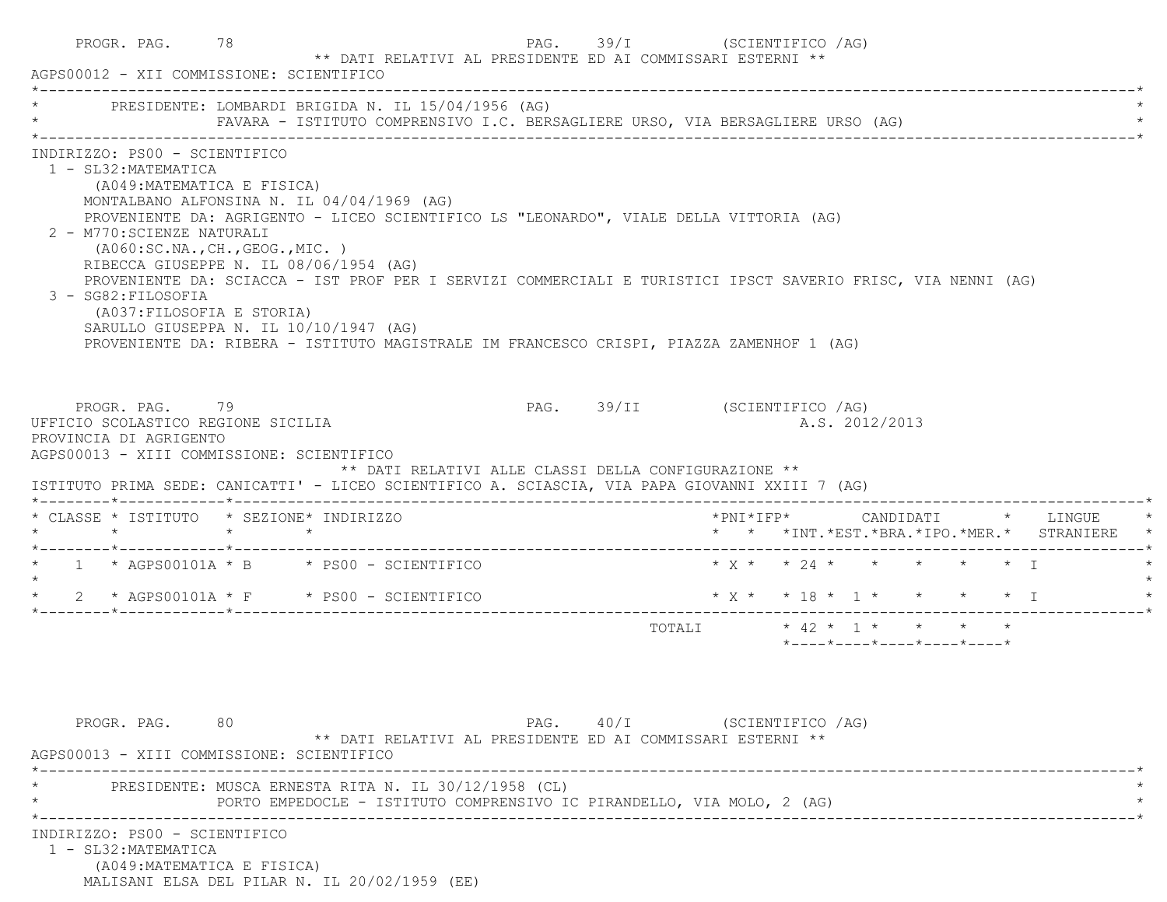| PROGR. PAG. 78<br>AGPS00012 - XII COMMISSIONE: SCIENTIFICO                                                                                                                                                                     | ** DATI RELATIVI AL PRESIDENTE ED AI COMMISSARI ESTERNI **                                                                                                                                                                                                                                                                                                                                                                           |                                                      | PAG. 39/I (SCIENTIFICO /AG)  |                           |                                |  |                |                                                  |                                               |
|--------------------------------------------------------------------------------------------------------------------------------------------------------------------------------------------------------------------------------|--------------------------------------------------------------------------------------------------------------------------------------------------------------------------------------------------------------------------------------------------------------------------------------------------------------------------------------------------------------------------------------------------------------------------------------|------------------------------------------------------|------------------------------|---------------------------|--------------------------------|--|----------------|--------------------------------------------------|-----------------------------------------------|
| PRESIDENTE: LOMBARDI BRIGIDA N. IL 15/04/1956 (AG)                                                                                                                                                                             | FAVARA - ISTITUTO COMPRENSIVO I.C. BERSAGLIERE URSO, VIA BERSAGLIERE URSO (AG)                                                                                                                                                                                                                                                                                                                                                       |                                                      |                              |                           |                                |  |                |                                                  |                                               |
| INDIRIZZO: PS00 - SCIENTIFICO<br>1 - SL32: MATEMATICA<br>(A049: MATEMATICA E FISICA)<br>2 - M770: SCIENZE NATURALI<br>(AO60:SC.NA., CH., GEOG., MIC. )<br>3 - SG82: FILOSOFIA<br>(A037:FILOSOFIA E STORIA)                     | MONTALBANO ALFONSINA N. IL 04/04/1969 (AG)<br>PROVENIENTE DA: AGRIGENTO - LICEO SCIENTIFICO LS "LEONARDO", VIALE DELLA VITTORIA (AG)<br>RIBECCA GIUSEPPE N. IL 08/06/1954 (AG)<br>PROVENIENTE DA: SCIACCA - IST PROF PER I SERVIZI COMMERCIALI E TURISTICI IPSCT SAVERIO FRISC, VIA NENNI (AG)<br>SARULLO GIUSEPPA N. IL 10/10/1947 (AG)<br>PROVENIENTE DA: RIBERA - ISTITUTO MAGISTRALE IM FRANCESCO CRISPI, PIAZZA ZAMENHOF 1 (AG) |                                                      |                              |                           |                                |  |                |                                                  |                                               |
| PROGR. PAG. 79<br>UFFICIO SCOLASTICO REGIONE SICILIA<br>PROVINCIA DI AGRIGENTO<br>AGPS00013 - XIII COMMISSIONE: SCIENTIFICO<br>ISTITUTO PRIMA SEDE: CANICATTI' - LICEO SCIENTIFICO A. SCIASCIA, VIA PAPA GIOVANNI XXIII 7 (AG) |                                                                                                                                                                                                                                                                                                                                                                                                                                      | ** DATI RELATIVI ALLE CLASSI DELLA CONFIGURAZIONE ** | PAG. 39/II (SCIENTIFICO /AG) |                           |                                |  | A.S. 2012/2013 |                                                  |                                               |
| * CLASSE * ISTITUTO * SEZIONE* INDIRIZZO<br>$\star$ $\star$ $\star$                                                                                                                                                            |                                                                                                                                                                                                                                                                                                                                                                                                                                      |                                                      |                              |                           |                                |  |                |                                                  | * * *INT. *EST. *BRA. *IPO. *MER. * STRANIERE |
| * 1 * AGPS00101A * B * PS00 - SCIENTIFICO                                                                                                                                                                                      |                                                                                                                                                                                                                                                                                                                                                                                                                                      |                                                      |                              |                           | $* x * x * 24 * * * * * * * T$ |  |                |                                                  |                                               |
|                                                                                                                                                                                                                                |                                                                                                                                                                                                                                                                                                                                                                                                                                      |                                                      |                              |                           |                                |  |                |                                                  |                                               |
|                                                                                                                                                                                                                                |                                                                                                                                                                                                                                                                                                                                                                                                                                      |                                                      |                              | TOTALI * 42 * 1 * * * * * |                                |  |                | $*$ ---- $*$ ---- $*$ ---- $*$ ---- $*$ ---- $*$ |                                               |
|                                                                                                                                                                                                                                |                                                                                                                                                                                                                                                                                                                                                                                                                                      |                                                      |                              |                           |                                |  |                |                                                  |                                               |
| PROGR. PAG. 80<br>AGPS00013 - XIII COMMISSIONE: SCIENTIFICO                                                                                                                                                                    | ** DATI RELATIVI AL PRESIDENTE ED AI COMMISSARI ESTERNI **                                                                                                                                                                                                                                                                                                                                                                           |                                                      | PAG. 40/I (SCIENTIFICO /AG)  |                           |                                |  |                |                                                  |                                               |
|                                                                                                                                                                                                                                | PRESIDENTE: MUSCA ERNESTA RITA N. IL 30/12/1958 (CL)<br>PORTO EMPEDOCLE - ISTITUTO COMPRENSIVO IC PIRANDELLO, VIA MOLO, 2 (AG)                                                                                                                                                                                                                                                                                                       |                                                      |                              |                           |                                |  |                |                                                  |                                               |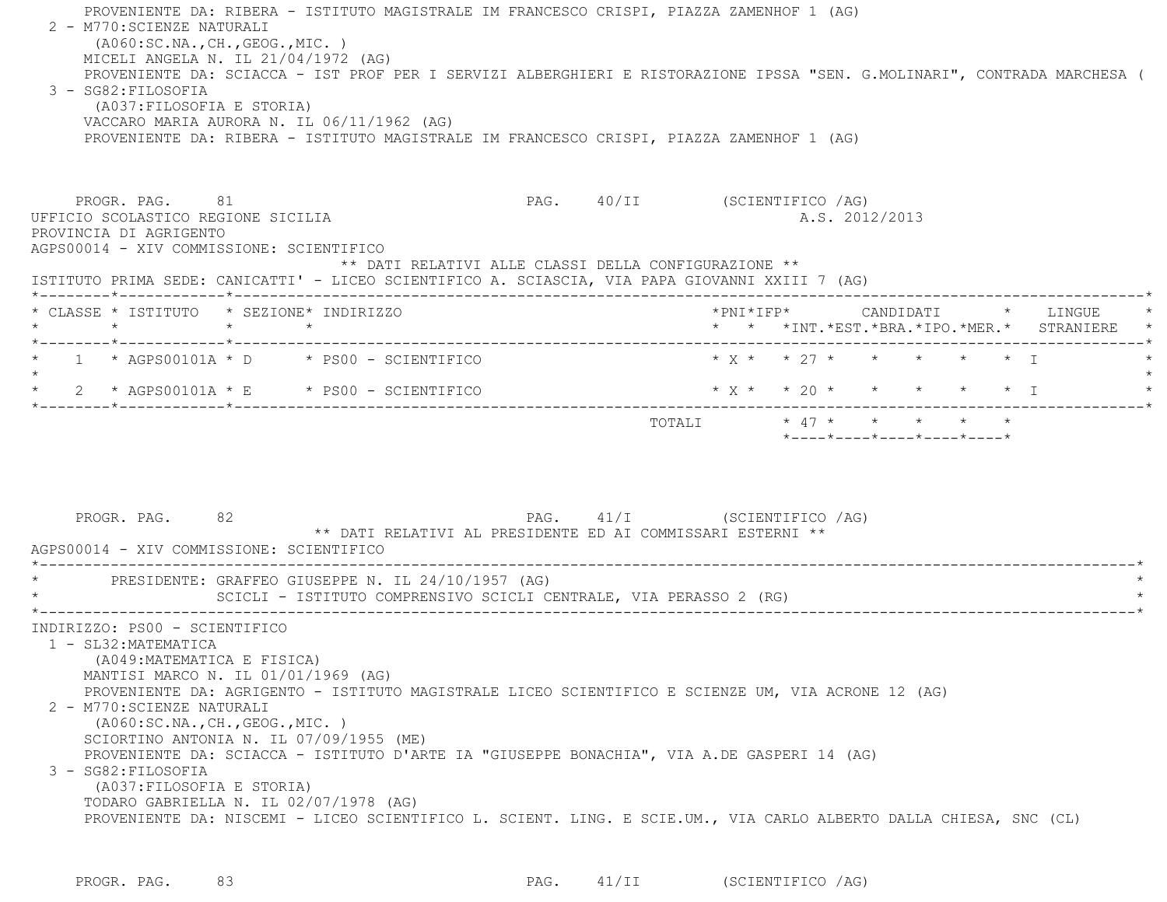| PROVENIENTE DA: RIBERA - ISTITUTO MAGISTRALE IM FRANCESCO CRISPI, PIAZZA ZAMENHOF 1 (AG)<br>2 - M770: SCIENZE NATURALI<br>( A060:SC.NA., CH., GEOG., MIC. )<br>MICELI ANGELA N. IL 21/04/1972 (AG)<br>PROVENIENTE DA: SCIACCA - IST PROF PER I SERVIZI ALBERGHIERI E RISTORAZIONE IPSSA "SEN. G.MOLINARI", CONTRADA MARCHESA (<br>3 - SG82: FILOSOFIA<br>(A037: FILOSOFIA E STORIA)<br>VACCARO MARIA AURORA N. IL 06/11/1962 (AG)<br>PROVENIENTE DA: RIBERA - ISTITUTO MAGISTRALE IM FRANCESCO CRISPI, PIAZZA ZAMENHOF 1 (AG)                                                                                                                                     |                                                                                  |                                                  |  |  |                                               |  |
|-------------------------------------------------------------------------------------------------------------------------------------------------------------------------------------------------------------------------------------------------------------------------------------------------------------------------------------------------------------------------------------------------------------------------------------------------------------------------------------------------------------------------------------------------------------------------------------------------------------------------------------------------------------------|----------------------------------------------------------------------------------|--------------------------------------------------|--|--|-----------------------------------------------|--|
| PAG. 40/II (SCIENTIFICO /AG)<br>PROGR. PAG. 81<br>UFFICIO SCOLASTICO REGIONE SICILIA<br>PROVINCIA DI AGRIGENTO<br>AGPS00014 - XIV COMMISSIONE: SCIENTIFICO<br>** DATI RELATIVI ALLE CLASSI DELLA CONFIGURAZIONE **<br>ISTITUTO PRIMA SEDE: CANICATTI' - LICEO SCIENTIFICO A. SCIASCIA, VIA PAPA GIOVANNI XXIII 7 (AG)                                                                                                                                                                                                                                                                                                                                             |                                                                                  | A.S. 2012/2013                                   |  |  |                                               |  |
| * CLASSE * ISTITUTO * SEZIONE* INDIRIZZO<br>$\star$ $\star$ $\star$                                                                                                                                                                                                                                                                                                                                                                                                                                                                                                                                                                                               |                                                                                  |                                                  |  |  | * * *INT. *EST. *BRA. *IPO. *MER. * STRANIERE |  |
| *--------*------------*-------------<br>$\star$ 1 $\star$ AGPS00101A $\star$ D $\star$ PS00 - SCIENTIFICO<br>* $2$ * AGPS00101A * E * PS00 - SCIENTIFICO                                                                                                                                                                                                                                                                                                                                                                                                                                                                                                          | * x * * 27 * * * * * * T<br>$*$ X $*$ $*$ 20 $*$ $*$ $*$ $*$ $*$ $*$ $*$ $*$ $*$ |                                                  |  |  |                                               |  |
| PAG. 41/I (SCIENTIFICO /AG)<br>PROGR. PAG. 82<br>** DATI RELATIVI AL PRESIDENTE ED AI COMMISSARI ESTERNI **<br>AGPS00014 - XIV COMMISSIONE: SCIENTIFICO                                                                                                                                                                                                                                                                                                                                                                                                                                                                                                           | TOTALI * 47 * * * * *                                                            | $*$ ---- $*$ ---- $*$ ---- $*$ ---- $*$ ---- $*$ |  |  |                                               |  |
| * PRESIDENTE: GRAFFEO GIUSEPPE N. IL 24/10/1957 (AG)<br>SCICLI - ISTITUTO COMPRENSIVO SCICLI CENTRALE, VIA PERASSO 2 (RG)                                                                                                                                                                                                                                                                                                                                                                                                                                                                                                                                         |                                                                                  |                                                  |  |  |                                               |  |
| INDIRIZZO: PS00 - SCIENTIFICO<br>1 - SL32: MATEMATICA<br>(A049: MATEMATICA E FISICA)<br>MANTISI MARCO N. IL 01/01/1969 (AG)<br>PROVENIENTE DA: AGRIGENTO - ISTITUTO MAGISTRALE LICEO SCIENTIFICO E SCIENZE UM, VIA ACRONE 12 (AG)<br>2 - M770: SCIENZE NATURALI<br>( A060:SC.NA., CH., GEOG., MIC. )<br>SCIORTINO ANTONIA N. IL 07/09/1955 (ME)<br>PROVENIENTE DA: SCIACCA - ISTITUTO D'ARTE IA "GIUSEPPE BONACHIA", VIA A.DE GASPERI 14 (AG)<br>3 - SG82: FILOSOFIA<br>(A037: FILOSOFIA E STORIA)<br>TODARO GABRIELLA N. IL 02/07/1978 (AG)<br>PROVENIENTE DA: NISCEMI - LICEO SCIENTIFICO L. SCIENT. LING. E SCIE.UM., VIA CARLO ALBERTO DALLA CHIESA, SNC (CL) |                                                                                  |                                                  |  |  |                                               |  |

PROGR. PAG. 83 PAG. 41/II (SCIENTIFICO /AG)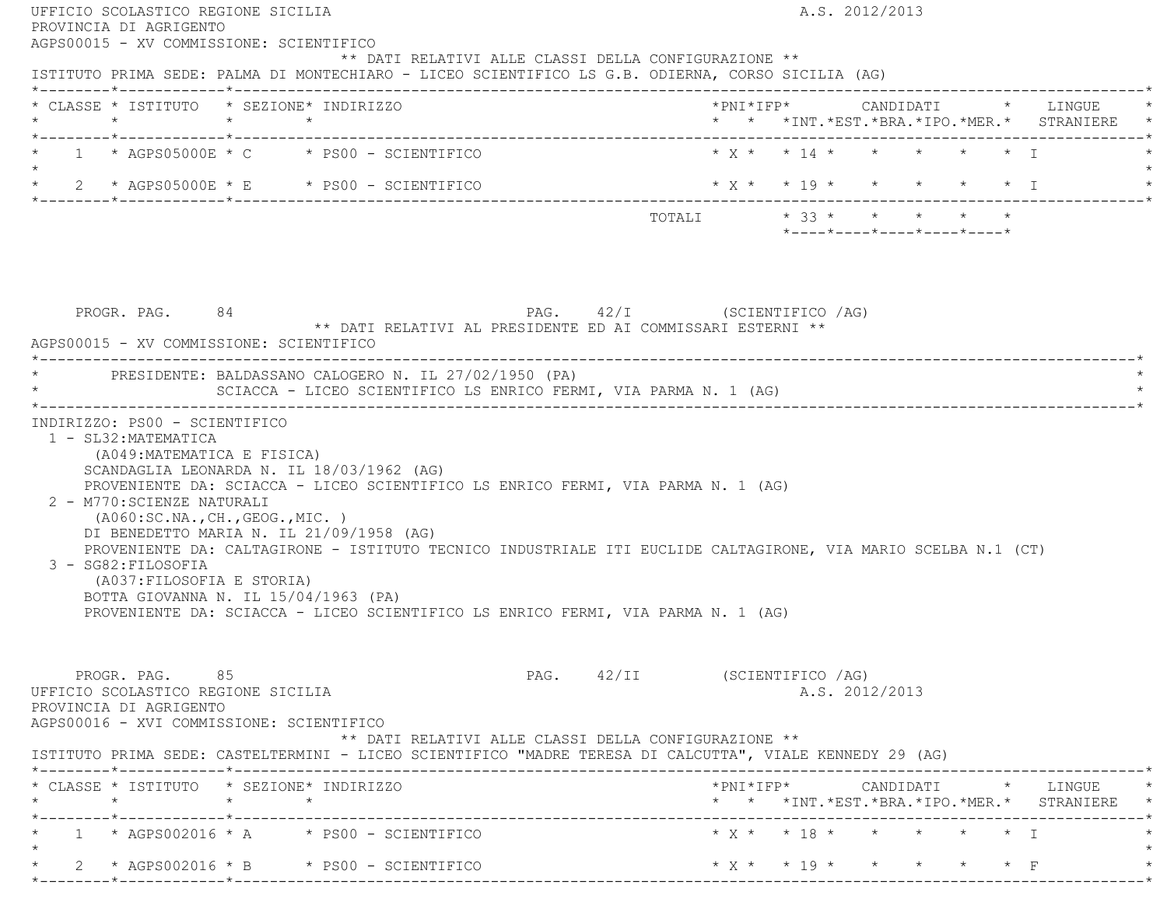| AGPS00015 - XV COMMISSIONE: SCIENTIFICO<br>ISTITUTO PRIMA SEDE: PALMA DI MONTECHIARO - LICEO SCIENTIFICO LS G.B. ODIERNA, CORSO SICILIA (AG)                                                                                 |                                                                                       | ** DATI RELATIVI ALLE CLASSI DELLA CONFIGURAZIONE **                                                                                                                                                                                                                                  |                              |                          |                                                  |  |                                                                                                                                                    |
|------------------------------------------------------------------------------------------------------------------------------------------------------------------------------------------------------------------------------|---------------------------------------------------------------------------------------|---------------------------------------------------------------------------------------------------------------------------------------------------------------------------------------------------------------------------------------------------------------------------------------|------------------------------|--------------------------|--------------------------------------------------|--|----------------------------------------------------------------------------------------------------------------------------------------------------|
| * CLASSE * ISTITUTO * SEZIONE* INDIRIZZO                                                                                                                                                                                     |                                                                                       |                                                                                                                                                                                                                                                                                       |                              |                          |                                                  |  | *PNI*IFP*     CANDIDATI    *   LINGUE<br>* * *INT. *EST. *BRA. *IPO. *MER. * STRANIERE *                                                           |
| $*$ 1 $*$ AGPS05000E $*$ C $*$ PS00 - SCIENTIFICO                                                                                                                                                                            |                                                                                       |                                                                                                                                                                                                                                                                                       |                              | * x * * 14 * * * * * * T |                                                  |  |                                                                                                                                                    |
| $\star$ 2 $\star$ AGPS05000E $\star$ E $\star$ PS00 - SCIENTIFICO                                                                                                                                                            |                                                                                       |                                                                                                                                                                                                                                                                                       |                              | * X * * 19 * * * * * * I |                                                  |  |                                                                                                                                                    |
|                                                                                                                                                                                                                              |                                                                                       |                                                                                                                                                                                                                                                                                       |                              |                          | $*$ ---- $*$ ---- $*$ ---- $*$ ---- $*$ ---- $*$ |  |                                                                                                                                                    |
| PROGR. PAG. 84<br>AGPS00015 - XV COMMISSIONE: SCIENTIFICO<br>* PRESIDENTE: BALDASSANO CALOGERO N. IL 27/02/1950 (PA)                                                                                                         |                                                                                       | PAG. 42/I (SCIENTIFICO /AG)<br>** DATI RELATIVI AL PRESIDENTE ED AI COMMISSARI ESTERNI **                                                                                                                                                                                             |                              |                          |                                                  |  |                                                                                                                                                    |
|                                                                                                                                                                                                                              |                                                                                       | SCIACCA - LICEO SCIENTIFICO LS ENRICO FERMI, VIA PARMA N. 1 (AG)                                                                                                                                                                                                                      |                              |                          |                                                  |  |                                                                                                                                                    |
| 1 - SL32: MATEMATICA                                                                                                                                                                                                         |                                                                                       |                                                                                                                                                                                                                                                                                       |                              |                          |                                                  |  |                                                                                                                                                    |
| INDIRIZZO: PS00 - SCIENTIFICO<br>(A049: MATEMATICA E FISICA)<br>2 - M770: SCIENZE NATURALI<br>( A060:SC.NA., CH., GEOG., MIC. )<br>3 - SG82: FILOSOFIA<br>(A037: FILOSOFIA E STORIA)<br>BOTTA GIOVANNA N. IL 15/04/1963 (PA) | SCANDAGLIA LEONARDA N. IL 18/03/1962 (AG)<br>DI BENEDETTO MARIA N. IL 21/09/1958 (AG) | PROVENIENTE DA: SCIACCA - LICEO SCIENTIFICO LS ENRICO FERMI, VIA PARMA N. 1 (AG)<br>PROVENIENTE DA: CALTAGIRONE - ISTITUTO TECNICO INDUSTRIALE ITI EUCLIDE CALTAGIRONE, VIA MARIO SCELBA N.1 (CT)<br>PROVENIENTE DA: SCIACCA - LICEO SCIENTIFICO LS ENRICO FERMI, VIA PARMA N. 1 (AG) |                              |                          |                                                  |  |                                                                                                                                                    |
| PROGR. PAG. 85<br>UFFICIO SCOLASTICO REGIONE SICILIA<br>PROVINCIA DI AGRIGENTO<br>AGPS00016 - XVI COMMISSIONE: SCIENTIFICO                                                                                                   |                                                                                       | ** DATI RELATIVI ALLE CLASSI DELLA CONFIGURAZIONE **                                                                                                                                                                                                                                  | PAG. 42/II (SCIENTIFICO /AG) |                          | A.S. 2012/2013                                   |  |                                                                                                                                                    |
|                                                                                                                                                                                                                              |                                                                                       |                                                                                                                                                                                                                                                                                       |                              |                          |                                                  |  |                                                                                                                                                    |
|                                                                                                                                                                                                                              |                                                                                       |                                                                                                                                                                                                                                                                                       |                              |                          |                                                  |  | $*PNI*IFP* \qquad \qquad \text{CANDIDATI} \qquad \qquad * \qquad \text{LINGUE} \qquad \qquad *$<br>* * *INT. *EST. *BRA. *IPO. *MER. * STRANIERE * |
| ISTITUTO PRIMA SEDE: CASTELTERMINI - LICEO SCIENTIFICO "MADRE TERESA DI CALCUTTA", VIALE KENNEDY 29 (AG)<br>* CLASSE * ISTITUTO * SEZIONE* INDIRIZZO<br>$1 * AGPS002016 * A * PS00 - SCIENTIFICO$                            |                                                                                       |                                                                                                                                                                                                                                                                                       |                              | * x * * 18 * * * * * * 1 |                                                  |  |                                                                                                                                                    |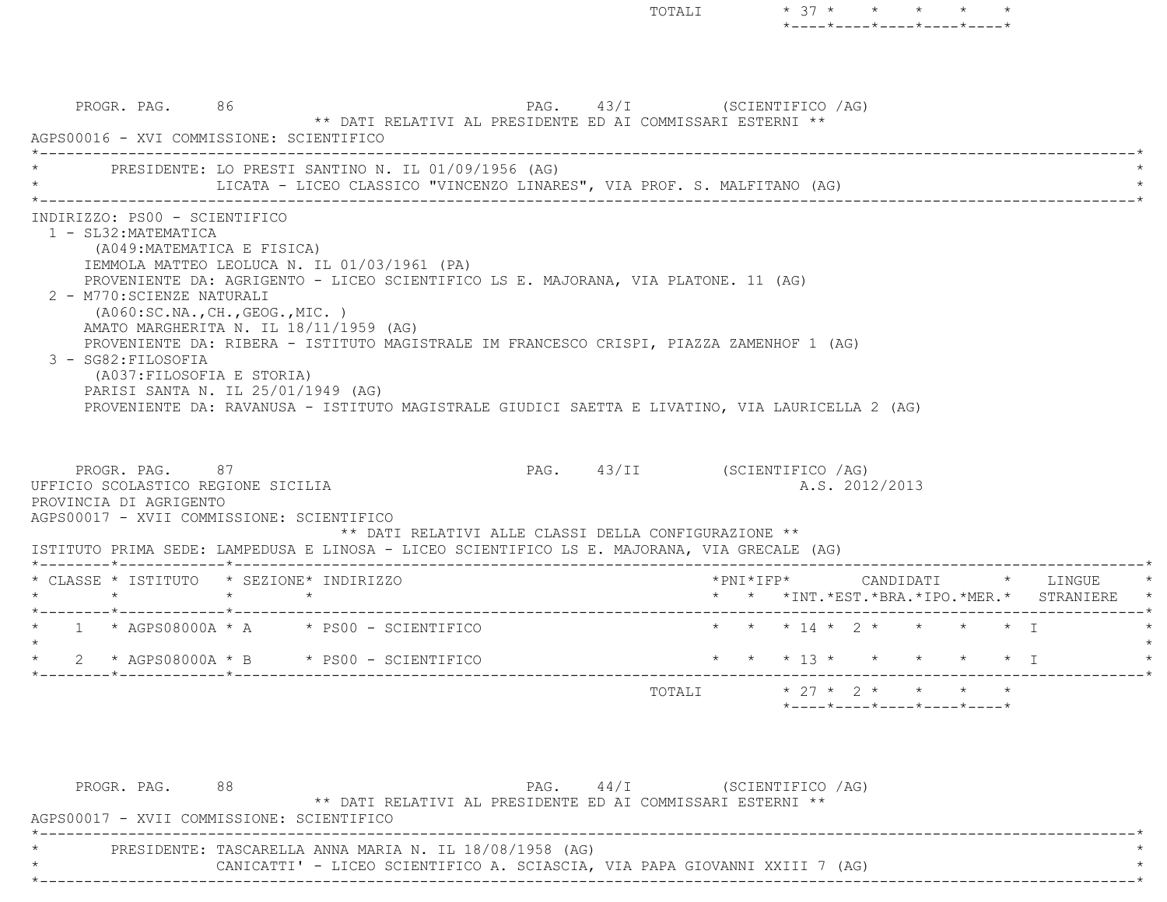PROGR. PAG. 86 86 PAG. 43/I (SCIENTIFICO /AG) \*\* DATI RELATIVI AL PRESIDENTE ED AI COMMISSARI ESTERNI \*\* AGPS00016 - XVI COMMISSIONE: SCIENTIFICO \*----------------------------------------------------------------------------------------------------------------------------\*PRESIDENTE: LO PRESTI SANTINO N. IL 01/09/1956 (AG) LICATA - LICEO CLASSICO "VINCENZO LINARES", VIA PROF. S. MALFITANO (AG) \*----------------------------------------------------------------------------------------------------------------------------\* INDIRIZZO: PS00 - SCIENTIFICO 1 - SL32:MATEMATICA (A049:MATEMATICA E FISICA) IEMMOLA MATTEO LEOLUCA N. IL 01/03/1961 (PA) PROVENIENTE DA: AGRIGENTO - LICEO SCIENTIFICO LS E. MAJORANA, VIA PLATONE. 11 (AG) 2 - M770:SCIENZE NATURALI (A060:SC.NA.,CH.,GEOG.,MIC. ) AMATO MARGHERITA N. IL 18/11/1959 (AG) PROVENIENTE DA: RIBERA - ISTITUTO MAGISTRALE IM FRANCESCO CRISPI, PIAZZA ZAMENHOF 1 (AG) 3 - SG82:FILOSOFIA (A037:FILOSOFIA E STORIA) PARISI SANTA N. IL 25/01/1949 (AG) PROVENIENTE DA: RAVANUSA - ISTITUTO MAGISTRALE GIUDICI SAETTA E LIVATINO, VIA LAURICELLA 2 (AG) PROGR. PAG. 87 87 PAG. 43/II (SCIENTIFICO / AG) UFFICIO SCOLASTICO REGIONE SICILIA A.S. 2012/2013 PROVINCIA DI AGRIGENTO AGPS00017 - XVII COMMISSIONE: SCIENTIFICO \*\* DATI RELATIVI ALLE CLASSI DELLA CONFIGURAZIONE \*\* ISTITUTO PRIMA SEDE: LAMPEDUSA E LINOSA - LICEO SCIENTIFICO LS E. MAJORANA, VIA GRECALE (AG) \*--------\*------------\*-------------------------------------------------------------------------------------------------------\* \* CLASSE \* ISTITUTO \* SEZIONE\* INDIRIZZO \*PNI\*IFP\* CANDIDATI \* LINGUE \* \* \* \* \* \* \* \*INT.\*EST.\*BRA.\*IPO.\*MER.\* STRANIERE \* \*--------\*------------\*-------------------------------------------------------------------------------------------------------\* \* 1 \* AGPS08000A \* A \* PS00 - SCIENTIFICO \* \* \* 14 \* 2 \* \* \* \* I \* $\star$  \* 2 \* AGPS08000A \* B \* PS00 - SCIENTIFICO \* \* \* 13 \* \* \* \* \* I \* \*--------\*------------\*-------------------------------------------------------------------------------------------------------\*TOTALI  $* 27 * 2 * * * * * * *$ \*----\*----\*----\*----\*----\*

TOTALI  $* 37 * * * * * * * *$ 

\*----\*----\*----\*----\*----\*

| PROGR. PAG. | 88                                                                         |  | $PAG.$ 44/I |                                                            | (SCIENTIFICO /AG) |  |  |
|-------------|----------------------------------------------------------------------------|--|-------------|------------------------------------------------------------|-------------------|--|--|
|             |                                                                            |  |             | ** DATI RELATIVI AL PRESIDENTE ED AI COMMISSARI ESTERNI ** |                   |  |  |
|             | AGPS00017 - XVII COMMISSIONE: SCIENTIFICO                                  |  |             |                                                            |                   |  |  |
|             |                                                                            |  |             |                                                            |                   |  |  |
|             | PRESIDENTE: TASCARELLA ANNA MARIA N. IL 18/08/1958 (AG)                    |  |             |                                                            |                   |  |  |
|             | CANICATTI' - LICEO SCIENTIFICO A. SCIASCIA, VIA PAPA GIOVANNI XXIII 7 (AG) |  |             |                                                            |                   |  |  |
|             |                                                                            |  |             |                                                            |                   |  |  |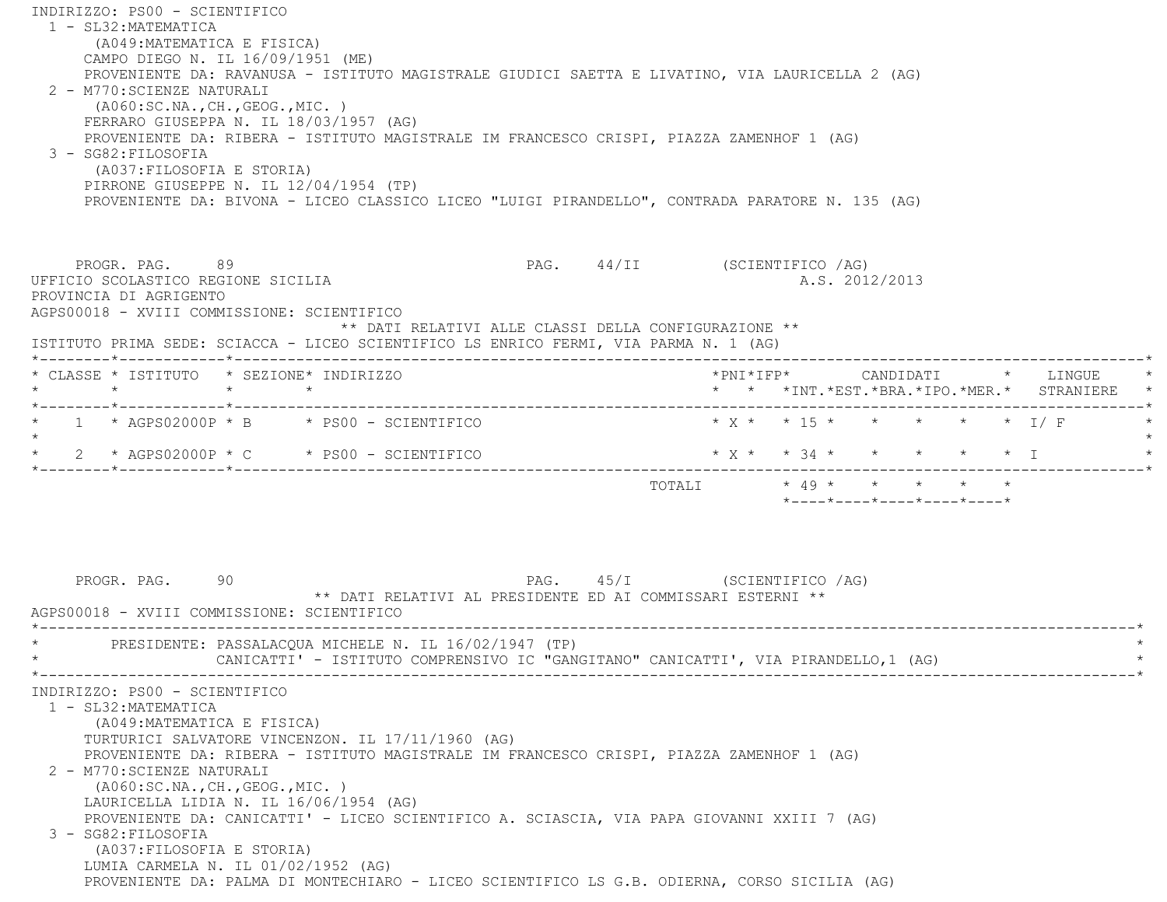INDIRIZZO: PS00 - SCIENTIFICO 1 - SL32:MATEMATICA (A049:MATEMATICA E FISICA) CAMPO DIEGO N. IL 16/09/1951 (ME) PROVENIENTE DA: RAVANUSA - ISTITUTO MAGISTRALE GIUDICI SAETTA E LIVATINO, VIA LAURICELLA 2 (AG) 2 - M770:SCIENZE NATURALI (A060:SC.NA.,CH.,GEOG.,MIC. ) FERRARO GIUSEPPA N. IL 18/03/1957 (AG) PROVENIENTE DA: RIBERA - ISTITUTO MAGISTRALE IM FRANCESCO CRISPI, PIAZZA ZAMENHOF 1 (AG) 3 - SG82:FILOSOFIA (A037:FILOSOFIA E STORIA) PIRRONE GIUSEPPE N. IL 12/04/1954 (TP) PROVENIENTE DA: BIVONA - LICEO CLASSICO LICEO "LUIGI PIRANDELLO", CONTRADA PARATORE N. 135 (AG) PROGR. PAG. 89 88 PAG. PAG. 44/II (SCIENTIFICO / AG) UFFICIO SCOLASTICO REGIONE SICILIA A.S. 2012/2013 PROVINCIA DI AGRIGENTO AGPS00018 - XVIII COMMISSIONE: SCIENTIFICO \*\* DATI RELATIVI ALLE CLASSI DELLA CONFIGURAZIONE \*\* ISTITUTO PRIMA SEDE: SCIACCA - LICEO SCIENTIFICO LS ENRICO FERMI, VIA PARMA N. 1 (AG) \*--------\*------------\*-------------------------------------------------------------------------------------------------------\* \* CLASSE \* ISTITUTO \* SEZIONE\* INDIRIZZO \*PNI\*IFP\* CANDIDATI \* LINGUE \* \* \* \* \* \* \* \*INT.\*EST.\*BRA.\*IPO.\*MER.\* STRANIERE \* \*--------\*------------\*-------------------------------------------------------------------------------------------------------\*1 \* AGPS02000P \* B \* PS00 - SCIENTIFICO \* \* \* \* \* \* \* \* \* \* \* \* 1/ F  $\star$ \* 2 \* AGPS02000P \* C \* PS00 - SCIENTIFICO \* \* \* \* \* \* \* \* \* \* \* T \*--------\*------------\*-------------------------------------------------------------------------------------------------------\* TOTALI \* 49 \* \* \* \* \* \*----\*----\*----\*----\*----\*PROGR. PAG. 90 90 PAG. 45/I (SCIENTIFICO /AG) \*\* DATI RELATIVI AL PRESIDENTE ED AI COMMISSARI ESTERNI \*\* AGPS00018 - XVIII COMMISSIONE: SCIENTIFICO \*----------------------------------------------------------------------------------------------------------------------------\*PRESIDENTE: PASSALACOUA MICHELE N. IL 16/02/1947 (TP) CANICATTI' - ISTITUTO COMPRENSIVO IC "GANGITANO" CANICATTI', VIA PIRANDELLO,1 (AG) \*----------------------------------------------------------------------------------------------------------------------------\* INDIRIZZO: PS00 - SCIENTIFICO 1 - SL32:MATEMATICA (A049:MATEMATICA E FISICA) TURTURICI SALVATORE VINCENZON. IL 17/11/1960 (AG) PROVENIENTE DA: RIBERA - ISTITUTO MAGISTRALE IM FRANCESCO CRISPI, PIAZZA ZAMENHOF 1 (AG) 2 - M770:SCIENZE NATURALI (A060:SC.NA.,CH.,GEOG.,MIC. ) LAURICELLA LIDIA N. IL 16/06/1954 (AG) PROVENIENTE DA: CANICATTI' - LICEO SCIENTIFICO A. SCIASCIA, VIA PAPA GIOVANNI XXIII 7 (AG) 3 - SG82:FILOSOFIA (A037:FILOSOFIA E STORIA) LUMIA CARMELA N. IL 01/02/1952 (AG) PROVENIENTE DA: PALMA DI MONTECHIARO - LICEO SCIENTIFICO LS G.B. ODIERNA, CORSO SICILIA (AG)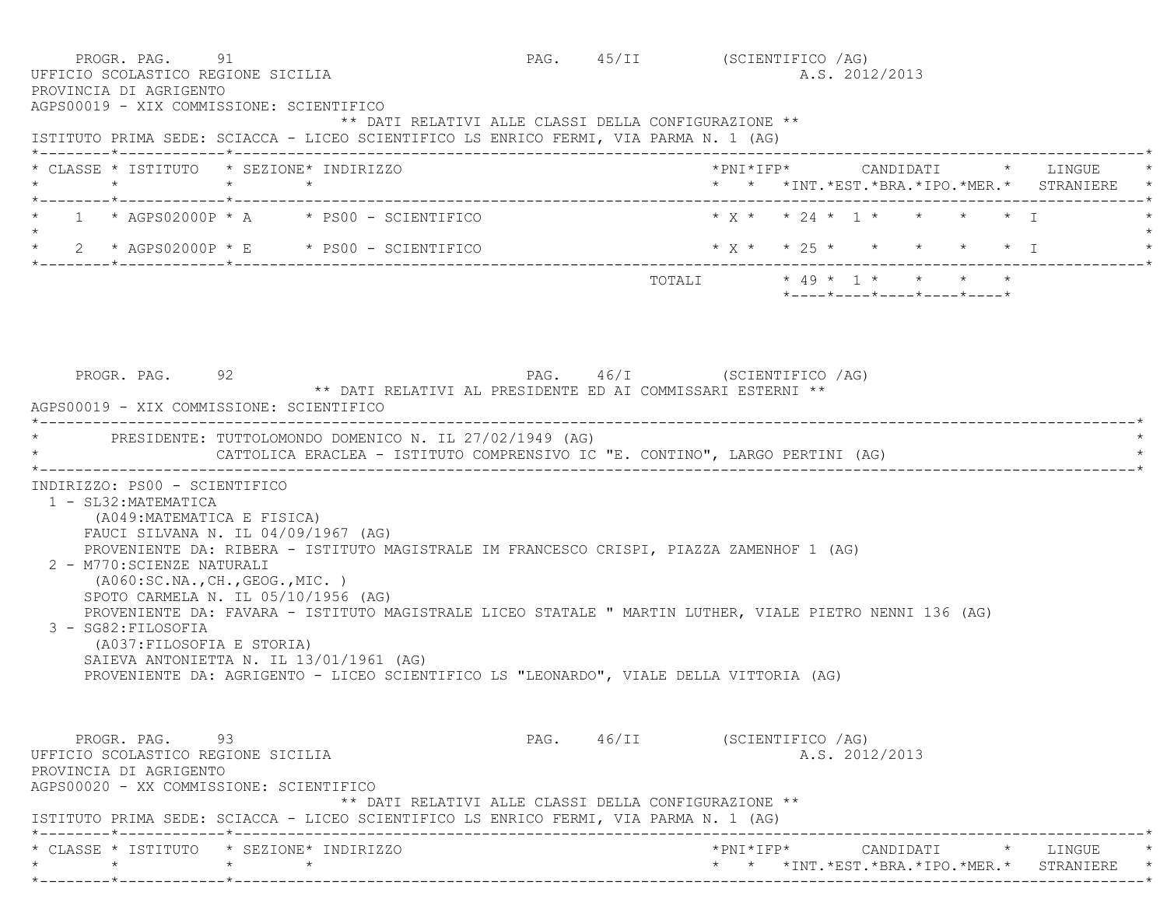PROGR. PAG. 91 91 PAG. 45/II (SCIENTIFICO /AG) UFFICIO SCOLASTICO REGIONE SICILIA A.S. 2012/2013 PROVINCIA DI AGRIGENTO AGPS00019 - XIX COMMISSIONE: SCIENTIFICO \*\* DATI RELATIVI ALLE CLASSI DELLA CONFIGURAZIONE \*\* ISTITUTO PRIMA SEDE: SCIACCA - LICEO SCIENTIFICO LS ENRICO FERMI, VIA PARMA N. 1 (AG) \*--------\*------------\*-------------------------------------------------------------------------------------------------------\* \* CLASSE \* ISTITUTO \* SEZIONE\* INDIRIZZO \*PNI\*IFP\* CANDIDATI \* LINGUE \* \* \* \* \* \* \* \*INT.\*EST.\*BRA.\*IPO.\*MER.\* STRANIERE \* \*--------\*------------\*-------------------------------------------------------------------------------------------------------\*1 \* AGPS02000P \* A \* PS00 - SCIENTIFICO \* \* \* \* \* \* \* 24 \* 1 \* \* \*  $\star$  \* 2 \* AGPS02000P \* E \* PS00 - SCIENTIFICO \* X \* \* 25 \* \* \* \* \* I \* \*--------\*------------\*-------------------------------------------------------------------------------------------------------\* $\texttt{TOTAL} \qquad \qquad \star \; \; 49 \; \star \; \; 1 \; \star \qquad \star \qquad \star \qquad \star \qquad \star$  \*----\*----\*----\*----\*----\* PROGR. PAG. 92 PAG. 46/I (SCIENTIFICO /AG) \*\* DATI RELATIVI AL PRESIDENTE ED AI COMMISSARI ESTERNI \*\* AGPS00019 - XIX COMMISSIONE: SCIENTIFICO \*----------------------------------------------------------------------------------------------------------------------------\*PRESIDENTE: TUTTOLOMONDO DOMENICO N. IL 27/02/1949 (AG) CATTOLICA ERACLEA - ISTITUTO COMPRENSIVO IC "E. CONTINO", LARGO PERTINI (AG) \*----------------------------------------------------------------------------------------------------------------------------\* INDIRIZZO: PS00 - SCIENTIFICO 1 - SL32:MATEMATICA (A049:MATEMATICA E FISICA) FAUCI SILVANA N. IL 04/09/1967 (AG) PROVENIENTE DA: RIBERA - ISTITUTO MAGISTRALE IM FRANCESCO CRISPI, PIAZZA ZAMENHOF 1 (AG) 2 - M770:SCIENZE NATURALI (A060:SC.NA.,CH.,GEOG.,MIC. ) SPOTO CARMELA N. IL 05/10/1956 (AG) PROVENIENTE DA: FAVARA - ISTITUTO MAGISTRALE LICEO STATALE " MARTIN LUTHER, VIALE PIETRO NENNI 136 (AG) 3 - SG82:FILOSOFIA (A037:FILOSOFIA E STORIA) SAIEVA ANTONIETTA N. IL 13/01/1961 (AG) PROVENIENTE DA: AGRIGENTO - LICEO SCIENTIFICO LS "LEONARDO", VIALE DELLA VITTORIA (AG) PROGR. PAG. 93 93 PAG. 46/II (SCIENTIFICO /AG) UFFICIO SCOLASTICO REGIONE SICILIA A.S. 2012/2013 PROVINCIA DI AGRIGENTO AGPS00020 - XX COMMISSIONE: SCIENTIFICO \*\* DATI RELATIVI ALLE CLASSI DELLA CONFIGURAZIONE \*\* ISTITUTO PRIMA SEDE: SCIACCA - LICEO SCIENTIFICO LS ENRICO FERMI, VIA PARMA N. 1 (AG) \*--------\*------------\*-------------------------------------------------------------------------------------------------------\* \* CLASSE \* ISTITUTO \* SEZIONE\* INDIRIZZO \*PNI\*IFP\* CANDIDATI \* LINGUE \*\* \* \* \* \* \* \*INT.\*EST.\*BRA.\*IPO.\*MER.\* STRANIERE \*

\*--------\*------------\*-------------------------------------------------------------------------------------------------------\*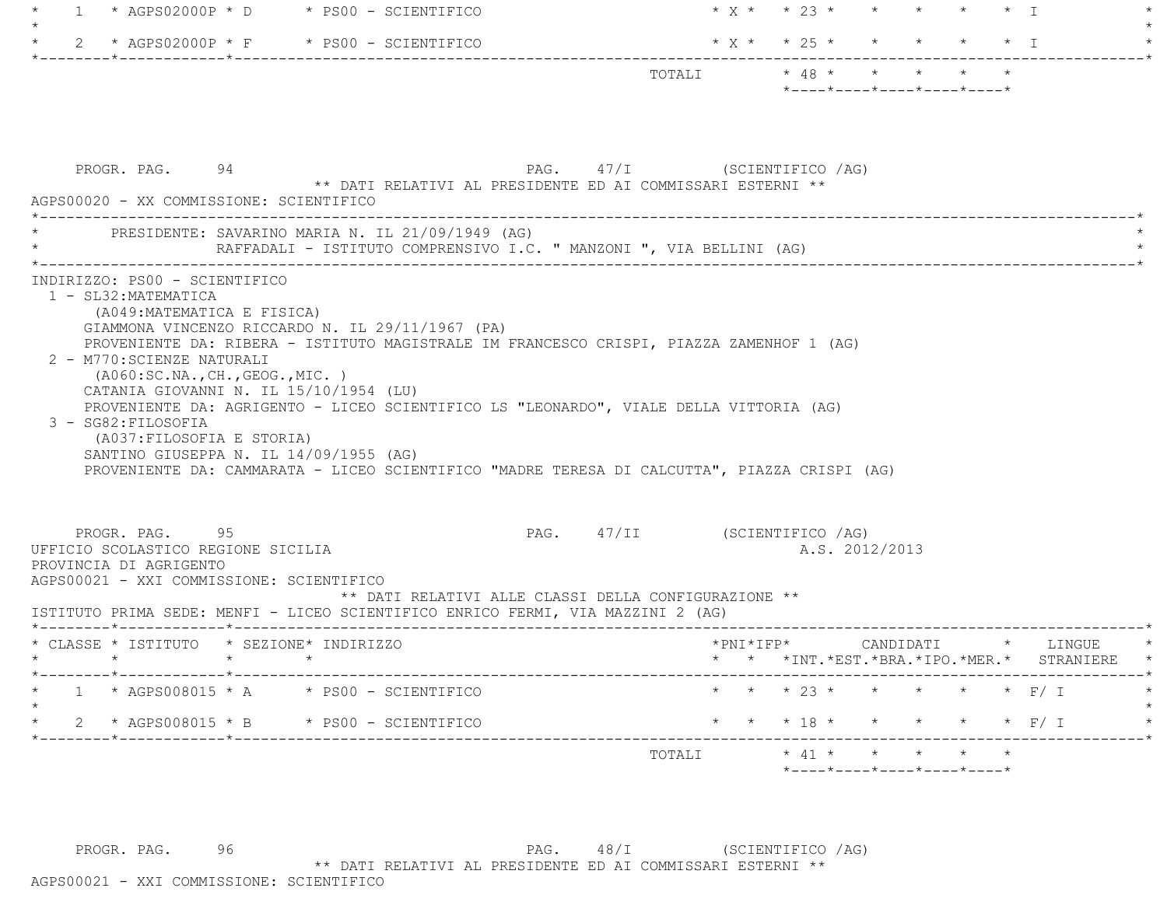| $\overline{1}$                                                                                                             | $\star$ AGPS02000P $\star$ D $\star$ PS00 - SCIENTIFICO                                                                                                                                                                                                                                                                                                                                                                    |                              | $* x * * 23 * * * * * * * T$ |  |  |                |                                                                                                        |  |                                                                     |
|----------------------------------------------------------------------------------------------------------------------------|----------------------------------------------------------------------------------------------------------------------------------------------------------------------------------------------------------------------------------------------------------------------------------------------------------------------------------------------------------------------------------------------------------------------------|------------------------------|------------------------------|--|--|----------------|--------------------------------------------------------------------------------------------------------|--|---------------------------------------------------------------------|
|                                                                                                                            | 2 * AGPS02000P * F * PS00 - SCIENTIFICO                                                                                                                                                                                                                                                                                                                                                                                    |                              | * X * * 25 * * * * * * I     |  |  |                |                                                                                                        |  |                                                                     |
|                                                                                                                            |                                                                                                                                                                                                                                                                                                                                                                                                                            |                              |                              |  |  |                | $*$ ---- $*$ ---- $*$ ---- $*$ ---- $*$ ---- $*$                                                       |  |                                                                     |
| PROGR. PAG. 94<br>AGPS00020 - XX COMMISSIONE: SCIENTIFICO                                                                  | ** DATI RELATIVI AL PRESIDENTE ED AI COMMISSARI ESTERNI **                                                                                                                                                                                                                                                                                                                                                                 | PAG. 47/I (SCIENTIFICO /AG)  |                              |  |  |                |                                                                                                        |  |                                                                     |
|                                                                                                                            | PRESIDENTE: SAVARINO MARIA N. IL 21/09/1949 (AG)<br>RAFFADALI - ISTITUTO COMPRENSIVO I.C. " MANZONI ", VIA BELLINI (AG)                                                                                                                                                                                                                                                                                                    |                              |                              |  |  |                |                                                                                                        |  |                                                                     |
| 2 - M770: SCIENZE NATURALI<br>(AO60:SC.NA., CH., GEOG., MIC. )<br>3 - SG82: FILOSOFIA<br>(A037: FILOSOFIA E STORIA)        | GIAMMONA VINCENZO RICCARDO N. IL 29/11/1967 (PA)<br>PROVENIENTE DA: RIBERA - ISTITUTO MAGISTRALE IM FRANCESCO CRISPI, PIAZZA ZAMENHOF 1 (AG)<br>CATANIA GIOVANNI N. IL 15/10/1954 (LU)<br>PROVENIENTE DA: AGRIGENTO - LICEO SCIENTIFICO LS "LEONARDO", VIALE DELLA VITTORIA (AG)<br>SANTINO GIUSEPPA N. IL 14/09/1955 (AG)<br>PROVENIENTE DA: CAMMARATA - LICEO SCIENTIFICO "MADRE TERESA DI CALCUTTA", PIAZZA CRISPI (AG) |                              |                              |  |  |                |                                                                                                        |  |                                                                     |
| PROGR. PAG. 95<br>UFFICIO SCOLASTICO REGIONE SICILIA<br>PROVINCIA DI AGRIGENTO<br>AGPS00021 - XXI COMMISSIONE: SCIENTIFICO | ** DATI RELATIVI ALLE CLASSI DELLA CONFIGURAZIONE **<br>ISTITUTO PRIMA SEDE: MENFI - LICEO SCIENTIFICO ENRICO FERMI, VIA MAZZINI 2 (AG)                                                                                                                                                                                                                                                                                    | PAG. 47/II (SCIENTIFICO /AG) |                              |  |  | A.S. 2012/2013 |                                                                                                        |  |                                                                     |
| * CLASSE * ISTITUTO * SEZIONE* INDIRIZZO                                                                                   |                                                                                                                                                                                                                                                                                                                                                                                                                            |                              | $*$ PNI $*$ IFP $*$          |  |  |                |                                                                                                        |  | CANDIDATI * LINGUE<br>* * *INT. *EST. *BRA. *IPO. *MER. * STRANIERE |
| *------------*------------                                                                                                 | $1 * AGPS008015 * A * PS00 - SCIENTIFICO$                                                                                                                                                                                                                                                                                                                                                                                  |                              |                              |  |  |                |                                                                                                        |  | * * * 23 * * * * * * F/ I                                           |
|                                                                                                                            | 2 * AGPS008015 * B * PS00 - SCIENTIFICO                                                                                                                                                                                                                                                                                                                                                                                    |                              | * * * 18 * * * * * * F/ I    |  |  |                |                                                                                                        |  |                                                                     |
|                                                                                                                            |                                                                                                                                                                                                                                                                                                                                                                                                                            | TOTALI                       |                              |  |  |                | $\star$ 41 $\star$ $\star$ $\star$ $\star$ $\star$<br>$*$ ---- $*$ ---- $*$ ---- $*$ ---- $*$ ---- $*$ |  |                                                                     |

PROGR. PAG. 96 96 PAG. 48/I (SCIENTIFICO / AG) \*\* DATI RELATIVI AL PRESIDENTE ED AI COMMISSARI ESTERNI \*\*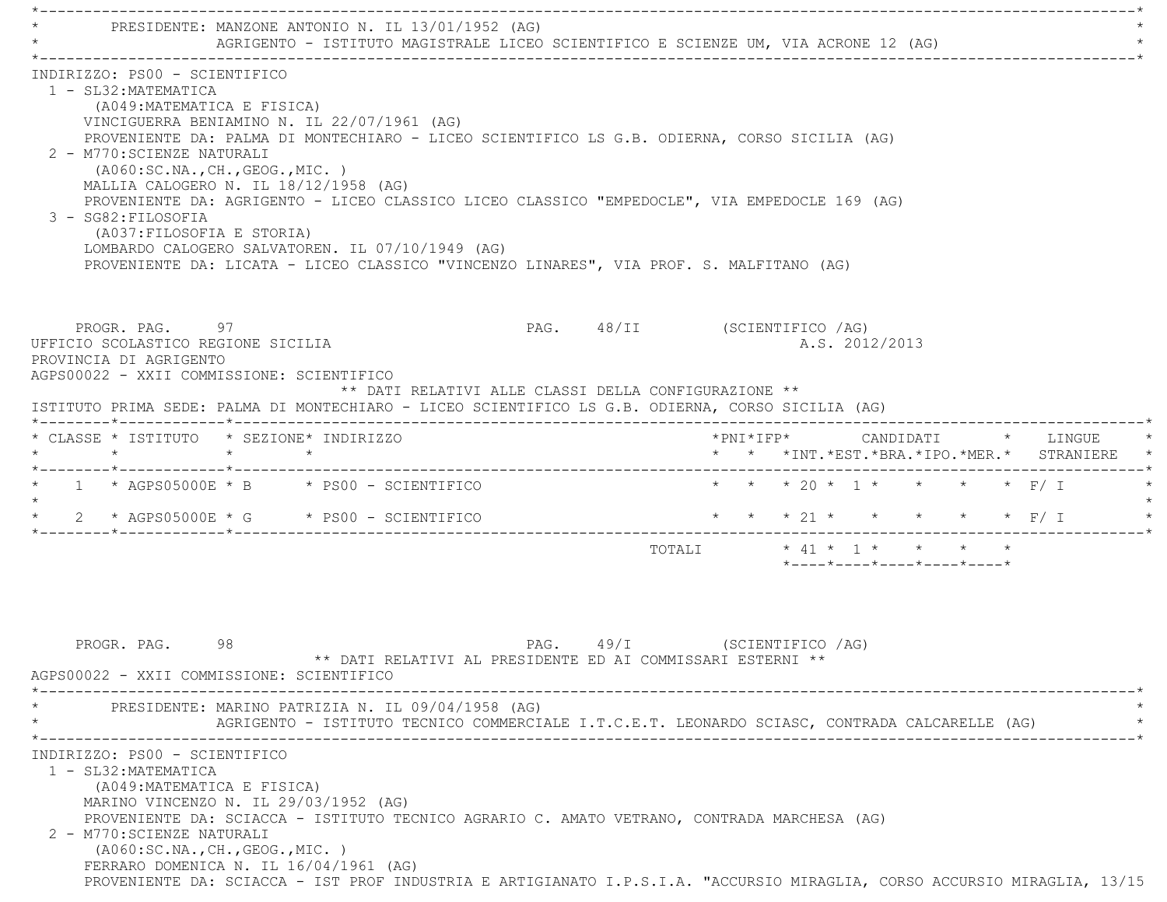\*----------------------------------------------------------------------------------------------------------------------------\*PRESIDENTE: MANZONE ANTONIO N. IL 13/01/1952 (AG) AGRIGENTO - ISTITUTO MAGISTRALE LICEO SCIENTIFICO E SCIENZE UM, VIA ACRONE 12 (AG) \*----------------------------------------------------------------------------------------------------------------------------\* INDIRIZZO: PS00 - SCIENTIFICO 1 - SL32:MATEMATICA (A049:MATEMATICA E FISICA) VINCIGUERRA BENIAMINO N. IL 22/07/1961 (AG) PROVENIENTE DA: PALMA DI MONTECHIARO - LICEO SCIENTIFICO LS G.B. ODIERNA, CORSO SICILIA (AG) 2 - M770:SCIENZE NATURALI (A060:SC.NA.,CH.,GEOG.,MIC. ) MALLIA CALOGERO N. IL 18/12/1958 (AG) PROVENIENTE DA: AGRIGENTO - LICEO CLASSICO LICEO CLASSICO "EMPEDOCLE", VIA EMPEDOCLE 169 (AG) 3 - SG82:FILOSOFIA (A037:FILOSOFIA E STORIA) LOMBARDO CALOGERO SALVATOREN. IL 07/10/1949 (AG) PROVENIENTE DA: LICATA - LICEO CLASSICO "VINCENZO LINARES", VIA PROF. S. MALFITANO (AG) PROGR. PAG. 97 PROGR. PAG. 48/II (SCIENTIFICO /AG) UFFICIO SCOLASTICO REGIONE SICILIA A.S. 2012/2013 PROVINCIA DI AGRIGENTO AGPS00022 - XXII COMMISSIONE: SCIENTIFICO \*\* DATI RELATIVI ALLE CLASSI DELLA CONFIGURAZIONE \*\* ISTITUTO PRIMA SEDE: PALMA DI MONTECHIARO - LICEO SCIENTIFICO LS G.B. ODIERNA, CORSO SICILIA (AG) \*--------\*------------\*-------------------------------------------------------------------------------------------------------\* \* CLASSE \* ISTITUTO \* SEZIONE\* INDIRIZZO \*PNI\*IFP\* CANDIDATI \* LINGUE \* \* \* \* \* \* \* \*INT.\*EST.\*BRA.\*IPO.\*MER.\* STRANIERE \* \*--------\*------------\*-------------------------------------------------------------------------------------------------------\*\* 1 \* AGPS05000E \* B \* PS00 - SCIENTIFICO \* \* \* \* 20 \* 1 \* \* \* \* \* F/ I  $\star$ \* 2 \* AGPS05000E \* G \* PS00 - SCIENTIFICO \* \* \* \* 21 \* \* \* \* \* \* \* F/ I \*--------\*------------\*-------------------------------------------------------------------------------------------------------\*TOTALI  $\star$  41  $\star$  1  $\star$   $\star$   $\star$  \*----\*----\*----\*----\*----\*PROGR. PAG. 98 98 PAG. 49/I (SCIENTIFICO /AG) \*\* DATI RELATIVI AL PRESIDENTE ED AI COMMISSARI ESTERNI \*\* AGPS00022 - XXII COMMISSIONE: SCIENTIFICO \*----------------------------------------------------------------------------------------------------------------------------\*PRESIDENTE: MARINO PATRIZIA N. IL 09/04/1958 (AG) AGRIGENTO - ISTITUTO TECNICO COMMERCIALE I.T.C.E.T. LEONARDO SCIASC, CONTRADA CALCARELLE (AG) \*----------------------------------------------------------------------------------------------------------------------------\* INDIRIZZO: PS00 - SCIENTIFICO 1 - SL32:MATEMATICA (A049:MATEMATICA E FISICA) MARINO VINCENZO N. IL 29/03/1952 (AG) PROVENIENTE DA: SCIACCA - ISTITUTO TECNICO AGRARIO C. AMATO VETRANO, CONTRADA MARCHESA (AG) 2 - M770:SCIENZE NATURALI (A060:SC.NA.,CH.,GEOG.,MIC. ) FERRARO DOMENICA N. IL 16/04/1961 (AG) PROVENIENTE DA: SCIACCA - IST PROF INDUSTRIA E ARTIGIANATO I.P.S.I.A. "ACCURSIO MIRAGLIA, CORSO ACCURSIO MIRAGLIA, 13/15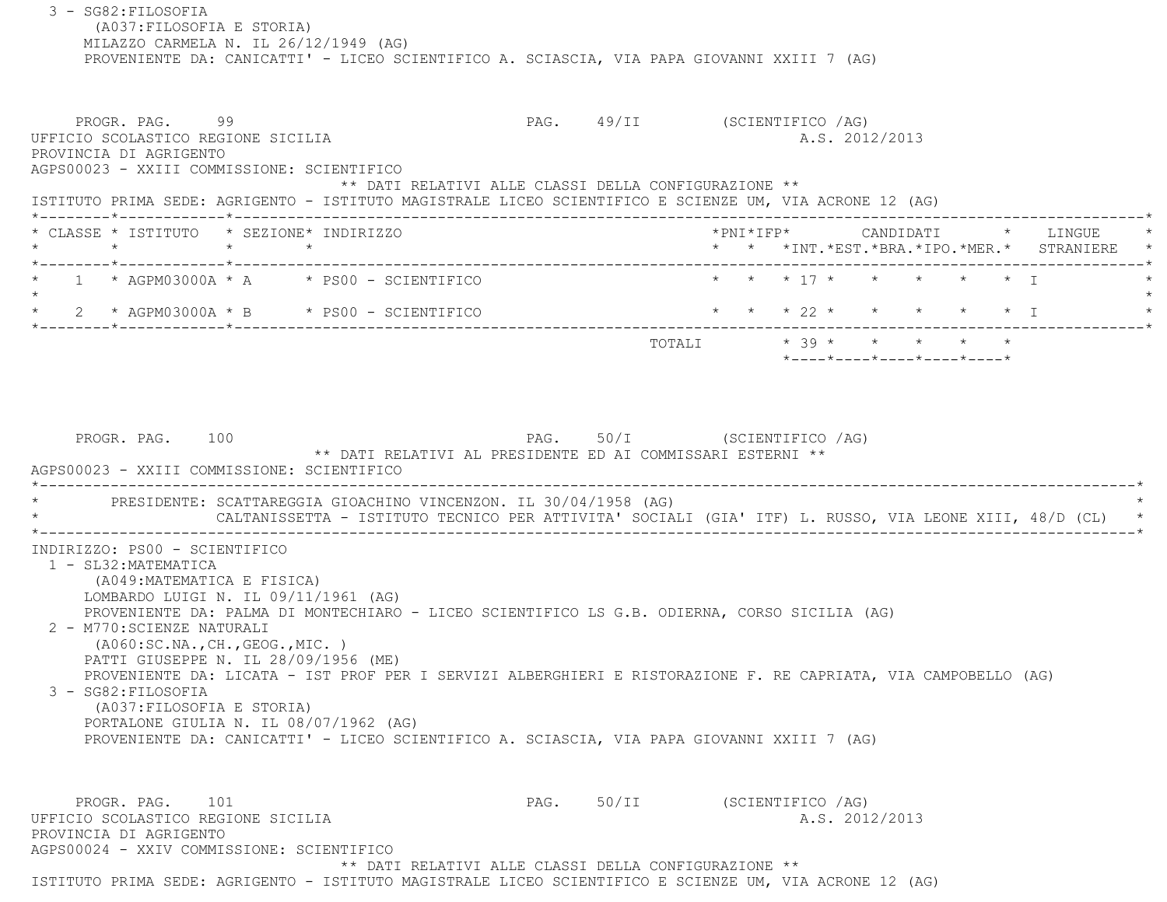3 - SG82:FILOSOFIA (A037:FILOSOFIA E STORIA) MILAZZO CARMELA N. IL 26/12/1949 (AG) PROVENIENTE DA: CANICATTI' - LICEO SCIENTIFICO A. SCIASCIA, VIA PAPA GIOVANNI XXIII 7 (AG) PROGR. PAG. 99 9 20 20 20 20 20 20 20 49/II (SCIENTIFICO / AG) UFFICIO SCOLASTICO REGIONE SICILIA A.S. 2012/2013 PROVINCIA DI AGRIGENTO AGPS00023 - XXIII COMMISSIONE: SCIENTIFICO \*\* DATI RELATIVI ALLE CLASSI DELLA CONFIGURAZIONE \*\* ISTITUTO PRIMA SEDE: AGRIGENTO - ISTITUTO MAGISTRALE LICEO SCIENTIFICO E SCIENZE UM, VIA ACRONE 12 (AG) \*--------\*------------\*-------------------------------------------------------------------------------------------------------\* \* CLASSE \* ISTITUTO \* SEZIONE\* INDIRIZZO \*PNI\*IFP\* CANDIDATI \* LINGUE \* \* \* \* \* \* \* \*INT.\*EST.\*BRA.\*IPO.\*MER.\* STRANIERE \* \*--------\*------------\*-------------------------------------------------------------------------------------------------------\*1 \* AGPM03000A \* A \* PS00 - SCIENTIFICO \* \* \* \* 17 \* \* \* \* \* \* \* \* I  $\star$ 2 \* AGPM03000A \* B \* PS00 - SCIENTIFICO \* \* \* \* 22 \* \* \* \* \* \* \* \* I \*--------\*------------\*-------------------------------------------------------------------------------------------------------\* TOTALI \* 39 \* \* \* \* \* \*----\*----\*----\*----\*----\*PROGR. PAG. 100 PAG. 50/I (SCIENTIFICO /AG) \*\* DATI RELATIVI AL PRESIDENTE ED AI COMMISSARI ESTERNI \*\* AGPS00023 - XXIII COMMISSIONE: SCIENTIFICO \*----------------------------------------------------------------------------------------------------------------------------\*PRESIDENTE: SCATTAREGGIA GIOACHINO VINCENZON. IL 30/04/1958 (AG) CALTANISSETTA - ISTITUTO TECNICO PER ATTIVITA' SOCIALI (GIA' ITF) L. RUSSO, VIA LEONE XIII, 48/D (CL) \*----------------------------------------------------------------------------------------------------------------------------\* INDIRIZZO: PS00 - SCIENTIFICO 1 - SL32:MATEMATICA (A049:MATEMATICA E FISICA) LOMBARDO LUIGI N. IL 09/11/1961 (AG) PROVENIENTE DA: PALMA DI MONTECHIARO - LICEO SCIENTIFICO LS G.B. ODIERNA, CORSO SICILIA (AG) 2 - M770:SCIENZE NATURALI (A060:SC.NA.,CH.,GEOG.,MIC. ) PATTI GIUSEPPE N. IL 28/09/1956 (ME) PROVENIENTE DA: LICATA - IST PROF PER I SERVIZI ALBERGHIERI E RISTORAZIONE F. RE CAPRIATA, VIA CAMPOBELLO (AG) 3 - SG82:FILOSOFIA (A037:FILOSOFIA E STORIA) PORTALONE GIULIA N. IL 08/07/1962 (AG) PROVENIENTE DA: CANICATTI' - LICEO SCIENTIFICO A. SCIASCIA, VIA PAPA GIOVANNI XXIII 7 (AG) PROGR. PAG. 101 PAG. 50/II (SCIENTIFICO /AG) UFFICIO SCOLASTICO REGIONE SICILIA A.S. 2012/2013 PROVINCIA DI AGRIGENTO AGPS00024 - XXIV COMMISSIONE: SCIENTIFICO\*\* DATI RELATIVI ALLE CLASSI DELLA CONFIGURAZIONE \*\*

ISTITUTO PRIMA SEDE: AGRIGENTO - ISTITUTO MAGISTRALE LICEO SCIENTIFICO E SCIENZE UM, VIA ACRONE 12 (AG)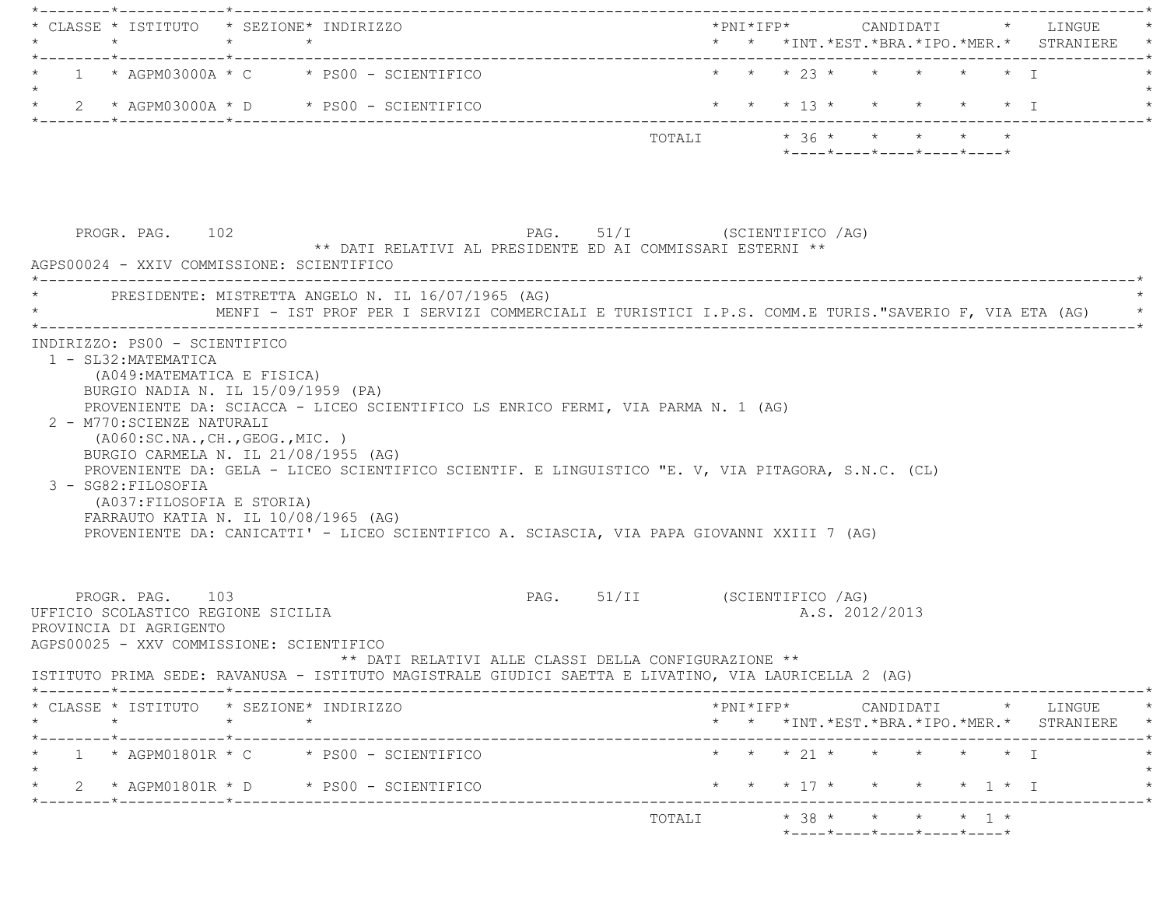\*--------\*------------\*-------------------------------------------------------------------------------------------------------\* \* CLASSE \* ISTITUTO \* SEZIONE\* INDIRIZZO \*PNI\*IFP\* CANDIDATI \* LINGUE \* \* \* \* \* \* \* \*INT.\*EST.\*BRA.\*IPO.\*MER.\* STRANIERE \* \*--------\*------------\*-------------------------------------------------------------------------------------------------------\*1 \* AGPM03000A \* C \* PS00 - SCIENTIFICO \* \* \* \* 23 \* \* \* \* \* \* \* \* I  $\star$ \* 2 \* AGPM03000A \* D \* PS00 - SCIENTIFICO \* \* \* \* 13 \* \* \* \* \* \* \* I \*--------\*------------\*-------------------------------------------------------------------------------------------------------\*TOTALI  $* 36 * * * * * * * * * *$  \*----\*----\*----\*----\*----\*PROGR. PAG. 102 **PAG.** 51/I (SCIENTIFICO /AG) \*\* DATI RELATIVI AL PRESIDENTE ED AI COMMISSARI ESTERNI \*\* AGPS00024 - XXIV COMMISSIONE: SCIENTIFICO \*----------------------------------------------------------------------------------------------------------------------------\*PRESIDENTE: MISTRETTA ANGELO N. IL 16/07/1965 (AG) MENFI - IST PROF PER I SERVIZI COMMERCIALI E TURISTICI I.P.S. COMM.E TURIS."SAVERIO F, VIA ETA (AG) \*----------------------------------------------------------------------------------------------------------------------------\* INDIRIZZO: PS00 - SCIENTIFICO 1 - SL32:MATEMATICA (A049:MATEMATICA E FISICA) BURGIO NADIA N. IL 15/09/1959 (PA) PROVENIENTE DA: SCIACCA - LICEO SCIENTIFICO LS ENRICO FERMI, VIA PARMA N. 1 (AG) 2 - M770:SCIENZE NATURALI (A060:SC.NA.,CH.,GEOG.,MIC. ) BURGIO CARMELA N. IL 21/08/1955 (AG) PROVENIENTE DA: GELA - LICEO SCIENTIFICO SCIENTIF. E LINGUISTICO "E. V, VIA PITAGORA, S.N.C. (CL) 3 - SG82:FILOSOFIA (A037:FILOSOFIA E STORIA) FARRAUTO KATIA N. IL 10/08/1965 (AG) PROVENIENTE DA: CANICATTI' - LICEO SCIENTIFICO A. SCIASCIA, VIA PAPA GIOVANNI XXIII 7 (AG) PROGR. PAG. 103 **PAG.** 51/II (SCIENTIFICO /AG) UFFICIO SCOLASTICO REGIONE SICILIA A.S. 2012/2013 PROVINCIA DI AGRIGENTO AGPS00025 - XXV COMMISSIONE: SCIENTIFICO \*\* DATI RELATIVI ALLE CLASSI DELLA CONFIGURAZIONE \*\* ISTITUTO PRIMA SEDE: RAVANUSA - ISTITUTO MAGISTRALE GIUDICI SAETTA E LIVATINO, VIA LAURICELLA 2 (AG) \*--------\*------------\*-------------------------------------------------------------------------------------------------------\* \* CLASSE \* ISTITUTO \* SEZIONE\* INDIRIZZO \*PNI\*IFP\* CANDIDATI \* LINGUE \* \* \* \* \* \* \* \*INT.\*EST.\*BRA.\*IPO.\*MER.\* STRANIERE \* \*--------\*------------\*-------------------------------------------------------------------------------------------------------\*\* 1 \* AGPM01801R \* C \* PS00 - SCIENTIFICO \* \* \* \* 21 \* \* \* \* \* \* \* \* I  $\star$ \* 2 \* AGPM01801R \* D \* PS00 - SCIENTIFICO \* \* \* \* 17 \* \* \* \* \* 1 \* I \*--------\*------------\*-------------------------------------------------------------------------------------------------------\* $\texttt{TOTAL} \qquad \qquad \star \quad 38 \; \star \qquad \star \qquad \star \qquad \star \qquad \star \quad 1 \; \star$ \*----\*----\*----\*----\*----\*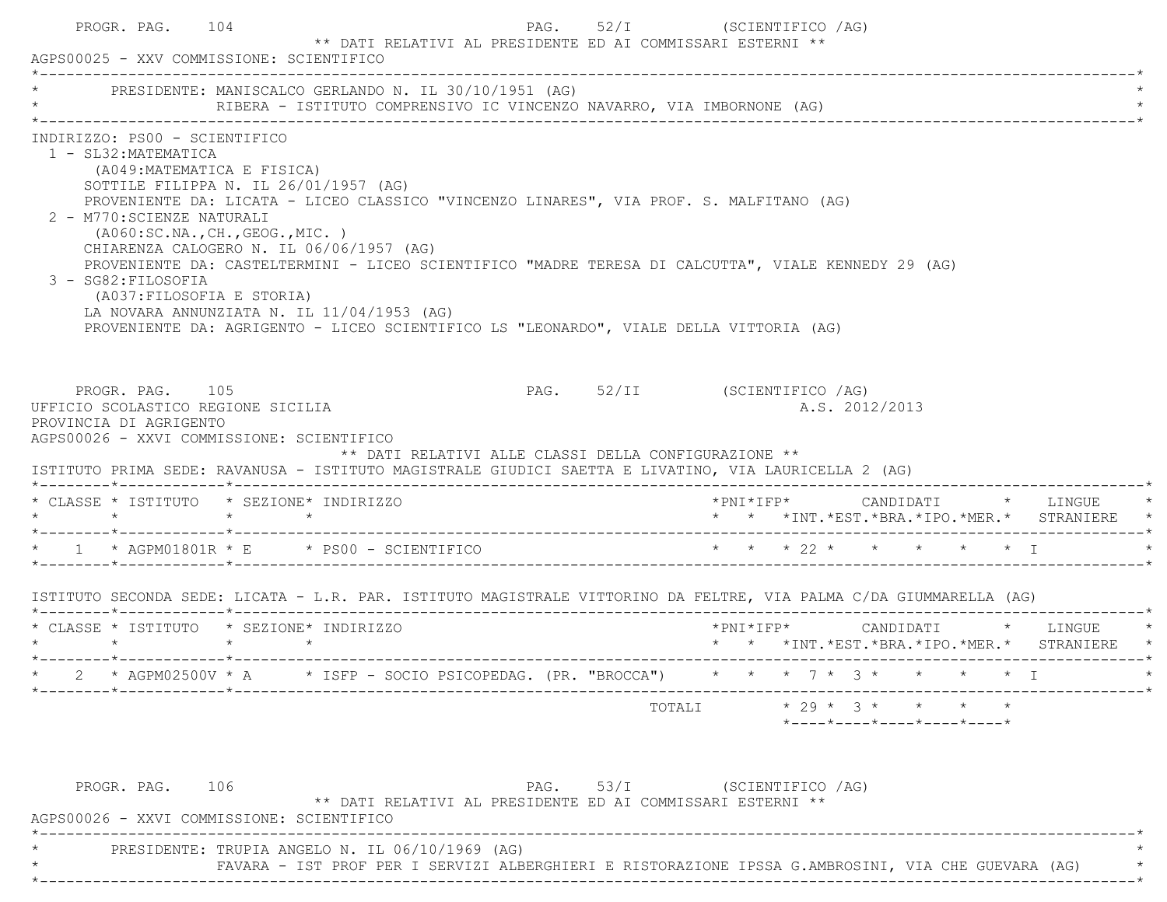| PRESIDENTE: MANISCALCO GERLANDO N. IL 30/10/1951 (AG)                                                                                                                                                                                                                                                                                          |                 | RIBERA - ISTITUTO COMPRENSIVO IC VINCENZO NAVARRO, VIA IMBORNONE (AG)                                                                                                                                                                                                                    |                              |        |  |                                                                                    |  |                                                                                                                                               |
|------------------------------------------------------------------------------------------------------------------------------------------------------------------------------------------------------------------------------------------------------------------------------------------------------------------------------------------------|-----------------|------------------------------------------------------------------------------------------------------------------------------------------------------------------------------------------------------------------------------------------------------------------------------------------|------------------------------|--------|--|------------------------------------------------------------------------------------|--|-----------------------------------------------------------------------------------------------------------------------------------------------|
| INDIRIZZO: PS00 - SCIENTIFICO<br>1 - SL32: MATEMATICA<br>(A049: MATEMATICA E FISICA)<br>SOTTILE FILIPPA N. IL 26/01/1957 (AG)<br>2 - M770: SCIENZE NATURALI<br>(AO60:SC.NA., CH., GEOG., MIC. )<br>CHIARENZA CALOGERO N. IL 06/06/1957 (AG)<br>3 - SG82: FILOSOFIA<br>(A037: FILOSOFIA E STORIA)<br>LA NOVARA ANNUNZIATA N. IL 11/04/1953 (AG) |                 | PROVENIENTE DA: LICATA - LICEO CLASSICO "VINCENZO LINARES", VIA PROF. S. MALFITANO (AG)<br>PROVENIENTE DA: CASTELTERMINI - LICEO SCIENTIFICO "MADRE TERESA DI CALCUTTA", VIALE KENNEDY 29 (AG)<br>PROVENIENTE DA: AGRIGENTO - LICEO SCIENTIFICO LS "LEONARDO", VIALE DELLA VITTORIA (AG) |                              |        |  |                                                                                    |  |                                                                                                                                               |
| PROGR. PAG. 105<br>UFFICIO SCOLASTICO REGIONE SICILIA                                                                                                                                                                                                                                                                                          |                 |                                                                                                                                                                                                                                                                                          | PAG. 52/II (SCIENTIFICO /AG) |        |  |                                                                                    |  |                                                                                                                                               |
| PROVINCIA DI AGRIGENTO<br>AGPS00026 - XXVI COMMISSIONE: SCIENTIFICO<br>ISTITUTO PRIMA SEDE: RAVANUSA - ISTITUTO MAGISTRALE GIUDICI SAETTA E LIVATINO, VIA LAURICELLA 2 (AG)                                                                                                                                                                    |                 | ** DATI RELATIVI ALLE CLASSI DELLA CONFIGURAZIONE **                                                                                                                                                                                                                                     |                              |        |  | A.S. 2012/2013                                                                     |  |                                                                                                                                               |
| * CLASSE * ISTITUTO * SEZIONE* INDIRIZZO<br>$\star$ $\star$                                                                                                                                                                                                                                                                                    | $\star$ $\star$ |                                                                                                                                                                                                                                                                                          |                              |        |  |                                                                                    |  | *PNI*IFP*     CANDIDATI    *   LINGUE<br>* * *INT.*EST.*BRA.*IPO.*MER.* STRANIERE                                                             |
|                                                                                                                                                                                                                                                                                                                                                |                 |                                                                                                                                                                                                                                                                                          |                              |        |  |                                                                                    |  |                                                                                                                                               |
|                                                                                                                                                                                                                                                                                                                                                |                 |                                                                                                                                                                                                                                                                                          |                              |        |  |                                                                                    |  |                                                                                                                                               |
|                                                                                                                                                                                                                                                                                                                                                |                 |                                                                                                                                                                                                                                                                                          |                              |        |  |                                                                                    |  | $*PNI*IFP* \qquad \qquad \text{CANDIDATI} \qquad \qquad * \qquad \text{LINGUE} \qquad \qquad *$<br>* * *INT.*EST.*BRA.*IPO.*MER.* STRANIERE * |
|                                                                                                                                                                                                                                                                                                                                                |                 | * AGPM02500V * A * ISFP - SOCIO PSICOPEDAG. (PR. "BROCCA") * * * 7 * 3 * * * * * I                                                                                                                                                                                                       |                              |        |  |                                                                                    |  |                                                                                                                                               |
| * 1 * AGPM01801R * E * PS00 - SCIENTIFICO * * * * 22 * * * * * * * T<br>ISTITUTO SECONDA SEDE: LICATA - L.R. PAR. ISTITUTO MAGISTRALE VITTORINO DA FELTRE, VIA PALMA C/DA GIUMMARELLA (AG)<br>* CLASSE * ISTITUTO * SEZIONE* INDIRIZZO                                                                                                         |                 |                                                                                                                                                                                                                                                                                          |                              | TOTALI |  | $\star$ 29 $\star$ 3 $\star$ $\star$ $\star$ $\star$<br>*----*----*----*----*----* |  |                                                                                                                                               |

FAVARA - IST PROF PER I SERVIZI ALBERGHIERI E RISTORAZIONE IPSSA G.AMBROSINI, VIA CHE GUEVARA (AG) \* \*----------------------------------------------------------------------------------------------------------------------------\*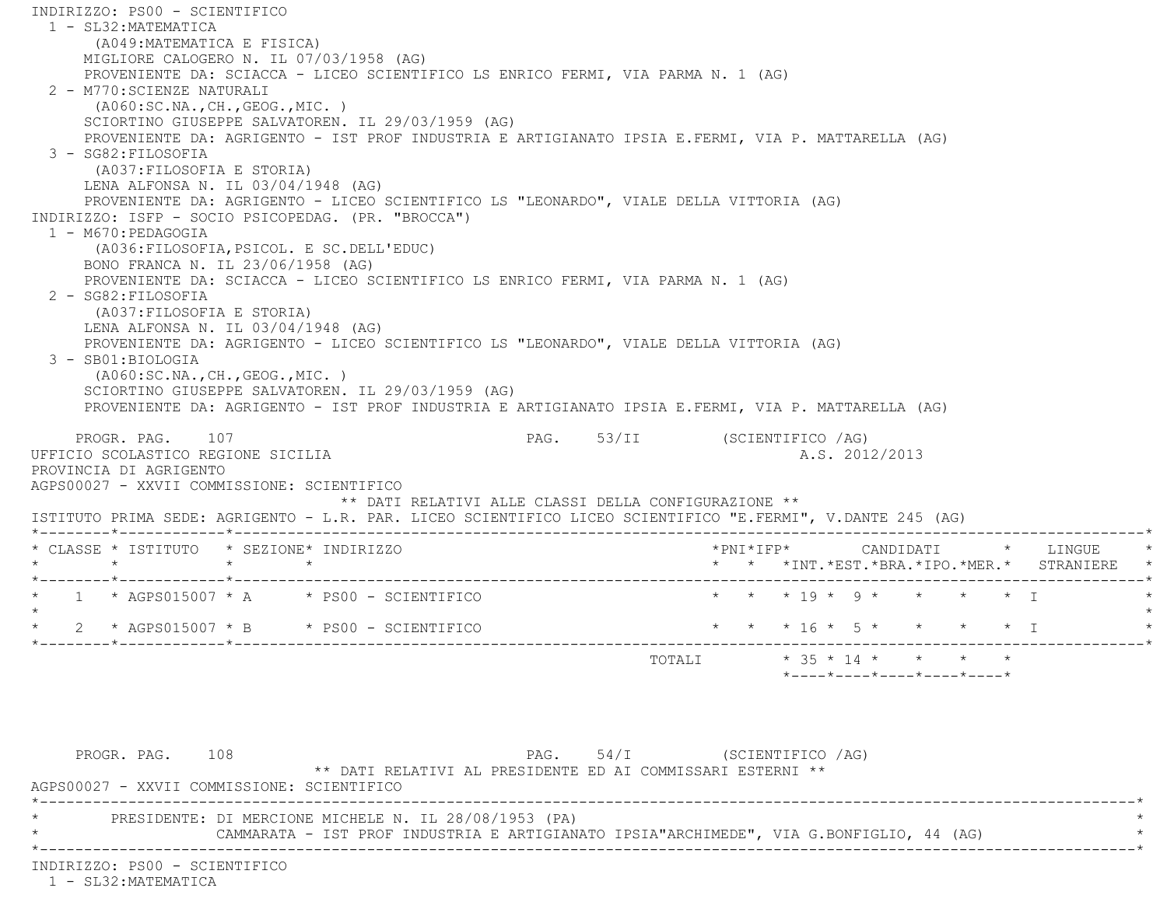INDIRIZZO: PS00 - SCIENTIFICO 1 - SL32:MATEMATICA (A049:MATEMATICA E FISICA) MIGLIORE CALOGERO N. IL 07/03/1958 (AG) PROVENIENTE DA: SCIACCA - LICEO SCIENTIFICO LS ENRICO FERMI, VIA PARMA N. 1 (AG) 2 - M770:SCIENZE NATURALI (A060:SC.NA.,CH.,GEOG.,MIC. ) SCIORTINO GIUSEPPE SALVATOREN. IL 29/03/1959 (AG) PROVENIENTE DA: AGRIGENTO - IST PROF INDUSTRIA E ARTIGIANATO IPSIA E.FERMI, VIA P. MATTARELLA (AG) 3 - SG82:FILOSOFIA (A037:FILOSOFIA E STORIA) LENA ALFONSA N. IL 03/04/1948 (AG) PROVENIENTE DA: AGRIGENTO - LICEO SCIENTIFICO LS "LEONARDO", VIALE DELLA VITTORIA (AG) INDIRIZZO: ISFP - SOCIO PSICOPEDAG. (PR. "BROCCA") 1 - M670:PEDAGOGIA (A036:FILOSOFIA,PSICOL. E SC.DELL'EDUC) BONO FRANCA N. IL 23/06/1958 (AG) PROVENIENTE DA: SCIACCA - LICEO SCIENTIFICO LS ENRICO FERMI, VIA PARMA N. 1 (AG) 2 - SG82:FILOSOFIA (A037:FILOSOFIA E STORIA) LENA ALFONSA N. IL 03/04/1948 (AG) PROVENIENTE DA: AGRIGENTO - LICEO SCIENTIFICO LS "LEONARDO", VIALE DELLA VITTORIA (AG) 3 - SB01:BIOLOGIA (A060:SC.NA.,CH.,GEOG.,MIC. ) SCIORTINO GIUSEPPE SALVATOREN. IL 29/03/1959 (AG) PROVENIENTE DA: AGRIGENTO - IST PROF INDUSTRIA E ARTIGIANATO IPSIA E.FERMI, VIA P. MATTARELLA (AG) PROGR. PAG. 107 PAG. S3/II (SCIENTIFICO /AG) UFFICIO SCOLASTICO REGIONE SICILIA AND ALS. 2012/2013 PROVINCIA DI AGRIGENTO AGPS00027 - XXVII COMMISSIONE: SCIENTIFICO \*\* DATI RELATIVI ALLE CLASSI DELLA CONFIGURAZIONE \*\* ISTITUTO PRIMA SEDE: AGRIGENTO - L.R. PAR. LICEO SCIENTIFICO LICEO SCIENTIFICO "E.FERMI", V.DANTE 245 (AG) \*--------\*------------\*-------------------------------------------------------------------------------------------------------\* \* CLASSE \* ISTITUTO \* SEZIONE\* INDIRIZZO \*PNI\*IFP\* CANDIDATI \* LINGUE \* \* \* \* \* \* \* \*INT.\*EST.\*BRA.\*IPO.\*MER.\* STRANIERE \* \*--------\*------------\*-------------------------------------------------------------------------------------------------------\* \* 1 \* AGPS015007 \* A \* PS00 - SCIENTIFICO \* \* \* 19 \* 9 \* \* \* \* I \* $\star$  \* 2 \* AGPS015007 \* B \* PS00 - SCIENTIFICO \* \* \* 16 \* 5 \* \* \* \* I \* \*--------\*------------\*-------------------------------------------------------------------------------------------------------\* TOTALI \* 35 \* 14 \* \* \* \* \*----\*----\*----\*----\*----\*PROGR. PAG. 108 PAG. 54/I (SCIENTIFICO /AG) \*\* DATI RELATIVI AL PRESIDENTE ED AI COMMISSARI ESTERNI \*\*

 AGPS00027 - XXVII COMMISSIONE: SCIENTIFICO \*----------------------------------------------------------------------------------------------------------------------------\* \* PRESIDENTE: DI MERCIONE MICHELE N. IL 28/08/1953 (PA) \* CAMMARATA - IST PROF INDUSTRIA E ARTIGIANATO IPSIA"ARCHIMEDE", VIA G.BONFIGLIO, 44 (AG) \*----------------------------------------------------------------------------------------------------------------------------\*

INDIRIZZO: PS00 - SCIENTIFICO

1 - SL32:MATEMATICA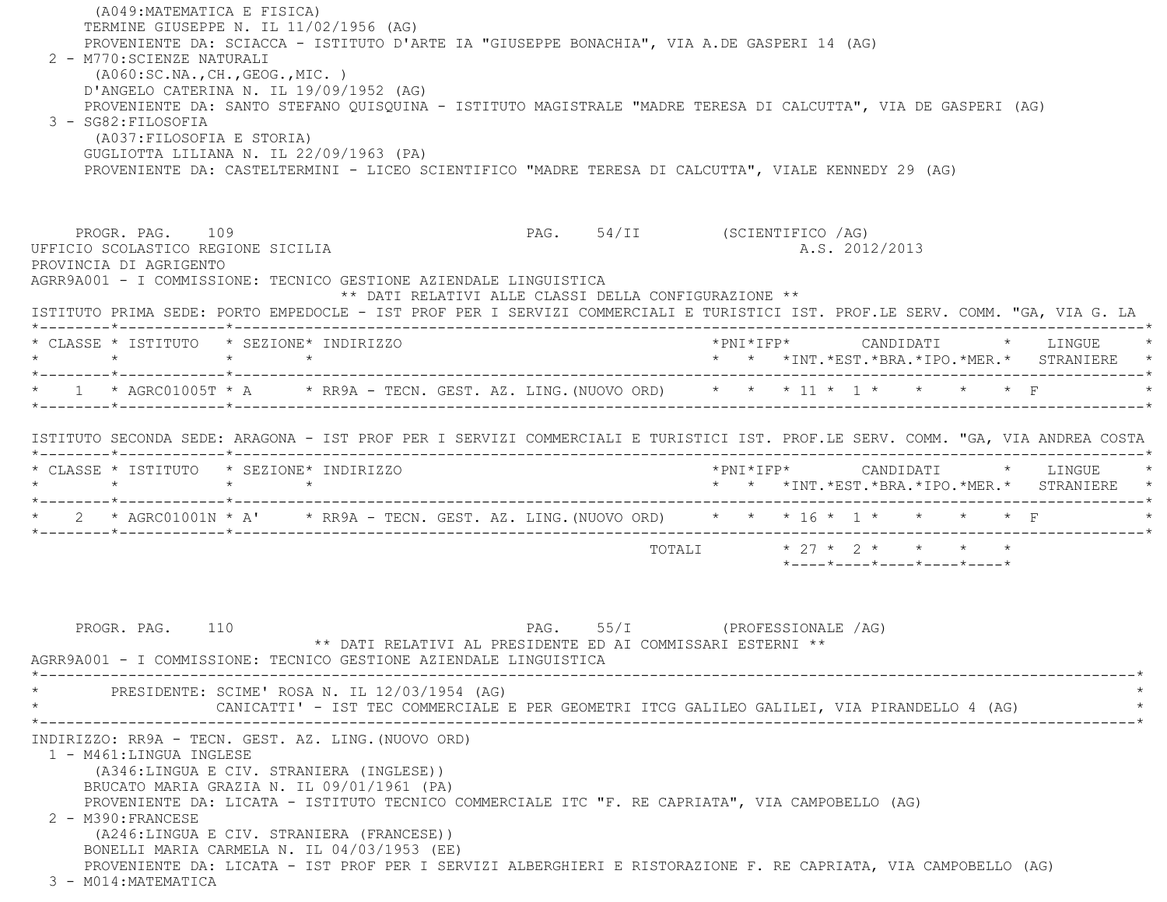(A049:MATEMATICA E FISICA) TERMINE GIUSEPPE N. IL 11/02/1956 (AG) PROVENIENTE DA: SCIACCA - ISTITUTO D'ARTE IA "GIUSEPPE BONACHIA", VIA A.DE GASPERI 14 (AG) 2 - M770:SCIENZE NATURALI (A060:SC.NA.,CH.,GEOG.,MIC. ) D'ANGELO CATERINA N. IL 19/09/1952 (AG) PROVENIENTE DA: SANTO STEFANO QUISQUINA - ISTITUTO MAGISTRALE "MADRE TERESA DI CALCUTTA", VIA DE GASPERI (AG) 3 - SG82:FILOSOFIA (A037:FILOSOFIA E STORIA) GUGLIOTTA LILIANA N. IL 22/09/1963 (PA) PROVENIENTE DA: CASTELTERMINI - LICEO SCIENTIFICO "MADRE TERESA DI CALCUTTA", VIALE KENNEDY 29 (AG) PROGR. PAG. 109 PAG. S4/II (SCIENTIFICO /AG) UFFICIO SCOLASTICO REGIONE SICILIA A.S. 2012/2013 PROVINCIA DI AGRIGENTO AGRR9A001 - I COMMISSIONE: TECNICO GESTIONE AZIENDALE LINGUISTICA \*\* DATI RELATIVI ALLE CLASSI DELLA CONFIGURAZIONE \*\* ISTITUTO PRIMA SEDE: PORTO EMPEDOCLE - IST PROF PER I SERVIZI COMMERCIALI E TURISTICI IST. PROF.LE SERV. COMM. "GA, VIA G. LA \*--------\*------------\*-------------------------------------------------------------------------------------------------------\* \* CLASSE \* ISTITUTO \* SEZIONE\* INDIRIZZO \*PNI\*IFP\* CANDIDATI \* LINGUE \* \* \* \* \* \* \* \*INT.\*EST.\*BRA.\*IPO.\*MER.\* STRANIERE \* \*--------\*------------\*-------------------------------------------------------------------------------------------------------\*\* 1 \* AGRC01005T \* A \* \* RR9A - TECN. GEST. AZ. LING. (NUOVO ORD) \* \* \* 11 \* 1 \* \* \* \* \* \* F \*--------\*------------\*-------------------------------------------------------------------------------------------------------\* ISTITUTO SECONDA SEDE: ARAGONA - IST PROF PER I SERVIZI COMMERCIALI E TURISTICI IST. PROF.LE SERV. COMM. "GA, VIA ANDREA COSTA \*--------\*------------\*-------------------------------------------------------------------------------------------------------\* \* CLASSE \* ISTITUTO \* SEZIONE\* INDIRIZZO \*PNI\*IFP\* CANDIDATI \* LINGUE \* \* \* \* \* \* \* \*INT.\*EST.\*BRA.\*IPO.\*MER.\* STRANIERE \* \*--------\*------------\*-------------------------------------------------------------------------------------------------------\*2 \* AGRC01001N \* A' \* RR9A - TECN. GEST. AZ. LING. (NUOVO ORD) \* \* \* 16 \* 1 \* \* \* \* \* F \*--------\*------------\*-------------------------------------------------------------------------------------------------------\*TOTALI  $* 27 * 2 * * * * * * * *$  \*----\*----\*----\*----\*----\*PROGR. PAG. 110 CHASTERS IN PAG. 55/I (PROFESSIONALE /AG) \*\* DATI RELATIVI AL PRESIDENTE ED AI COMMISSARI ESTERNI \*\* AGRR9A001 - I COMMISSIONE: TECNICO GESTIONE AZIENDALE LINGUISTICA \*----------------------------------------------------------------------------------------------------------------------------\*PRESIDENTE: SCIME' ROSA N. IL 12/03/1954 (AG) CANICATTI' - IST TEC COMMERCIALE E PER GEOMETRI ITCG GALILEO GALILEI, VIA PIRANDELLO 4 (AG) \*----------------------------------------------------------------------------------------------------------------------------\* INDIRIZZO: RR9A - TECN. GEST. AZ. LING.(NUOVO ORD) 1 - M461:LINGUA INGLESE (A346:LINGUA E CIV. STRANIERA (INGLESE)) BRUCATO MARIA GRAZIA N. IL 09/01/1961 (PA) PROVENIENTE DA: LICATA - ISTITUTO TECNICO COMMERCIALE ITC "F. RE CAPRIATA", VIA CAMPOBELLO (AG) 2 - M390:FRANCESE (A246:LINGUA E CIV. STRANIERA (FRANCESE)) BONELLI MARIA CARMELA N. IL 04/03/1953 (EE) PROVENIENTE DA: LICATA - IST PROF PER I SERVIZI ALBERGHIERI E RISTORAZIONE F. RE CAPRIATA, VIA CAMPOBELLO (AG) 3 - M014:MATEMATICA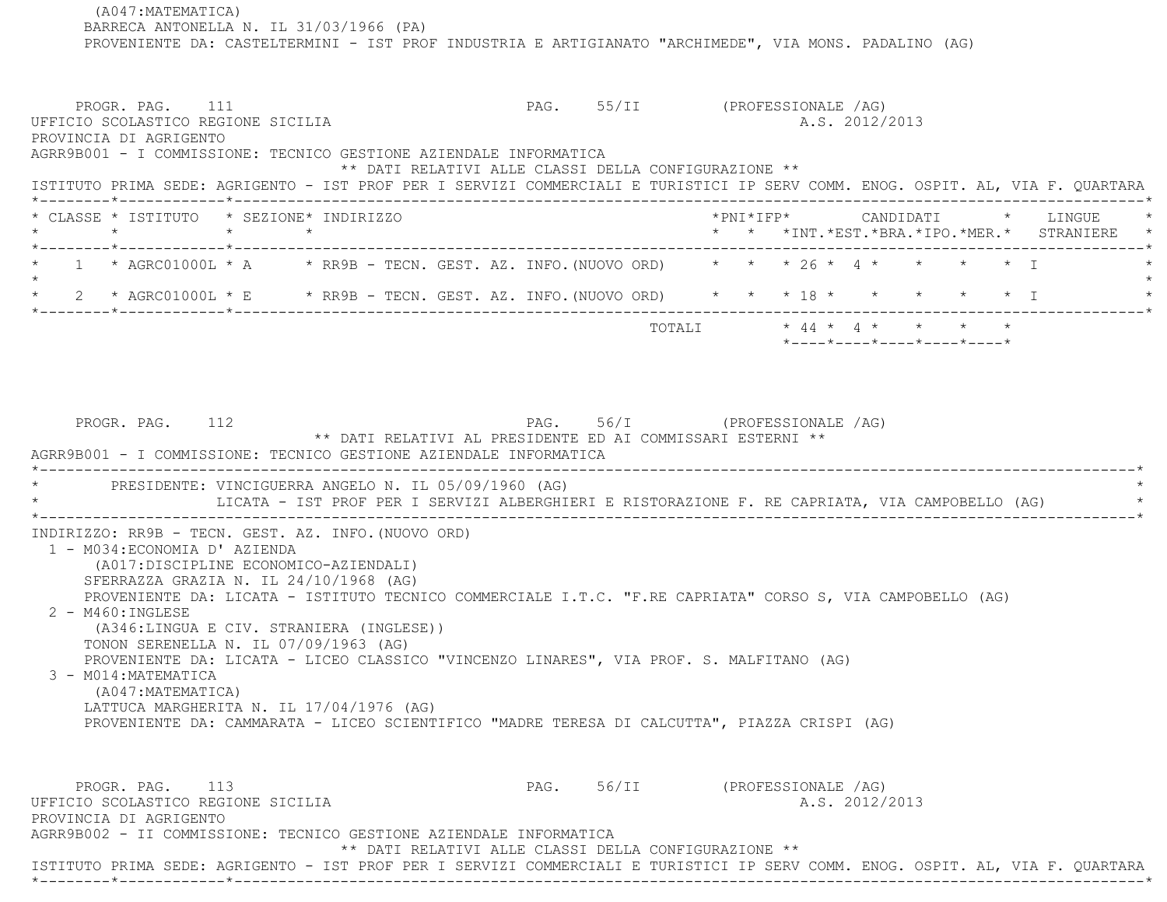(A047:MATEMATICA) BARRECA ANTONELLA N. IL 31/03/1966 (PA) PROVENIENTE DA: CASTELTERMINI - IST PROF INDUSTRIA E ARTIGIANATO "ARCHIMEDE", VIA MONS. PADALINO (AG) PROGR. PAG. 111 CHARGE 111 PAG. 55/II (PROFESSIONALE AG) UFFICIO SCOLASTICO REGIONE SICILIA A.S. 2012/2013 PROVINCIA DI AGRIGENTO AGRR9B001 - I COMMISSIONE: TECNICO GESTIONE AZIENDALE INFORMATICA \*\* DATI RELATIVI ALLE CLASSI DELLA CONFIGURAZIONE \*\* ISTITUTO PRIMA SEDE: AGRIGENTO - IST PROF PER I SERVIZI COMMERCIALI E TURISTICI IP SERV COMM. ENOG. OSPIT. AL, VIA F. QUARTARA \*--------\*------------\*-------------------------------------------------------------------------------------------------------\* \* CLASSE \* ISTITUTO \* SEZIONE\* INDIRIZZO \*PNI\*IFP\* CANDIDATI \* LINGUE \* \* \* \* \* \* \* \*INT.\*EST.\*BRA.\*IPO.\*MER.\* STRANIERE \* \*--------\*------------\*-------------------------------------------------------------------------------------------------------\*1 \* AGRC01000L \* A \* \* RR9B - TECN. GEST. AZ. INFO. (NUOVO ORD) \* \* \* 26 \* 4 \* \* \* \* \* \* I  $\star$  \* 2 \* AGRC01000L \* E \* RR9B - TECN. GEST. AZ. INFO.(NUOVO ORD) \* \* \* 18 \* \* \* \* \* I \* \*--------\*------------\*-------------------------------------------------------------------------------------------------------\* TOTALI \* 44 \* 4 \* \* \* \* \*----\*----\*----\*----\*----\*PROGR. PAG. 112 **PROGR. PAG. 2012** PAG. 56/I (PROFESSIONALE /AG) \*\* DATI RELATIVI AL PRESIDENTE ED AI COMMISSARI ESTERNI \*\* AGRR9B001 - I COMMISSIONE: TECNICO GESTIONE AZIENDALE INFORMATICA \*----------------------------------------------------------------------------------------------------------------------------\*PRESIDENTE: VINCIGUERRA ANGELO N. IL 05/09/1960 (AG) LICATA - IST PROF PER I SERVIZI ALBERGHIERI E RISTORAZIONE F. RE CAPRIATA, VIA CAMPOBELLO (AG) \*----------------------------------------------------------------------------------------------------------------------------\* INDIRIZZO: RR9B - TECN. GEST. AZ. INFO.(NUOVO ORD) 1 - M034:ECONOMIA D' AZIENDA (A017:DISCIPLINE ECONOMICO-AZIENDALI) SFERRAZZA GRAZIA N. IL 24/10/1968 (AG) PROVENIENTE DA: LICATA - ISTITUTO TECNICO COMMERCIALE I.T.C. "F.RE CAPRIATA" CORSO S, VIA CAMPOBELLO (AG) 2 - M460:INGLESE (A346:LINGUA E CIV. STRANIERA (INGLESE)) TONON SERENELLA N. IL 07/09/1963 (AG) PROVENIENTE DA: LICATA - LICEO CLASSICO "VINCENZO LINARES", VIA PROF. S. MALFITANO (AG) 3 - M014:MATEMATICA (A047:MATEMATICA) LATTUCA MARGHERITA N. IL 17/04/1976 (AG) PROVENIENTE DA: CAMMARATA - LICEO SCIENTIFICO "MADRE TERESA DI CALCUTTA", PIAZZA CRISPI (AG) PROGR. PAG. 113 CHARGE 113 PAG. 56/II (PROFESSIONALE /AG) UFFICIO SCOLASTICO REGIONE SICILIA A.S. 2012/2013 PROVINCIA DI AGRIGENTO AGRR9B002 - II COMMISSIONE: TECNICO GESTIONE AZIENDALE INFORMATICA \*\* DATI RELATIVI ALLE CLASSI DELLA CONFIGURAZIONE \*\*ISTITUTO PRIMA SEDE: AGRIGENTO - IST PROF PER I SERVIZI COMMERCIALI E TURISTICI IP SERV COMM. ENOG. OSPIT. AL, VIA F. QUARTARA

\*--------\*------------\*-------------------------------------------------------------------------------------------------------\*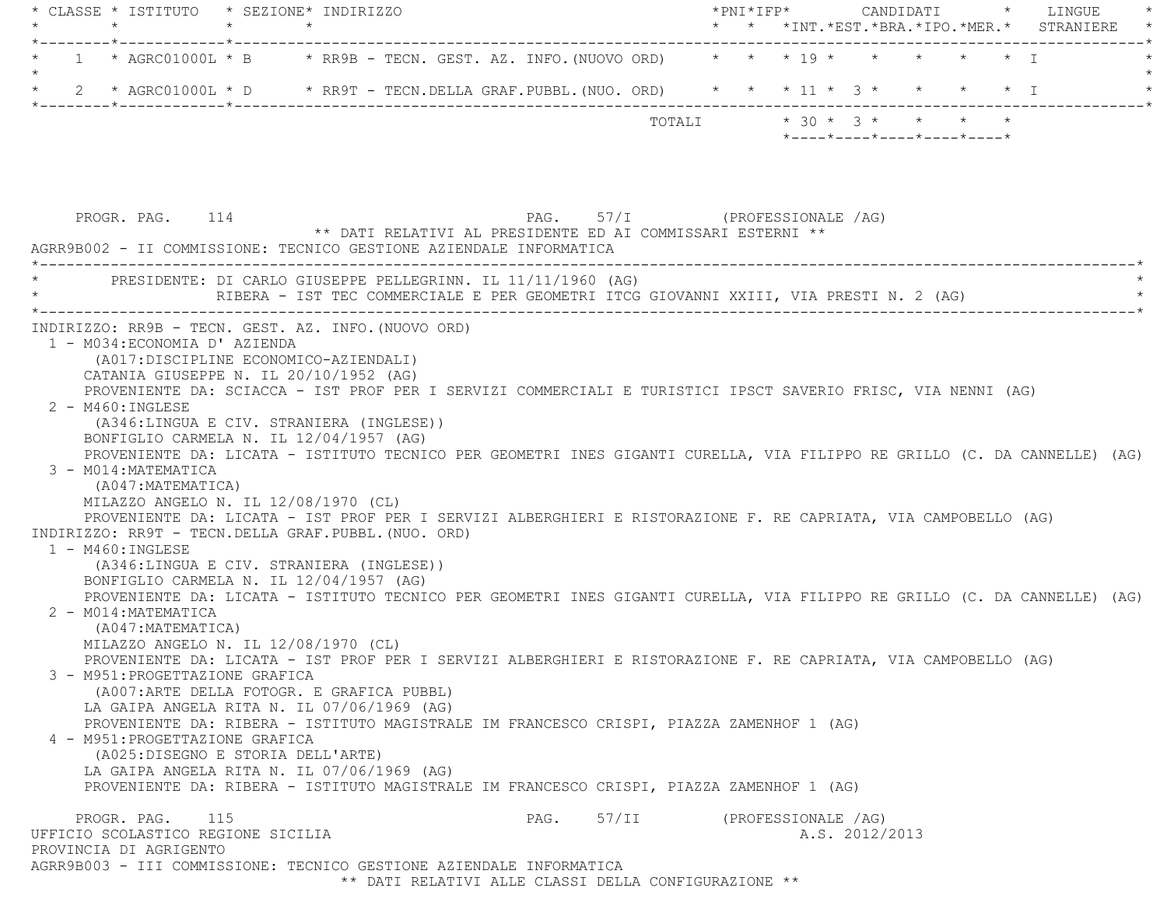|         | * CLASSE * ISTITUTO * SEZIONE* INDIRIZZO<br>$\star$                                 |  |                                                                                                                          |      |                               |        | $*$ PNI $*$ IFP $*$ |                |                                                                              |  | CANDIDATI * LINGUE<br>* *INT. *EST. *BRA. *IPO. *MER. * STRANIERE |
|---------|-------------------------------------------------------------------------------------|--|--------------------------------------------------------------------------------------------------------------------------|------|-------------------------------|--------|---------------------|----------------|------------------------------------------------------------------------------|--|-------------------------------------------------------------------|
|         | _______*____________*________                                                       |  |                                                                                                                          |      |                               |        |                     |                |                                                                              |  |                                                                   |
|         |                                                                                     |  | 1 * AGRC01000L * B * RR9B - TECN. GEST. AZ. INFO. (NUOVO ORD) * * * 19 * * * * * * * I                                   |      |                               |        |                     |                |                                                                              |  |                                                                   |
| $\star$ |                                                                                     |  | 2 * AGRC01000L * D * RR9T - TECN.DELLA GRAF.PUBBL.(NUO. ORD) * * * 11 * 3 * * * * * * I                                  |      |                               |        |                     |                |                                                                              |  |                                                                   |
|         |                                                                                     |  |                                                                                                                          |      |                               | TOTALI |                     |                | $* 30 * 3 * * * * * * *$<br>$*$ ---- $*$ ---- $*$ ---- $*$ ---- $*$ ---- $*$ |  |                                                                   |
|         |                                                                                     |  |                                                                                                                          |      |                               |        |                     |                |                                                                              |  |                                                                   |
|         |                                                                                     |  |                                                                                                                          |      |                               |        |                     |                |                                                                              |  |                                                                   |
|         | PROGR. PAG. 114                                                                     |  |                                                                                                                          |      | PAG. 57/I (PROFESSIONALE /AG) |        |                     |                |                                                                              |  |                                                                   |
|         |                                                                                     |  | ** DATI RELATIVI AL PRESIDENTE ED AI COMMISSARI ESTERNI **                                                               |      |                               |        |                     |                |                                                                              |  |                                                                   |
|         |                                                                                     |  | AGRR9B002 - II COMMISSIONE: TECNICO GESTIONE AZIENDALE INFORMATICA                                                       |      |                               |        |                     |                |                                                                              |  |                                                                   |
|         |                                                                                     |  | * PRESIDENTE: DI CARLO GIUSEPPE PELLEGRINN. IL 11/11/1960 (AG)                                                           |      |                               |        |                     |                |                                                                              |  |                                                                   |
|         |                                                                                     |  | RIBERA - IST TEC COMMERCIALE E PER GEOMETRI ITCG GIOVANNI XXIII, VIA PRESTI N. 2 (AG)                                    |      |                               |        |                     |                |                                                                              |  |                                                                   |
|         | INDIRIZZO: RR9B - TECN. GEST. AZ. INFO. (NUOVO ORD)                                 |  |                                                                                                                          |      |                               |        |                     |                |                                                                              |  |                                                                   |
|         | 1 - M034: ECONOMIA D' AZIENDA                                                       |  |                                                                                                                          |      |                               |        |                     |                |                                                                              |  |                                                                   |
|         | (A017:DISCIPLINE ECONOMICO-AZIENDALI)                                               |  |                                                                                                                          |      |                               |        |                     |                |                                                                              |  |                                                                   |
|         | CATANIA GIUSEPPE N. IL 20/10/1952 (AG)                                              |  |                                                                                                                          |      |                               |        |                     |                |                                                                              |  |                                                                   |
|         |                                                                                     |  | PROVENIENTE DA: SCIACCA - IST PROF PER I SERVIZI COMMERCIALI E TURISTICI IPSCT SAVERIO FRISC, VIA NENNI (AG)             |      |                               |        |                     |                |                                                                              |  |                                                                   |
|         | $2 - M460$ : INGLESE                                                                |  |                                                                                                                          |      |                               |        |                     |                |                                                                              |  |                                                                   |
|         | (A346:LINGUA E CIV. STRANIERA (INGLESE))<br>BONFIGLIO CARMELA N. IL 12/04/1957 (AG) |  |                                                                                                                          |      |                               |        |                     |                |                                                                              |  |                                                                   |
|         |                                                                                     |  | PROVENIENTE DA: LICATA - ISTITUTO TECNICO PER GEOMETRI INES GIGANTI CURELLA, VIA FILIPPO RE GRILLO (C. DA CANNELLE) (AG) |      |                               |        |                     |                |                                                                              |  |                                                                   |
|         | 3 - M014: MATEMATICA                                                                |  |                                                                                                                          |      |                               |        |                     |                |                                                                              |  |                                                                   |
|         | (A047: MATEMATICA)                                                                  |  |                                                                                                                          |      |                               |        |                     |                |                                                                              |  |                                                                   |
|         | MILAZZO ANGELO N. IL 12/08/1970 (CL)                                                |  |                                                                                                                          |      |                               |        |                     |                |                                                                              |  |                                                                   |
|         |                                                                                     |  | PROVENIENTE DA: LICATA - IST PROF PER I SERVIZI ALBERGHIERI E RISTORAZIONE F. RE CAPRIATA, VIA CAMPOBELLO (AG)           |      |                               |        |                     |                |                                                                              |  |                                                                   |
|         | INDIRIZZO: RR9T - TECN.DELLA GRAF.PUBBL. (NUO. ORD)                                 |  |                                                                                                                          |      |                               |        |                     |                |                                                                              |  |                                                                   |
|         | $1 - M460 : INGLESE$                                                                |  |                                                                                                                          |      |                               |        |                     |                |                                                                              |  |                                                                   |
|         | (A346:LINGUA E CIV. STRANIERA (INGLESE))                                            |  |                                                                                                                          |      |                               |        |                     |                |                                                                              |  |                                                                   |
|         | BONFIGLIO CARMELA N. IL 12/04/1957 (AG)                                             |  |                                                                                                                          |      |                               |        |                     |                |                                                                              |  |                                                                   |
|         |                                                                                     |  | PROVENIENTE DA: LICATA - ISTITUTO TECNICO PER GEOMETRI INES GIGANTI CURELLA, VIA FILIPPO RE GRILLO (C. DA CANNELLE) (AG) |      |                               |        |                     |                |                                                                              |  |                                                                   |
|         | 2 - M014: MATEMATICA                                                                |  |                                                                                                                          |      |                               |        |                     |                |                                                                              |  |                                                                   |
|         | (A047: MATEMATICA)                                                                  |  |                                                                                                                          |      |                               |        |                     |                |                                                                              |  |                                                                   |
|         | MILAZZO ANGELO N. IL 12/08/1970 (CL)                                                |  |                                                                                                                          |      |                               |        |                     |                |                                                                              |  |                                                                   |
|         |                                                                                     |  | PROVENIENTE DA: LICATA - IST PROF PER I SERVIZI ALBERGHIERI E RISTORAZIONE F. RE CAPRIATA, VIA CAMPOBELLO (AG)           |      |                               |        |                     |                |                                                                              |  |                                                                   |
|         | 3 - M951: PROGETTAZIONE GRAFICA                                                     |  |                                                                                                                          |      |                               |        |                     |                |                                                                              |  |                                                                   |
|         | (A007: ARTE DELLA FOTOGR. E GRAFICA PUBBL)                                          |  |                                                                                                                          |      |                               |        |                     |                |                                                                              |  |                                                                   |
|         | LA GAIPA ANGELA RITA N. IL 07/06/1969 (AG)                                          |  |                                                                                                                          |      |                               |        |                     |                |                                                                              |  |                                                                   |
|         |                                                                                     |  | PROVENIENTE DA: RIBERA - ISTITUTO MAGISTRALE IM FRANCESCO CRISPI, PIAZZA ZAMENHOF 1 (AG)                                 |      |                               |        |                     |                |                                                                              |  |                                                                   |
|         | 4 - M951: PROGETTAZIONE GRAFICA                                                     |  |                                                                                                                          |      |                               |        |                     |                |                                                                              |  |                                                                   |
|         | (A025:DISEGNO E STORIA DELL'ARTE)                                                   |  |                                                                                                                          |      |                               |        |                     |                |                                                                              |  |                                                                   |
|         | LA GAIPA ANGELA RITA N. IL 07/06/1969 (AG)                                          |  |                                                                                                                          |      |                               |        |                     |                |                                                                              |  |                                                                   |
|         |                                                                                     |  | PROVENIENTE DA: RIBERA - ISTITUTO MAGISTRALE IM FRANCESCO CRISPI, PIAZZA ZAMENHOF 1 (AG)                                 |      |                               |        |                     |                |                                                                              |  |                                                                   |
|         | 115<br>PROGR. PAG.                                                                  |  |                                                                                                                          | PAG. | 57/II                         |        | (PROFESSIONALE /AG) |                |                                                                              |  |                                                                   |
|         | UFFICIO SCOLASTICO REGIONE SICILIA                                                  |  |                                                                                                                          |      |                               |        |                     | A.S. 2012/2013 |                                                                              |  |                                                                   |
|         | PROVINCIA DI AGRIGENTO                                                              |  |                                                                                                                          |      |                               |        |                     |                |                                                                              |  |                                                                   |
|         |                                                                                     |  | AGRR9B003 - III COMMISSIONE: TECNICO GESTIONE AZIENDALE INFORMATICA                                                      |      |                               |        |                     |                |                                                                              |  |                                                                   |
|         |                                                                                     |  | ** DATI RELATIVI ALLE CLASSI DELLA CONFIGURAZIONE **                                                                     |      |                               |        |                     |                |                                                                              |  |                                                                   |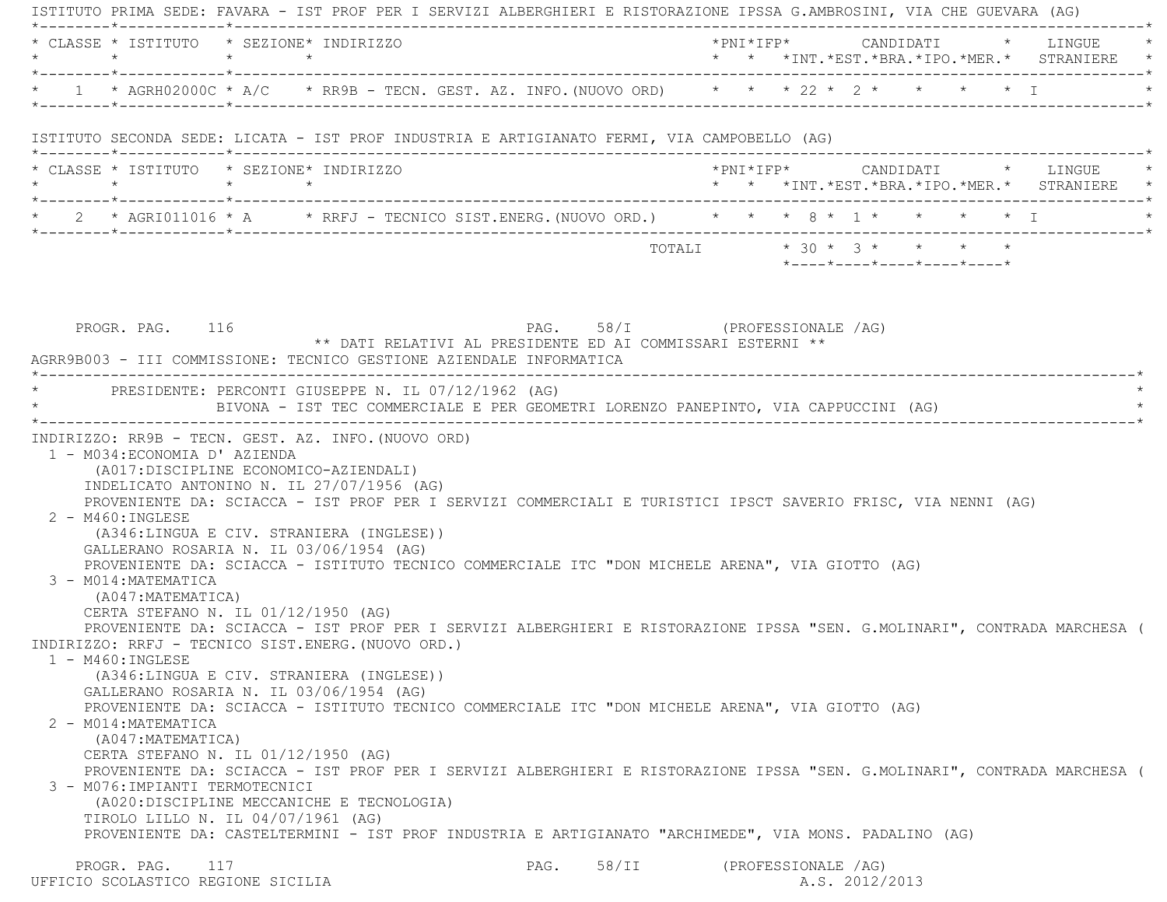ISTITUTO PRIMA SEDE: FAVARA - IST PROF PER I SERVIZI ALBERGHIERI E RISTORAZIONE IPSSA G.AMBROSINI, VIA CHE GUEVARA (AG) \*--------\*------------\*-------------------------------------------------------------------------------------------------------\* $\texttt{CLASSE}$  \*  $\texttt{ISTTTUTO}$  \*  $\texttt{SEXTONE*}$   $\texttt{TDITRTZZO}$  \*  $\texttt{PNT*TFP*}$   $\texttt{CANDIDATT}$  \*  $\texttt{I.IVGUF}$  \* \* \* \* \* \* \*INT.\*EST.\*BRA.\*IPO.\*MER.\* STRANIERE \* \*--------\*------------\*-------------------------------------------------------------------------------------------------------\* \* 1 \* AGRH02000C \* A/C \* RR9B - TECN. GEST. AZ. INFO.(NUOVO ORD) \* \* \* 22 \* 2 \* \* \* \* I \* \*--------\*------------\*-------------------------------------------------------------------------------------------------------\* ISTITUTO SECONDA SEDE: LICATA - IST PROF INDUSTRIA E ARTIGIANATO FERMI, VIA CAMPOBELLO (AG) \*--------\*------------\*-------------------------------------------------------------------------------------------------------\* \* CLASSE \* ISTITUTO \* SEZIONE\* INDIRIZZO \*PNI\*IFP\* CANDIDATI \* LINGUE \* \* \* \* \* \* \* \*INT.\*EST.\*BRA.\*IPO.\*MER.\* STRANIERE \* \*--------\*------------\*-------------------------------------------------------------------------------------------------------\*2 \* AGRI011016 \* A \* RRFJ - TECNICO SIST.ENERG.(NUOVO ORD.) \* \* \* 8 \* 1 \* \* \* \* \* \* I \*--------\*------------\*-------------------------------------------------------------------------------------------------------\*TOTALI  $* 30 * 3 * * * * * * *$  \*----\*----\*----\*----\*----\*PROGR. PAG. 116 CHASTERS IN PAG. 58/I (PROFESSIONALE /AG) \*\* DATI RELATIVI AL PRESIDENTE ED AI COMMISSARI ESTERNI \*\* AGRR9B003 - III COMMISSIONE: TECNICO GESTIONE AZIENDALE INFORMATICA \*----------------------------------------------------------------------------------------------------------------------------\*PRESIDENTE: PERCONTI GIUSEPPE N. IL 07/12/1962 (AG) BIVONA - IST TEC COMMERCIALE E PER GEOMETRI LORENZO PANEPINTO, VIA CAPPUCCINI (AG) \*----------------------------------------------------------------------------------------------------------------------------\* INDIRIZZO: RR9B - TECN. GEST. AZ. INFO.(NUOVO ORD) 1 - M034:ECONOMIA D' AZIENDA (A017:DISCIPLINE ECONOMICO-AZIENDALI) INDELICATO ANTONINO N. IL 27/07/1956 (AG) PROVENIENTE DA: SCIACCA - IST PROF PER I SERVIZI COMMERCIALI E TURISTICI IPSCT SAVERIO FRISC, VIA NENNI (AG) 2 - M460:INGLESE (A346:LINGUA E CIV. STRANIERA (INGLESE)) GALLERANO ROSARIA N. IL 03/06/1954 (AG) PROVENIENTE DA: SCIACCA - ISTITUTO TECNICO COMMERCIALE ITC "DON MICHELE ARENA", VIA GIOTTO (AG) 3 - M014:MATEMATICA (A047:MATEMATICA) CERTA STEFANO N. IL 01/12/1950 (AG) PROVENIENTE DA: SCIACCA - IST PROF PER I SERVIZI ALBERGHIERI E RISTORAZIONE IPSSA "SEN. G.MOLINARI", CONTRADA MARCHESA ( INDIRIZZO: RRFJ - TECNICO SIST.ENERG.(NUOVO ORD.) 1 - M460:INGLESE (A346:LINGUA E CIV. STRANIERA (INGLESE)) GALLERANO ROSARIA N. IL 03/06/1954 (AG) PROVENIENTE DA: SCIACCA - ISTITUTO TECNICO COMMERCIALE ITC "DON MICHELE ARENA", VIA GIOTTO (AG) 2 - M014:MATEMATICA (A047:MATEMATICA) CERTA STEFANO N. IL 01/12/1950 (AG) PROVENIENTE DA: SCIACCA - IST PROF PER I SERVIZI ALBERGHIERI E RISTORAZIONE IPSSA "SEN. G.MOLINARI", CONTRADA MARCHESA ( 3 - M076:IMPIANTI TERMOTECNICI (A020:DISCIPLINE MECCANICHE E TECNOLOGIA) TIROLO LILLO N. IL 04/07/1961 (AG) PROVENIENTE DA: CASTELTERMINI - IST PROF INDUSTRIA E ARTIGIANATO "ARCHIMEDE", VIA MONS. PADALINO (AG) PROGR. PAG. 117 CHASTERS IN PAG. 58/II (PROFESSIONALE /AG) UFFICIO SCOLASTICO REGIONE SICILIA A.S. 2012/2013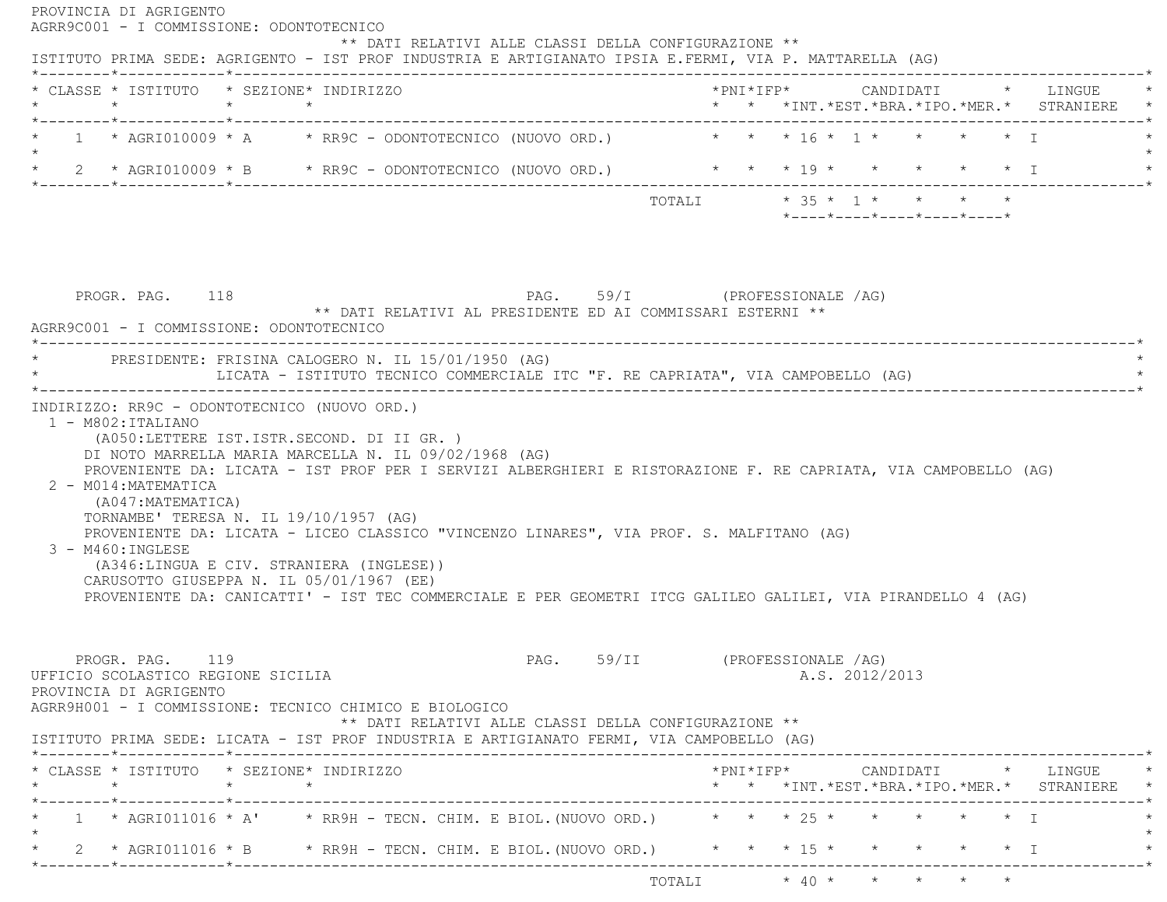| * CLASSE * ISTITUTO * SEZIONE* INDIRIZZO<br>$\star$ $\star$ $\star$                                                                                                                                                                                                                                                                                                                                         | *PNI*IFP*     CANDIDATI    *   LINGUE<br>* * *INT. *EST. *BRA. *IPO. *MER. * STRANIERE * |
|-------------------------------------------------------------------------------------------------------------------------------------------------------------------------------------------------------------------------------------------------------------------------------------------------------------------------------------------------------------------------------------------------------------|------------------------------------------------------------------------------------------|
| 1 * AGRI010009 * A * RR9C - ODONTOTECNICO (NUOVO ORD.) * * * 16 * 1 * * * * * T                                                                                                                                                                                                                                                                                                                             |                                                                                          |
| * 2 * AGRI010009 * B * RR9C - ODONTOTECNICO (NUOVO ORD.) * * * * 19 * * * * * * * T                                                                                                                                                                                                                                                                                                                         |                                                                                          |
|                                                                                                                                                                                                                                                                                                                                                                                                             | $*$ ---- $*$ ---- $*$ ---- $*$ ---- $*$ ---- $*$                                         |
|                                                                                                                                                                                                                                                                                                                                                                                                             |                                                                                          |
| PAG. 59/I (PROFESSIONALE /AG)<br>PROGR. PAG. 118<br>** DATI RELATIVI AL PRESIDENTE ED AI COMMISSARI ESTERNI **<br>AGRR9C001 - I COMMISSIONE: ODONTOTECNICO                                                                                                                                                                                                                                                  |                                                                                          |
| * PRESIDENTE: FRISINA CALOGERO N. IL 15/01/1950 (AG)<br>LICATA - ISTITUTO TECNICO COMMERCIALE ITC "F. RE CAPRIATA", VIA CAMPOBELLO (AG)                                                                                                                                                                                                                                                                     |                                                                                          |
| (A050:LETTERE IST.ISTR.SECOND. DI II GR. )<br>DI NOTO MARRELLA MARIA MARCELLA N. IL 09/02/1968 (AG)<br>PROVENIENTE DA: LICATA - IST PROF PER I SERVIZI ALBERGHIERI E RISTORAZIONE F. RE CAPRIATA, VIA CAMPOBELLO (AG)                                                                                                                                                                                       |                                                                                          |
| 2 - M014: MATEMATICA<br>(A047: MATEMATICA)<br>TORNAMBE' TERESA N. IL 19/10/1957 (AG)<br>PROVENIENTE DA: LICATA - LICEO CLASSICO "VINCENZO LINARES", VIA PROF. S. MALFITANO (AG)<br>3 - M460: INGLESE<br>(A346:LINGUA E CIV. STRANIERA (INGLESE))<br>CARUSOTTO GIUSEPPA N. IL 05/01/1967 (EE)<br>PROVENIENTE DA: CANICATTI' - IST TEC COMMERCIALE E PER GEOMETRI ITCG GALILEO GALILEI, VIA PIRANDELLO 4 (AG) |                                                                                          |
| 1 - M802: ITALIANO<br>PROGR. PAG. 119<br>** DATI RELATIVI ALLE CLASSI DELLA CONFIGURAZIONE **                                                                                                                                                                                                                                                                                                               | PAG. 59/II (PROFESSIONALE /AG)<br>A.S. 2012/2013                                         |
|                                                                                                                                                                                                                                                                                                                                                                                                             | ---------------------------*                                                             |
|                                                                                                                                                                                                                                                                                                                                                                                                             | * * *INT. *EST. *BRA. *IPO. *MER. * STRANIERE *                                          |
| INDIRIZZO: RR9C - ODONTOTECNICO (NUOVO ORD.)<br>UFFICIO SCOLASTICO REGIONE SICILIA<br>PROVINCIA DI AGRIGENTO<br>AGRR9H001 - I COMMISSIONE: TECNICO CHIMICO E BIOLOGICO<br>ISTITUTO PRIMA SEDE: LICATA - IST PROF INDUSTRIA E ARTIGIANATO FERMI, VIA CAMPOBELLO (AG)<br>* CLASSE * ISTITUTO * SEZIONE* INDIRIZZO<br>1 * AGRI011016 * A' * RR9H - TECN. CHIM. E BIOL. (NUOVO ORD.) * * * * 25 * * * * * * * I |                                                                                          |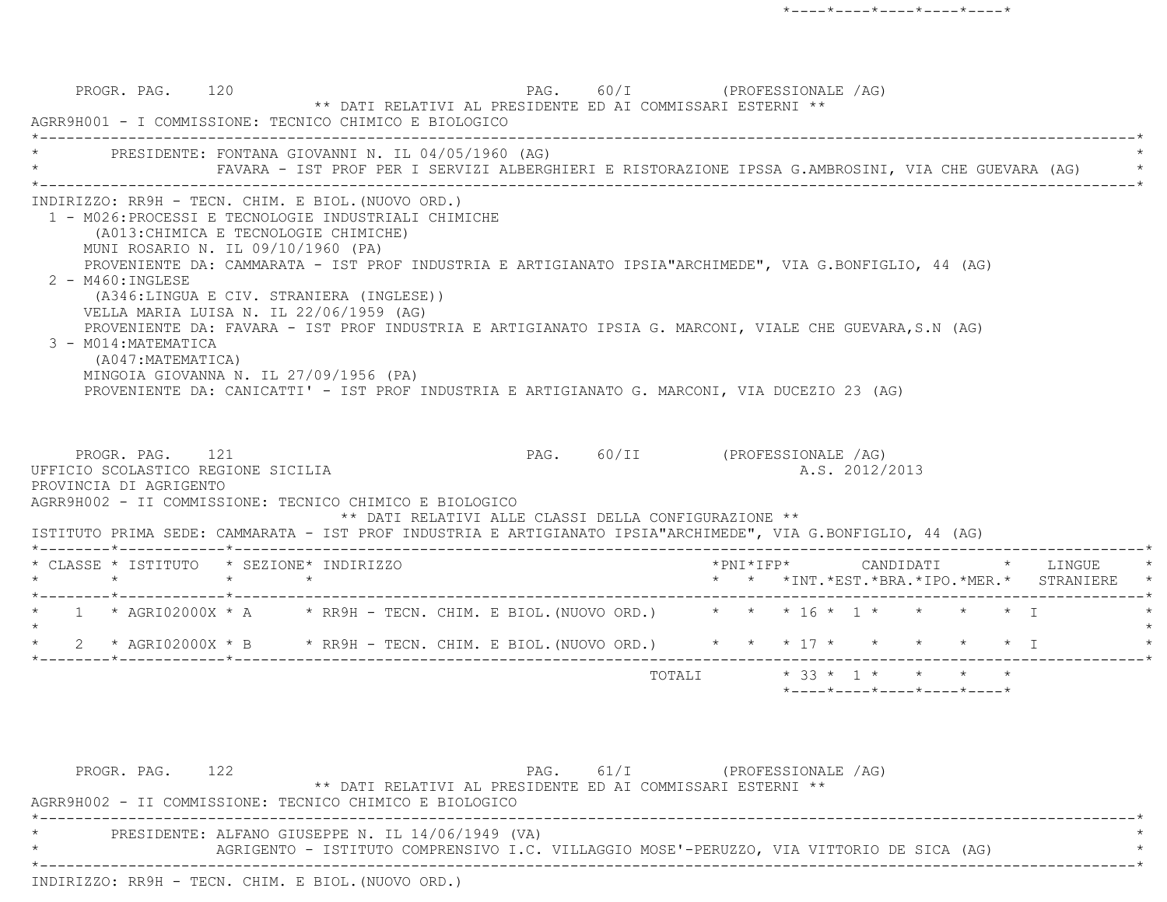PROGR. PAG. 120 **PAG.** PAG. 60/I (PROFESSIONALE /AG) \*\* DATI RELATIVI AL PRESIDENTE ED AI COMMISSARI ESTERNI \*\* AGRR9H001 - I COMMISSIONE: TECNICO CHIMICO E BIOLOGICO \*----------------------------------------------------------------------------------------------------------------------------\*PRESIDENTE: FONTANA GIOVANNI N. IL 04/05/1960 (AG) \* FAVARA - IST PROF PER I SERVIZI ALBERGHIERI E RISTORAZIONE IPSSA G.AMBROSINI, VIA CHE GUEVARA (AG) \* \*----------------------------------------------------------------------------------------------------------------------------\* INDIRIZZO: RR9H - TECN. CHIM. E BIOL.(NUOVO ORD.) 1 - M026:PROCESSI E TECNOLOGIE INDUSTRIALI CHIMICHE (A013:CHIMICA E TECNOLOGIE CHIMICHE) MUNI ROSARIO N. IL 09/10/1960 (PA) PROVENIENTE DA: CAMMARATA - IST PROF INDUSTRIA E ARTIGIANATO IPSIA"ARCHIMEDE", VIA G.BONFIGLIO, 44 (AG) 2 - M460:INGLESE (A346:LINGUA E CIV. STRANIERA (INGLESE)) VELLA MARIA LUISA N. IL 22/06/1959 (AG) PROVENIENTE DA: FAVARA - IST PROF INDUSTRIA E ARTIGIANATO IPSIA G. MARCONI, VIALE CHE GUEVARA,S.N (AG) 3 - M014:MATEMATICA (A047:MATEMATICA) MINGOIA GIOVANNA N. IL 27/09/1956 (PA) PROVENIENTE DA: CANICATTI' - IST PROF INDUSTRIA E ARTIGIANATO G. MARCONI, VIA DUCEZIO 23 (AG) PROGR. PAG. 121 CPROFESSIONALE /AG) UFFICIO SCOLASTICO REGIONE SICILIA A.S. 2012/2013 PROVINCIA DI AGRIGENTO AGRR9H002 - II COMMISSIONE: TECNICO CHIMICO E BIOLOGICO \*\* DATI RELATIVI ALLE CLASSI DELLA CONFIGURAZIONE \*\* ISTITUTO PRIMA SEDE: CAMMARATA - IST PROF INDUSTRIA E ARTIGIANATO IPSIA"ARCHIMEDE", VIA G.BONFIGLIO, 44 (AG) \*--------\*------------\*-------------------------------------------------------------------------------------------------------\* \* CLASSE \* ISTITUTO \* SEZIONE\* INDIRIZZO \*PNI\*IFP\* CANDIDATI \* LINGUE \* \* \* \* \* \* \* \*INT.\*EST.\*BRA.\*IPO.\*MER.\* STRANIERE \* \*--------\*------------\*-------------------------------------------------------------------------------------------------------\*1 \* AGRI02000X \* A \* RR9H - TECN. CHIM. E BIOL. (NUOVO ORD.) \* \* \* 16 \* 1 \* \* \* \* \* \* I  $\star$ \* 2 \* AGRI02000X \* B \* RR9H - TECN. CHIM. E BIOL. (NUOVO ORD.) \* \* \* 17 \* \* \* \* \* \* \* I \*--------\*------------\*-------------------------------------------------------------------------------------------------------\*TOTALI  $* 33 * 1 * * * * * * *$ \*----\*----\*----\*----\*----\*

PROGR. PAG. 122 **PAG.** 61/I (PROFESSIONALE /AG) \*\* DATI RELATIVI AL PRESIDENTE ED AI COMMISSARI ESTERNI \*\* AGRR9H002 - II COMMISSIONE: TECNICO CHIMICO E BIOLOGICO \*----------------------------------------------------------------------------------------------------------------------------\*PRESIDENTE: ALFANO GIUSEPPE N. IL 14/06/1949 (VA) AGRIGENTO - ISTITUTO COMPRENSIVO I.C. VILLAGGIO MOSE'-PERUZZO, VIA VITTORIO DE SICA (AG) \*----------------------------------------------------------------------------------------------------------------------------\*INDIRIZZO: RR9H - TECN. CHIM. E BIOL.(NUOVO ORD.)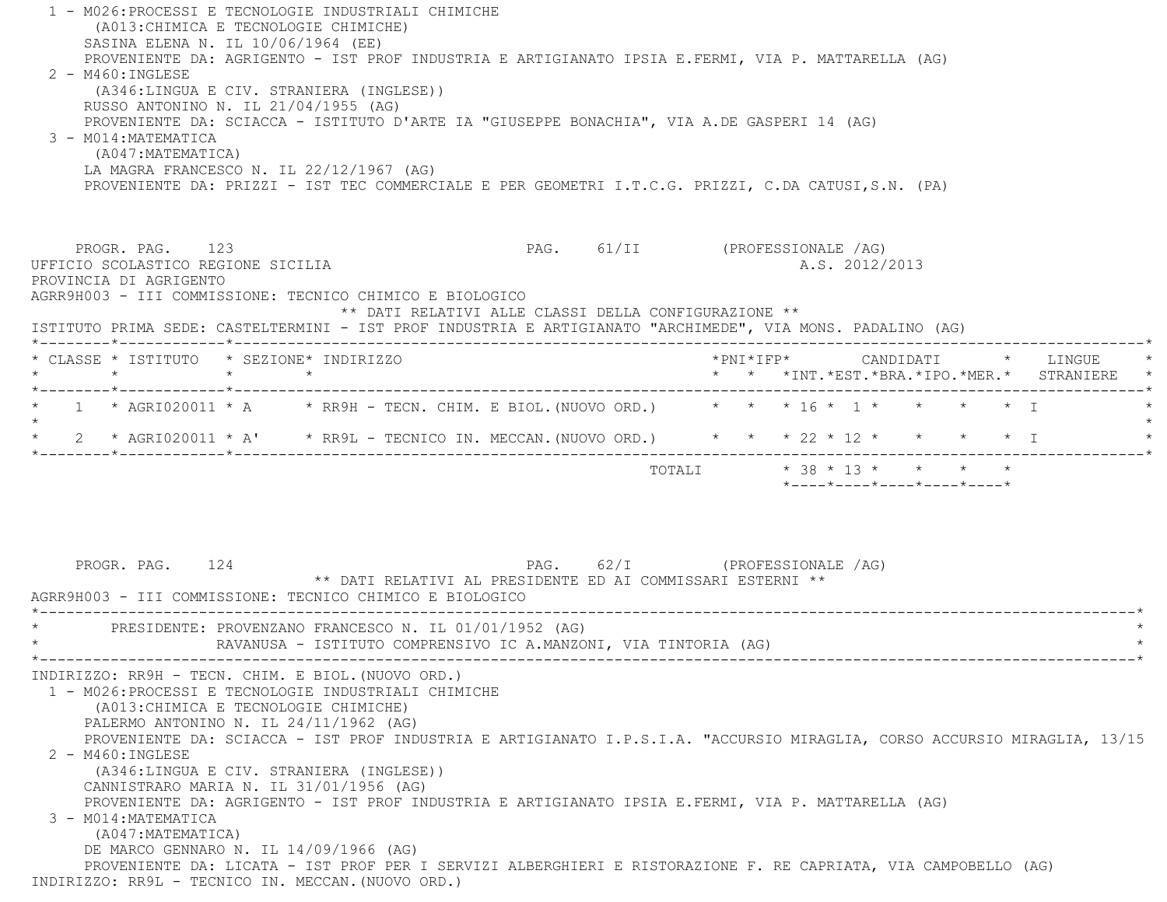| 1 - M026:PROCESSI E TECNOLOGIE INDUSTRIALI CHIMICHE<br>(A013: CHIMICA E TECNOLOGIE CHIMICHE)<br>SASINA ELENA N. IL 10/06/1964 (EE)<br>PROVENIENTE DA: AGRIGENTO - IST PROF INDUSTRIA E ARTIGIANATO IPSIA E.FERMI, VIA P. MATTARELLA (AG)<br>$2 - M460$ : INGLESE<br>(A346:LINGUA E CIV. STRANIERA (INGLESE))<br>RUSSO ANTONINO N. IL 21/04/1955 (AG)<br>PROVENIENTE DA: SCIACCA - ISTITUTO D'ARTE IA "GIUSEPPE BONACHIA", VIA A.DE GASPERI 14 (AG)<br>3 - M014: MATEMATICA<br>(A047: MATEMATICA)<br>LA MAGRA FRANCESCO N. IL 22/12/1967 (AG)<br>PROVENIENTE DA: PRIZZI - IST TEC COMMERCIALE E PER GEOMETRI I.T.C.G. PRIZZI, C.DA CATUSI,S.N. (PA) |                                                                                                                          |
|----------------------------------------------------------------------------------------------------------------------------------------------------------------------------------------------------------------------------------------------------------------------------------------------------------------------------------------------------------------------------------------------------------------------------------------------------------------------------------------------------------------------------------------------------------------------------------------------------------------------------------------------------|--------------------------------------------------------------------------------------------------------------------------|
| PROGR. PAG. 123<br>UFFICIO SCOLASTICO REGIONE SICILIA<br>PROVINCIA DI AGRIGENTO<br>AGRR9H003 - III COMMISSIONE: TECNICO CHIMICO E BIOLOGICO<br>** DATI RELATIVI ALLE CLASSI DELLA CONFIGURAZIONE **<br>ISTITUTO PRIMA SEDE: CASTELTERMINI - IST PROF INDUSTRIA E ARTIGIANATO "ARCHIMEDE", VIA MONS. PADALINO (AG)                                                                                                                                                                                                                                                                                                                                  | PAG. 61/II (PROFESSIONALE /AG)<br>A.S. 2012/2013                                                                         |
| * CLASSE * ISTITUTO * SEZIONE* INDIRIZZO<br>$\star$<br>$\star$ $\star$                                                                                                                                                                                                                                                                                                                                                                                                                                                                                                                                                                             | *PNI*IFP*     CANDIDATI    *   LINGUE<br>* * *INT.*EST.*BRA.*IPO.*MER.* STRANIERE *                                      |
| 1 * AGRI020011 * A $\rightarrow$ RR9H - TECN. CHIM. E BIOL. (NUOVO ORD.) * * * 16 * 1 * * * * * * T                                                                                                                                                                                                                                                                                                                                                                                                                                                                                                                                                |                                                                                                                          |
| 2 * AGRI020011 * A' * RR9L - TECNICO IN. MECCAN. (NUOVO ORD.) * * * 22 * 12 * * * * * * I                                                                                                                                                                                                                                                                                                                                                                                                                                                                                                                                                          |                                                                                                                          |
| PROGR. PAG. 124<br>** DATI RELATIVI AL PRESIDENTE ED AI COMMISSARI ESTERNI **<br>AGRR9H003 - III COMMISSIONE: TECNICO CHIMICO E BIOLOGICO                                                                                                                                                                                                                                                                                                                                                                                                                                                                                                          | $*$ - - - - $*$ - - - - $*$ - - - - $*$ - - - - $*$ - - - - $*$<br>PAG. 62/I (PROFESSIONALE /AG)                         |
| PRESIDENTE: PROVENZANO FRANCESCO N. IL 01/01/1952 (AG)<br>RAVANUSA - ISTITUTO COMPRENSIVO IC A.MANZONI, VIA TINTORIA (AG)                                                                                                                                                                                                                                                                                                                                                                                                                                                                                                                          |                                                                                                                          |
| INDIRIZZO: RR9H - TECN. CHIM. E BIOL. (NUOVO ORD.)<br>1 - M026: PROCESSI E TECNOLOGIE INDUSTRIALI CHIMICHE<br>(A013: CHIMICA E TECNOLOGIE CHIMICHE)<br>PALERMO ANTONINO N. IL 24/11/1962 (AG)<br>$2 - M460 : INGLESE$<br>(A346:LINGUA E CIV. STRANIERA (INGLESE))<br>CANNISTRARO MARIA N. IL 31/01/1956 (AG)<br>PROVENIENTE DA: AGRIGENTO - IST PROF INDUSTRIA E ARTIGIANATO IPSIA E.FERMI, VIA P. MATTARELLA (AG)<br>3 - M014: MATEMATICA<br>(A047: MATEMATICA)<br>DE MARCO GENNARO N. IL 14/09/1966 (AG)<br>PROVENIENTE DA: LICATA - IST PROF PER I SERVIZI ALBERGHIERI E RISTORAZIONE F. RE CAPRIATA, VIA CAMPOBELLO (AG)                       | PROVENIENTE DA: SCIACCA - IST PROF INDUSTRIA E ARTIGIANATO I.P.S.I.A. "ACCURSIO MIRAGLIA, CORSO ACCURSIO MIRAGLIA, 13/15 |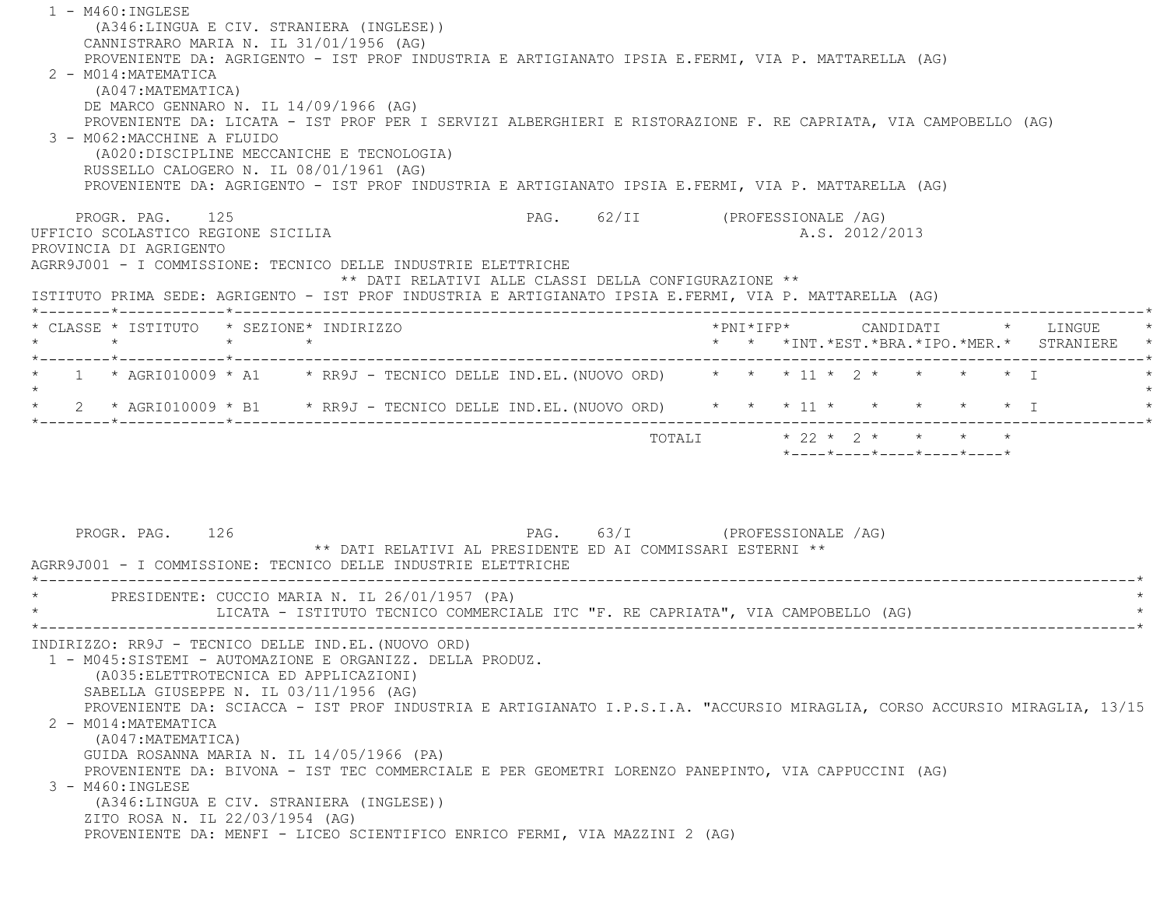| $1 - M460 : INGLESE$                                                                                           |                                                            |                                                                                                                          |
|----------------------------------------------------------------------------------------------------------------|------------------------------------------------------------|--------------------------------------------------------------------------------------------------------------------------|
| (A346:LINGUA E CIV. STRANIERA (INGLESE))                                                                       |                                                            |                                                                                                                          |
| CANNISTRARO MARIA N. IL 31/01/1956 (AG)                                                                        |                                                            |                                                                                                                          |
| PROVENIENTE DA: AGRIGENTO - IST PROF INDUSTRIA E ARTIGIANATO IPSIA E.FERMI, VIA P. MATTARELLA (AG)             |                                                            |                                                                                                                          |
| 2 - M014: MATEMATICA                                                                                           |                                                            |                                                                                                                          |
| (A047:MATEMATICA)                                                                                              |                                                            |                                                                                                                          |
| DE MARCO GENNARO N. IL 14/09/1966 (AG)                                                                         |                                                            |                                                                                                                          |
| PROVENIENTE DA: LICATA - IST PROF PER I SERVIZI ALBERGHIERI E RISTORAZIONE F. RE CAPRIATA, VIA CAMPOBELLO (AG) |                                                            |                                                                                                                          |
| 3 - M062: MACCHINE A FLUIDO                                                                                    |                                                            |                                                                                                                          |
| (A020:DISCIPLINE MECCANICHE E TECNOLOGIA)<br>RUSSELLO CALOGERO N. IL 08/01/1961 (AG)                           |                                                            |                                                                                                                          |
| PROVENIENTE DA: AGRIGENTO - IST PROF INDUSTRIA E ARTIGIANATO IPSIA E.FERMI, VIA P. MATTARELLA (AG)             |                                                            |                                                                                                                          |
|                                                                                                                |                                                            |                                                                                                                          |
| PROGR. PAG. 125                                                                                                |                                                            | PAG. 62/II (PROFESSIONALE /AG)                                                                                           |
| UFFICIO SCOLASTICO REGIONE SICILIA                                                                             |                                                            | A.S. 2012/2013                                                                                                           |
| PROVINCIA DI AGRIGENTO                                                                                         |                                                            |                                                                                                                          |
| AGRR9J001 - I COMMISSIONE: TECNICO DELLE INDUSTRIE ELETTRICHE                                                  |                                                            |                                                                                                                          |
|                                                                                                                | ** DATI RELATIVI ALLE CLASSI DELLA CONFIGURAZIONE **       |                                                                                                                          |
| ISTITUTO PRIMA SEDE: AGRIGENTO - IST PROF INDUSTRIA E ARTIGIANATO IPSIA E.FERMI, VIA P. MATTARELLA (AG)        |                                                            |                                                                                                                          |
| * CLASSE * ISTITUTO * SEZIONE* INDIRIZZO                                                                       |                                                            | *PNI*IFP*     CANDIDATI    *   LINGUE                                                                                    |
|                                                                                                                |                                                            | * * *INT. *EST. *BRA. *IPO. *MER. * STRANIERE *                                                                          |
|                                                                                                                |                                                            |                                                                                                                          |
| 1 * AGRI010009 * A1 * RR9J - TECNICO DELLE IND.EL. (NUOVO ORD) * * * 11 * 2 * * * * * * I                      |                                                            |                                                                                                                          |
|                                                                                                                |                                                            |                                                                                                                          |
| * 2 * AGRI010009 * B1 * RR9J - TECNICO DELLE IND.EL. (NUOVO ORD) * * * 11 * * * * * * * I                      |                                                            |                                                                                                                          |
|                                                                                                                |                                                            | TOTALI * 22 * 2 * * * *                                                                                                  |
|                                                                                                                |                                                            | $*$ - - - - $*$ - - - - $*$ - - - - $*$ - - - - $*$ - - - - $*$                                                          |
|                                                                                                                |                                                            |                                                                                                                          |
|                                                                                                                |                                                            |                                                                                                                          |
|                                                                                                                |                                                            |                                                                                                                          |
|                                                                                                                |                                                            |                                                                                                                          |
| PROGR. PAG. 126                                                                                                |                                                            | PAG. 63/I (PROFESSIONALE /AG)                                                                                            |
|                                                                                                                | ** DATI RELATIVI AL PRESIDENTE ED AI COMMISSARI ESTERNI ** |                                                                                                                          |
| AGRR9J001 - I COMMISSIONE: TECNICO DELLE INDUSTRIE ELETTRICHE                                                  |                                                            |                                                                                                                          |
| * PRESIDENTE: CUCCIO MARIA N. IL 26/01/1957 (PA)                                                               |                                                            |                                                                                                                          |
| LICATA - ISTITUTO TECNICO COMMERCIALE ITC "F. RE CAPRIATA", VIA CAMPOBELLO (AG)                                |                                                            |                                                                                                                          |
|                                                                                                                |                                                            |                                                                                                                          |
| INDIRIZZO: RR9J - TECNICO DELLE IND.EL. (NUOVO ORD)                                                            |                                                            |                                                                                                                          |
| 1 - M045:SISTEMI - AUTOMAZIONE E ORGANIZZ. DELLA PRODUZ.                                                       |                                                            |                                                                                                                          |
| (A035: ELETTROTECNICA ED APPLICAZIONI)                                                                         |                                                            |                                                                                                                          |
| SABELLA GIUSEPPE N. IL 03/11/1956 (AG)                                                                         |                                                            |                                                                                                                          |
|                                                                                                                |                                                            | PROVENIENTE DA: SCIACCA - IST PROF INDUSTRIA E ARTIGIANATO I.P.S.I.A. "ACCURSIO MIRAGLIA, CORSO ACCURSIO MIRAGLIA, 13/15 |
| 2 - M014: MATEMATICA                                                                                           |                                                            |                                                                                                                          |
| (A047: MATEMATICA)                                                                                             |                                                            |                                                                                                                          |
| GUIDA ROSANNA MARIA N. IL 14/05/1966 (PA)                                                                      |                                                            |                                                                                                                          |
| PROVENIENTE DA: BIVONA - IST TEC COMMERCIALE E PER GEOMETRI LORENZO PANEPINTO, VIA CAPPUCCINI (AG)             |                                                            |                                                                                                                          |
| 3 - M460: INGLESE                                                                                              |                                                            |                                                                                                                          |
| (A346:LINGUA E CIV. STRANIERA (INGLESE))                                                                       |                                                            |                                                                                                                          |
| ZITO ROSA N. IL 22/03/1954 (AG)                                                                                |                                                            |                                                                                                                          |
| PROVENIENTE DA: MENFI - LICEO SCIENTIFICO ENRICO FERMI, VIA MAZZINI 2 (AG)                                     |                                                            |                                                                                                                          |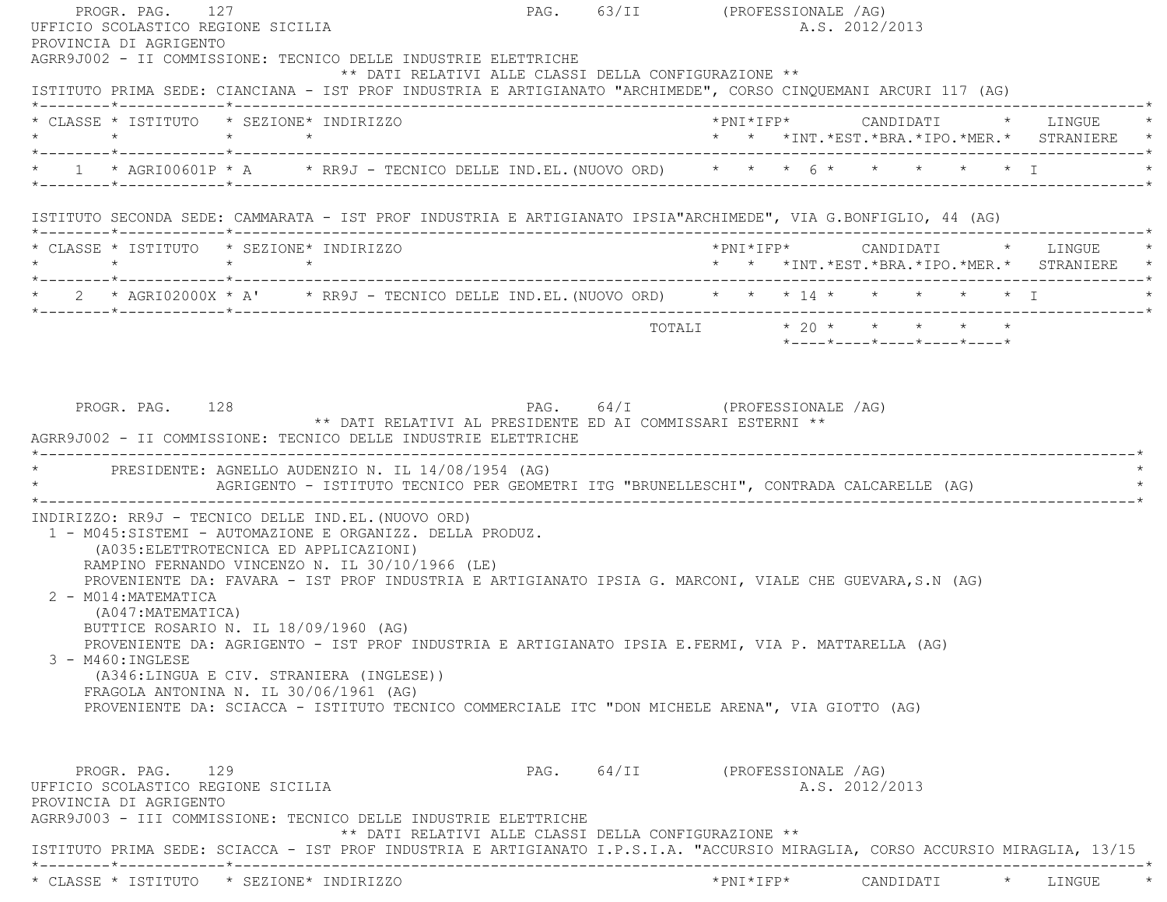| PROGR. PAG. 127<br>UFFICIO SCOLASTICO REGIONE SICILIA                                                                                                                                                                                                                                                                                                  |                                                      | PAG. 63/II (PROFESSIONALE /AG) | A.S. 2012/2013                                                                          |                   |
|--------------------------------------------------------------------------------------------------------------------------------------------------------------------------------------------------------------------------------------------------------------------------------------------------------------------------------------------------------|------------------------------------------------------|--------------------------------|-----------------------------------------------------------------------------------------|-------------------|
| PROVINCIA DI AGRIGENTO<br>AGRR9J002 - II COMMISSIONE: TECNICO DELLE INDUSTRIE ELETTRICHE<br>ISTITUTO PRIMA SEDE: CIANCIANA - IST PROF INDUSTRIA E ARTIGIANATO "ARCHIMEDE", CORSO CINQUEMANI ARCURI 117 (AG)                                                                                                                                            | ** DATI RELATIVI ALLE CLASSI DELLA CONFIGURAZIONE ** |                                |                                                                                         |                   |
| * CLASSE * ISTITUTO * SEZIONE* INDIRIZZO                                                                                                                                                                                                                                                                                                               |                                                      |                                | *PNI*IFP*     CANDIDATI    *   LINGUE   *<br>* * *INT.*EST.*BRA.*IPO.*MER.* STRANIERE * |                   |
| * 1 * AGRI00601P * A * * RR9J - TECNICO DELLE IND.EL. (NUOVO ORD) * * * 6 * * * * * * * * I                                                                                                                                                                                                                                                            |                                                      |                                |                                                                                         |                   |
| ISTITUTO SECONDA SEDE: CAMMARATA - IST PROF INDUSTRIA E ARTIGIANATO IPSIA"ARCHIMEDE", VIA G.BONFIGLIO, 44 (AG)                                                                                                                                                                                                                                         |                                                      |                                |                                                                                         |                   |
| * CLASSE * ISTITUTO * SEZIONE* INDIRIZZO                                                                                                                                                                                                                                                                                                               |                                                      |                                | * * *INT.*EST.*BRA.*IPO.*MER.* STRANIERE *                                              |                   |
| * 2 * AGRI02000X * A' * RR9J - TECNICO DELLE IND.EL. (NUOVO ORD) * * * 14 * * * * * * * * I                                                                                                                                                                                                                                                            |                                                      |                                |                                                                                         |                   |
|                                                                                                                                                                                                                                                                                                                                                        |                                                      |                                | *----*----*----*----*----*                                                              |                   |
| AGRIGENTO - ISTITUTO TECNICO PER GEOMETRI ITG "BRUNELLESCHI", CONTRADA CALCARELLE (AG)<br>INDIRIZZO: RR9J - TECNICO DELLE IND.EL. (NUOVO ORD)                                                                                                                                                                                                          |                                                      |                                |                                                                                         |                   |
| PROGR. PAG. 128<br>** DATI RELATIVI AL PRESIDENTE ED AI COMMISSARI ESTERNI **<br>AGRR9J002 - II COMMISSIONE: TECNICO DELLE INDUSTRIE ELETTRICHE<br>* PRESIDENTE: AGNELLO AUDENZIO N. IL 14/08/1954 (AG)                                                                                                                                                |                                                      | PAG. 64/I (PROFESSIONALE /AG)  |                                                                                         |                   |
| 1 - M045:SISTEMI - AUTOMAZIONE E ORGANIZZ. DELLA PRODUZ.<br>(A035: ELETTROTECNICA ED APPLICAZIONI)<br>RAMPINO FERNANDO VINCENZO N. IL 30/10/1966 (LE)<br>PROVENIENTE DA: FAVARA - IST PROF INDUSTRIA E ARTIGIANATO IPSIA G. MARCONI, VIALE CHE GUEVARA, S.N (AG)<br>2 - M014: MATEMATICA<br>(A047:MATEMATICA)<br>BUTTICE ROSARIO N. IL 18/09/1960 (AG) |                                                      |                                |                                                                                         |                   |
| PROVENIENTE DA: AGRIGENTO - IST PROF INDUSTRIA E ARTIGIANATO IPSIA E.FERMI, VIA P. MATTARELLA (AG)<br>3 - M460: INGLESE<br>(A346:LINGUA E CIV. STRANIERA (INGLESE))<br>FRAGOLA ANTONINA N. IL 30/06/1961 (AG)<br>PROVENIENTE DA: SCIACCA - ISTITUTO TECNICO COMMERCIALE ITC "DON MICHELE ARENA", VIA GIOTTO (AG)                                       |                                                      |                                |                                                                                         |                   |
| PROGR. PAG. 129<br>UFFICIO SCOLASTICO REGIONE SICILIA<br>PROVINCIA DI AGRIGENTO<br>AGRR9J003 - III COMMISSIONE: TECNICO DELLE INDUSTRIE ELETTRICHE                                                                                                                                                                                                     | ** DATI RELATIVI ALLE CLASSI DELLA CONFIGURAZIONE ** | PAG. 64/II (PROFESSIONALE /AG) | A.S. 2012/2013                                                                          |                   |
| ISTITUTO PRIMA SEDE: SCIACCA - IST PROF INDUSTRIA E ARTIGIANATO I.P.S.I.A. "ACCURSIO MIRAGLIA, CORSO ACCURSIO MIRAGLIA, 13/15                                                                                                                                                                                                                          |                                                      |                                |                                                                                         |                   |
| * CLASSE * ISTITUTO * SEZIONE* INDIRIZZO                                                                                                                                                                                                                                                                                                               |                                                      | $*$ PNI $*$ IFP $*$            | CANDIDATI                                                                               | $\star$<br>LINGUE |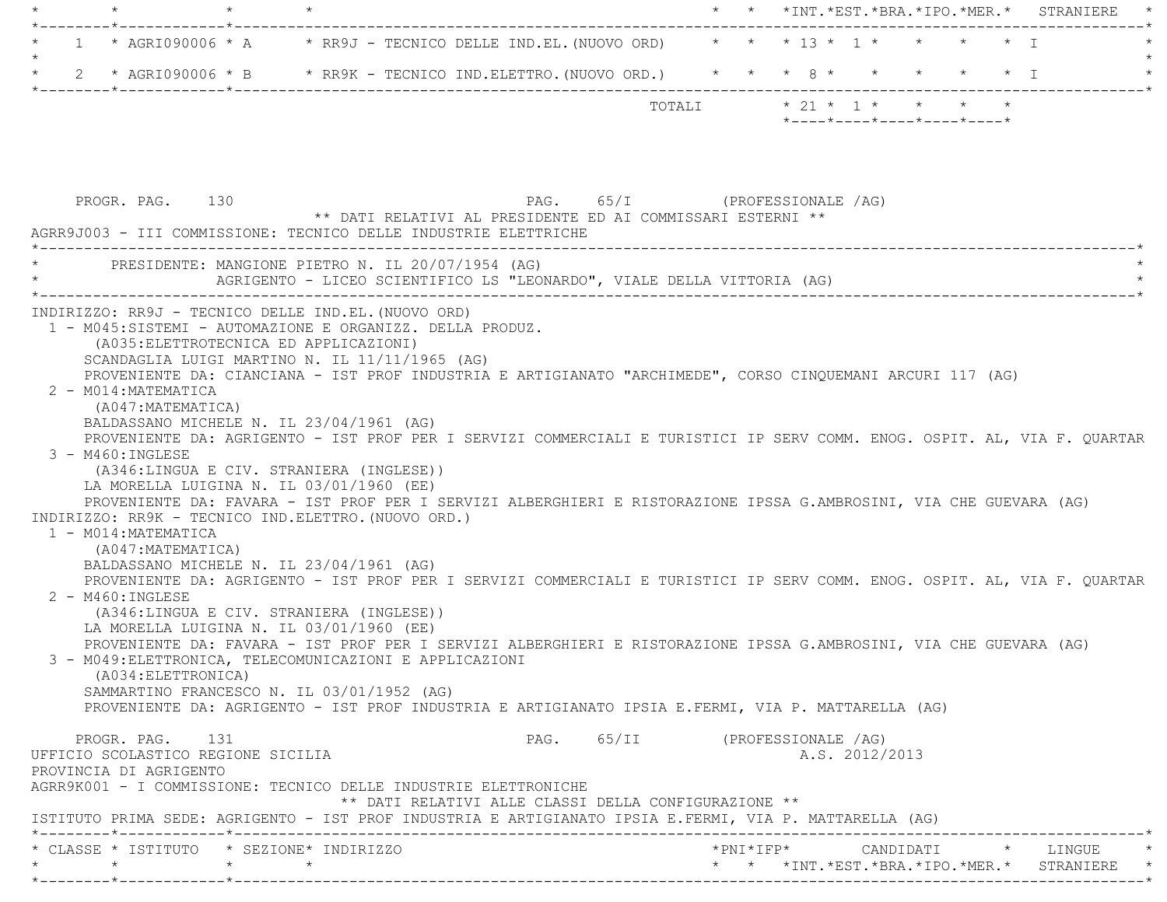|         |                                                                                        |                                                                     |                                                                                                                                                                                                                                                                                                                                                                                                        |                                                            |  |  | * * *INT. *EST. *BRA. *IPO. *MER. * STRANIERE                                                                                                                                                                                                                                                                                                                |
|---------|----------------------------------------------------------------------------------------|---------------------------------------------------------------------|--------------------------------------------------------------------------------------------------------------------------------------------------------------------------------------------------------------------------------------------------------------------------------------------------------------------------------------------------------------------------------------------------------|------------------------------------------------------------|--|--|--------------------------------------------------------------------------------------------------------------------------------------------------------------------------------------------------------------------------------------------------------------------------------------------------------------------------------------------------------------|
|         |                                                                                        | _____*____________*___________                                      |                                                                                                                                                                                                                                                                                                                                                                                                        |                                                            |  |  | ------------------------<br>1 * AGRI090006 * A * RR9J - TECNICO DELLE IND.EL. (NUOVO ORD) * * * 13 * 1 *<br>$\star$ $\star$ T                                                                                                                                                                                                                                |
| $\star$ |                                                                                        |                                                                     |                                                                                                                                                                                                                                                                                                                                                                                                        |                                                            |  |  | 2 * AGRI090006 * B * RR9K - TECNICO IND.ELETTRO. (NUOVO ORD.) * * * 8 * * * * * * * * I                                                                                                                                                                                                                                                                      |
|         |                                                                                        |                                                                     |                                                                                                                                                                                                                                                                                                                                                                                                        |                                                            |  |  | TOTALI * 21 * 1 * * * * *                                                                                                                                                                                                                                                                                                                                    |
|         |                                                                                        |                                                                     |                                                                                                                                                                                                                                                                                                                                                                                                        |                                                            |  |  | $*$ - - - - $*$ - - - - $*$ - - - - $*$ - - - - $*$ - - - - $*$                                                                                                                                                                                                                                                                                              |
|         |                                                                                        |                                                                     |                                                                                                                                                                                                                                                                                                                                                                                                        |                                                            |  |  |                                                                                                                                                                                                                                                                                                                                                              |
|         |                                                                                        |                                                                     |                                                                                                                                                                                                                                                                                                                                                                                                        |                                                            |  |  |                                                                                                                                                                                                                                                                                                                                                              |
|         | PROGR. PAG. 130                                                                        |                                                                     | AGRR9J003 - III COMMISSIONE: TECNICO DELLE INDUSTRIE ELETTRICHE                                                                                                                                                                                                                                                                                                                                        | ** DATI RELATIVI AL PRESIDENTE ED AI COMMISSARI ESTERNI ** |  |  | PAG. 65/I (PROFESSIONALE /AG)                                                                                                                                                                                                                                                                                                                                |
|         |                                                                                        |                                                                     | PRESIDENTE: MANGIONE PIETRO N. IL 20/07/1954 (AG)<br>AGRIGENTO - LICEO SCIENTIFICO LS "LEONARDO", VIALE DELLA VITTORIA (AG)                                                                                                                                                                                                                                                                            |                                                            |  |  |                                                                                                                                                                                                                                                                                                                                                              |
|         | 2 - M014: MATEMATICA<br>(A047:MATEMATICA)<br>3 - M460: INGLESE<br>1 - M014: MATEMATICA |                                                                     | INDIRIZZO: RR9J - TECNICO DELLE IND.EL. (NUOVO ORD)<br>1 - M045:SISTEMI - AUTOMAZIONE E ORGANIZZ. DELLA PRODUZ.<br>(A035: ELETTROTECNICA ED APPLICAZIONI)<br>SCANDAGLIA LUIGI MARTINO N. IL 11/11/1965 (AG)<br>BALDASSANO MICHELE N. IL 23/04/1961 (AG)<br>(A346:LINGUA E CIV. STRANIERA (INGLESE))<br>LA MORELLA LUIGINA N. IL 03/01/1960 (EE)<br>INDIRIZZO: RR9K - TECNICO IND.ELETTRO. (NUOVO ORD.) |                                                            |  |  | PROVENIENTE DA: CIANCIANA - IST PROF INDUSTRIA E ARTIGIANATO "ARCHIMEDE", CORSO CINQUEMANI ARCURI 117 (AG)<br>PROVENIENTE DA: AGRIGENTO - IST PROF PER I SERVIZI COMMERCIALI E TURISTICI IP SERV COMM. ENOG. OSPIT. AL, VIA F. OUARTAR<br>PROVENIENTE DA: FAVARA - IST PROF PER I SERVIZI ALBERGHIERI E RISTORAZIONE IPSSA G.AMBROSINI, VIA CHE GUEVARA (AG) |
|         | (A047: MATEMATICA)<br>$2 - M460$ : INGLESE                                             |                                                                     | BALDASSANO MICHELE N. IL 23/04/1961 (AG)<br>(A346:LINGUA E CIV. STRANIERA (INGLESE))<br>LA MORELLA LUIGINA N. IL 03/01/1960 (EE)                                                                                                                                                                                                                                                                       |                                                            |  |  | PROVENIENTE DA: AGRIGENTO - IST PROF PER I SERVIZI COMMERCIALI E TURISTICI IP SERV COMM. ENOG. OSPIT. AL, VIA F. QUARTAR                                                                                                                                                                                                                                     |
|         | (A034: ELETTRONICA)                                                                    |                                                                     | 3 - M049: ELETTRONICA, TELECOMUNICAZIONI E APPLICAZIONI<br>SAMMARTINO FRANCESCO N. IL 03/01/1952 (AG)                                                                                                                                                                                                                                                                                                  |                                                            |  |  | PROVENIENTE DA: FAVARA - IST PROF PER I SERVIZI ALBERGHIERI E RISTORAZIONE IPSSA G.AMBROSINI, VIA CHE GUEVARA (AG)<br>PROVENIENTE DA: AGRIGENTO - IST PROF INDUSTRIA E ARTIGIANATO IPSIA E.FERMI, VIA P. MATTARELLA (AG)                                                                                                                                     |
|         | PROGR. PAG. 131<br>PROVINCIA DI AGRIGENTO                                              | UFFICIO SCOLASTICO REGIONE SICILIA                                  | AGRR9K001 - I COMMISSIONE: TECNICO DELLE INDUSTRIE ELETTRONICHE                                                                                                                                                                                                                                                                                                                                        |                                                            |  |  | PAG. 65/II (PROFESSIONALE /AG)<br>A.S. 2012/2013                                                                                                                                                                                                                                                                                                             |
|         |                                                                                        |                                                                     |                                                                                                                                                                                                                                                                                                                                                                                                        | ** DATI RELATIVI ALLE CLASSI DELLA CONFIGURAZIONE **       |  |  | ISTITUTO PRIMA SEDE: AGRIGENTO - IST PROF INDUSTRIA E ARTIGIANATO IPSIA E.FERMI, VIA P. MATTARELLA (AG)                                                                                                                                                                                                                                                      |
|         |                                                                                        | $\star \qquad \qquad \star \qquad \qquad \star \qquad \qquad \star$ | * CLASSE * ISTITUTO * SEZIONE* INDIRIZZO                                                                                                                                                                                                                                                                                                                                                               |                                                            |  |  | * * *INT.*EST.*BRA.*IPO.*MER.* STRANIERE *                                                                                                                                                                                                                                                                                                                   |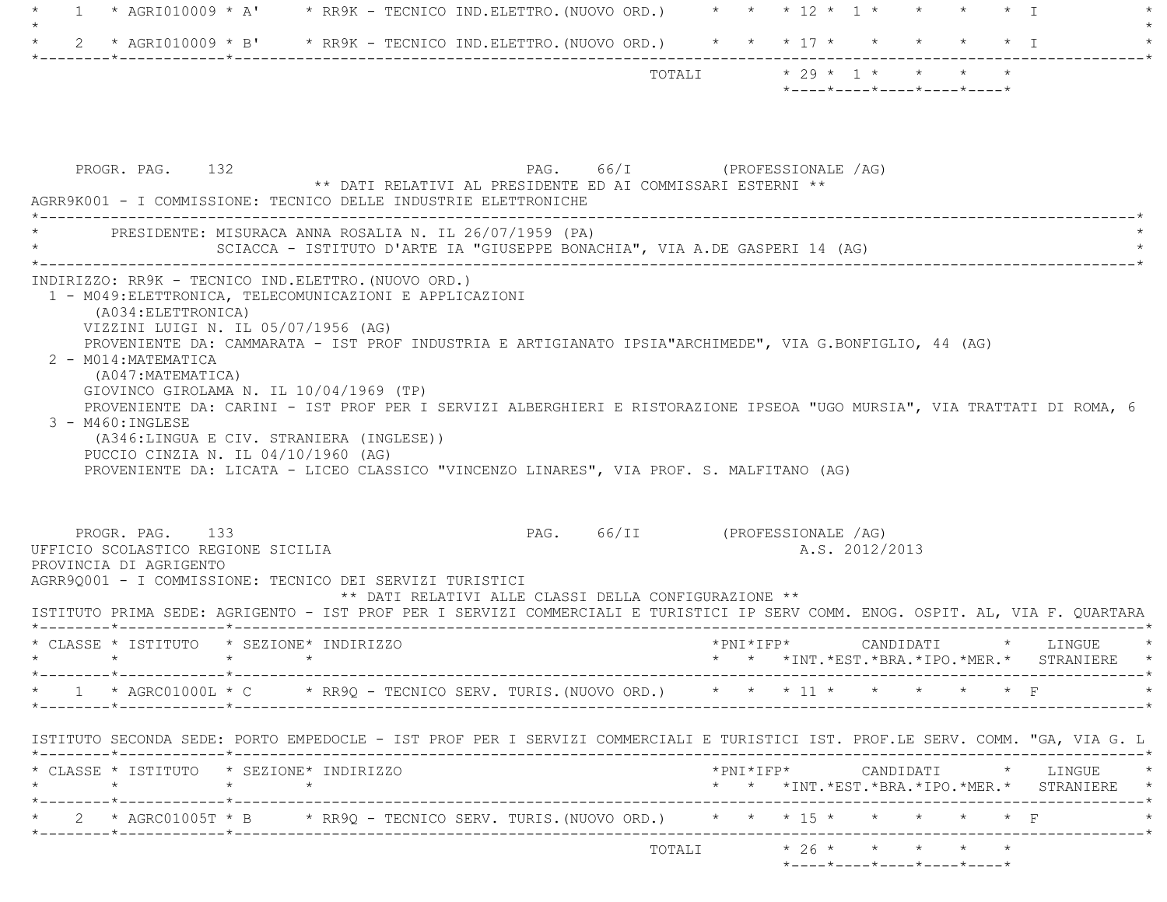|         |                                                                                                                                                                                                                                                                                                                          |                 |                                                                                         |                                | * AGRI010009 * A' * RR9K - TECNICO IND.ELETTRO. (NUOVO ORD.) * * * 12 * 1 * * * * * * I |                             |           |  |                                                  |  |  |                                                                                                         |
|---------|--------------------------------------------------------------------------------------------------------------------------------------------------------------------------------------------------------------------------------------------------------------------------------------------------------------------------|-----------------|-----------------------------------------------------------------------------------------|--------------------------------|-----------------------------------------------------------------------------------------|-----------------------------|-----------|--|--------------------------------------------------|--|--|---------------------------------------------------------------------------------------------------------|
|         | 2 * AGRI010009 * B' * RR9K - TECNICO IND.ELETTRO.(NUOVO ORD.) * * * 17 * * * * * * * I                                                                                                                                                                                                                                   |                 |                                                                                         |                                |                                                                                         |                             |           |  |                                                  |  |  |                                                                                                         |
|         |                                                                                                                                                                                                                                                                                                                          |                 |                                                                                         |                                |                                                                                         | TOTALI $* 29 * 1 * * * * *$ |           |  | $*$ ---- $*$ ---- $*$ ---- $*$ ---- $*$ ---- $*$ |  |  |                                                                                                         |
|         | PROGR. PAG. 132<br>AGRR9K001 - I COMMISSIONE: TECNICO DELLE INDUSTRIE ELETTRONICHE                                                                                                                                                                                                                                       |                 | ** DATI RELATIVI AL PRESIDENTE ED AI COMMISSARI ESTERNI **                              |                                | PAG. 66/I (PROFESSIONALE /AG)                                                           |                             |           |  |                                                  |  |  |                                                                                                         |
|         | * PRESIDENTE: MISURACA ANNA ROSALIA N. IL 26/07/1959 (PA)                                                                                                                                                                                                                                                                |                 | SCIACCA - ISTITUTO D'ARTE IA "GIUSEPPE BONACHIA", VIA A.DE GASPERI 14 (AG)              |                                |                                                                                         |                             |           |  |                                                  |  |  |                                                                                                         |
|         | 2 - M014: MATEMATICA<br>(A047: MATEMATICA)<br>GIOVINCO GIROLAMA N. IL 10/04/1969 (TP)<br>PROVENIENTE DA: CARINI - IST PROF PER I SERVIZI ALBERGHIERI E RISTORAZIONE IPSEOA "UGO MURSIA", VIA TRATTATI DI ROMA, 6<br>3 - M460: INGLESE<br>(A346:LINGUA E CIV. STRANIERA (INGLESE))<br>PUCCIO CINZIA N. IL 04/10/1960 (AG) |                 | PROVENIENTE DA: LICATA - LICEO CLASSICO "VINCENZO LINARES", VIA PROF. S. MALFITANO (AG) |                                |                                                                                         |                             |           |  |                                                  |  |  |                                                                                                         |
|         |                                                                                                                                                                                                                                                                                                                          |                 |                                                                                         |                                |                                                                                         |                             |           |  |                                                  |  |  |                                                                                                         |
|         | PROGR. PAG. 133<br>UFFICIO SCOLASTICO REGIONE SICILIA<br>PROVINCIA DI AGRIGENTO<br>AGRR9Q001 - I COMMISSIONE: TECNICO DEI SERVIZI TURISTICI<br>ISTITUTO PRIMA SEDE: AGRIGENTO - IST PROF PER I SERVIZI COMMERCIALI E TURISTICI IP SERV COMM. ENOG. OSPIT. AL, VIA F. QUARTARA                                            |                 | ** DATI RELATIVI ALLE CLASSI DELLA CONFIGURAZIONE **                                    | PAG. 66/II (PROFESSIONALE /AG) |                                                                                         |                             |           |  | A.S. 2012/2013                                   |  |  |                                                                                                         |
|         | * CLASSE * ISTITUTO * SEZIONE* INDIRIZZO                                                                                                                                                                                                                                                                                 |                 |                                                                                         |                                |                                                                                         |                             | *PNI*IFP* |  |                                                  |  |  | CANDIDATI * LINGUE<br>* * *INT. *EST. *BRA. *IPO. *MER. * STRANIERE                                     |
|         | *------------*-----------------<br>* AGRC01000L * C * RR9Q - TECNICO SERV. TURIS. (NUOVO ORD.) * * * 11 * * * * * * * F                                                                                                                                                                                                  |                 |                                                                                         |                                |                                                                                         |                             |           |  |                                                  |  |  | ------------*<br>--------------------------------*                                                      |
|         | ISTITUTO SECONDA SEDE: PORTO EMPEDOCLE - IST PROF PER I SERVIZI COMMERCIALI E TURISTICI IST. PROF.LE SERV. COMM. "GA, VIA G. L                                                                                                                                                                                           |                 |                                                                                         |                                |                                                                                         |                             |           |  |                                                  |  |  |                                                                                                         |
| $\star$ | * CLASSE * ISTITUTO * SEZIONE* INDIRIZZO                                                                                                                                                                                                                                                                                 | $\star$ $\star$ |                                                                                         |                                |                                                                                         |                             |           |  |                                                  |  |  | $\verb+'PNI*IFP*~~\verb+ CANDIDATI~~*~~\verb+LINGUE~~*~~$<br>* * *INT.*EST.*BRA.*IPO.*MER.* STRANIERE * |
|         | 2 * AGRC01005T * B * RR9Q - TECNICO SERV. TURIS. (NUOVO ORD.) * * * 15 * * * * * * * F                                                                                                                                                                                                                                   |                 |                                                                                         |                                |                                                                                         |                             |           |  |                                                  |  |  |                                                                                                         |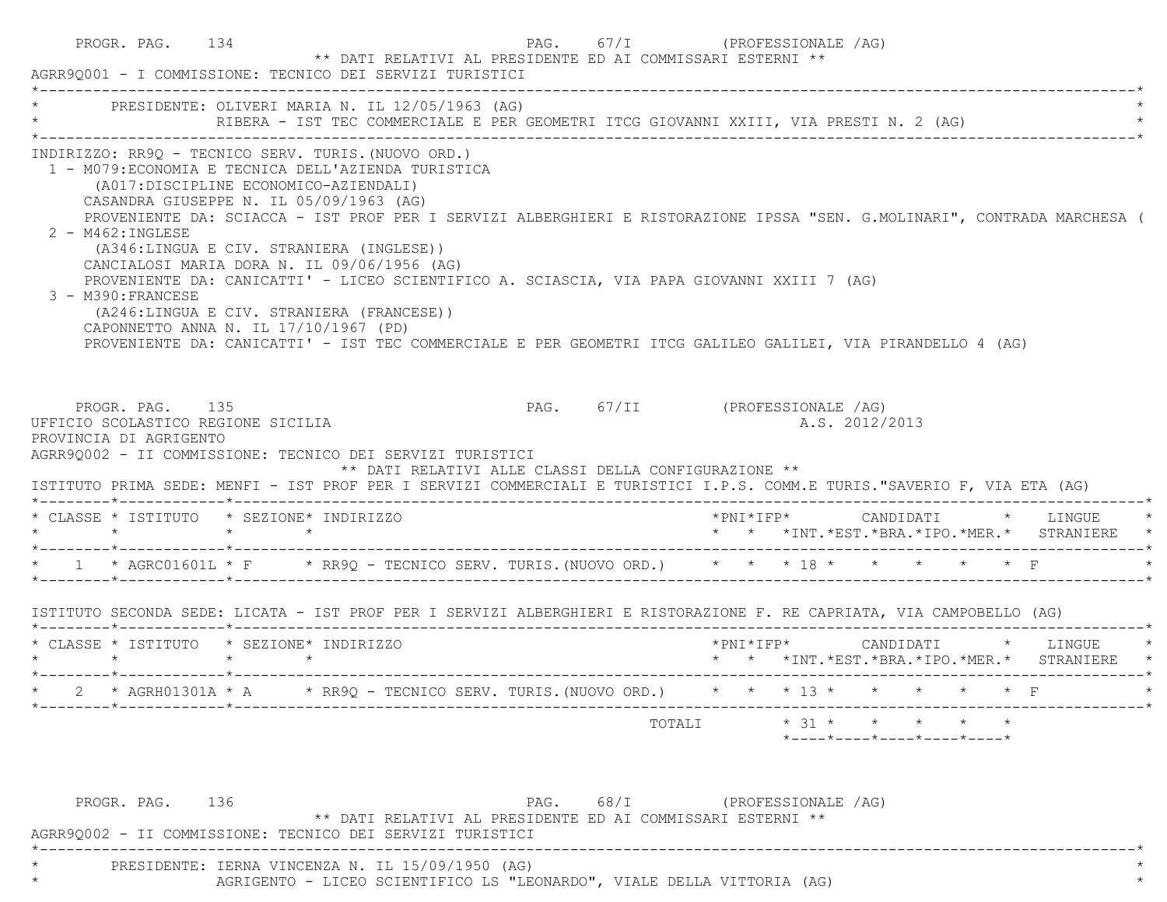|                                                                                                                                                                                                                                                                                                              |  | * PRESIDENTE: OLIVERI MARIA N. IL 12/05/1963 (AG)<br>RIBERA - IST TEC COMMERCIALE E PER GEOMETRI ITCG GIOVANNI XXIII, VIA PRESTI N. 2 (AG)                                                                                                                                                                                                                                                                                                          |                                |  |                                                                                                               |  |                                                                                            |
|--------------------------------------------------------------------------------------------------------------------------------------------------------------------------------------------------------------------------------------------------------------------------------------------------------------|--|-----------------------------------------------------------------------------------------------------------------------------------------------------------------------------------------------------------------------------------------------------------------------------------------------------------------------------------------------------------------------------------------------------------------------------------------------------|--------------------------------|--|---------------------------------------------------------------------------------------------------------------|--|--------------------------------------------------------------------------------------------|
| (A017:DISCIPLINE ECONOMICO-AZIENDALI)<br>CASANDRA GIUSEPPE N. IL 05/09/1963 (AG)<br>2 - M462: INGLESE<br>(A346:LINGUA E CIV. STRANIERA (INGLESE))<br>CANCIALOSI MARIA DORA N. IL 09/06/1956 (AG)<br>3 - M390: FRANCESE<br>(A246:LINGUA E CIV. STRANIERA (FRANCESE))<br>CAPONNETTO ANNA N. IL 17/10/1967 (PD) |  | INDIRIZZO: RR9Q - TECNICO SERV. TURIS. (NUOVO ORD.)<br>1 - M079: ECONOMIA E TECNICA DELL'AZIENDA TURISTICA<br>PROVENIENTE DA: SCIACCA - IST PROF PER I SERVIZI ALBERGHIERI E RISTORAZIONE IPSSA "SEN. G.MOLINARI", CONTRADA MARCHESA (<br>PROVENIENTE DA: CANICATTI' - LICEO SCIENTIFICO A. SCIASCIA, VIA PAPA GIOVANNI XXIII 7 (AG)<br>PROVENIENTE DA: CANICATTI' - IST TEC COMMERCIALE E PER GEOMETRI ITCG GALILEO GALILEI, VIA PIRANDELLO 4 (AG) |                                |  |                                                                                                               |  |                                                                                            |
| PROGR. PAG. 135                                                                                                                                                                                                                                                                                              |  |                                                                                                                                                                                                                                                                                                                                                                                                                                                     | PAG. 67/II (PROFESSIONALE /AG) |  |                                                                                                               |  |                                                                                            |
| UFFICIO SCOLASTICO REGIONE SICILIA<br>PROVINCIA DI AGRIGENTO                                                                                                                                                                                                                                                 |  | AGRR90002 - II COMMISSIONE: TECNICO DEI SERVIZI TURISTICI<br>** DATI RELATIVI ALLE CLASSI DELLA CONFIGURAZIONE **<br>ISTITUTO PRIMA SEDE: MENFI - IST PROF PER I SERVIZI COMMERCIALI E TURISTICI I.P.S. COMM.E TURIS."SAVERIO F, VIA ETA (AG)                                                                                                                                                                                                       |                                |  | A.S. 2012/2013                                                                                                |  |                                                                                            |
| * CLASSE * ISTITUTO * SEZIONE* INDIRIZZO                                                                                                                                                                                                                                                                     |  |                                                                                                                                                                                                                                                                                                                                                                                                                                                     |                                |  |                                                                                                               |  | $*$ PNI $*$ IFP $*$ CANDIDATI $*$ LINGUE $*$<br>* * *INT.*EST.*BRA.*IPO.*MER.* STRANIERE * |
|                                                                                                                                                                                                                                                                                                              |  | * 1 * AGRC01601L * F * RR9Q - TECNICO SERV. TURIS. (NUOVO ORD.) * * * 18 * * * * * * * F                                                                                                                                                                                                                                                                                                                                                            |                                |  |                                                                                                               |  |                                                                                            |
|                                                                                                                                                                                                                                                                                                              |  | ISTITUTO SECONDA SEDE: LICATA - IST PROF PER I SERVIZI ALBERGHIERI E RISTORAZIONE F. RE CAPRIATA, VIA CAMPOBELLO (AG)                                                                                                                                                                                                                                                                                                                               |                                |  |                                                                                                               |  |                                                                                            |
| * CLASSE * ISTITUTO * SEZIONE* INDIRIZZO                                                                                                                                                                                                                                                                     |  |                                                                                                                                                                                                                                                                                                                                                                                                                                                     |                                |  |                                                                                                               |  | *PNI*IFP* CANDIDATI * LINGUE<br>* * *INT.*EST.*BRA.*IPO.*MER.* STRANIERE *                 |
|                                                                                                                                                                                                                                                                                                              |  | * 2 * AGRH01301A * A * RR9Q - TECNICO SERV. TURIS. (NUOVO ORD.) * * * 13 * * * * * * * F                                                                                                                                                                                                                                                                                                                                                            |                                |  |                                                                                                               |  |                                                                                            |
|                                                                                                                                                                                                                                                                                                              |  |                                                                                                                                                                                                                                                                                                                                                                                                                                                     | TOTALI                         |  | $\star$ 31 $\star$ $\star$ $\star$ $\star$<br>$*$ _ _ _ _ $*$ _ _ _ _ $*$ _ _ _ _ $*$ _ _ _ _ $*$ _ _ _ _ $*$ |  |                                                                                            |

\* AGRIGENTO - LICEO SCIENTIFICO LS "LEONARDO", VIALE DELLA VITTORIA (AG) \*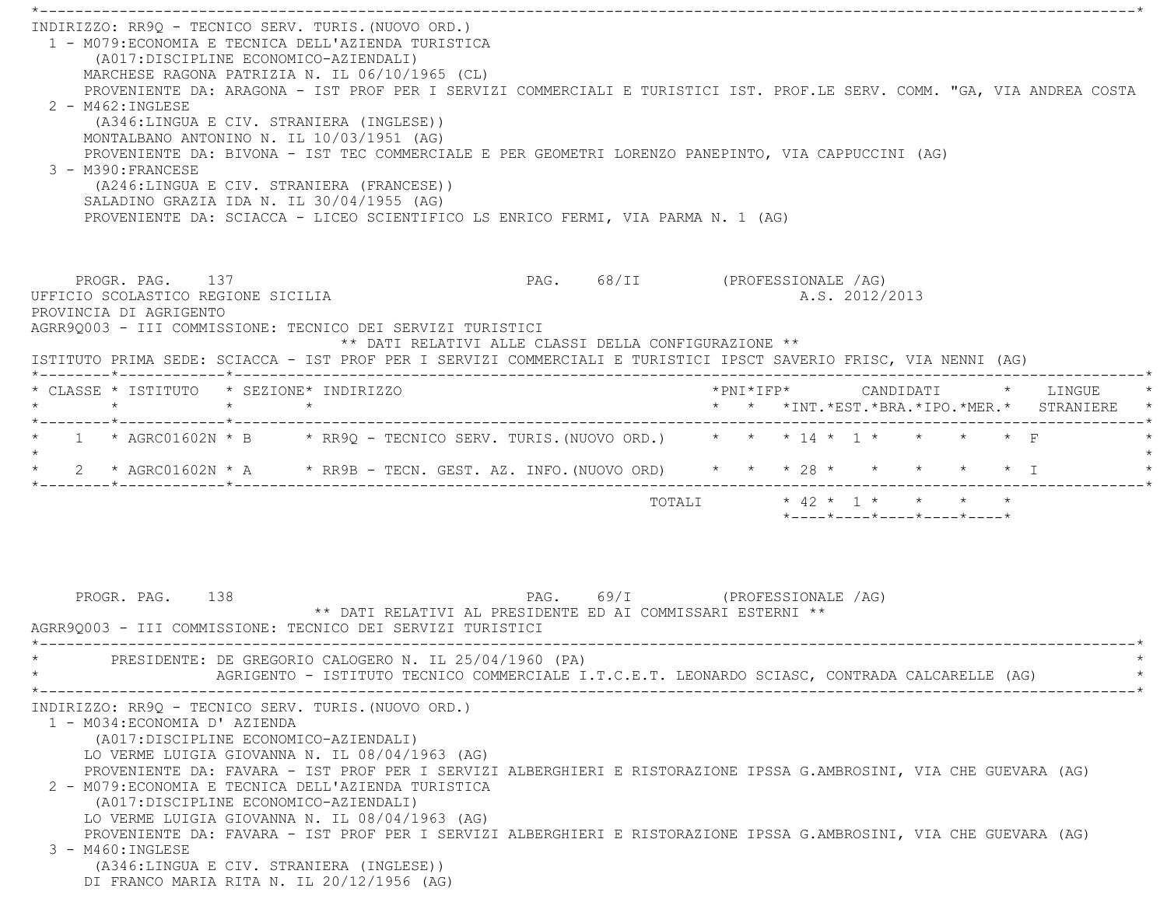\*----------------------------------------------------------------------------------------------------------------------------\* INDIRIZZO: RR9Q - TECNICO SERV. TURIS.(NUOVO ORD.) 1 - M079:ECONOMIA E TECNICA DELL'AZIENDA TURISTICA (A017:DISCIPLINE ECONOMICO-AZIENDALI) MARCHESE RAGONA PATRIZIA N. IL 06/10/1965 (CL) PROVENIENTE DA: ARAGONA - IST PROF PER I SERVIZI COMMERCIALI E TURISTICI IST. PROF.LE SERV. COMM. "GA, VIA ANDREA COST A $2 - M462 \cdot INGIERSE$  (A346:LINGUA E CIV. STRANIERA (INGLESE)) MONTALBANO ANTONINO N. IL 10/03/1951 (AG) PROVENIENTE DA: BIVONA - IST TEC COMMERCIALE E PER GEOMETRI LORENZO PANEPINTO, VIA CAPPUCCINI (AG) 3 - M390:FRANCESE (A246:LINGUA E CIV. STRANIERA (FRANCESE)) SALADINO GRAZIA IDA N. IL 30/04/1955 (AG) PROVENIENTE DA: SCIACCA - LICEO SCIENTIFICO LS ENRICO FERMI, VIA PARMA N. 1 (AG) PROGR. PAG. 137 CHASTERS 137 PAG. 68/II (PROFESSIONALE /AG) UFFICIO SCOLASTICO REGIONE SICILIA A.S. 2012/2013 PROVINCIA DI AGRIGENTO AGRR9Q003 - III COMMISSIONE: TECNICO DEI SERVIZI TURISTICI \*\* DATI RELATIVI ALLE CLASSI DELLA CONFIGURAZIONE \*\* ISTITUTO PRIMA SEDE: SCIACCA - IST PROF PER I SERVIZI COMMERCIALI E TURISTICI IPSCT SAVERIO FRISC, VIA NENNI (AG) \*--------\*------------\*-------------------------------------------------------------------------------------------------------\* \* CLASSE \* ISTITUTO \* SEZIONE\* INDIRIZZO \*PNI\*IFP\* CANDIDATI \* LINGUE \* \* \* \* \* \* \* \*INT.\*EST.\*BRA.\*IPO.\*MER.\* STRANIERE \* \*--------\*------------\*-------------------------------------------------------------------------------------------------------\*\* 1 \* AGRC01602N \* B \* RR9Q - TECNICO SERV. TURIS. (NUOVO ORD.) \* \* \* 14 \* 1 \* \* \* \* \* \* F  $\star$ \* 2 \* AGRC01602N \* A \* RR9B - TECN. GEST. AZ. INFO. (NUOVO ORD) \* \* \* \* 28 \* \* \* \* \* \* \* I \*--------\*------------\*-------------------------------------------------------------------------------------------------------\* TOTALI \* 42 \* 1 \* \* \* \* \*----\*----\*----\*----\*----\*PROGR. PAG. 138 PAG. 69/I (PROFESSIONALE /AG) \*\* DATI RELATIVI AL PRESIDENTE ED AI COMMISSARI ESTERNI \*\* AGRR9Q003 - III COMMISSIONE: TECNICO DEI SERVIZI TURISTICI \*----------------------------------------------------------------------------------------------------------------------------\*PRESIDENTE: DE GREGORIO CALOGERO N. IL 25/04/1960 (PA) AGRIGENTO - ISTITUTO TECNICO COMMERCIALE I.T.C.E.T. LEONARDO SCIASC, CONTRADA CALCARELLE (AG) \*----------------------------------------------------------------------------------------------------------------------------\* INDIRIZZO: RR9Q - TECNICO SERV. TURIS.(NUOVO ORD.) 1 - M034:ECONOMIA D' AZIENDA (A017:DISCIPLINE ECONOMICO-AZIENDALI) LO VERME LUIGIA GIOVANNA N. IL 08/04/1963 (AG) PROVENIENTE DA: FAVARA - IST PROF PER I SERVIZI ALBERGHIERI E RISTORAZIONE IPSSA G.AMBROSINI, VIA CHE GUEVARA (AG) 2 - M079:ECONOMIA E TECNICA DELL'AZIENDA TURISTICA (A017:DISCIPLINE ECONOMICO-AZIENDALI) LO VERME LUIGIA GIOVANNA N. IL 08/04/1963 (AG) PROVENIENTE DA: FAVARA - IST PROF PER I SERVIZI ALBERGHIERI E RISTORAZIONE IPSSA G.AMBROSINI, VIA CHE GUEVARA (AG) 3 - M460:INGLESE (A346:LINGUA E CIV. STRANIERA (INGLESE)) DI FRANCO MARIA RITA N. IL 20/12/1956 (AG)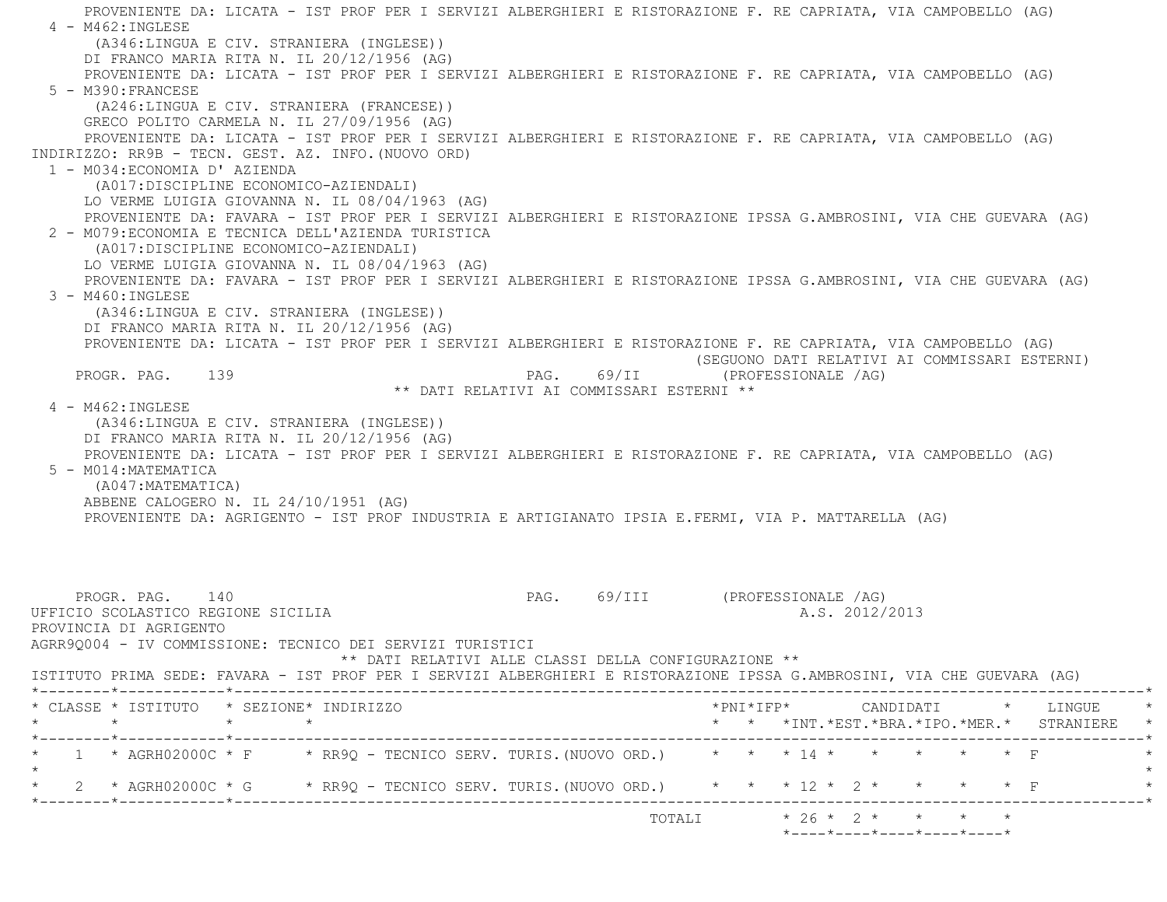PROVENIENTE DA: LICATA - IST PROF PER I SERVIZI ALBERGHIERI E RISTORAZIONE F. RE CAPRIATA, VIA CAMPOBELLO (AG) 4 - M462:INGLESE (A346:LINGUA E CIV. STRANIERA (INGLESE)) DI FRANCO MARIA RITA N. IL 20/12/1956 (AG) PROVENIENTE DA: LICATA - IST PROF PER I SERVIZI ALBERGHIERI E RISTORAZIONE F. RE CAPRIATA, VIA CAMPOBELLO (AG) 5 - M390:FRANCESE (A246:LINGUA E CIV. STRANIERA (FRANCESE)) GRECO POLITO CARMELA N. IL 27/09/1956 (AG) PROVENIENTE DA: LICATA - IST PROF PER I SERVIZI ALBERGHIERI E RISTORAZIONE F. RE CAPRIATA, VIA CAMPOBELLO (AG) INDIRIZZO: RR9B - TECN. GEST. AZ. INFO.(NUOVO ORD) 1 - M034:ECONOMIA D' AZIENDA (A017:DISCIPLINE ECONOMICO-AZIENDALI) LO VERME LUIGIA GIOVANNA N. IL 08/04/1963 (AG) PROVENIENTE DA: FAVARA - IST PROF PER I SERVIZI ALBERGHIERI E RISTORAZIONE IPSSA G.AMBROSINI, VIA CHE GUEVARA (AG) 2 - M079:ECONOMIA E TECNICA DELL'AZIENDA TURISTICA (A017:DISCIPLINE ECONOMICO-AZIENDALI) LO VERME LUIGIA GIOVANNA N. IL 08/04/1963 (AG) PROVENIENTE DA: FAVARA - IST PROF PER I SERVIZI ALBERGHIERI E RISTORAZIONE IPSSA G.AMBROSINI, VIA CHE GUEVARA (AG) 3 - M460:INGLESE (A346:LINGUA E CIV. STRANIERA (INGLESE)) DI FRANCO MARIA RITA N. IL 20/12/1956 (AG) PROVENIENTE DA: LICATA - IST PROF PER I SERVIZI ALBERGHIERI E RISTORAZIONE F. RE CAPRIATA, VIA CAMPOBELLO (AG) (SEGUONO DATI RELATIVI AI COMMISSARI ESTERNI) PROGR. PAG. 139 PAG. 69/II (PROFESSIONALE /AG) \*\* DATI RELATIVI AI COMMISSARI ESTERNI \*\* 4 - M462:INGLESE (A346:LINGUA E CIV. STRANIERA (INGLESE)) DI FRANCO MARIA RITA N. IL 20/12/1956 (AG) PROVENIENTE DA: LICATA - IST PROF PER I SERVIZI ALBERGHIERI E RISTORAZIONE F. RE CAPRIATA, VIA CAMPOBELLO (AG) 5 - M014:MATEMATICA (A047:MATEMATICA) ABBENE CALOGERO N. IL 24/10/1951 (AG) PROVENIENTE DA: AGRIGENTO - IST PROF INDUSTRIA E ARTIGIANATO IPSIA E.FERMI, VIA P. MATTARELLA (AG) PROGR. PAG. 140 PAG. 69/III (PROFESSIONALE /AG) UFFICIO SCOLASTICO REGIONE SICILIA AND ALS. 2012/2013 PROVINCIA DI AGRIGENTO AGRR9Q004 - IV COMMISSIONE: TECNICO DEI SERVIZI TURISTICI \*\* DATI RELATIVI ALLE CLASSI DELLA CONFIGURAZIONE \*\* ISTITUTO PRIMA SEDE: FAVARA - IST PROF PER I SERVIZI ALBERGHIERI E RISTORAZIONE IPSSA G.AMBROSINI, VIA CHE GUEVARA (AG) \*--------\*------------\*-------------------------------------------------------------------------------------------------------\* \* CLASSE \* ISTITUTO \* SEZIONE\* INDIRIZZO \*PNI\*IFP\* CANDIDATI \* LINGUE \* \* \* \* \* \* \* \*INT.\*EST.\*BRA.\*IPO.\*MER.\* STRANIERE \* \*--------\*------------\*-------------------------------------------------------------------------------------------------------\*\* 1 \* AGRH02000C \* F \* RR9Q - TECNICO SERV. TURIS. (NUOVO ORD.) \* \* \* 14 \* \* \* \* \* \* \* F  $\star$ \* 2 \* AGRH02000C \* G \* RR9Q - TECNICO SERV. TURIS. (NUOVO ORD.) \* \* \* 12 \* 2 \* \* \* \* \* F \*--------\*------------\*-------------------------------------------------------------------------------------------------------\*

 $\text{TOTALI}$  \* 26 \* 2 \* \* \* \* \*

\*----\*----\*----\*----\*----\*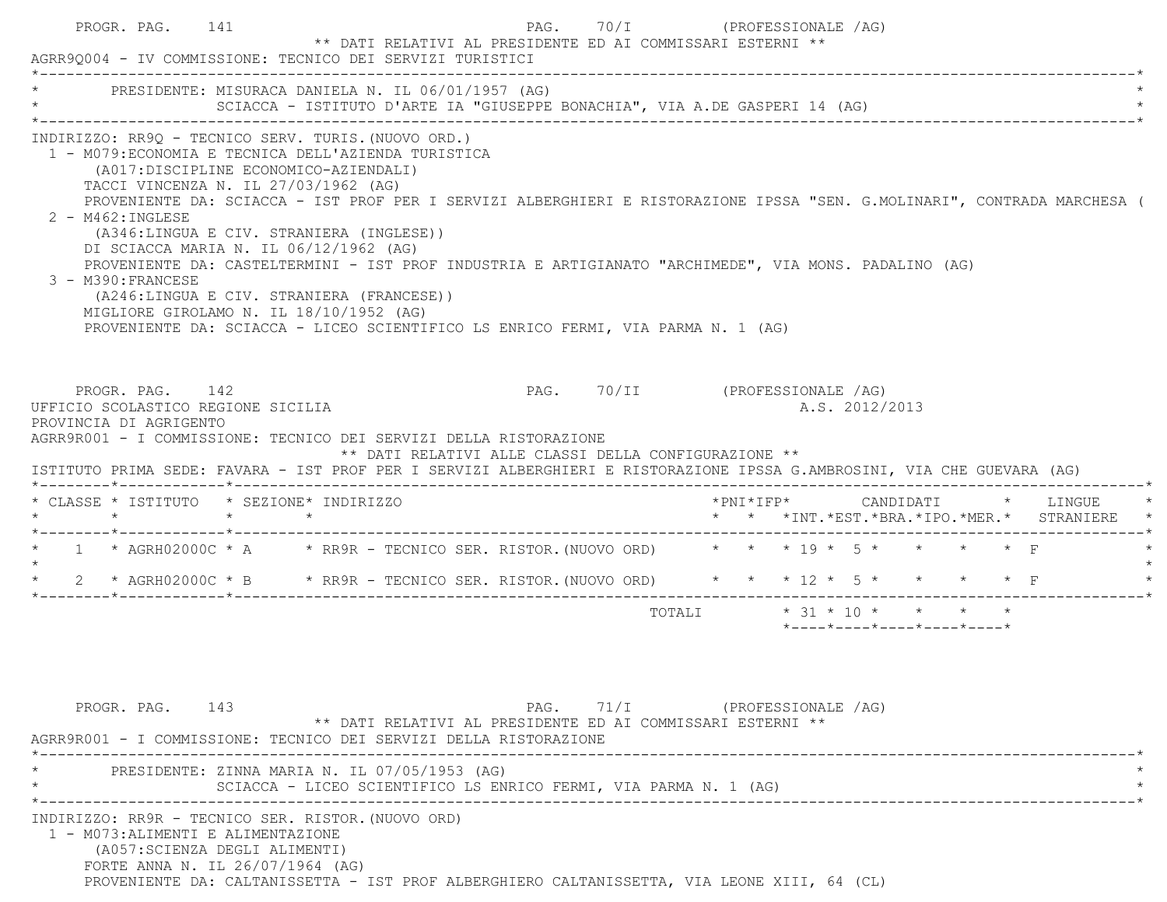|                                                                                 |                                      | AGRR90004 - IV COMMISSIONE: TECNICO DEI SERVIZI TURISTICI                                                                                                                                                                                                                                                                                                                                                                                                                                                                                                                                                                                                   |                                                      |                                |  |                                                  |  |                                          |
|---------------------------------------------------------------------------------|--------------------------------------|-------------------------------------------------------------------------------------------------------------------------------------------------------------------------------------------------------------------------------------------------------------------------------------------------------------------------------------------------------------------------------------------------------------------------------------------------------------------------------------------------------------------------------------------------------------------------------------------------------------------------------------------------------------|------------------------------------------------------|--------------------------------|--|--------------------------------------------------|--|------------------------------------------|
|                                                                                 |                                      | * PRESIDENTE: MISURACA DANIELA N. IL 06/01/1957 (AG)<br>SCIACCA - ISTITUTO D'ARTE IA "GIUSEPPE BONACHIA", VIA A.DE GASPERI 14 (AG)                                                                                                                                                                                                                                                                                                                                                                                                                                                                                                                          |                                                      |                                |  |                                                  |  |                                          |
| 2 - M462: INGLESE<br>3 - M390: FRANCESE                                         | TACCI VINCENZA N. IL 27/03/1962 (AG) | INDIRIZZO: RR90 - TECNICO SERV. TURIS. (NUOVO ORD.)<br>1 - M079: ECONOMIA E TECNICA DELL'AZIENDA TURISTICA<br>(A017: DISCIPLINE ECONOMICO-AZIENDALI)<br>PROVENIENTE DA: SCIACCA - IST PROF PER I SERVIZI ALBERGHIERI E RISTORAZIONE IPSSA "SEN. G.MOLINARI", CONTRADA MARCHESA (<br>(A346:LINGUA E CIV. STRANIERA (INGLESE))<br>DI SCIACCA MARIA N. IL 06/12/1962 (AG)<br>PROVENIENTE DA: CASTELTERMINI - IST PROF INDUSTRIA E ARTIGIANATO "ARCHIMEDE", VIA MONS. PADALINO (AG)<br>(A246:LINGUA E CIV. STRANIERA (FRANCESE))<br>MIGLIORE GIROLAMO N. IL 18/10/1952 (AG)<br>PROVENIENTE DA: SCIACCA - LICEO SCIENTIFICO LS ENRICO FERMI, VIA PARMA N. 1 (AG) |                                                      |                                |  |                                                  |  |                                          |
| PROGR. PAG. 142<br>UFFICIO SCOLASTICO REGIONE SICILIA<br>PROVINCIA DI AGRIGENTO |                                      | AGRR9R001 - I COMMISSIONE: TECNICO DEI SERVIZI DELLA RISTORAZIONE                                                                                                                                                                                                                                                                                                                                                                                                                                                                                                                                                                                           |                                                      | PAG. 70/II (PROFESSIONALE /AG) |  | A.S. 2012/2013                                   |  |                                          |
|                                                                                 |                                      | ISTITUTO PRIMA SEDE: FAVARA - IST PROF PER I SERVIZI ALBERGHIERI E RISTORAZIONE IPSSA G.AMBROSINI, VIA CHE GUEVARA (AG)                                                                                                                                                                                                                                                                                                                                                                                                                                                                                                                                     | ** DATI RELATIVI ALLE CLASSI DELLA CONFIGURAZIONE ** |                                |  |                                                  |  |                                          |
|                                                                                 |                                      |                                                                                                                                                                                                                                                                                                                                                                                                                                                                                                                                                                                                                                                             |                                                      |                                |  |                                                  |  | * * *INT.*EST.*BRA.*IPO.*MER.* STRANIERE |
|                                                                                 |                                      | * 1 * AGRH02000C * A * RR9R - TECNICO SER. RISTOR. (NUOVO ORD) * * * 19 * 5 * * * * * F                                                                                                                                                                                                                                                                                                                                                                                                                                                                                                                                                                     |                                                      |                                |  |                                                  |  |                                          |
|                                                                                 |                                      | * 2 * AGRH02000C * B * RR9R - TECNICO SER. RISTOR. (NUOVO ORD) * * * 12 * 5 * * * * * F                                                                                                                                                                                                                                                                                                                                                                                                                                                                                                                                                                     |                                                      |                                |  |                                                  |  |                                          |
|                                                                                 |                                      |                                                                                                                                                                                                                                                                                                                                                                                                                                                                                                                                                                                                                                                             |                                                      |                                |  | $*$ ---- $*$ ---- $*$ ---- $*$ ---- $*$ ---- $*$ |  |                                          |
| PROGR. PAG. 143                                                                 |                                      | ** DATI RELATIVI AL PRESIDENTE ED AI COMMISSARI ESTERNI **                                                                                                                                                                                                                                                                                                                                                                                                                                                                                                                                                                                                  |                                                      | PAG. 71/I (PROFESSIONALE /AG)  |  |                                                  |  |                                          |
| * CLASSE * ISTITUTO * SEZIONE* INDIRIZZO                                        |                                      | AGRR9R001 - I COMMISSIONE: TECNICO DEI SERVIZI DELLA RISTORAZIONE<br>PRESIDENTE: ZINNA MARIA N. IL 07/05/1953 (AG)<br>SCIACCA - LICEO SCIENTIFICO LS ENRICO FERMI, VIA PARMA N. 1 (AG)                                                                                                                                                                                                                                                                                                                                                                                                                                                                      |                                                      |                                |  |                                                  |  |                                          |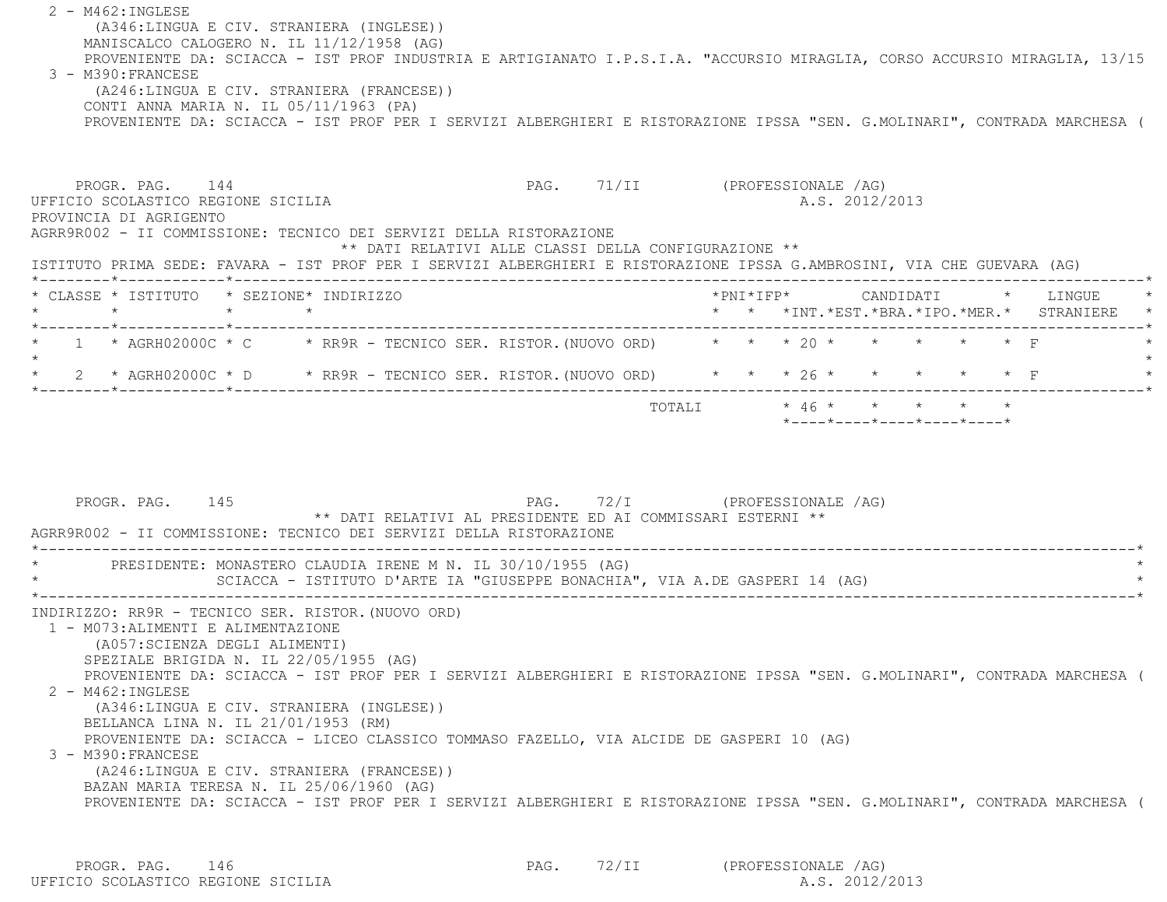2 - M462:INGLESE (A346:LINGUA E CIV. STRANIERA (INGLESE)) MANISCALCO CALOGERO N. IL 11/12/1958 (AG) PROVENIENTE DA: SCIACCA - IST PROF INDUSTRIA E ARTIGIANATO I.P.S.I.A. "ACCURSIO MIRAGLIA, CORSO ACCURSIO MIRAGLIA, 13/15 3 - M390:FRANCESE (A246:LINGUA E CIV. STRANIERA (FRANCESE)) CONTI ANNA MARIA N. IL 05/11/1963 (PA) PROVENIENTE DA: SCIACCA - IST PROF PER I SERVIZI ALBERGHIERI E RISTORAZIONE IPSSA "SEN. G.MOLINARI", CONTRADA MARCHESA ( PROGR. PAG. 144 PAG. 71/II (PROFESSIONALE /AG) UFFICIO SCOLASTICO REGIONE SICILIA A.S. 2012/2013 PROVINCIA DI AGRIGENTO AGRR9R002 - II COMMISSIONE: TECNICO DEI SERVIZI DELLA RISTORAZIONE \*\* DATI RELATIVI ALLE CLASSI DELLA CONFIGURAZIONE \*\* ISTITUTO PRIMA SEDE: FAVARA - IST PROF PER I SERVIZI ALBERGHIERI E RISTORAZIONE IPSSA G.AMBROSINI, VIA CHE GUEVARA (AG) \*--------\*------------\*-------------------------------------------------------------------------------------------------------\* \* CLASSE \* ISTITUTO \* SEZIONE\* INDIRIZZO \*PNI\*IFP\* CANDIDATI \* LINGUE \* \* \* \* \* \* \* \*INT.\*EST.\*BRA.\*IPO.\*MER.\* STRANIERE \* \*--------\*------------\*-------------------------------------------------------------------------------------------------------\*\* 1 \* AGRH02000C \* C \* RR9R - TECNICO SER. RISTOR.(NUOVO ORD) \* \* \* 20 \* \* \* \* \* F \*

 $\star$  \* 2 \* AGRH02000C \* D \* RR9R - TECNICO SER. RISTOR.(NUOVO ORD) \* \* \* 26 \* \* \* \* \* F \* \*--------\*------------\*-------------------------------------------------------------------------------------------------------\* TOTALI \* 46 \* \* \* \* \*\*----\*----\*----\*----\*----\*

PROGR. PAG. 145 PAG. PAG. 72/I (PROFESSIONALE /AG) \*\* DATI RELATIVI AL PRESIDENTE ED AI COMMISSARI ESTERNI \*\* AGRR9R002 - II COMMISSIONE: TECNICO DEI SERVIZI DELLA RISTORAZIONE \*----------------------------------------------------------------------------------------------------------------------------\*PRESIDENTE: MONASTERO CLAUDIA IRENE M N. IL 30/10/1955 (AG) SCIACCA - ISTITUTO D'ARTE IA "GIUSEPPE BONACHIA", VIA A.DE GASPERI 14 (AG) \*----------------------------------------------------------------------------------------------------------------------------\* INDIRIZZO: RR9R - TECNICO SER. RISTOR.(NUOVO ORD) 1 - M073:ALIMENTI E ALIMENTAZIONE (A057:SCIENZA DEGLI ALIMENTI) SPEZIALE BRIGIDA N. IL 22/05/1955 (AG) PROVENIENTE DA: SCIACCA - IST PROF PER I SERVIZI ALBERGHIERI E RISTORAZIONE IPSSA "SEN. G.MOLINARI", CONTRADA MARCHESA ( 2 - M462:INGLESE (A346:LINGUA E CIV. STRANIERA (INGLESE)) BELLANCA LINA N. IL 21/01/1953 (RM) PROVENIENTE DA: SCIACCA - LICEO CLASSICO TOMMASO FAZELLO, VIA ALCIDE DE GASPERI 10 (AG) 3 - M390:FRANCESE (A246:LINGUA E CIV. STRANIERA (FRANCESE)) BAZAN MARIA TERESA N. IL 25/06/1960 (AG) PROVENIENTE DA: SCIACCA - IST PROF PER I SERVIZI ALBERGHIERI E RISTORAZIONE IPSSA "SEN. G.MOLINARI", CONTRADA MARCHESA (

 PROGR. PAG. 146 PAG. 72/II (PROFESSIONALE /AG) UFFICIO SCOLASTICO REGIONE SICILIA A.S. 2012/2013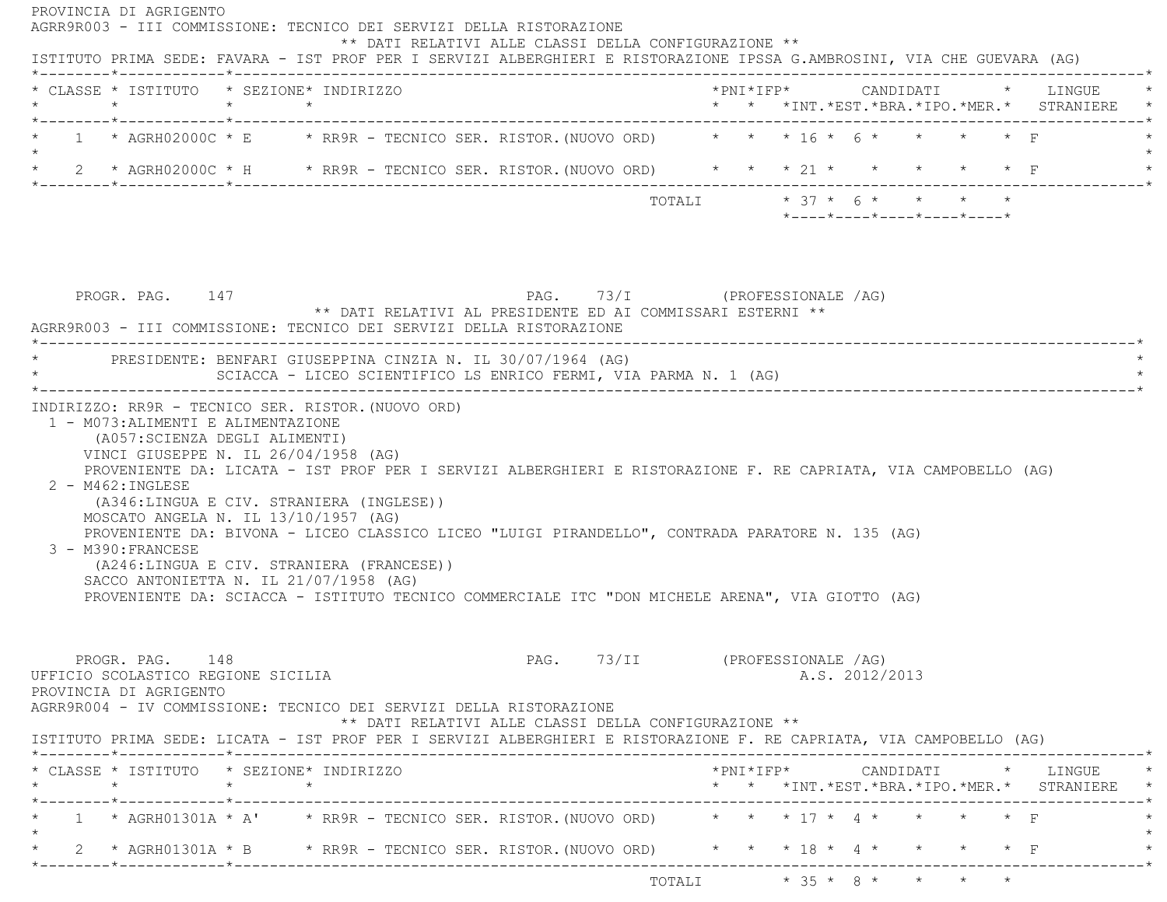PROVINCIA DI AGRIGENTO AGRR9R003 - III COMMISSIONE: TECNICO DEI SERVIZI DELLA RISTORAZIONE \*\* DATI RELATIVI ALLE CLASSI DELLA CONFIGURAZIONE \*\* ISTITUTO PRIMA SEDE: FAVARA - IST PROF PER I SERVIZI ALBERGHIERI E RISTORAZIONE IPSSA G.AMBROSINI, VIA CHE GUEVARA (AG) \*--------\*------------\*-------------------------------------------------------------------------------------------------------\* \* CLASSE \* ISTITUTO \* SEZIONE\* INDIRIZZO \*PNI\*IFP\* CANDIDATI \* LINGUE \* \* \* \* \* \* \* \*INT.\*EST.\*BRA.\*IPO.\*MER.\* STRANIERE \* \*--------\*------------\*-------------------------------------------------------------------------------------------------------\* $1$  \* AGRH02000C \* E \* RR9R - TECNICO SER. RISTOR. (NUOVO ORD) \* \* \* 16 \* 6 \* \* \* \* \* F  $\star$  \* 2 \* AGRH02000C \* H \* RR9R - TECNICO SER. RISTOR.(NUOVO ORD) \* \* \* 21 \* \* \* \* \* F \* \*--------\*------------\*-------------------------------------------------------------------------------------------------------\*TOTALI  $* 37 * 6 * * * * * * *$  \*----\*----\*----\*----\*----\*PROGR. PAG. 147 CHOROSALE AG) \*\* DATI RELATIVI AL PRESIDENTE ED AI COMMISSARI ESTERNI \*\* AGRR9R003 - III COMMISSIONE: TECNICO DEI SERVIZI DELLA RISTORAZIONE \*----------------------------------------------------------------------------------------------------------------------------\*PRESIDENTE: BENFARI GIUSEPPINA CINZIA N. IL 30/07/1964 (AG) SCIACCA - LICEO SCIENTIFICO LS ENRICO FERMI, VIA PARMA N. 1 (AG) \*----------------------------------------------------------------------------------------------------------------------------\* INDIRIZZO: RR9R - TECNICO SER. RISTOR.(NUOVO ORD) 1 - M073:ALIMENTI E ALIMENTAZIONE (A057:SCIENZA DEGLI ALIMENTI) VINCI GIUSEPPE N. IL 26/04/1958 (AG) PROVENIENTE DA: LICATA - IST PROF PER I SERVIZI ALBERGHIERI E RISTORAZIONE F. RE CAPRIATA, VIA CAMPOBELLO (AG) 2 - M462:INGLESE (A346:LINGUA E CIV. STRANIERA (INGLESE)) MOSCATO ANGELA N. IL 13/10/1957 (AG) PROVENIENTE DA: BIVONA - LICEO CLASSICO LICEO "LUIGI PIRANDELLO", CONTRADA PARATORE N. 135 (AG) 3 - M390:FRANCESE (A246:LINGUA E CIV. STRANIERA (FRANCESE)) SACCO ANTONIETTA N. IL 21/07/1958 (AG) PROVENIENTE DA: SCIACCA - ISTITUTO TECNICO COMMERCIALE ITC "DON MICHELE ARENA", VIA GIOTTO (AG) PROGR. PAG. 148 PAG. PAG. 73/II (PROFESSIONALE /AG) UFFICIO SCOLASTICO REGIONE SICILIA A.S. 2012/2013 PROVINCIA DI AGRIGENTO AGRR9R004 - IV COMMISSIONE: TECNICO DEI SERVIZI DELLA RISTORAZIONE \*\* DATI RELATIVI ALLE CLASSI DELLA CONFIGURAZIONE \*\* ISTITUTO PRIMA SEDE: LICATA - IST PROF PER I SERVIZI ALBERGHIERI E RISTORAZIONE F. RE CAPRIATA, VIA CAMPOBELLO (AG) \*--------\*------------\*-------------------------------------------------------------------------------------------------------\* \* CLASSE \* ISTITUTO \* SEZIONE\* INDIRIZZO \*PNI\*IFP\* CANDIDATI \* LINGUE \* \* \* \* \* \* \* \*INT.\*EST.\*BRA.\*IPO.\*MER.\* STRANIERE \* \*--------\*------------\*-------------------------------------------------------------------------------------------------------\*1 \* AGRH01301A \* A' \* RR9R - TECNICO SER. RISTOR. (NUOVO ORD) \* \* \* 17 \* 4 \* \* \* \*  $\star$  \* 2 \* AGRH01301A \* B \* RR9R - TECNICO SER. RISTOR.(NUOVO ORD) \* \* \* 18 \* 4 \* \* \* \* F \* \*--------\*------------\*-------------------------------------------------------------------------------------------------------\*TOTALI  $* 35 * 8 * * * * * *$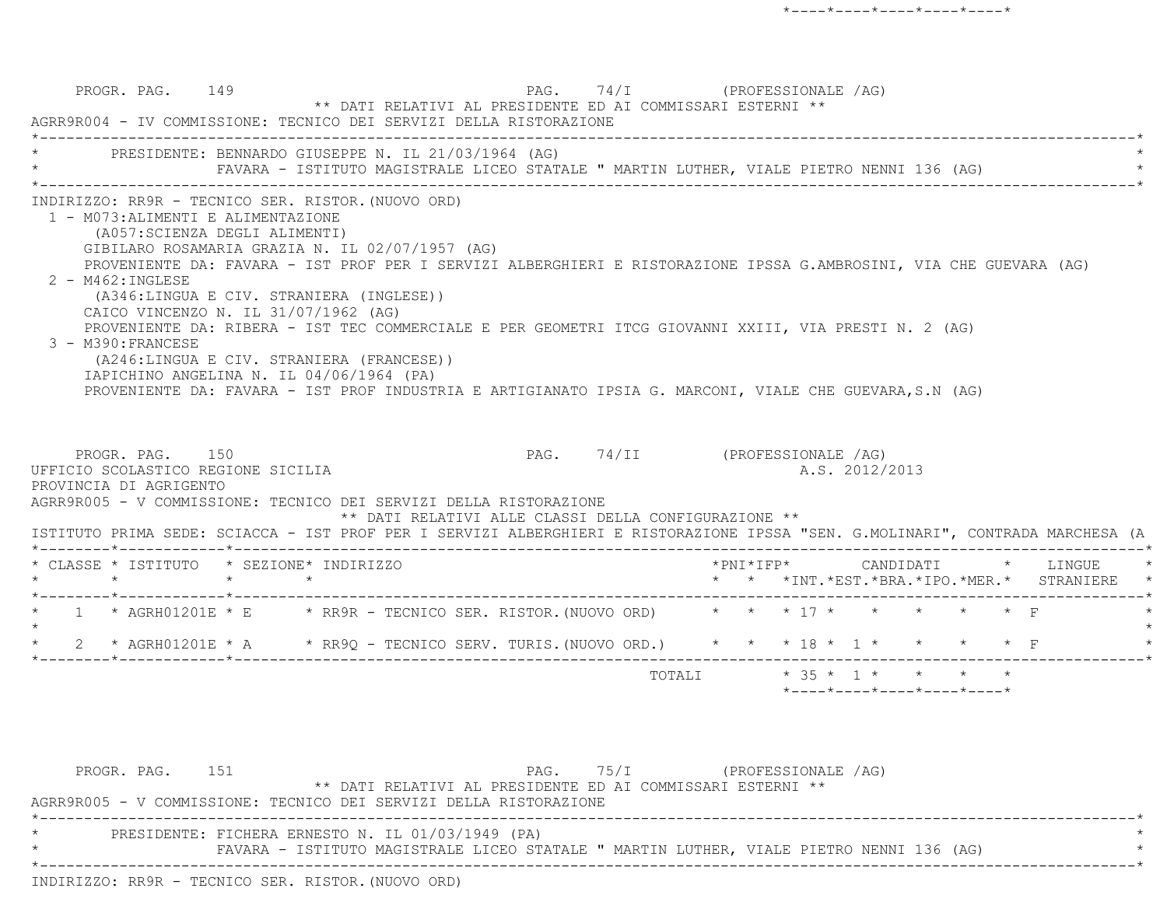PROGR. PAG. 149 PAG. 74/I (PROFESSIONALE /AG) \*\* DATI RELATIVI AL PRESIDENTE ED AI COMMISSARI ESTERNI \*\* AGRR9R004 - IV COMMISSIONE: TECNICO DEI SERVIZI DELLA RISTORAZIONE \*----------------------------------------------------------------------------------------------------------------------------\*PRESIDENTE: BENNARDO GIUSEPPE N. IL 21/03/1964 (AG) FAVARA - ISTITUTO MAGISTRALE LICEO STATALE " MARTIN LUTHER, VIALE PIETRO NENNI 136 (AG) \*----------------------------------------------------------------------------------------------------------------------------\* INDIRIZZO: RR9R - TECNICO SER. RISTOR.(NUOVO ORD) 1 - M073:ALIMENTI E ALIMENTAZIONE (A057:SCIENZA DEGLI ALIMENTI) GIBILARO ROSAMARIA GRAZIA N. IL 02/07/1957 (AG) PROVENIENTE DA: FAVARA - IST PROF PER I SERVIZI ALBERGHIERI E RISTORAZIONE IPSSA G.AMBROSINI, VIA CHE GUEVARA (AG) 2 - M462:INGLESE (A346:LINGUA E CIV. STRANIERA (INGLESE)) CAICO VINCENZO N. IL 31/07/1962 (AG) PROVENIENTE DA: RIBERA - IST TEC COMMERCIALE E PER GEOMETRI ITCG GIOVANNI XXIII, VIA PRESTI N. 2 (AG) 3 - M390:FRANCESE (A246:LINGUA E CIV. STRANIERA (FRANCESE)) IAPICHINO ANGELINA N. IL 04/06/1964 (PA) PROVENIENTE DA: FAVARA - IST PROF INDUSTRIA E ARTIGIANATO IPSIA G. MARCONI, VIALE CHE GUEVARA,S.N (AG) PROGR. PAG. 150 PAG. 74/II (PROFESSIONALE /AG) UFFICIO SCOLASTICO REGIONE SICILIA A.S. 2012/2013 PROVINCIA DI AGRIGENTO AGRR9R005 - V COMMISSIONE: TECNICO DEI SERVIZI DELLA RISTORAZIONE \*\* DATI RELATIVI ALLE CLASSI DELLA CONFIGURAZIONE \*\* ISTITUTO PRIMA SEDE: SCIACCA - IST PROF PER I SERVIZI ALBERGHIERI E RISTORAZIONE IPSSA "SEN. G.MOLINARI", CONTRADA MARCHESA (A \*--------\*------------\*-------------------------------------------------------------------------------------------------------\* \* CLASSE \* ISTITUTO \* SEZIONE\* INDIRIZZO \*PNI\*IFP\* CANDIDATI \* LINGUE \* \* \* \* \* \* \* \*INT.\*EST.\*BRA.\*IPO.\*MER.\* STRANIERE \* \*--------\*------------\*-------------------------------------------------------------------------------------------------------\*1 \* AGRH01201E \* E \* RR9R - TECNICO SER. RISTOR. (NUOVO ORD) \* \* \* \* 17 \* \* \* \* \* \* \* F  $\star$ \* 2 \* AGRH01201E \* A \* RR90 - TECNICO SERV. TURIS. (NUOVO ORD.) \* \* \* 18 \* 1 \* \* \* \* \* F \*--------\*------------\*-------------------------------------------------------------------------------------------------------\*TOTALI  $* 35 * 1 * * * * * * *$ \*----\*----\*----\*----\*----\*

PROGR. PAG. 151 PAG. 75/I (PROFESSIONALE /AG) \*\* DATI RELATIVI AL PRESIDENTE ED AI COMMISSARI ESTERNI \*\* AGRR9R005 - V COMMISSIONE: TECNICO DEI SERVIZI DELLA RISTORAZIONE \*----------------------------------------------------------------------------------------------------------------------------\*PRESIDENTE: FICHERA ERNESTO N. IL 01/03/1949 (PA) FAVARA - ISTITUTO MAGISTRALE LICEO STATALE " MARTIN LUTHER, VIALE PIETRO NENNI 136 (AG) \*----------------------------------------------------------------------------------------------------------------------------\*INDIRIZZO: RR9R - TECNICO SER. RISTOR.(NUOVO ORD)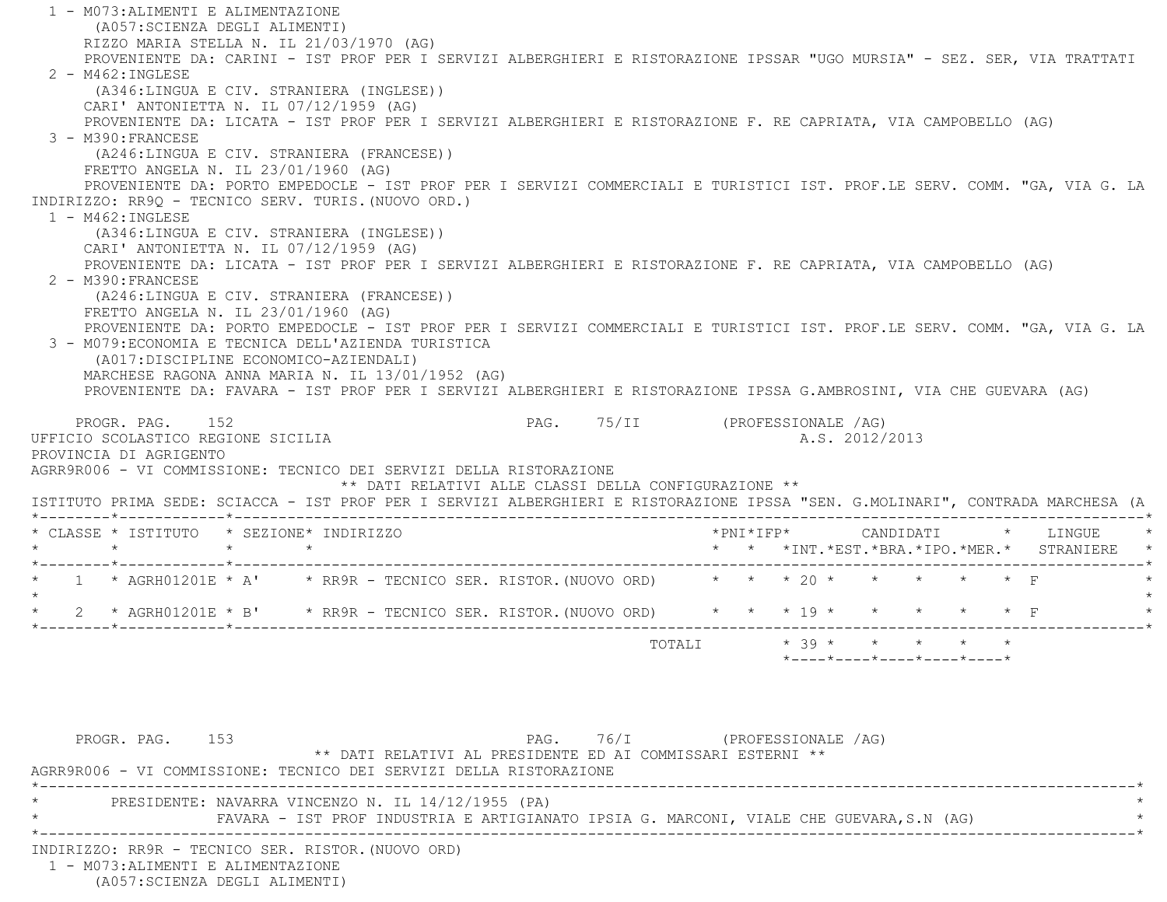1 - M073:ALIMENTI E ALIMENTAZIONE (A057:SCIENZA DEGLI ALIMENTI) RIZZO MARIA STELLA N. IL 21/03/1970 (AG) PROVENIENTE DA: CARINI - IST PROF PER I SERVIZI ALBERGHIERI E RISTORAZIONE IPSSAR "UGO MURSIA" - SEZ. SER, VIA TRATTATI 2 - M462:INGLESE (A346:LINGUA E CIV. STRANIERA (INGLESE)) CARI' ANTONIETTA N. IL 07/12/1959 (AG) PROVENIENTE DA: LICATA - IST PROF PER I SERVIZI ALBERGHIERI E RISTORAZIONE F. RE CAPRIATA, VIA CAMPOBELLO (AG) 3 - M390:FRANCESE (A246:LINGUA E CIV. STRANIERA (FRANCESE)) FRETTO ANGELA N. IL 23/01/1960 (AG) PROVENIENTE DA: PORTO EMPEDOCLE - IST PROF PER I SERVIZI COMMERCIALI E TURISTICI IST. PROF.LE SERV. COMM. "GA, VIA G. LA INDIRIZZO: RR9Q - TECNICO SERV. TURIS.(NUOVO ORD.) 1 - M462:INGLESE (A346:LINGUA E CIV. STRANIERA (INGLESE)) CARI' ANTONIETTA N. IL 07/12/1959 (AG) PROVENIENTE DA: LICATA - IST PROF PER I SERVIZI ALBERGHIERI E RISTORAZIONE F. RE CAPRIATA, VIA CAMPOBELLO (AG) 2 - M390:FRANCESE (A246:LINGUA E CIV. STRANIERA (FRANCESE)) FRETTO ANGELA N. IL 23/01/1960 (AG) PROVENIENTE DA: PORTO EMPEDOCLE - IST PROF PER I SERVIZI COMMERCIALI E TURISTICI IST. PROF.LE SERV. COMM. "GA, VIA G. LA 3 - M079:ECONOMIA E TECNICA DELL'AZIENDA TURISTICA (A017:DISCIPLINE ECONOMICO-AZIENDALI) MARCHESE RAGONA ANNA MARIA N. IL 13/01/1952 (AG) PROVENIENTE DA: FAVARA - IST PROF PER I SERVIZI ALBERGHIERI E RISTORAZIONE IPSSA G.AMBROSINI, VIA CHE GUEVARA (AG) PROGR. PAG. 152 PAG. 75/II (PROFESSIONALE /AG) UFFICIO SCOLASTICO REGIONE SICILIA A.S. 2012/2013 PROVINCIA DI AGRIGENTO AGRR9R006 - VI COMMISSIONE: TECNICO DEI SERVIZI DELLA RISTORAZIONE \*\* DATI RELATIVI ALLE CLASSI DELLA CONFIGURAZIONE \*\* ISTITUTO PRIMA SEDE: SCIACCA - IST PROF PER I SERVIZI ALBERGHIERI E RISTORAZIONE IPSSA "SEN. G.MOLINARI", CONTRADA MARCHESA (A \*--------\*------------\*-------------------------------------------------------------------------------------------------------\* \* CLASSE \* ISTITUTO \* SEZIONE\* INDIRIZZO \*PNI\*IFP\* CANDIDATI \* LINGUE \* \* \* \* \* \* \* \*INT.\*EST.\*BRA.\*IPO.\*MER.\* STRANIERE \* \*--------\*------------\*-------------------------------------------------------------------------------------------------------\*\* 1 \* AGRH01201E \* A' \* RR9R - TECNICO SER. RISTOR. (NUOVO ORD) \* \* \* 20 \* \* \* \* \* \* \* F  $\star$ \* 2 \* AGRH01201E \* B' \* RR9R - TECNICO SER. RISTOR. (NUOVO ORD) \* \* \* \* 19 \* \* \* \* \* \* \* F \*--------\*------------\*-------------------------------------------------------------------------------------------------------\*TOTALI  $* 39 * * * * * * * * *$  \*----\*----\*----\*----\*----\*PROGR. PAG. 153 PAG. 76/I (PROFESSIONALE /AG) \*\* DATI RELATIVI AL PRESIDENTE ED AI COMMISSARI ESTERNI \*\* AGRR9R006 - VI COMMISSIONE: TECNICO DEI SERVIZI DELLA RISTORAZIONE \*----------------------------------------------------------------------------------------------------------------------------\*PRESIDENTE: NAVARRA VINCENZO N. IL 14/12/1955 (PA) FAVARA - IST PROF INDUSTRIA E ARTIGIANATO IPSIA G. MARCONI, VIALE CHE GUEVARA,S.N (AG) \*----------------------------------------------------------------------------------------------------------------------------\* INDIRIZZO: RR9R - TECNICO SER. RISTOR.(NUOVO ORD) 1 - M073:ALIMENTI E ALIMENTAZIONE

(A057:SCIENZA DEGLI ALIMENTI)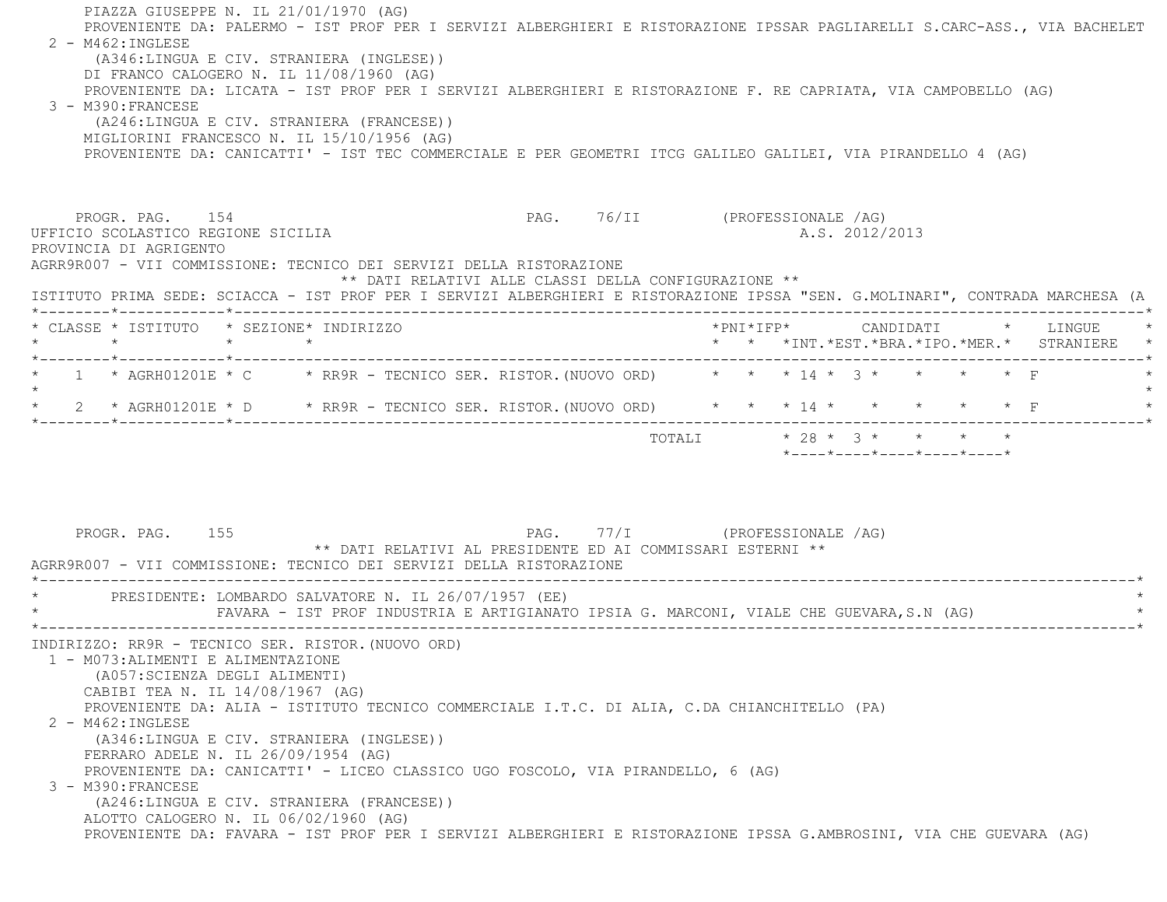PIAZZA GIUSEPPE N. IL 21/01/1970 (AG) PROVENIENTE DA: PALERMO - IST PROF PER I SERVIZI ALBERGHIERI E RISTORAZIONE IPSSAR PAGLIARELLI S.CARC-ASS., VIA BACHELET  $2 - M462 : INGIERSE$  (A346:LINGUA E CIV. STRANIERA (INGLESE)) DI FRANCO CALOGERO N. IL 11/08/1960 (AG) PROVENIENTE DA: LICATA - IST PROF PER I SERVIZI ALBERGHIERI E RISTORAZIONE F. RE CAPRIATA, VIA CAMPOBELLO (AG) 3 - M390:FRANCESE (A246:LINGUA E CIV. STRANIERA (FRANCESE)) MIGLIORINI FRANCESCO N. IL 15/10/1956 (AG) PROVENIENTE DA: CANICATTI' - IST TEC COMMERCIALE E PER GEOMETRI ITCG GALILEO GALILEI, VIA PIRANDELLO 4 (AG) PROGR. PAG. 154 PAG. PAG. 76/II (PROFESSIONALE /AG) UFFICIO SCOLASTICO REGIONE SICILIA A.S. 2012/2013 PROVINCIA DI AGRIGENTO AGRR9R007 - VII COMMISSIONE: TECNICO DEI SERVIZI DELLA RISTORAZIONE \*\* DATI RELATIVI ALLE CLASSI DELLA CONFIGURAZIONE \*\* ISTITUTO PRIMA SEDE: SCIACCA - IST PROF PER I SERVIZI ALBERGHIERI E RISTORAZIONE IPSSA "SEN. G.MOLINARI", CONTRADA MARCHESA (A \*--------\*------------\*-------------------------------------------------------------------------------------------------------\* \* CLASSE \* ISTITUTO \* SEZIONE\* INDIRIZZO \*PNI\*IFP\* CANDIDATI \* LINGUE \* \* \* \* \* \* \* \*INT.\*EST.\*BRA.\*IPO.\*MER.\* STRANIERE \* \*--------\*------------\*-------------------------------------------------------------------------------------------------------\*\* 1 \* AGRH01201E \* C \* RR9R - TECNICO SER. RISTOR. (NUOVO ORD) \* \* \* 14 \* 3 \* \* \* \* \* F  $\star$  \* 2 \* AGRH01201E \* D \* RR9R - TECNICO SER. RISTOR.(NUOVO ORD) \* \* \* 14 \* \* \* \* \* F \* \*--------\*------------\*-------------------------------------------------------------------------------------------------------\* TOTALI \* 28 \* 3 \* \* \* \* \*----\*----\*----\*----\*----\*PROGR. PAG. 155 PAG. 77/I (PROFESSIONALE /AG) \*\* DATI RELATIVI AL PRESIDENTE ED AI COMMISSARI ESTERNI \*\* AGRR9R007 - VII COMMISSIONE: TECNICO DEI SERVIZI DELLA RISTORAZIONE \*----------------------------------------------------------------------------------------------------------------------------\*PRESIDENTE: LOMBARDO SALVATORE N. IL 26/07/1957 (EE) FAVARA - IST PROF INDUSTRIA E ARTIGIANATO IPSIA G. MARCONI, VIALE CHE GUEVARA,S.N (AG) \*----------------------------------------------------------------------------------------------------------------------------\* INDIRIZZO: RR9R - TECNICO SER. RISTOR.(NUOVO ORD) 1 - M073:ALIMENTI E ALIMENTAZIONE (A057:SCIENZA DEGLI ALIMENTI) CABIBI TEA N. IL 14/08/1967 (AG) PROVENIENTE DA: ALIA - ISTITUTO TECNICO COMMERCIALE I.T.C. DI ALIA, C.DA CHIANCHITELLO (PA) 2 - M462:INGLESE (A346:LINGUA E CIV. STRANIERA (INGLESE)) FERRARO ADELE N. IL 26/09/1954 (AG) PROVENIENTE DA: CANICATTI' - LICEO CLASSICO UGO FOSCOLO, VIA PIRANDELLO, 6 (AG) 3 - M390:FRANCESE (A246:LINGUA E CIV. STRANIERA (FRANCESE)) ALOTTO CALOGERO N. IL 06/02/1960 (AG) PROVENIENTE DA: FAVARA - IST PROF PER I SERVIZI ALBERGHIERI E RISTORAZIONE IPSSA G.AMBROSINI, VIA CHE GUEVARA (AG)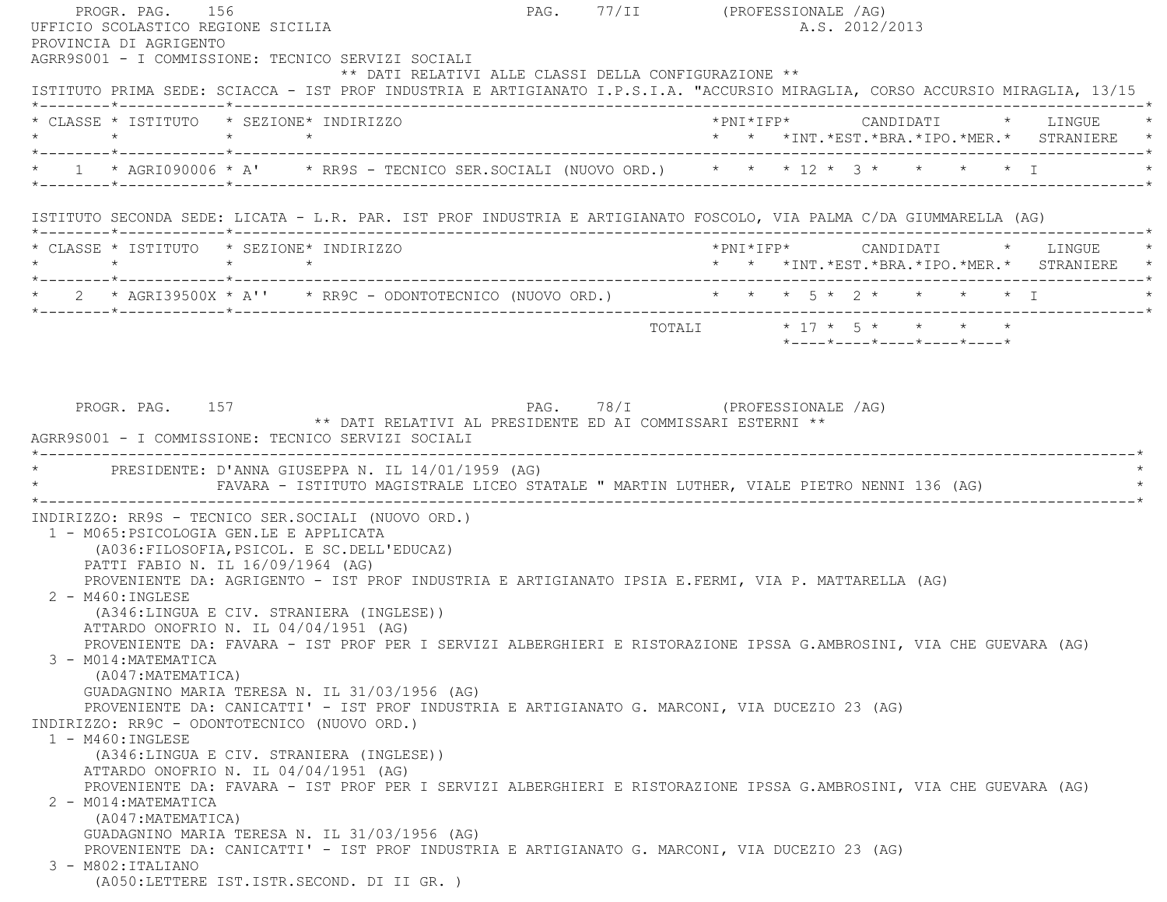PROGR. PAG. 156 PROGR. PAG. 77/II (PROFESSIONALE /AG) UFFICIO SCOLASTICO REGIONE SICILIA A.S. 2012/2013 PROVINCIA DI AGRIGENTO AGRR9S001 - I COMMISSIONE: TECNICO SERVIZI SOCIALI \*\* DATI RELATIVI ALLE CLASSI DELLA CONFIGURAZIONE \*\* ISTITUTO PRIMA SEDE: SCIACCA - IST PROF INDUSTRIA E ARTIGIANATO I.P.S.I.A. "ACCURSIO MIRAGLIA, CORSO ACCURSIO MIRAGLIA, 13/15 \*--------\*------------\*-------------------------------------------------------------------------------------------------------\* \* CLASSE \* ISTITUTO \* SEZIONE\* INDIRIZZO \*PNI\*IFP\* CANDIDATI \* LINGUE \* \* \* \* \* \* \* \*INT.\*EST.\*BRA.\*IPO.\*MER.\* STRANIERE \* \*--------\*------------\*-------------------------------------------------------------------------------------------------------\*\* 1 \* AGRI090006 \* A' \* RR9S - TECNICO SER.SOCIALI (NUOVO ORD.) \* \* \* 12 \* 3 \* \* \* \* \* \* I \*--------\*------------\*-------------------------------------------------------------------------------------------------------\* ISTITUTO SECONDA SEDE: LICATA - L.R. PAR. IST PROF INDUSTRIA E ARTIGIANATO FOSCOLO, VIA PALMA C/DA GIUMMARELLA (AG) \*--------\*------------\*-------------------------------------------------------------------------------------------------------\* \* CLASSE \* ISTITUTO \* SEZIONE\* INDIRIZZO \*PNI\*IFP\* CANDIDATI \* LINGUE \* \* \* \* \* \* \* \*INT.\*EST.\*BRA.\*IPO.\*MER.\* STRANIERE \* \*--------\*------------\*-------------------------------------------------------------------------------------------------------\* \* 2 \* AGRI39500X \* A'' \* RR9C - ODONTOTECNICO (NUOVO ORD.) \* \* \* 5 \* 2 \* \* \* \* I \* \*--------\*------------\*-------------------------------------------------------------------------------------------------------\* $\texttt{TOTALL} \qquad \qquad \star \quad 17 \; \star \quad \; 5 \; \star \qquad \star \qquad \star \qquad \star \qquad \star$  \*----\*----\*----\*----\*----\*PROGR. PAG. 157 PAG. PAG. 78/I (PROFESSIONALE /AG) \*\* DATI RELATIVI AL PRESIDENTE ED AI COMMISSARI ESTERNI \*\* AGRR9S001 - I COMMISSIONE: TECNICO SERVIZI SOCIALI \*----------------------------------------------------------------------------------------------------------------------------\*PRESIDENTE: D'ANNA GIUSEPPA N. IL 14/01/1959 (AG) FAVARA - ISTITUTO MAGISTRALE LICEO STATALE " MARTIN LUTHER, VIALE PIETRO NENNI 136 (AG) \*----------------------------------------------------------------------------------------------------------------------------\* INDIRIZZO: RR9S - TECNICO SER.SOCIALI (NUOVO ORD.) 1 - M065:PSICOLOGIA GEN.LE E APPLICATA (A036:FILOSOFIA,PSICOL. E SC.DELL'EDUCAZ) PATTI FABIO N. IL 16/09/1964 (AG) PROVENIENTE DA: AGRIGENTO - IST PROF INDUSTRIA E ARTIGIANATO IPSIA E.FERMI, VIA P. MATTARELLA (AG) 2 - M460:INGLESE (A346:LINGUA E CIV. STRANIERA (INGLESE)) ATTARDO ONOFRIO N. IL 04/04/1951 (AG) PROVENIENTE DA: FAVARA - IST PROF PER I SERVIZI ALBERGHIERI E RISTORAZIONE IPSSA G.AMBROSINI, VIA CHE GUEVARA (AG) 3 - M014:MATEMATICA (A047:MATEMATICA) GUADAGNINO MARIA TERESA N. IL 31/03/1956 (AG) PROVENIENTE DA: CANICATTI' - IST PROF INDUSTRIA E ARTIGIANATO G. MARCONI, VIA DUCEZIO 23 (AG) INDIRIZZO: RR9C - ODONTOTECNICO (NUOVO ORD.) 1 - M460:INGLESE (A346:LINGUA E CIV. STRANIERA (INGLESE)) ATTARDO ONOFRIO N. IL 04/04/1951 (AG) PROVENIENTE DA: FAVARA - IST PROF PER I SERVIZI ALBERGHIERI E RISTORAZIONE IPSSA G.AMBROSINI, VIA CHE GUEVARA (AG) 2 - M014:MATEMATICA (A047:MATEMATICA) GUADAGNINO MARIA TERESA N. IL 31/03/1956 (AG) PROVENIENTE DA: CANICATTI' - IST PROF INDUSTRIA E ARTIGIANATO G. MARCONI, VIA DUCEZIO 23 (AG) 3 - M802:ITALIANO(A050:LETTERE IST.ISTR.SECOND. DI II GR. )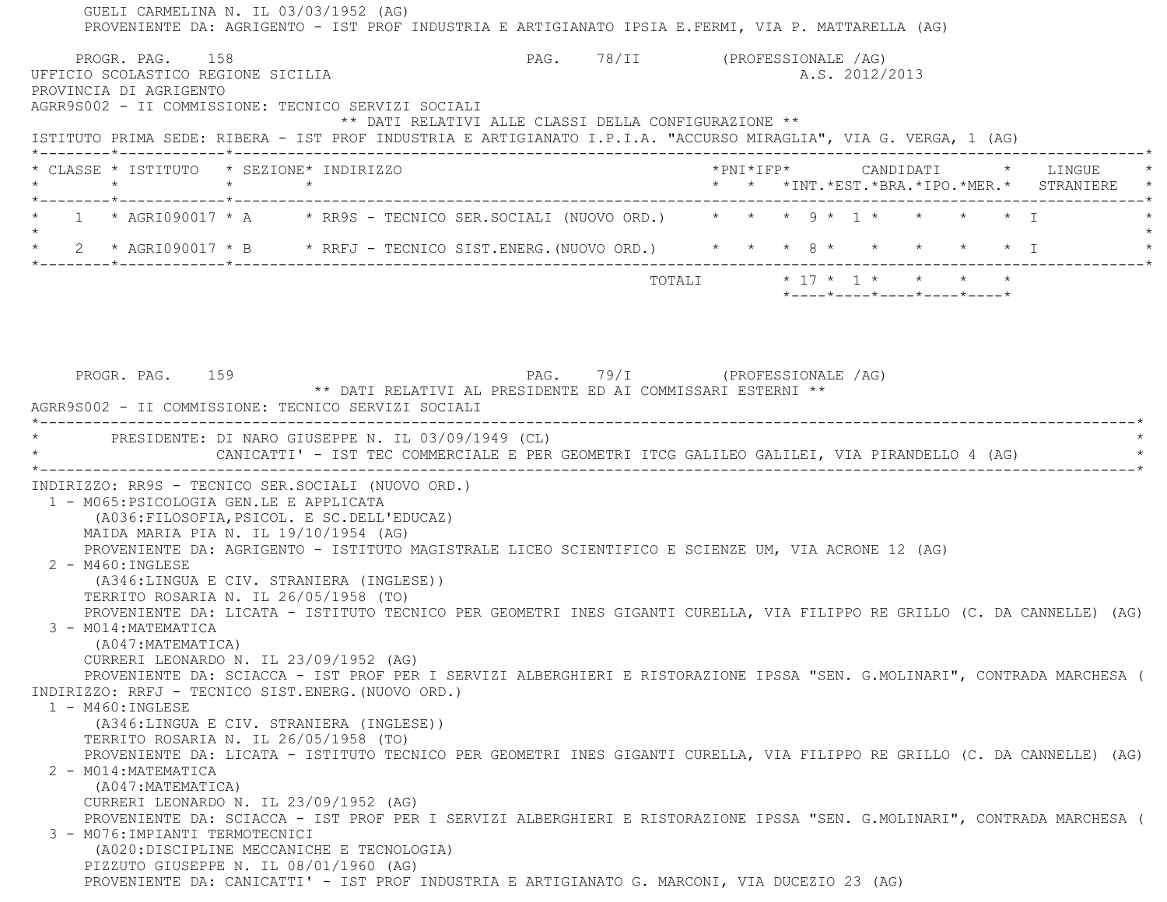| PROGR. PAG. 158<br>UFFICIO SCOLASTICO REGIONE SICILIA<br>PROVINCIA DI AGRIGENTO                                                                            | AGRR9S002 - II COMMISSIONE: TECNICO SERVIZI SOCIALI                                                                                                                                                                                                                                                                                                                                                                                                                                                                                                                                                                                                                                                                                                                                                                                                                                                             | PAG. 78/II (PROFESSIONALE /AG)                             |  | A.S. 2012/2013                                   |  |                                          |
|------------------------------------------------------------------------------------------------------------------------------------------------------------|-----------------------------------------------------------------------------------------------------------------------------------------------------------------------------------------------------------------------------------------------------------------------------------------------------------------------------------------------------------------------------------------------------------------------------------------------------------------------------------------------------------------------------------------------------------------------------------------------------------------------------------------------------------------------------------------------------------------------------------------------------------------------------------------------------------------------------------------------------------------------------------------------------------------|------------------------------------------------------------|--|--------------------------------------------------|--|------------------------------------------|
|                                                                                                                                                            | ** DATI RELATIVI ALLE CLASSI DELLA CONFIGURAZIONE **<br>ISTITUTO PRIMA SEDE: RIBERA - IST PROF INDUSTRIA E ARTIGIANATO I.P.I.A. "ACCURSO MIRAGLIA", VIA G. VERGA, 1 (AG)                                                                                                                                                                                                                                                                                                                                                                                                                                                                                                                                                                                                                                                                                                                                        |                                                            |  |                                                  |  |                                          |
| * CLASSE * ISTITUTO * SEZIONE* INDIRIZZO<br>$\star$                                                                                                        | $\star$ $\star$                                                                                                                                                                                                                                                                                                                                                                                                                                                                                                                                                                                                                                                                                                                                                                                                                                                                                                 |                                                            |  |                                                  |  | * * *INT.*EST.*BRA.*IPO.*MER.* STRANIERE |
|                                                                                                                                                            | 1 * AGRI090017 * A * * RR9S - TECNICO SER.SOCIALI (NUOVO ORD.) * * * 9 * 1 * * * * * * I                                                                                                                                                                                                                                                                                                                                                                                                                                                                                                                                                                                                                                                                                                                                                                                                                        |                                                            |  |                                                  |  |                                          |
|                                                                                                                                                            | * 2 * AGRI090017 * B * RRFJ - TECNICO SIST.ENERG. (NUOVO ORD.) * * * 8 * * * * * * * I                                                                                                                                                                                                                                                                                                                                                                                                                                                                                                                                                                                                                                                                                                                                                                                                                          |                                                            |  |                                                  |  |                                          |
|                                                                                                                                                            |                                                                                                                                                                                                                                                                                                                                                                                                                                                                                                                                                                                                                                                                                                                                                                                                                                                                                                                 |                                                            |  | $*$ ---- $*$ ---- $*$ ---- $*$ ---- $*$ ---- $*$ |  |                                          |
|                                                                                                                                                            | AGRR9S002 - II COMMISSIONE: TECNICO SERVIZI SOCIALI                                                                                                                                                                                                                                                                                                                                                                                                                                                                                                                                                                                                                                                                                                                                                                                                                                                             | ** DATI RELATIVI AL PRESIDENTE ED AI COMMISSARI ESTERNI ** |  |                                                  |  |                                          |
|                                                                                                                                                            | * PRESIDENTE: DI NARO GIUSEPPE N. IL 03/09/1949 (CL)<br>CANICATTI' - IST TEC COMMERCIALE E PER GEOMETRI ITCG GALILEO GALILEI, VIA PIRANDELLO 4 (AG)                                                                                                                                                                                                                                                                                                                                                                                                                                                                                                                                                                                                                                                                                                                                                             |                                                            |  |                                                  |  |                                          |
| 1 - M065: PSICOLOGIA GEN.LE E APPLICATA<br>2 - M460: INGLESE<br>3 - M014: MATEMATICA<br>(A047: MATEMATICA)<br>$1 - M460$ : INGLESE<br>2 - M014: MATEMATICA | INDIRIZZO: RR9S - TECNICO SER.SOCIALI (NUOVO ORD.)<br>(A036: FILOSOFIA, PSICOL. E SC. DELL'EDUCAZ)<br>MAIDA MARIA PIA N. IL 19/10/1954 (AG)<br>PROVENIENTE DA: AGRIGENTO - ISTITUTO MAGISTRALE LICEO SCIENTIFICO E SCIENZE UM, VIA ACRONE 12 (AG)<br>(A346:LINGUA E CIV. STRANIERA (INGLESE))<br>TERRITO ROSARIA N. IL 26/05/1958 (TO)<br>PROVENIENTE DA: LICATA - ISTITUTO TECNICO PER GEOMETRI INES GIGANTI CURELLA, VIA FILIPPO RE GRILLO (C. DA CANNELLE) (AG)<br>CURRERI LEONARDO N. IL 23/09/1952 (AG)<br>PROVENIENTE DA: SCIACCA - IST PROF PER I SERVIZI ALBERGHIERI E RISTORAZIONE IPSSA "SEN. G.MOLINARI", CONTRADA MARCHESA (<br>INDIRIZZO: RRFJ - TECNICO SIST.ENERG. (NUOVO ORD.)<br>(A346:LINGUA E CIV. STRANIERA (INGLESE))<br>TERRITO ROSARIA N. IL 26/05/1958 (TO)<br>PROVENIENTE DA: LICATA - ISTITUTO TECNICO PER GEOMETRI INES GIGANTI CURELLA, VIA FILIPPO RE GRILLO (C. DA CANNELLE) (AG) |                                                            |  |                                                  |  |                                          |
| (A047: MATEMATICA)                                                                                                                                         | CURRERI LEONARDO N. IL 23/09/1952 (AG)<br>PROVENIENTE DA: SCIACCA - IST PROF PER I SERVIZI ALBERGHIERI E RISTORAZIONE IPSSA "SEN. G.MOLINARI", CONTRADA MARCHESA (                                                                                                                                                                                                                                                                                                                                                                                                                                                                                                                                                                                                                                                                                                                                              |                                                            |  |                                                  |  |                                          |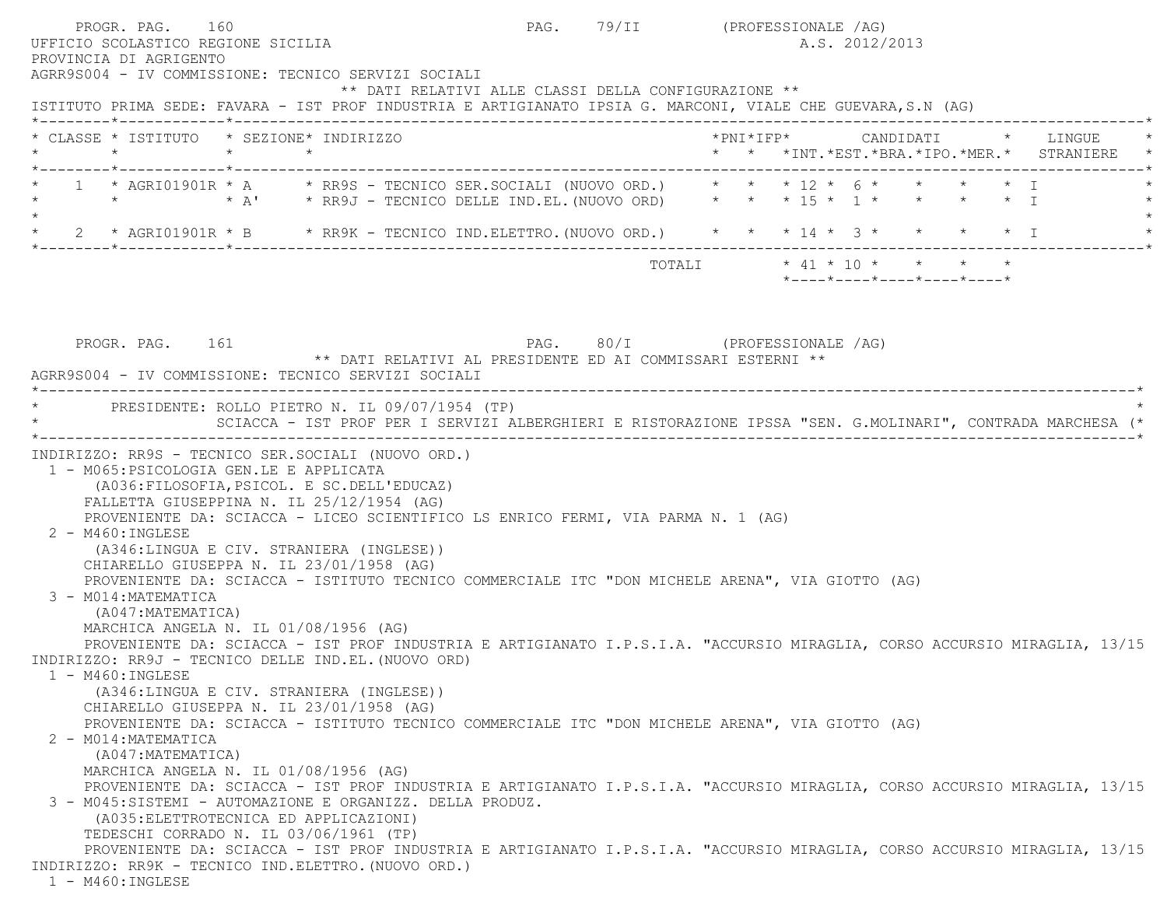|         | PROGR. PAG. 160<br>UFFICIO SCOLASTICO REGIONE SICILIA<br>PROVINCIA DI AGRIGENTO                                                                                               |                                                                                                                                                                                                                                                                                                                                                                                                                                                                                                                                                                                                                                                                                                                                                                                                                                          | PAG. 79/II (PROFESSIONALE /AG) |  | A.S. 2012/2013                                                  |  |                                                                                          |
|---------|-------------------------------------------------------------------------------------------------------------------------------------------------------------------------------|------------------------------------------------------------------------------------------------------------------------------------------------------------------------------------------------------------------------------------------------------------------------------------------------------------------------------------------------------------------------------------------------------------------------------------------------------------------------------------------------------------------------------------------------------------------------------------------------------------------------------------------------------------------------------------------------------------------------------------------------------------------------------------------------------------------------------------------|--------------------------------|--|-----------------------------------------------------------------|--|------------------------------------------------------------------------------------------|
|         |                                                                                                                                                                               | AGRR9S004 - IV COMMISSIONE: TECNICO SERVIZI SOCIALI<br>** DATI RELATIVI ALLE CLASSI DELLA CONFIGURAZIONE **                                                                                                                                                                                                                                                                                                                                                                                                                                                                                                                                                                                                                                                                                                                              |                                |  |                                                                 |  |                                                                                          |
|         |                                                                                                                                                                               | ISTITUTO PRIMA SEDE: FAVARA - IST PROF INDUSTRIA E ARTIGIANATO IPSIA G. MARCONI, VIALE CHE GUEVARA, S.N (AG)                                                                                                                                                                                                                                                                                                                                                                                                                                                                                                                                                                                                                                                                                                                             |                                |  |                                                                 |  |                                                                                          |
|         |                                                                                                                                                                               | * CLASSE * ISTITUTO * SEZIONE* INDIRIZZO                                                                                                                                                                                                                                                                                                                                                                                                                                                                                                                                                                                                                                                                                                                                                                                                 |                                |  |                                                                 |  | *PNI*IFP*     CANDIDATI    *   LINGUE<br>* * *INT. *EST. *BRA. *IPO. *MER. * STRANIERE * |
| $\star$ |                                                                                                                                                                               | 1 * AGRI01901R * A $\quad$ * RR9S - TECNICO SER.SOCIALI (NUOVO ORD.) * * * 12 * 6 * * * * * * I                                                                                                                                                                                                                                                                                                                                                                                                                                                                                                                                                                                                                                                                                                                                          |                                |  |                                                                 |  |                                                                                          |
|         |                                                                                                                                                                               | 2 * AGRI01901R * B * RR9K - TECNICO IND.ELETTRO. (NUOVO ORD.) * * * 14 * 3 * * * * * * I                                                                                                                                                                                                                                                                                                                                                                                                                                                                                                                                                                                                                                                                                                                                                 |                                |  |                                                                 |  |                                                                                          |
|         |                                                                                                                                                                               |                                                                                                                                                                                                                                                                                                                                                                                                                                                                                                                                                                                                                                                                                                                                                                                                                                          |                                |  | $*$ - - - - $*$ - - - - $*$ - - - - $*$ - - - - $*$ - - - - $*$ |  |                                                                                          |
|         | PROGR. PAG. 161                                                                                                                                                               | PAG. 80/I (PROFESSIONALE /AG)<br>** DATI RELATIVI AL PRESIDENTE ED AI COMMISSARI ESTERNI **<br>AGRR9S004 - IV COMMISSIONE: TECNICO SERVIZI SOCIALI                                                                                                                                                                                                                                                                                                                                                                                                                                                                                                                                                                                                                                                                                       |                                |  |                                                                 |  |                                                                                          |
|         |                                                                                                                                                                               | * PRESIDENTE: ROLLO PIETRO N. IL 09/07/1954 (TP)<br>SCIACCA - IST PROF PER I SERVIZI ALBERGHIERI E RISTORAZIONE IPSSA "SEN. G.MOLINARI", CONTRADA MARCHESA (*                                                                                                                                                                                                                                                                                                                                                                                                                                                                                                                                                                                                                                                                            |                                |  |                                                                 |  |                                                                                          |
|         | 1 - M065: PSICOLOGIA GEN.LE E APPLICATA<br>2 - M460: INGLESE<br>3 - M014: MATEMATICA<br>(A047: MATEMATICA)<br>1 - M460: INGLESE<br>2 - M014: MATEMATICA<br>(A047: MATEMATICA) | (A036: FILOSOFIA, PSICOL. E SC. DELL'EDUCAZ)<br>FALLETTA GIUSEPPINA N. IL 25/12/1954 (AG)<br>PROVENIENTE DA: SCIACCA - LICEO SCIENTIFICO LS ENRICO FERMI, VIA PARMA N. 1 (AG)<br>(A346:LINGUA E CIV. STRANIERA (INGLESE))<br>CHIARELLO GIUSEPPA N. IL 23/01/1958 (AG)<br>PROVENIENTE DA: SCIACCA - ISTITUTO TECNICO COMMERCIALE ITC "DON MICHELE ARENA", VIA GIOTTO (AG)<br>MARCHICA ANGELA N. IL 01/08/1956 (AG)<br>PROVENIENTE DA: SCIACCA - IST PROF INDUSTRIA E ARTIGIANATO I.P.S.I.A. "ACCURSIO MIRAGLIA, CORSO ACCURSIO MIRAGLIA, 13/15<br>INDIRIZZO: RR9J - TECNICO DELLE IND.EL. (NUOVO ORD)<br>(A346:LINGUA E CIV. STRANIERA (INGLESE))<br>CHIARELLO GIUSEPPA N. IL 23/01/1958 (AG)<br>PROVENIENTE DA: SCIACCA - ISTITUTO TECNICO COMMERCIALE ITC "DON MICHELE ARENA", VIA GIOTTO (AG)<br>MARCHICA ANGELA N. IL 01/08/1956 (AG) |                                |  |                                                                 |  |                                                                                          |
|         |                                                                                                                                                                               | PROVENIENTE DA: SCIACCA - IST PROF INDUSTRIA E ARTIGIANATO I.P.S.I.A. "ACCURSIO MIRAGLIA, CORSO ACCURSIO MIRAGLIA, 13/15<br>3 - M045:SISTEMI - AUTOMAZIONE E ORGANIZZ. DELLA PRODUZ.<br>(A035: ELETTROTECNICA ED APPLICAZIONI)<br>TEDESCHI CORRADO N. IL 03/06/1961 (TP)                                                                                                                                                                                                                                                                                                                                                                                                                                                                                                                                                                 |                                |  |                                                                 |  |                                                                                          |
|         | $MACO$ , TMCT DOD                                                                                                                                                             | PROVENIENTE DA: SCIACCA - IST PROF INDUSTRIA E ARTIGIANATO I.P.S.I.A. "ACCURSIO MIRAGLIA, CORSO ACCURSIO MIRAGLIA, 13/15<br>INDIRIZZO: RR9K - TECNICO IND.ELETTRO. (NUOVO ORD.)                                                                                                                                                                                                                                                                                                                                                                                                                                                                                                                                                                                                                                                          |                                |  |                                                                 |  |                                                                                          |

1 - M460:INGLESE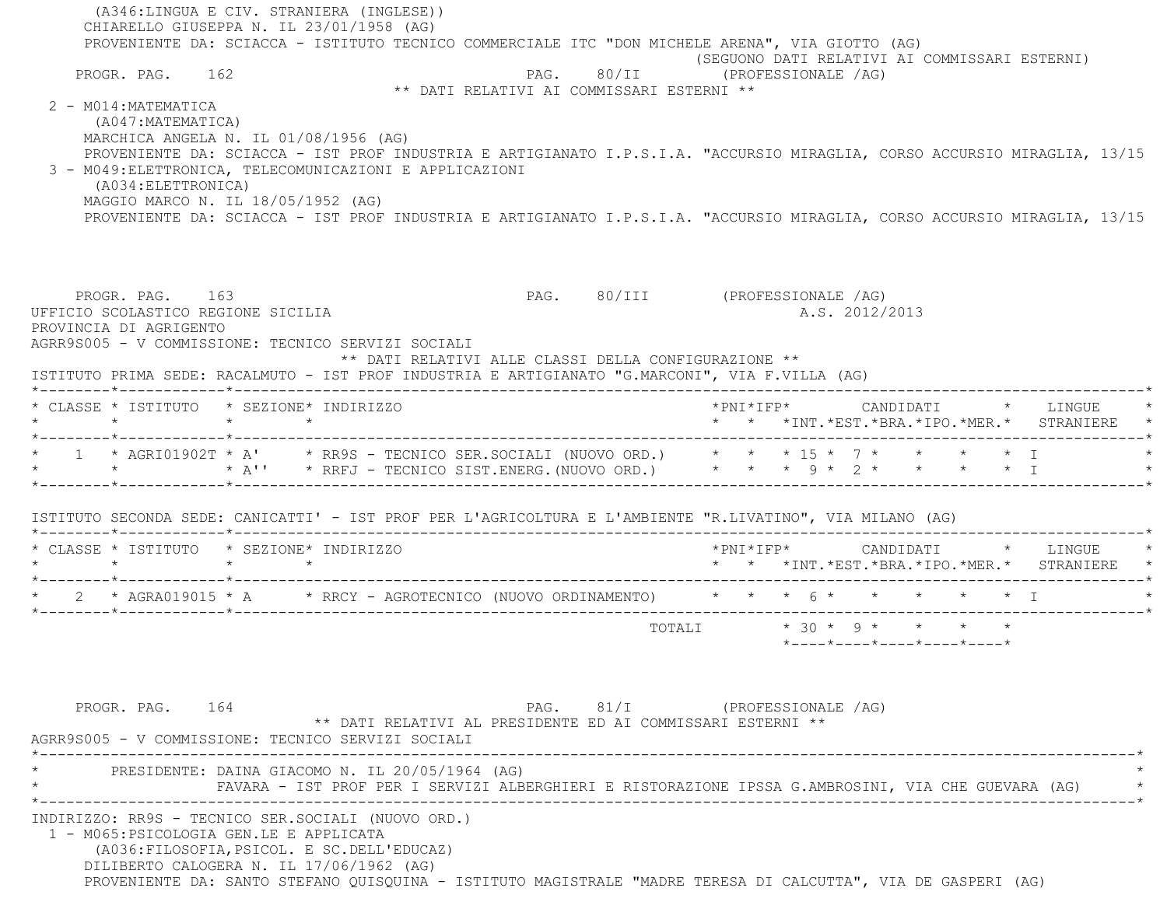(A346:LINGUA E CIV. STRANIERA (INGLESE)) CHIARELLO GIUSEPPA N. IL 23/01/1958 (AG) PROVENIENTE DA: SCIACCA - ISTITUTO TECNICO COMMERCIALE ITC "DON MICHELE ARENA", VIA GIOTTO (AG) (SEGUONO DATI RELATIVI AI COMMISSARI ESTERNI)<br>PAG. 80/II (PROFESSIONALE /AG) PAG. 80/II (PROFESSIONALE /AG) \*\* DATI RELATIVI AI COMMISSARI ESTERNI \*\* $2 - M014 \cdot MATF MATTCA$  (A047:MATEMATICA) MARCHICA ANGELA N. IL 01/08/1956 (AG) PROVENIENTE DA: SCIACCA - IST PROF INDUSTRIA E ARTIGIANATO I.P.S.I.A. "ACCURSIO MIRAGLIA, CORSO ACCURSIO MIRAGLIA, 13/15 3 - M049:ELETTRONICA, TELECOMUNICAZIONI E APPLICAZIONI (A034:ELETTRONICA) MAGGIO MARCO N. IL 18/05/1952 (AG) PROVENIENTE DA: SCIACCA - IST PROF INDUSTRIA E ARTIGIANATO I.P.S.I.A. "ACCURSIO MIRAGLIA, CORSO ACCURSIO MIRAGLIA, 13/15 PROGR. PAG. 163 PAG. 80/III (PROFESSIONALE /AG) UFFICIO SCOLASTICO REGIONE SICILIA A.S. 2012/2013 PROVINCIA DI AGRIGENTO AGRR9S005 - V COMMISSIONE: TECNICO SERVIZI SOCIALI \*\* DATI RELATIVI ALLE CLASSI DELLA CONFIGURAZIONE \*\* ISTITUTO PRIMA SEDE: RACALMUTO - IST PROF INDUSTRIA E ARTIGIANATO "G.MARCONI", VIA F.VILLA (AG) \*--------\*------------\*-------------------------------------------------------------------------------------------------------\* \* CLASSE \* ISTITUTO \* SEZIONE\* INDIRIZZO \*PNI\*IFP\* CANDIDATI \* LINGUE \* \* \* \* \* \* \* \*INT.\*EST.\*BRA.\*IPO.\*MER.\* STRANIERE \* \*--------\*------------\*-------------------------------------------------------------------------------------------------------\* $1$  \* AGRI01902T \* A' \* RR9S - TECNICO SER.SOCIALI (NUOVO ORD.) \* \* \* 15 \* 7 \* \* \* \* \* \* I \* \* \* A'' \* RRFJ - TECNICO SIST.ENERG.(NUOVO ORD.) \* \* \* 9 \* 2 \* \* \* \* I \* \*--------\*------------\*-------------------------------------------------------------------------------------------------------\* ISTITUTO SECONDA SEDE: CANICATTI' - IST PROF PER L'AGRICOLTURA E L'AMBIENTE "R.LIVATINO", VIA MILANO (AG) \*--------\*------------\*-------------------------------------------------------------------------------------------------------\* \* CLASSE \* ISTITUTO \* SEZIONE\* INDIRIZZO \*PNI\*IFP\* CANDIDATI \* LINGUE \* \* \* \* \* \* \* \*INT.\*EST.\*BRA.\*IPO.\*MER.\* STRANIERE \* \*--------\*------------\*-------------------------------------------------------------------------------------------------------\*\* 2 \* AGRA019015 \* A \* \* RRCY - AGROTECNICO (NUOVO ORDINAMENTO) \* \* \* 6 \* \* \* \* \* \* \* I \*--------\*------------\*-------------------------------------------------------------------------------------------------------\*TOTALI  $* 30 * 9 * * * * * * *$  \*----\*----\*----\*----\*----\*PROGR. PAG. 164 PAG. 81/I (PROFESSIONALE /AG) \*\* DATI RELATIVI AL PRESIDENTE ED AI COMMISSARI ESTERNI \*\* AGRR9S005 - V COMMISSIONE: TECNICO SERVIZI SOCIALI \*----------------------------------------------------------------------------------------------------------------------------\*PRESIDENTE: DAINA GIACOMO N. IL 20/05/1964 (AG) \* FAVARA - IST PROF PER I SERVIZI ALBERGHIERI E RISTORAZIONE IPSSA G.AMBROSINI, VIA CHE GUEVARA (AG) \* \*----------------------------------------------------------------------------------------------------------------------------\* INDIRIZZO: RR9S - TECNICO SER.SOCIALI (NUOVO ORD.) 1 - M065:PSICOLOGIA GEN.LE E APPLICATA (A036:FILOSOFIA,PSICOL. E SC.DELL'EDUCAZ) DILIBERTO CALOGERA N. IL 17/06/1962 (AG) PROVENIENTE DA: SANTO STEFANO QUISQUINA - ISTITUTO MAGISTRALE "MADRE TERESA DI CALCUTTA", VIA DE GASPERI (AG)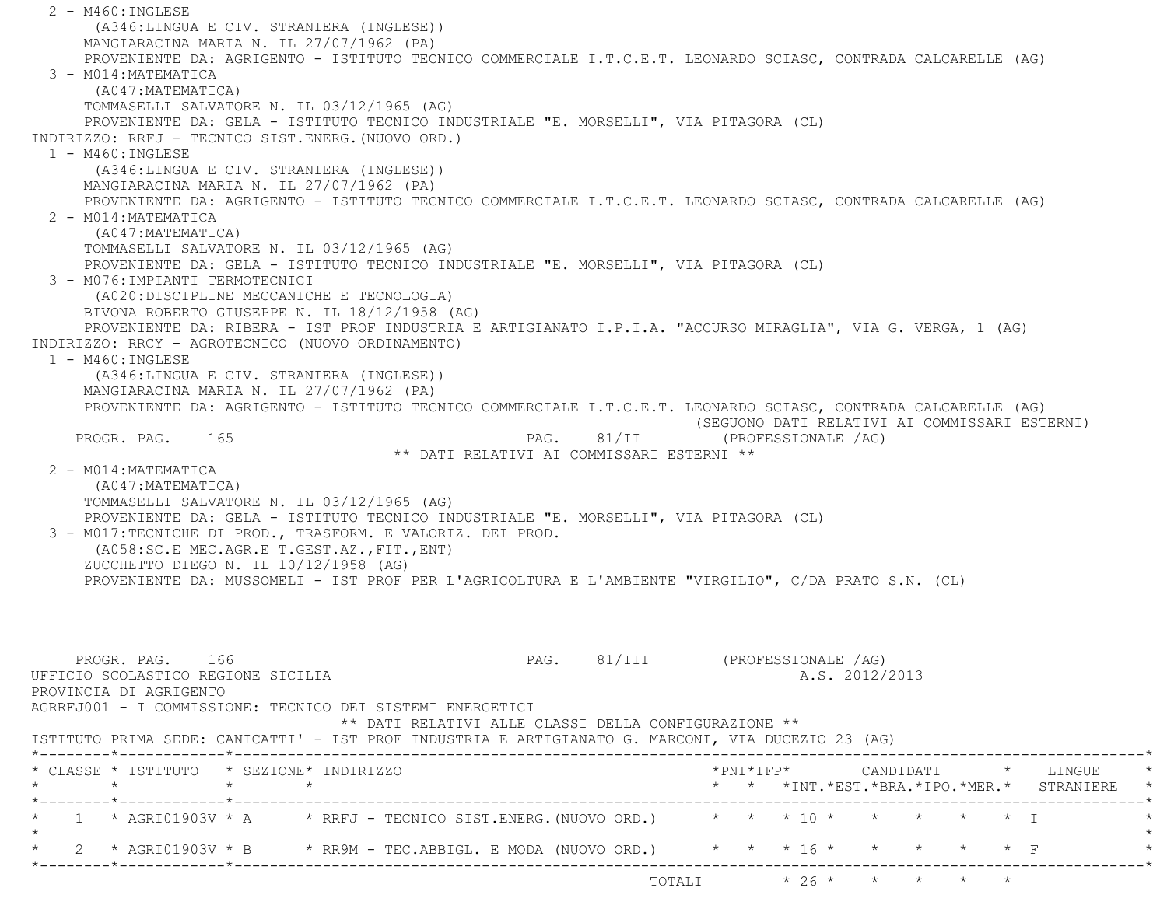2 - M460:INGLESE (A346:LINGUA E CIV. STRANIERA (INGLESE)) MANGIARACINA MARIA N. IL 27/07/1962 (PA) PROVENIENTE DA: AGRIGENTO - ISTITUTO TECNICO COMMERCIALE I.T.C.E.T. LEONARDO SCIASC, CONTRADA CALCARELLE (AG) 3 - M014:MATEMATICA (A047:MATEMATICA) TOMMASELLI SALVATORE N. IL 03/12/1965 (AG) PROVENIENTE DA: GELA - ISTITUTO TECNICO INDUSTRIALE "E. MORSELLI", VIA PITAGORA (CL) INDIRIZZO: RRFJ - TECNICO SIST.ENERG.(NUOVO ORD.) 1 - M460:INGLESE (A346:LINGUA E CIV. STRANIERA (INGLESE)) MANGIARACINA MARIA N. IL 27/07/1962 (PA) PROVENIENTE DA: AGRIGENTO - ISTITUTO TECNICO COMMERCIALE I.T.C.E.T. LEONARDO SCIASC, CONTRADA CALCARELLE (AG) 2 - M014:MATEMATICA (A047:MATEMATICA) TOMMASELLI SALVATORE N. IL 03/12/1965 (AG) PROVENIENTE DA: GELA - ISTITUTO TECNICO INDUSTRIALE "E. MORSELLI", VIA PITAGORA (CL) 3 - M076:IMPIANTI TERMOTECNICI (A020:DISCIPLINE MECCANICHE E TECNOLOGIA) BIVONA ROBERTO GIUSEPPE N. IL 18/12/1958 (AG) PROVENIENTE DA: RIBERA - IST PROF INDUSTRIA E ARTIGIANATO I.P.I.A. "ACCURSO MIRAGLIA", VIA G. VERGA, 1 (AG) INDIRIZZO: RRCY - AGROTECNICO (NUOVO ORDINAMENTO) 1 - M460:INGLESE (A346:LINGUA E CIV. STRANIERA (INGLESE)) MANGIARACINA MARIA N. IL 27/07/1962 (PA) PROVENIENTE DA: AGRIGENTO - ISTITUTO TECNICO COMMERCIALE I.T.C.E.T. LEONARDO SCIASC, CONTRADA CALCARELLE (AG) (SEGUONO DATI RELATIVI AI COMMISSARI ESTERNI) PROGR. PAG. 165 PAG. 81/II (PROFESSIONALE /AG) \*\* DATI RELATIVI AI COMMISSARI ESTERNI \*\* 2 - M014:MATEMATICA (A047:MATEMATICA) TOMMASELLI SALVATORE N. IL 03/12/1965 (AG) PROVENIENTE DA: GELA - ISTITUTO TECNICO INDUSTRIALE "E. MORSELLI", VIA PITAGORA (CL) 3 - M017:TECNICHE DI PROD., TRASFORM. E VALORIZ. DEI PROD. (A058:SC.E MEC.AGR.E T.GEST.AZ.,FIT.,ENT) ZUCCHETTO DIEGO N. IL 10/12/1958 (AG) PROVENIENTE DA: MUSSOMELI - IST PROF PER L'AGRICOLTURA E L'AMBIENTE "VIRGILIO", C/DA PRATO S.N. (CL) PROGR. PAG. 166 PAG. 81/III (PROFESSIONALE /AG) UFFICIO SCOLASTICO REGIONE SICILIA A.S. 2012/2013 PROVINCIA DI AGRIGENTO AGRRFJ001 - I COMMISSIONE: TECNICO DEI SISTEMI ENERGETICI \*\* DATI RELATIVI ALLE CLASSI DELLA CONFIGURAZIONE \*\* ISTITUTO PRIMA SEDE: CANICATTI' - IST PROF INDUSTRIA E ARTIGIANATO G. MARCONI, VIA DUCEZIO 23 (AG) \*--------\*------------\*-------------------------------------------------------------------------------------------------------\* \* CLASSE \* ISTITUTO \* SEZIONE\* INDIRIZZO \*PNI\*IFP\* CANDIDATI \* LINGUE \* \* \* \* \* \* \* \*INT.\*EST.\*BRA.\*IPO.\*MER.\* STRANIERE \* \*--------\*------------\*-------------------------------------------------------------------------------------------------------\*1 \* AGRI01903V \* A \* RRFJ - TECNICO SIST.ENERG.(NUOVO ORD.) \* \* \* 10 \* \* \* \* \* \* \* I  $\star$  \* 2 \* AGRI01903V \* B \* RR9M - TEC.ABBIGL. E MODA (NUOVO ORD.) \* \* \* 16 \* \* \* \* \* F \* \*--------\*------------\*-------------------------------------------------------------------------------------------------------\*TOTALI  $* 26 * * * * * * * * *$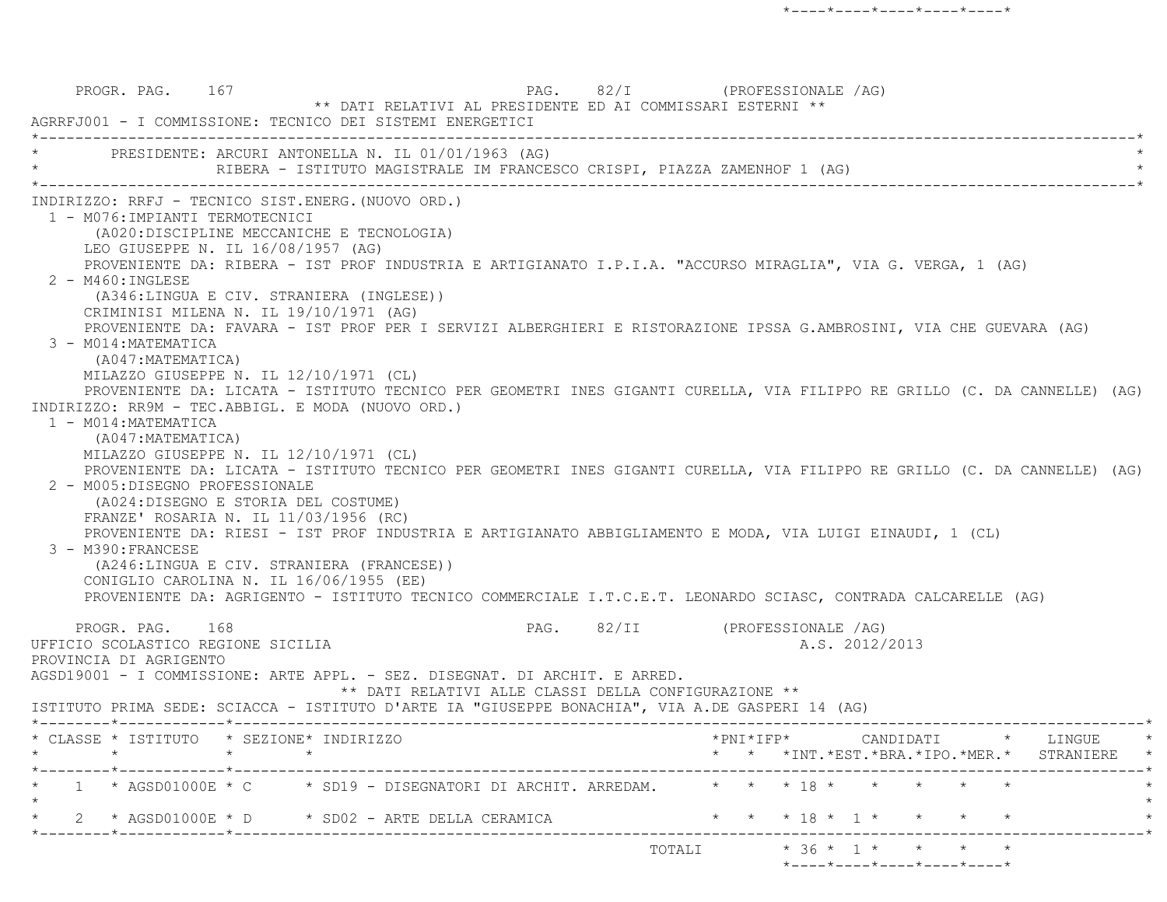PROGR. PAG. 167 PAG. 82/I (PROFESSIONALE /AG) \*\* DATI RELATIVI AL PRESIDENTE ED AI COMMISSARI ESTERNI \*\* AGRRFJ001 - I COMMISSIONE: TECNICO DEI SISTEMI ENERGETICI \*----------------------------------------------------------------------------------------------------------------------------\*PRESIDENTE: ARCURI ANTONELLA N. IL 01/01/1963 (AG) RIBERA - ISTITUTO MAGISTRALE IM FRANCESCO CRISPI, PIAZZA ZAMENHOF 1 (AG) \*----------------------------------------------------------------------------------------------------------------------------\* INDIRIZZO: RRFJ - TECNICO SIST.ENERG.(NUOVO ORD.) 1 - M076:IMPIANTI TERMOTECNICI (A020:DISCIPLINE MECCANICHE E TECNOLOGIA) LEO GIUSEPPE N. IL 16/08/1957 (AG) PROVENIENTE DA: RIBERA - IST PROF INDUSTRIA E ARTIGIANATO I.P.I.A. "ACCURSO MIRAGLIA", VIA G. VERGA, 1 (AG) 2 - M460:INGLESE (A346:LINGUA E CIV. STRANIERA (INGLESE)) CRIMINISI MILENA N. IL 19/10/1971 (AG) PROVENIENTE DA: FAVARA - IST PROF PER I SERVIZI ALBERGHIERI E RISTORAZIONE IPSSA G.AMBROSINI, VIA CHE GUEVARA (AG) 3 - M014:MATEMATICA (A047:MATEMATICA) MILAZZO GIUSEPPE N. IL 12/10/1971 (CL) PROVENIENTE DA: LICATA - ISTITUTO TECNICO PER GEOMETRI INES GIGANTI CURELLA, VIA FILIPPO RE GRILLO (C. DA CANNELLE) (AG) INDIRIZZO: RR9M - TEC.ABBIGL. E MODA (NUOVO ORD.) 1 - M014:MATEMATICA (A047:MATEMATICA) MILAZZO GIUSEPPE N. IL 12/10/1971 (CL) PROVENIENTE DA: LICATA - ISTITUTO TECNICO PER GEOMETRI INES GIGANTI CURELLA, VIA FILIPPO RE GRILLO (C. DA CANNELLE) (AG) 2 - M005:DISEGNO PROFESSIONALE (A024:DISEGNO E STORIA DEL COSTUME) FRANZE' ROSARIA N. IL 11/03/1956 (RC) PROVENIENTE DA: RIESI - IST PROF INDUSTRIA E ARTIGIANATO ABBIGLIAMENTO E MODA, VIA LUIGI EINAUDI, 1 (CL) 3 - M390:FRANCESE (A246:LINGUA E CIV. STRANIERA (FRANCESE)) CONIGLIO CAROLINA N. IL 16/06/1955 (EE) PROVENIENTE DA: AGRIGENTO - ISTITUTO TECNICO COMMERCIALE I.T.C.E.T. LEONARDO SCIASC, CONTRADA CALCARELLE (AG) PROGR. PAG. 168 PAG. 82/II (PROFESSIONALE /AG) UFFICIO SCOLASTICO REGIONE SICILIA A.S. 2012/2013 PROVINCIA DI AGRIGENTO AGSD19001 - I COMMISSIONE: ARTE APPL. - SEZ. DISEGNAT. DI ARCHIT. E ARRED. \*\* DATI RELATIVI ALLE CLASSI DELLA CONFIGURAZIONE \*\* ISTITUTO PRIMA SEDE: SCIACCA - ISTITUTO D'ARTE IA "GIUSEPPE BONACHIA", VIA A.DE GASPERI 14 (AG) \*--------\*------------\*-------------------------------------------------------------------------------------------------------\* \* CLASSE \* ISTITUTO \* SEZIONE\* INDIRIZZO \*PNI\*IFP\* CANDIDATI \* LINGUE \* \* \* \* \* \* \* \*INT.\*EST.\*BRA.\*IPO.\*MER.\* STRANIERE \* \*--------\*------------\*-------------------------------------------------------------------------------------------------------\*\*  $1$  \* AGSD01000E \* C  $\rightarrow$  SD19 - DISEGNATORI DI ARCHIT. ARREDAM.  $\rightarrow$  \* \* \* 18 \* \* \* \* \* \*  $\star$ 2 \* AGSD01000E \* D \* SD02 - ARTE DELLA CERAMICA \* \* \* \* \* 18 \* 1 \* \* \* \* \* \* \* \*--------\*------------\*-------------------------------------------------------------------------------------------------------\*TOTALI  $* 36 * 1 * * * * * *$ \*----\*----\*----\*----\*----\*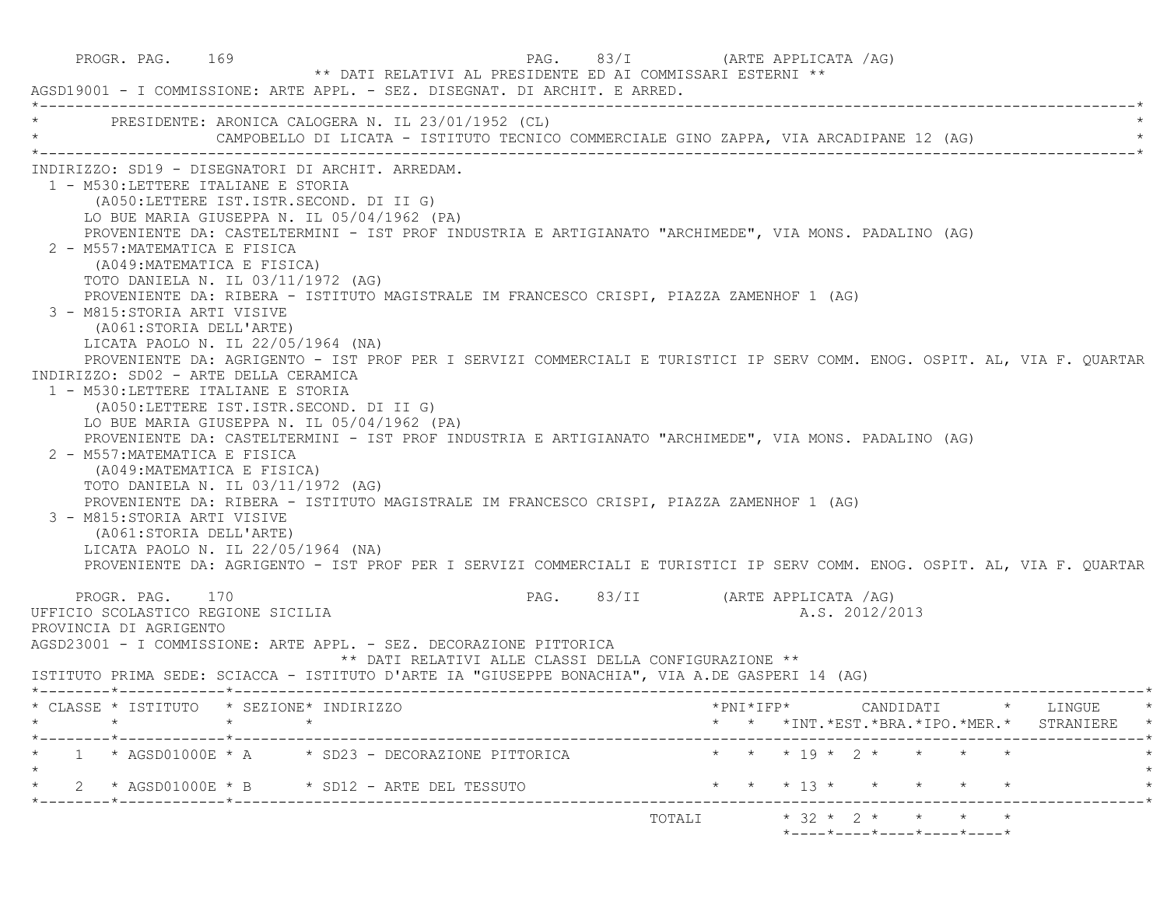PROGR. PAG. 169 PAG. PAG. 83/I (ARTE APPLICATA /AG) \*\* DATI RELATIVI AL PRESIDENTE ED AI COMMISSARI ESTERNI \*\* AGSD19001 - I COMMISSIONE: ARTE APPL. - SEZ. DISEGNAT. DI ARCHIT. E ARRED. \*----------------------------------------------------------------------------------------------------------------------------\*PRESIDENTE: ARONICA CALOGERA N. IL 23/01/1952 (CL) CAMPOBELLO DI LICATA - ISTITUTO TECNICO COMMERCIALE GINO ZAPPA, VIA ARCADIPANE 12 (AG) \*----------------------------------------------------------------------------------------------------------------------------\* INDIRIZZO: SD19 - DISEGNATORI DI ARCHIT. ARREDAM. 1 - M530:LETTERE ITALIANE E STORIA (A050:LETTERE IST.ISTR.SECOND. DI II G) LO BUE MARIA GIUSEPPA N. IL 05/04/1962 (PA) PROVENIENTE DA: CASTELTERMINI - IST PROF INDUSTRIA E ARTIGIANATO "ARCHIMEDE", VIA MONS. PADALINO (AG) 2 - M557:MATEMATICA E FISICA (A049:MATEMATICA E FISICA) TOTO DANIELA N. IL 03/11/1972 (AG) PROVENIENTE DA: RIBERA - ISTITUTO MAGISTRALE IM FRANCESCO CRISPI, PIAZZA ZAMENHOF 1 (AG) 3 - M815:STORIA ARTI VISIVE (A061:STORIA DELL'ARTE) LICATA PAOLO N. IL 22/05/1964 (NA) PROVENIENTE DA: AGRIGENTO - IST PROF PER I SERVIZI COMMERCIALI E TURISTICI IP SERV COMM. ENOG. OSPIT. AL, VIA F. QUARTAR INDIRIZZO: SD02 - ARTE DELLA CERAMICA 1 - M530:LETTERE ITALIANE E STORIA (A050:LETTERE IST.ISTR.SECOND. DI II G) LO BUE MARIA GIUSEPPA N. IL 05/04/1962 (PA) PROVENIENTE DA: CASTELTERMINI - IST PROF INDUSTRIA E ARTIGIANATO "ARCHIMEDE", VIA MONS. PADALINO (AG) 2 - M557:MATEMATICA E FISICA (A049:MATEMATICA E FISICA) TOTO DANIELA N. IL 03/11/1972 (AG) PROVENIENTE DA: RIBERA - ISTITUTO MAGISTRALE IM FRANCESCO CRISPI, PIAZZA ZAMENHOF 1 (AG) 3 - M815:STORIA ARTI VISIVE (A061:STORIA DELL'ARTE) LICATA PAOLO N. IL 22/05/1964 (NA) PROVENIENTE DA: AGRIGENTO - IST PROF PER I SERVIZI COMMERCIALI E TURISTICI IP SERV COMM. ENOG. OSPIT. AL, VIA F. QUARTAR PROGR. PAG. 170 PAG. 83/II (ARTE APPLICATA /AG) UFFICIO SCOLASTICO REGIONE SICILIA A.S. 2012/2013 PROVINCIA DI AGRIGENTO AGSD23001 - I COMMISSIONE: ARTE APPL. - SEZ. DECORAZIONE PITTORICA \*\* DATI RELATIVI ALLE CLASSI DELLA CONFIGURAZIONE \*\* ISTITUTO PRIMA SEDE: SCIACCA - ISTITUTO D'ARTE IA "GIUSEPPE BONACHIA", VIA A.DE GASPERI 14 (AG) \*--------\*------------\*-------------------------------------------------------------------------------------------------------\* \* CLASSE \* ISTITUTO \* SEZIONE\* INDIRIZZO \*PNI\*IFP\* CANDIDATI \* LINGUE \* \* \* \* \* \* \* \*INT.\*EST.\*BRA.\*IPO.\*MER.\* STRANIERE \* \*--------\*------------\*-------------------------------------------------------------------------------------------------------\* $1$  \* AGSD01000E \* A  $\rightarrow$  SD23 - DECORAZIONE PITTORICA  $\rightarrow$  \* \* \* 19 \* 2 \* \* \* \* \*  $\star$ \* 2 \* AGSD01000E \* B \* SD12 - ARTE DEL TESSUTO \* \* \* \* 13 \* \* \* \* \* \* \* \* \*--------\*------------\*-------------------------------------------------------------------------------------------------------\* TOTALI \* 32 \* 2 \* \* \* \*\*----\*----\*----\*----\*----\*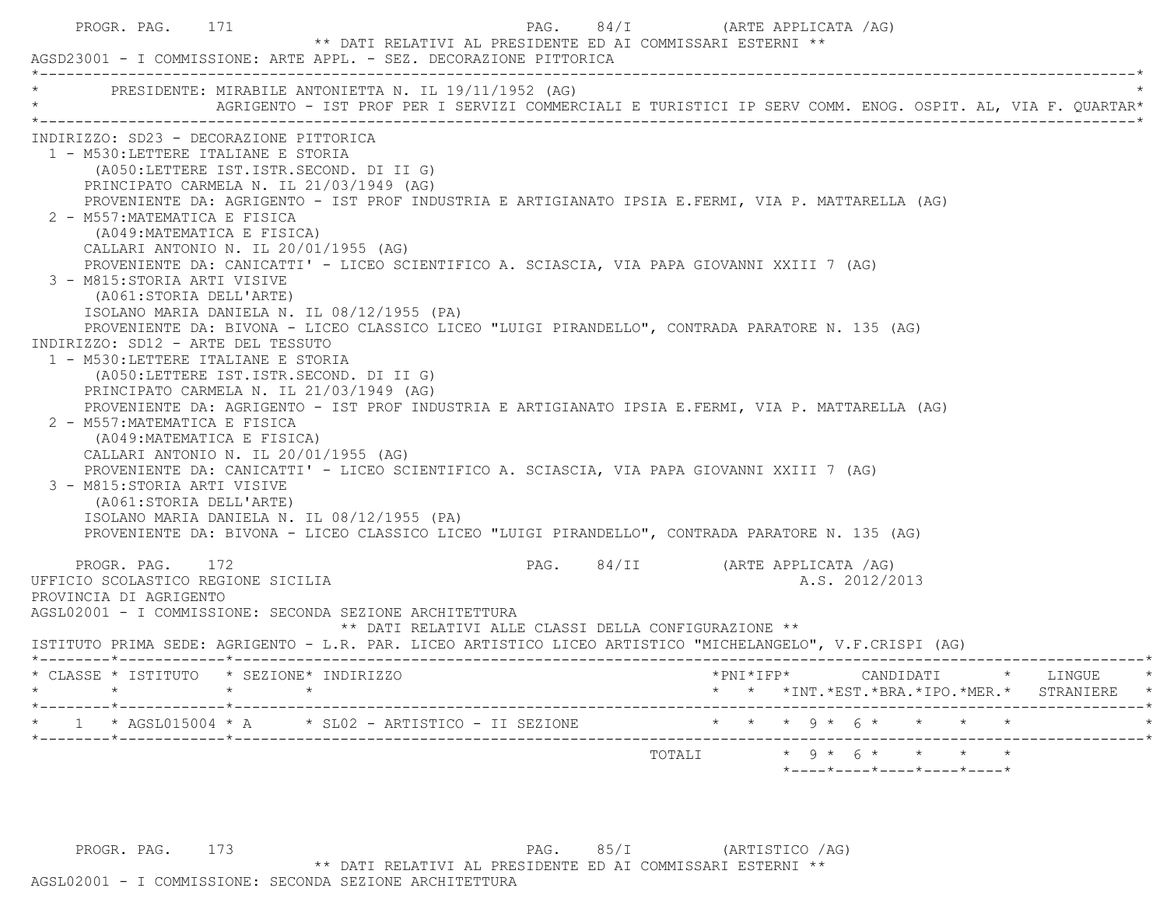|                                                                                                                         | PRESIDENTE: MIRABILE ANTONIETTA N. IL 19/11/1952 (AG)<br>AGRIGENTO - IST PROF PER I SERVIZI COMMERCIALI E TURISTICI IP SERV COMM. ENOG. OSPIT. AL, VIA F. QUARTAR* |                                 |                |                                                     |  |  |
|-------------------------------------------------------------------------------------------------------------------------|--------------------------------------------------------------------------------------------------------------------------------------------------------------------|---------------------------------|----------------|-----------------------------------------------------|--|--|
| INDIRIZZO: SD23 - DECORAZIONE PITTORICA                                                                                 |                                                                                                                                                                    |                                 |                |                                                     |  |  |
| 1 - M530:LETTERE ITALIANE E STORIA                                                                                      |                                                                                                                                                                    |                                 |                |                                                     |  |  |
| (A050:LETTERE IST.ISTR.SECOND. DI II G)                                                                                 |                                                                                                                                                                    |                                 |                |                                                     |  |  |
| PRINCIPATO CARMELA N. IL 21/03/1949 (AG)                                                                                |                                                                                                                                                                    |                                 |                |                                                     |  |  |
| 2 - M557: MATEMATICA E FISICA                                                                                           | PROVENIENTE DA: AGRIGENTO - IST PROF INDUSTRIA E ARTIGIANATO IPSIA E.FERMI, VIA P. MATTARELLA (AG)                                                                 |                                 |                |                                                     |  |  |
| (A049: MATEMATICA E FISICA)                                                                                             |                                                                                                                                                                    |                                 |                |                                                     |  |  |
| CALLARI ANTONIO N. IL 20/01/1955 (AG)                                                                                   |                                                                                                                                                                    |                                 |                |                                                     |  |  |
|                                                                                                                         | PROVENIENTE DA: CANICATTI' - LICEO SCIENTIFICO A. SCIASCIA, VIA PAPA GIOVANNI XXIII 7 (AG)                                                                         |                                 |                |                                                     |  |  |
| 3 - M815: STORIA ARTI VISIVE                                                                                            |                                                                                                                                                                    |                                 |                |                                                     |  |  |
| (A061: STORIA DELL'ARTE)                                                                                                |                                                                                                                                                                    |                                 |                |                                                     |  |  |
| ISOLANO MARIA DANIELA N. IL 08/12/1955 (PA)                                                                             |                                                                                                                                                                    |                                 |                |                                                     |  |  |
|                                                                                                                         | PROVENIENTE DA: BIVONA - LICEO CLASSICO LICEO "LUIGI PIRANDELLO", CONTRADA PARATORE N. 135 (AG)                                                                    |                                 |                |                                                     |  |  |
| INDIRIZZO: SD12 - ARTE DEL TESSUTO                                                                                      |                                                                                                                                                                    |                                 |                |                                                     |  |  |
| 1 - M530:LETTERE ITALIANE E STORIA                                                                                      |                                                                                                                                                                    |                                 |                |                                                     |  |  |
| (A050:LETTERE IST.ISTR.SECOND. DI II G)                                                                                 |                                                                                                                                                                    |                                 |                |                                                     |  |  |
| PRINCIPATO CARMELA N. IL 21/03/1949 (AG)                                                                                |                                                                                                                                                                    |                                 |                |                                                     |  |  |
|                                                                                                                         |                                                                                                                                                                    |                                 |                |                                                     |  |  |
|                                                                                                                         | PROVENIENTE DA: AGRIGENTO - IST PROF INDUSTRIA E ARTIGIANATO IPSIA E.FERMI, VIA P. MATTARELLA (AG)                                                                 |                                 |                |                                                     |  |  |
| 2 - M557: MATEMATICA E FISICA                                                                                           |                                                                                                                                                                    |                                 |                |                                                     |  |  |
| (A049: MATEMATICA E FISICA)                                                                                             |                                                                                                                                                                    |                                 |                |                                                     |  |  |
| CALLARI ANTONIO N. IL 20/01/1955 (AG)                                                                                   |                                                                                                                                                                    |                                 |                |                                                     |  |  |
| 3 - M815: STORIA ARTI VISIVE                                                                                            | PROVENIENTE DA: CANICATTI' - LICEO SCIENTIFICO A. SCIASCIA, VIA PAPA GIOVANNI XXIII 7 (AG)                                                                         |                                 |                |                                                     |  |  |
| (A061:STORIA DELL'ARTE)                                                                                                 |                                                                                                                                                                    |                                 |                |                                                     |  |  |
| ISOLANO MARIA DANIELA N. IL 08/12/1955 (PA)                                                                             |                                                                                                                                                                    |                                 |                |                                                     |  |  |
|                                                                                                                         | PROVENIENTE DA: BIVONA - LICEO CLASSICO LICEO "LUIGI PIRANDELLO", CONTRADA PARATORE N. 135 (AG)                                                                    |                                 |                |                                                     |  |  |
|                                                                                                                         |                                                                                                                                                                    |                                 |                |                                                     |  |  |
| PROGR. PAG. 172                                                                                                         |                                                                                                                                                                    | PAG. 84/II (ARTE APPLICATA /AG) |                |                                                     |  |  |
|                                                                                                                         |                                                                                                                                                                    |                                 | A.S. 2012/2013 |                                                     |  |  |
|                                                                                                                         |                                                                                                                                                                    |                                 |                |                                                     |  |  |
| UFFICIO SCOLASTICO REGIONE SICILIA<br>PROVINCIA DI AGRIGENTO<br>AGSL02001 - I COMMISSIONE: SECONDA SEZIONE ARCHITETTURA |                                                                                                                                                                    |                                 |                |                                                     |  |  |
| ISTITUTO PRIMA SEDE: AGRIGENTO - L.R. PAR. LICEO ARTISTICO LICEO ARTISTICO "MICHELANGELO", V.F.CRISPI (AG)              | ** DATI RELATIVI ALLE CLASSI DELLA CONFIGURAZIONE **                                                                                                               |                                 |                |                                                     |  |  |
|                                                                                                                         |                                                                                                                                                                    |                                 |                |                                                     |  |  |
|                                                                                                                         |                                                                                                                                                                    |                                 |                |                                                     |  |  |
| $\star$ $\star$                                                                                                         |                                                                                                                                                                    |                                 |                | * * *INT.*EST.*BRA.*IPO.*MER.* STRANIERE            |  |  |
|                                                                                                                         |                                                                                                                                                                    |                                 |                |                                                     |  |  |
| * CLASSE * ISTITUTO * SEZIONE* INDIRIZZO<br>$\star$ $\star$<br>* $1$ * AGSL015004 * A * SL02 - ARTISTICO - II SEZIONE   |                                                                                                                                                                    | * * * 9 * 6 * * * * *<br>TOTALI |                | $\star$ 9 $\star$ 6 $\star$ $\star$ $\star$ $\star$ |  |  |

PROGR. PAG. 173 PAG. 85/I (ARTISTICO /AG) \*\* DATI RELATIVI AL PRESIDENTE ED AI COMMISSARI ESTERNI \*\*

## AGSL02001 - I COMMISSIONE: SECONDA SEZIONE ARCHITETTURA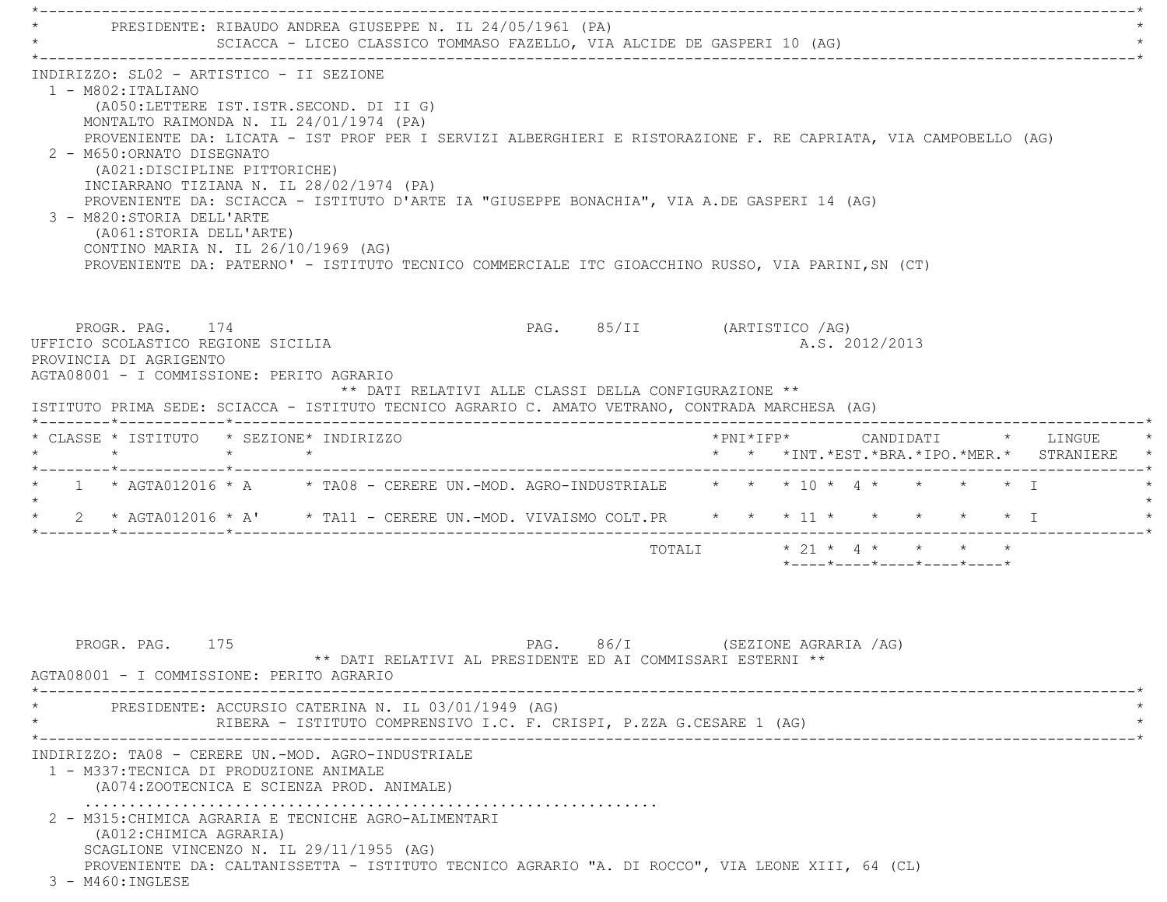\*----------------------------------------------------------------------------------------------------------------------------\* \* PRESIDENTE: RIBAUDO ANDREA GIUSEPPE N. IL 24/05/1961 (PA) \* SCIACCA - LICEO CLASSICO TOMMASO FAZELLO, VIA ALCIDE DE GASPERI 10 (AG) \*----------------------------------------------------------------------------------------------------------------------------\* INDIRIZZO: SL02 - ARTISTICO - II SEZIONE 1 - M802:ITALIANO (A050:LETTERE IST.ISTR.SECOND. DI II G) MONTALTO RAIMONDA N. IL 24/01/1974 (PA) PROVENIENTE DA: LICATA - IST PROF PER I SERVIZI ALBERGHIERI E RISTORAZIONE F. RE CAPRIATA, VIA CAMPOBELLO (AG) 2 - M650:ORNATO DISEGNATO (A021:DISCIPLINE PITTORICHE) INCIARRANO TIZIANA N. IL 28/02/1974 (PA) PROVENIENTE DA: SCIACCA - ISTITUTO D'ARTE IA "GIUSEPPE BONACHIA", VIA A.DE GASPERI 14 (AG) 3 - M820:STORIA DELL'ARTE (A061:STORIA DELL'ARTE) CONTINO MARIA N. IL 26/10/1969 (AG) PROVENIENTE DA: PATERNO' - ISTITUTO TECNICO COMMERCIALE ITC GIOACCHINO RUSSO, VIA PARINI,SN (CT) PROGR. PAG. 174 PAG. 85/II (ARTISTICO /AG) UFFICIO SCOLASTICO REGIONE SICILIA A.S. 2012/2013 PROVINCIA DI AGRIGENTO AGTA08001 - I COMMISSIONE: PERITO AGRARIO \*\* DATI RELATIVI ALLE CLASSI DELLA CONFIGURAZIONE \*\* ISTITUTO PRIMA SEDE: SCIACCA - ISTITUTO TECNICO AGRARIO C. AMATO VETRANO, CONTRADA MARCHESA (AG) \*--------\*------------\*-------------------------------------------------------------------------------------------------------\* \* CLASSE \* ISTITUTO \* SEZIONE\* INDIRIZZO \*PNI\*IFP\* CANDIDATI \* LINGUE \* \* \* \* \* \* \* \*INT.\*EST.\*BRA.\*IPO.\*MER.\* STRANIERE \* \*--------\*------------\*-------------------------------------------------------------------------------------------------------\*\* 1 \* AGTA012016 \* A \* TA08 - CERERE UN.-MOD. AGRO-INDUSTRIALE \* \* \* 10 \* 4 \* \* \* \* \* \* I  $\star$  \* 2 \* AGTA012016 \* A' \* TA11 - CERERE UN.-MOD. VIVAISMO COLT.PR \* \* \* 11 \* \* \* \* \* I \* \*--------\*------------\*-------------------------------------------------------------------------------------------------------\*TOTALI \* 21 \* 4 \* \* \* \*

PROGR. PAG. 175 CHA SALLA PAG. 86/I (SEZIONE AGRARIA /AG) \*\* DATI RELATIVI AL PRESIDENTE ED AI COMMISSARI ESTERNI \*\* AGTA08001 - I COMMISSIONE: PERITO AGRARIO \*----------------------------------------------------------------------------------------------------------------------------\*PRESIDENTE: ACCURSIO CATERINA N. IL 03/01/1949 (AG) RIBERA - ISTITUTO COMPRENSIVO I.C. F. CRISPI, P.ZZA G.CESARE 1 (AG) \*----------------------------------------------------------------------------------------------------------------------------\* INDIRIZZO: TA08 - CERERE UN.-MOD. AGRO-INDUSTRIALE 1 - M337:TECNICA DI PRODUZIONE ANIMALE (A074:ZOOTECNICA E SCIENZA PROD. ANIMALE) ................................................................. 2 - M315:CHIMICA AGRARIA E TECNICHE AGRO-ALIMENTARI (A012:CHIMICA AGRARIA) SCAGLIONE VINCENZO N. IL 29/11/1955 (AG) PROVENIENTE DA: CALTANISSETTA - ISTITUTO TECNICO AGRARIO "A. DI ROCCO", VIA LEONE XIII, 64 (CL) 3 - M460:INGLESE

\*----\*----\*----\*----\*----\*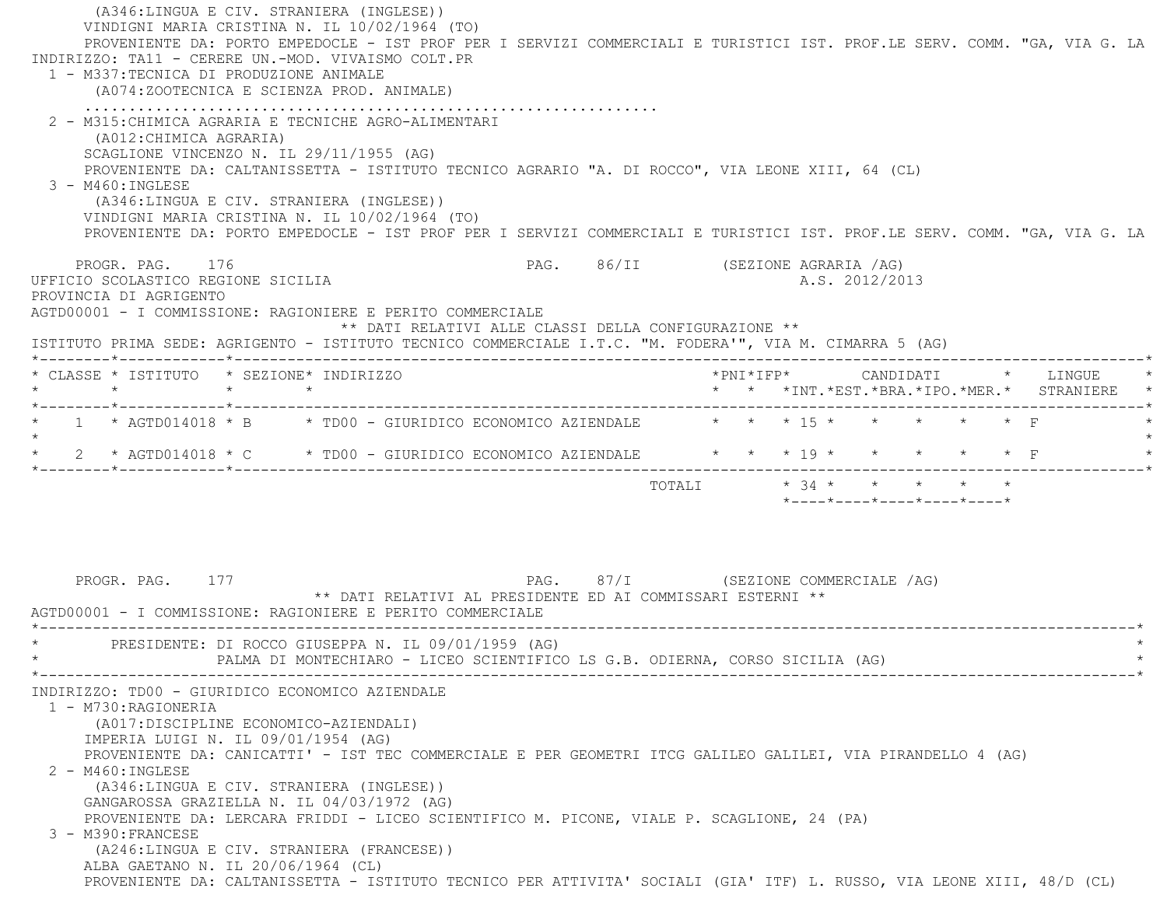(A346:LINGUA E CIV. STRANIERA (INGLESE)) VINDIGNI MARIA CRISTINA N. IL 10/02/1964 (TO) PROVENIENTE DA: PORTO EMPEDOCLE - IST PROF PER I SERVIZI COMMERCIALI E TURISTICI IST. PROF.LE SERV. COMM. "GA, VIA G. LA INDIRIZZO: TA11 - CERERE UN.-MOD. VIVAISMO COLT.PR 1 - M337:TECNICA DI PRODUZIONE ANIMALE (A074:ZOOTECNICA E SCIENZA PROD. ANIMALE) ................................................................. 2 - M315:CHIMICA AGRARIA E TECNICHE AGRO-ALIMENTARI (A012:CHIMICA AGRARIA) SCAGLIONE VINCENZO N. IL 29/11/1955 (AG) PROVENIENTE DA: CALTANISSETTA - ISTITUTO TECNICO AGRARIO "A. DI ROCCO", VIA LEONE XIII, 64 (CL) 3 - M460:INGLESE (A346:LINGUA E CIV. STRANIERA (INGLESE)) VINDIGNI MARIA CRISTINA N. IL 10/02/1964 (TO) PROVENIENTE DA: PORTO EMPEDOCLE - IST PROF PER I SERVIZI COMMERCIALI E TURISTICI IST. PROF.LE SERV. COMM. "GA, VIA G. LA PROGR. PAG. 176 PAG. 86/II (SEZIONE AGRARIA /AG) UFFICIO SCOLASTICO REGIONE SICILIA A.S. 2012/2013 PROVINCIA DI AGRIGENTO AGTD00001 - I COMMISSIONE: RAGIONIERE E PERITO COMMERCIALE \*\* DATI RELATIVI ALLE CLASSI DELLA CONFIGURAZIONE \*\* ISTITUTO PRIMA SEDE: AGRIGENTO - ISTITUTO TECNICO COMMERCIALE I.T.C. "M. FODERA'", VIA M. CIMARRA 5 (AG) \*--------\*------------\*-------------------------------------------------------------------------------------------------------\* \* CLASSE \* ISTITUTO \* SEZIONE\* INDIRIZZO \*PNI\*IFP\* CANDIDATI \* LINGUE \* \* \* \* \* \* \* \*INT.\*EST.\*BRA.\*IPO.\*MER.\* STRANIERE \* \*--------\*------------\*-------------------------------------------------------------------------------------------------------\*1 \* AGTD014018 \* B \* TD00 - GIURIDICO ECONOMICO AZIENDALE \* \* \* \* 15 \* \* \* \* \* \* \* F  $\star$ \* 2 \* AGTD014018 \* C \* TD00 - GIURIDICO ECONOMICO AZIENDALE \* \* \* \* 19 \* \* \* \* \* \* F \*--------\*------------\*-------------------------------------------------------------------------------------------------------\* TOTALI \* 34 \* \* \* \* \* \*----\*----\*----\*----\*----\*PROGR. PAG. 177 **PROGR. PAG.** 97/I (SEZIONE COMMERCIALE /AG) \*\* DATI RELATIVI AL PRESIDENTE ED AI COMMISSARI ESTERNI \*\* AGTD00001 - I COMMISSIONE: RAGIONIERE E PERITO COMMERCIALE \*----------------------------------------------------------------------------------------------------------------------------\*PRESIDENTE: DI ROCCO GIUSEPPA N. IL 09/01/1959 (AG) PALMA DI MONTECHIARO - LICEO SCIENTIFICO LS G.B. ODIERNA, CORSO SICILIA (AG) \*----------------------------------------------------------------------------------------------------------------------------\* INDIRIZZO: TD00 - GIURIDICO ECONOMICO AZIENDALE 1 - M730:RAGIONERIA (A017:DISCIPLINE ECONOMICO-AZIENDALI) IMPERIA LUIGI N. IL 09/01/1954 (AG) PROVENIENTE DA: CANICATTI' - IST TEC COMMERCIALE E PER GEOMETRI ITCG GALILEO GALILEI, VIA PIRANDELLO 4 (AG) 2 - M460:INGLESE (A346:LINGUA E CIV. STRANIERA (INGLESE)) GANGAROSSA GRAZIELLA N. IL 04/03/1972 (AG) PROVENIENTE DA: LERCARA FRIDDI - LICEO SCIENTIFICO M. PICONE, VIALE P. SCAGLIONE, 24 (PA) 3 - M390:FRANCESE (A246:LINGUA E CIV. STRANIERA (FRANCESE)) ALBA GAETANO N. IL 20/06/1964 (CL) PROVENIENTE DA: CALTANISSETTA - ISTITUTO TECNICO PER ATTIVITA' SOCIALI (GIA' ITF) L. RUSSO, VIA LEONE XIII, 48/D (CL)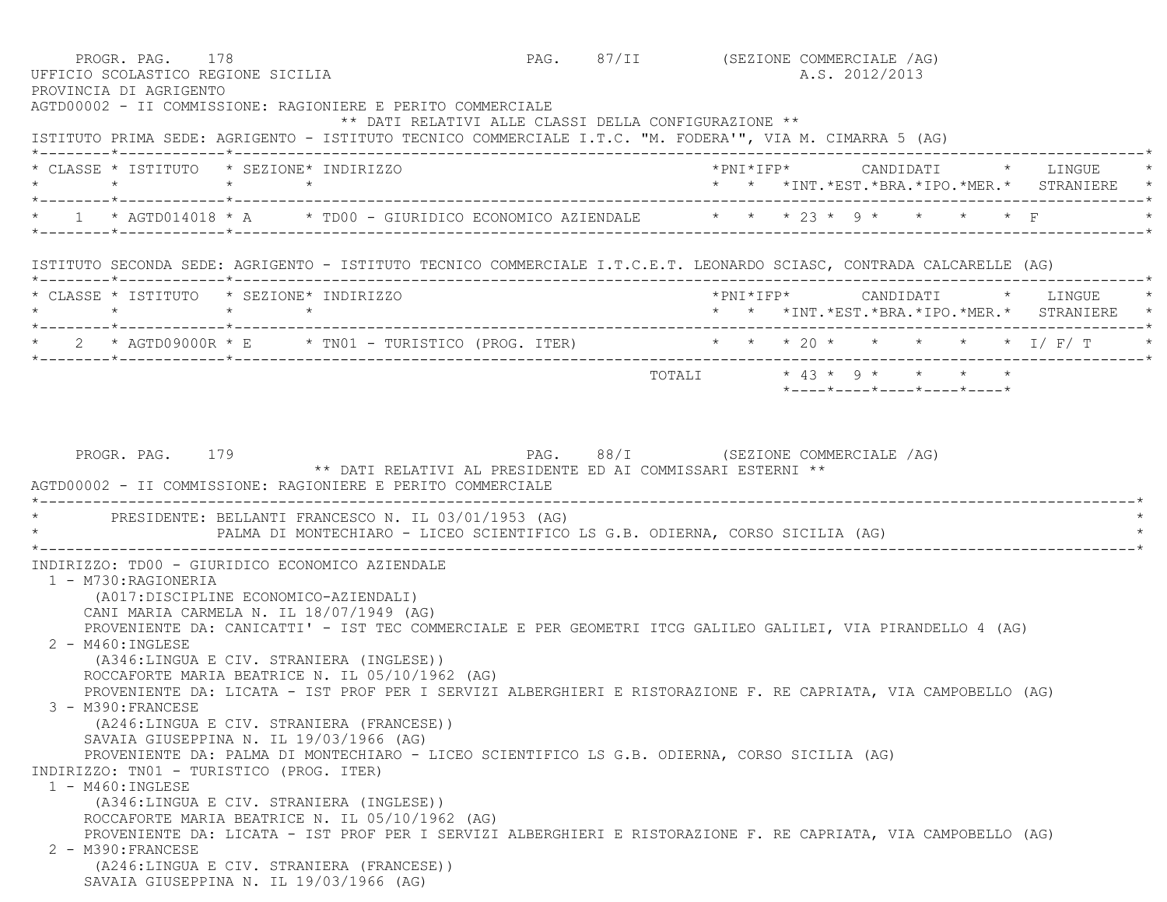| PROGR. PAG. 178<br>UFFICIO SCOLASTICO REGIONE SICILIA<br>PROVINCIA DI AGRIGENTO |                                                                                                                                                                                                                                                                                                                             |  | PAG. 87/II (SEZIONE COMMERCIALE /AG)<br>A.S. 2012/2013                                                                                                                                                                        |
|---------------------------------------------------------------------------------|-----------------------------------------------------------------------------------------------------------------------------------------------------------------------------------------------------------------------------------------------------------------------------------------------------------------------------|--|-------------------------------------------------------------------------------------------------------------------------------------------------------------------------------------------------------------------------------|
|                                                                                 | AGTD00002 - II COMMISSIONE: RAGIONIERE E PERITO COMMERCIALE<br>** DATI RELATIVI ALLE CLASSI DELLA CONFIGURAZIONE **<br>ISTITUTO PRIMA SEDE: AGRIGENTO - ISTITUTO TECNICO COMMERCIALE I.T.C. "M. FODERA'", VIA M. CIMARRA 5 (AG)                                                                                             |  |                                                                                                                                                                                                                               |
| $\star$ $\star$ $\star$ $\star$                                                 | * CLASSE * ISTITUTO * SEZIONE* INDIRIZZO                                                                                                                                                                                                                                                                                    |  | *PNI*IFP*     CANDIDATI    *   LINGUE<br>* * *INT.*EST.*BRA.*IPO.*MER.* STRANIERE *                                                                                                                                           |
|                                                                                 |                                                                                                                                                                                                                                                                                                                             |  | * 1 * AGTD014018 * A * TD00 - GIURIDICO ECONOMICO AZIENDALE * * * 23 * 9 * * * * * F                                                                                                                                          |
|                                                                                 |                                                                                                                                                                                                                                                                                                                             |  | ISTITUTO SECONDA SEDE: AGRIGENTO - ISTITUTO TECNICO COMMERCIALE I.T.C.E.T. LEONARDO SCIASC, CONTRADA CALCARELLE (AG)                                                                                                          |
| $\star$ $\star$                                                                 | * CLASSE * ISTITUTO * SEZIONE* INDIRIZZO<br>$\star$ $\star$                                                                                                                                                                                                                                                                 |  | *PNI*IFP* CANDIDATI * LINGUE *<br>* * *INT.*EST.*BRA.*IPO.*MER.* STRANIERE *                                                                                                                                                  |
|                                                                                 |                                                                                                                                                                                                                                                                                                                             |  | 2 * AGTD09000R * E * TNO1 - TURISTICO (PROG. ITER) * * * 20 * * * * * * I/F/T                                                                                                                                                 |
|                                                                                 |                                                                                                                                                                                                                                                                                                                             |  | *----*----*----*----*----*                                                                                                                                                                                                    |
|                                                                                 | * PRESIDENTE: BELLANTI FRANCESCO N. IL 03/01/1953 (AG)<br>PALMA DI MONTECHIARO - LICEO SCIENTIFICO LS G.B. ODIERNA, CORSO SICILIA (AG)                                                                                                                                                                                      |  |                                                                                                                                                                                                                               |
| 1 - M730:RAGIONERIA<br>$2 - M460$ : INGLESE<br>3 - M390: FRANCESE               | INDIRIZZO: TD00 - GIURIDICO ECONOMICO AZIENDALE<br>(A017:DISCIPLINE ECONOMICO-AZIENDALI)<br>CANI MARIA CARMELA N. IL 18/07/1949 (AG)<br>(A346:LINGUA E CIV. STRANIERA (INGLESE))<br>ROCCAFORTE MARIA BEATRICE N. IL 05/10/1962 (AG)<br>(A246:LINGUA E CIV. STRANIERA (FRANCESE))<br>SAVAIA GIUSEPPINA N. IL 19/03/1966 (AG) |  | PROVENIENTE DA: CANICATTI' - IST TEC COMMERCIALE E PER GEOMETRI ITCG GALILEO GALILEI, VIA PIRANDELLO 4 (AG)<br>PROVENIENTE DA: LICATA - IST PROF PER I SERVIZI ALBERGHIERI E RISTORAZIONE F. RE CAPRIATA, VIA CAMPOBELLO (AG) |
| INDIRIZZO: TN01 - TURISTICO (PROG. ITER)<br>$1 - M460$ : INGLESE                | PROVENIENTE DA: PALMA DI MONTECHIARO - LICEO SCIENTIFICO LS G.B. ODIERNA, CORSO SICILIA (AG)<br>(A346:LINGUA E CIV. STRANIERA (INGLESE))                                                                                                                                                                                    |  |                                                                                                                                                                                                                               |
| 2 - M390: FRANCESE                                                              | ROCCAFORTE MARIA BEATRICE N. IL 05/10/1962 (AG)<br>PROVENIENTE DA: LICATA - IST PROF PER I SERVIZI ALBERGHIERI E RISTORAZIONE F. RE CAPRIATA, VIA CAMPOBELLO (AG)                                                                                                                                                           |  |                                                                                                                                                                                                                               |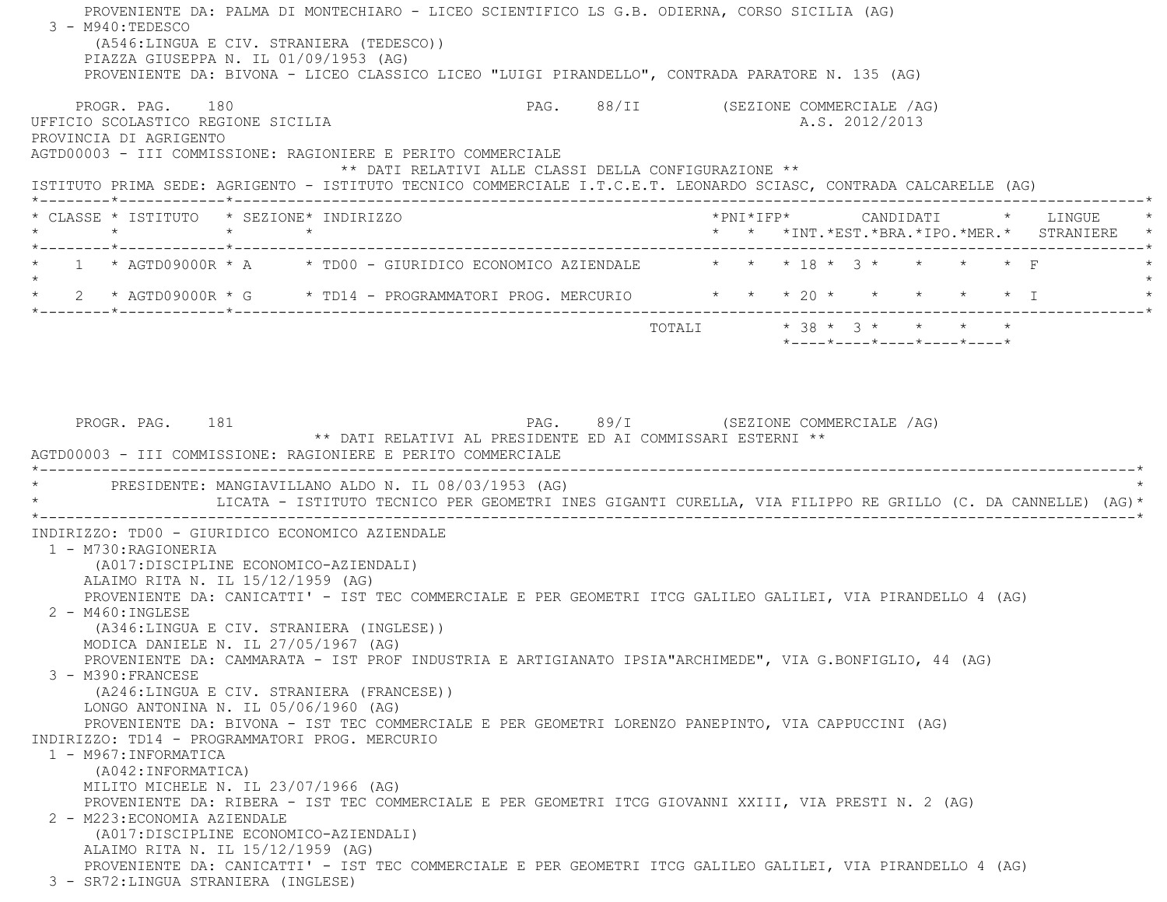PROVENIENTE DA: PALMA DI MONTECHIARO - LICEO SCIENTIFICO LS G.B. ODIERNA, CORSO SICILIA (AG)  $3 - M940:$ TEDESCO (A546:LINGUA E CIV. STRANIERA (TEDESCO)) PIAZZA GIUSEPPA N. IL 01/09/1953 (AG) PROVENIENTE DA: BIVONA - LICEO CLASSICO LICEO "LUIGI PIRANDELLO", CONTRADA PARATORE N. 135 (AG) PROGR. PAG. 180 **PAG.** PAG. 88/II (SEZIONE COMMERCIALE /AG) UFFICIO SCOLASTICO REGIONE SICILIA A.S. 2012/2013 PROVINCIA DI AGRIGENTO AGTD00003 - III COMMISSIONE: RAGIONIERE E PERITO COMMERCIALE \*\* DATI RELATIVI ALLE CLASSI DELLA CONFIGURAZIONE \*\* ISTITUTO PRIMA SEDE: AGRIGENTO - ISTITUTO TECNICO COMMERCIALE I.T.C.E.T. LEONARDO SCIASC, CONTRADA CALCARELLE (AG) \*--------\*------------\*-------------------------------------------------------------------------------------------------------\* \* CLASSE \* ISTITUTO \* SEZIONE\* INDIRIZZO \*PNI\*IFP\* CANDIDATI \* LINGUE \* \* \* \* \* \* \* \*INT.\*EST.\*BRA.\*IPO.\*MER.\* STRANIERE \* \*--------\*------------\*-------------------------------------------------------------------------------------------------------\*1 \* AGTD09000R \* A \* TD00 - GIURIDICO ECONOMICO AZIENDALE \* \* \* 18 \* 3 \* \* \* \* \* F  $\star$  \* 2 \* AGTD09000R \* G \* TD14 - PROGRAMMATORI PROG. MERCURIO \* \* \* 20 \* \* \* \* \* I \* \*--------\*------------\*-------------------------------------------------------------------------------------------------------\* $\texttt{TOTAL} \qquad \qquad \star \; \; \; 38 \; \star \; \; \; 3 \; \star \qquad \star \qquad \star \qquad \star \qquad \star$  \*----\*----\*----\*----\*----\*PROGR. PAG. 181 **PROGR. PAG. 29/I** (SEZIONE COMMERCIALE /AG) \*\* DATI RELATIVI AL PRESIDENTE ED AI COMMISSARI ESTERNI \*\* AGTD00003 - III COMMISSIONE: RAGIONIERE E PERITO COMMERCIALE \*----------------------------------------------------------------------------------------------------------------------------\*PRESIDENTE: MANGIAVILLANO ALDO N. IL 08/03/1953 (AG) \* LICATA - ISTITUTO TECNICO PER GEOMETRI INES GIGANTI CURELLA, VIA FILIPPO RE GRILLO (C. DA CANNELLE) (AG)\* \*----------------------------------------------------------------------------------------------------------------------------\* INDIRIZZO: TD00 - GIURIDICO ECONOMICO AZIENDALE 1 - M730:RAGIONERIA (A017:DISCIPLINE ECONOMICO-AZIENDALI) ALAIMO RITA N. IL 15/12/1959 (AG) PROVENIENTE DA: CANICATTI' - IST TEC COMMERCIALE E PER GEOMETRI ITCG GALILEO GALILEI, VIA PIRANDELLO 4 (AG) 2 - M460:INGLESE (A346:LINGUA E CIV. STRANIERA (INGLESE)) MODICA DANIELE N. IL 27/05/1967 (AG) PROVENIENTE DA: CAMMARATA - IST PROF INDUSTRIA E ARTIGIANATO IPSIA"ARCHIMEDE", VIA G.BONFIGLIO, 44 (AG) 3 - M390:FRANCESE (A246:LINGUA E CIV. STRANIERA (FRANCESE)) LONGO ANTONINA N. IL 05/06/1960 (AG) PROVENIENTE DA: BIVONA - IST TEC COMMERCIALE E PER GEOMETRI LORENZO PANEPINTO, VIA CAPPUCCINI (AG) INDIRIZZO: TD14 - PROGRAMMATORI PROG. MERCURIO 1 - M967:INFORMATICA (A042:INFORMATICA) MILITO MICHELE N. IL 23/07/1966 (AG) PROVENIENTE DA: RIBERA - IST TEC COMMERCIALE E PER GEOMETRI ITCG GIOVANNI XXIII, VIA PRESTI N. 2 (AG) 2 - M223:ECONOMIA AZIENDALE (A017:DISCIPLINE ECONOMICO-AZIENDALI) ALAIMO RITA N. IL 15/12/1959 (AG) PROVENIENTE DA: CANICATTI' - IST TEC COMMERCIALE E PER GEOMETRI ITCG GALILEO GALILEI, VIA PIRANDELLO 4 (AG) 3 - SR72:LINGUA STRANIERA (INGLESE)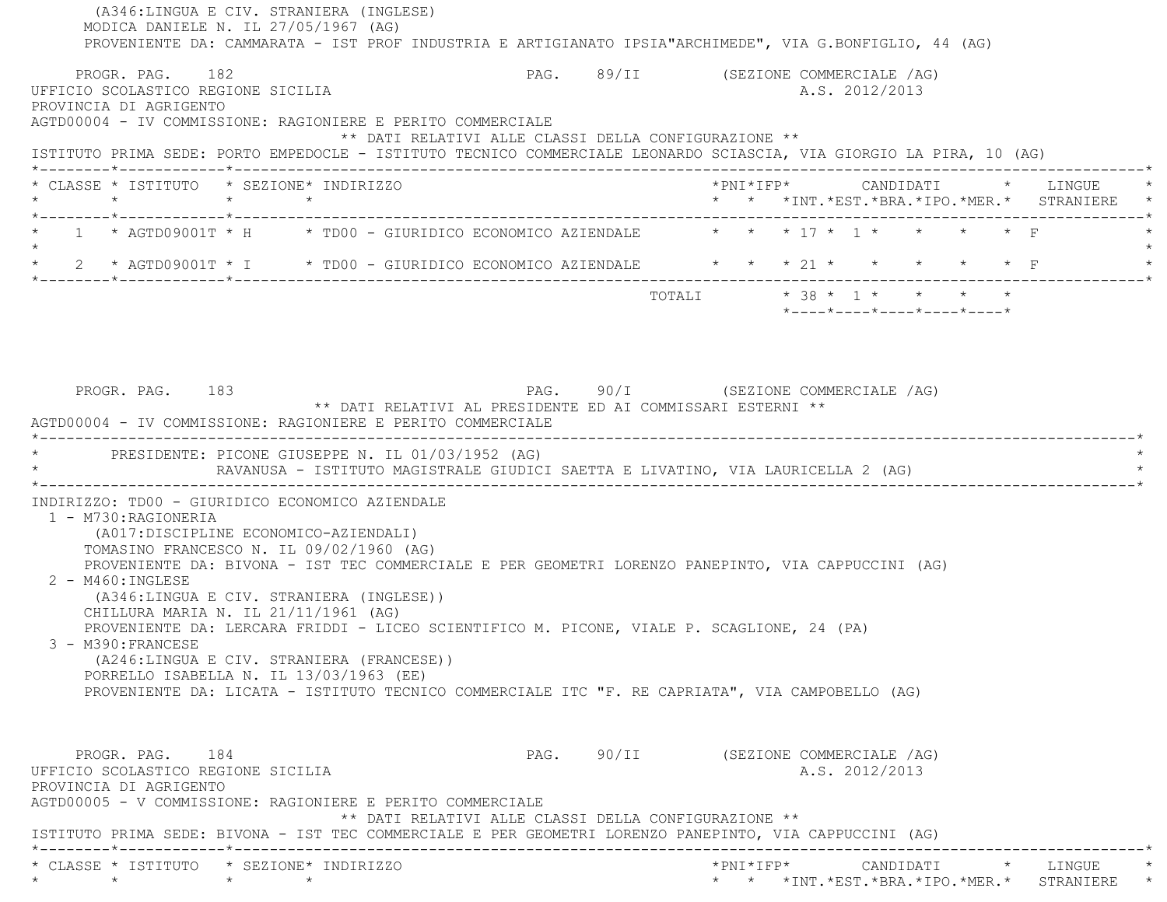(A346:LINGUA E CIV. STRANIERA (INGLESE) MODICA DANIELE N. IL 27/05/1967 (AG) PROVENIENTE DA: CAMMARATA - IST PROF INDUSTRIA E ARTIGIANATO IPSIA"ARCHIMEDE", VIA G.BONFIGLIO, 44 (AG) PROGR. PAG. 182 **PROGRAMERCIALE PAG. PAG.** 89/II (SEZIONE COMMERCIALE AG) UFFICIO SCOLASTICO REGIONE SICILIA A.S. 2012/2013 PROVINCIA DI AGRIGENTO AGTD00004 - IV COMMISSIONE: RAGIONIERE E PERITO COMMERCIALE \*\* DATI RELATIVI ALLE CLASSI DELLA CONFIGURAZIONE \*\* ISTITUTO PRIMA SEDE: PORTO EMPEDOCLE - ISTITUTO TECNICO COMMERCIALE LEONARDO SCIASCIA, VIA GIORGIO LA PIRA, 10 (AG) \*--------\*------------\*-------------------------------------------------------------------------------------------------------\* \* CLASSE \* ISTITUTO \* SEZIONE\* INDIRIZZO \*PNI\*IFP\* CANDIDATI \* LINGUE \* \* \* \* \* \* \* \*INT.\*EST.\*BRA.\*IPO.\*MER.\* STRANIERE \* \*--------\*------------\*-------------------------------------------------------------------------------------------------------\*1 \* AGTD09001T \* H \* TD00 - GIURIDICO ECONOMICO AZIENDALE  $\qquad$  \* \* \* 17 \* 1 \* \* \* \* \* F  $\star$ \* 2 \* AGTD09001T \* I \* TD00 - GIURIDICO ECONOMICO AZIENDALE \* \* \* 21 \* \* \* \* \* \* \* F \*--------\*------------\*-------------------------------------------------------------------------------------------------------\*TOTALI  $* 38 * 1 * * * * * * *$  \*----\*----\*----\*----\*----\*PROGR. PAG. 183 PAG. PAG. 90/I (SEZIONE COMMERCIALE /AG) \*\* DATI RELATIVI AL PRESIDENTE ED AI COMMISSARI ESTERNI \*\* AGTD00004 - IV COMMISSIONE: RAGIONIERE E PERITO COMMERCIALE \*----------------------------------------------------------------------------------------------------------------------------\* \* PRESIDENTE: PICONE GIUSEPPE N. IL 01/03/1952 (AG) \* RAVANUSA - ISTITUTO MAGISTRALE GIUDICI SAETTA E LIVATINO, VIA LAURICELLA 2 (AG) \*----------------------------------------------------------------------------------------------------------------------------\* INDIRIZZO: TD00 - GIURIDICO ECONOMICO AZIENDALE 1 - M730:RAGIONERIA (A017:DISCIPLINE ECONOMICO-AZIENDALI) TOMASINO FRANCESCO N. IL 09/02/1960 (AG) PROVENIENTE DA: BIVONA - IST TEC COMMERCIALE E PER GEOMETRI LORENZO PANEPINTO, VIA CAPPUCCINI (AG) 2 - M460:INGLESE (A346:LINGUA E CIV. STRANIERA (INGLESE)) CHILLURA MARIA N. IL 21/11/1961 (AG) PROVENIENTE DA: LERCARA FRIDDI - LICEO SCIENTIFICO M. PICONE, VIALE P. SCAGLIONE, 24 (PA) 3 - M390:FRANCESE (A246:LINGUA E CIV. STRANIERA (FRANCESE)) PORRELLO ISABELLA N. IL 13/03/1963 (EE) PROVENIENTE DA: LICATA - ISTITUTO TECNICO COMMERCIALE ITC "F. RE CAPRIATA", VIA CAMPOBELLO (AG) PROGR. PAG. 184 CHASTER 184 PAG. 90/II (SEZIONE COMMERCIALE /AG) UFFICIO SCOLASTICO REGIONE SICILIA A.S. 2012/2013 PROVINCIA DI AGRIGENTO AGTD00005 - V COMMISSIONE: RAGIONIERE E PERITO COMMERCIALE \*\* DATI RELATIVI ALLE CLASSI DELLA CONFIGURAZIONE \*\* ISTITUTO PRIMA SEDE: BIVONA - IST TEC COMMERCIALE E PER GEOMETRI LORENZO PANEPINTO, VIA CAPPUCCINI (AG) \*--------\*------------\*-------------------------------------------------------------------------------------------------------\* \* CLASSE \* ISTITUTO \* SEZIONE\* INDIRIZZO \*PNI\*IFP\* CANDIDATI \* LINGUE \*\* \* \* \* \* \* \*INT.\*EST.\*BRA.\*IPO.\*MER.\* STRANIERE \*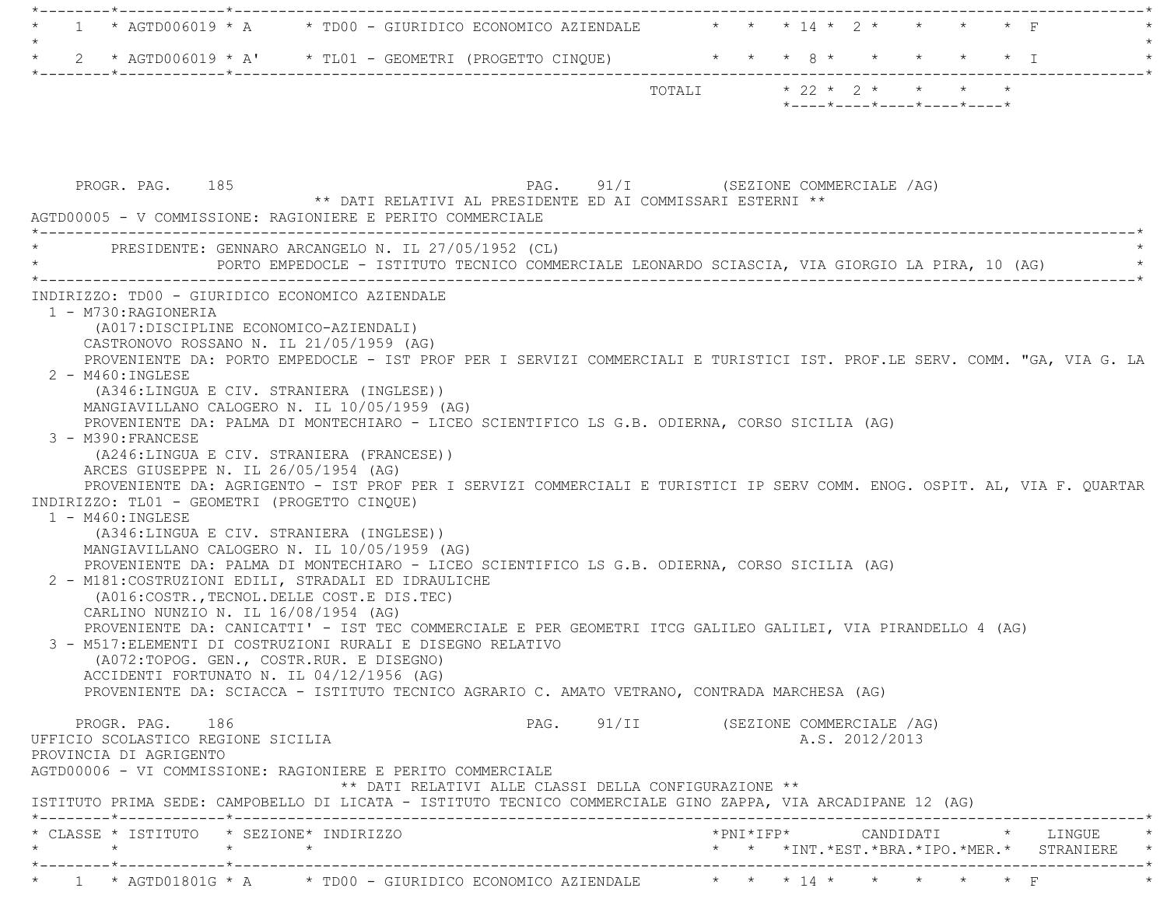| $\mathbf{1}$                                                                                                                                                                                                                                                                                                                                                                                                                                                                                                                                                                                                                                                                                                                                                                                                                                                                                                                                                                                                                                                                                                                                                                                                                                                                                                                                                                                                                                                                                 |                                                                                                   |                           |                |                                                  |  |
|----------------------------------------------------------------------------------------------------------------------------------------------------------------------------------------------------------------------------------------------------------------------------------------------------------------------------------------------------------------------------------------------------------------------------------------------------------------------------------------------------------------------------------------------------------------------------------------------------------------------------------------------------------------------------------------------------------------------------------------------------------------------------------------------------------------------------------------------------------------------------------------------------------------------------------------------------------------------------------------------------------------------------------------------------------------------------------------------------------------------------------------------------------------------------------------------------------------------------------------------------------------------------------------------------------------------------------------------------------------------------------------------------------------------------------------------------------------------------------------------|---------------------------------------------------------------------------------------------------|---------------------------|----------------|--------------------------------------------------|--|
| $\star$<br>2 * AGTD006019 * A' * TL01 - GEOMETRI (PROGETTO CINQUE) * * * * 8 * * * *                                                                                                                                                                                                                                                                                                                                                                                                                                                                                                                                                                                                                                                                                                                                                                                                                                                                                                                                                                                                                                                                                                                                                                                                                                                                                                                                                                                                         |                                                                                                   |                           |                | $\star$ $\star$ $\downarrow$                     |  |
|                                                                                                                                                                                                                                                                                                                                                                                                                                                                                                                                                                                                                                                                                                                                                                                                                                                                                                                                                                                                                                                                                                                                                                                                                                                                                                                                                                                                                                                                                              |                                                                                                   | TOTALI * 22 * 2 * * * * * |                |                                                  |  |
|                                                                                                                                                                                                                                                                                                                                                                                                                                                                                                                                                                                                                                                                                                                                                                                                                                                                                                                                                                                                                                                                                                                                                                                                                                                                                                                                                                                                                                                                                              |                                                                                                   |                           |                | $*$ ---- $*$ ---- $*$ ---- $*$ ---- $*$ ---- $*$ |  |
| PROGR. PAG. 185<br>AGTD00005 - V COMMISSIONE: RAGIONIERE E PERITO COMMERCIALE                                                                                                                                                                                                                                                                                                                                                                                                                                                                                                                                                                                                                                                                                                                                                                                                                                                                                                                                                                                                                                                                                                                                                                                                                                                                                                                                                                                                                | PAG. 91/I (SEZIONE COMMERCIALE /AG)<br>** DATI RELATIVI AL PRESIDENTE ED AI COMMISSARI ESTERNI ** |                           |                |                                                  |  |
| * PRESIDENTE: GENNARO ARCANGELO N. IL 27/05/1952 (CL)<br>PORTO EMPEDOCLE - ISTITUTO TECNICO COMMERCIALE LEONARDO SCIASCIA, VIA GIORGIO LA PIRA, 10 (AG)                                                                                                                                                                                                                                                                                                                                                                                                                                                                                                                                                                                                                                                                                                                                                                                                                                                                                                                                                                                                                                                                                                                                                                                                                                                                                                                                      |                                                                                                   |                           |                |                                                  |  |
| 1 - M730: RAGIONERIA<br>(A017: DISCIPLINE ECONOMICO-AZIENDALI)<br>CASTRONOVO ROSSANO N. IL 21/05/1959 (AG)<br>PROVENIENTE DA: PORTO EMPEDOCLE - IST PROF PER I SERVIZI COMMERCIALI E TURISTICI IST. PROF.LE SERV. COMM. "GA, VIA G. LA<br>$2 - M460$ : INGLESE<br>(A346:LINGUA E CIV. STRANIERA (INGLESE))<br>MANGIAVILLANO CALOGERO N. IL 10/05/1959 (AG)<br>PROVENIENTE DA: PALMA DI MONTECHIARO - LICEO SCIENTIFICO LS G.B. ODIERNA, CORSO SICILIA (AG)<br>3 - M390: FRANCESE<br>(A246:LINGUA E CIV. STRANIERA (FRANCESE))<br>ARCES GIUSEPPE N. IL 26/05/1954 (AG)<br>PROVENIENTE DA: AGRIGENTO - IST PROF PER I SERVIZI COMMERCIALI E TURISTICI IP SERV COMM. ENOG. OSPIT. AL, VIA F. OUARTAR<br>INDIRIZZO: TL01 - GEOMETRI (PROGETTO CINQUE)<br>$1 - M460$ : INGLESE<br>(A346:LINGUA E CIV. STRANIERA (INGLESE))<br>MANGIAVILLANO CALOGERO N. IL 10/05/1959 (AG)<br>PROVENIENTE DA: PALMA DI MONTECHIARO - LICEO SCIENTIFICO LS G.B. ODIERNA, CORSO SICILIA (AG)<br>2 - M181: COSTRUZIONI EDILI, STRADALI ED IDRAULICHE<br>(A016: COSTR., TECNOL. DELLE COST. E DIS. TEC)<br>CARLINO NUNZIO N. IL 16/08/1954 (AG)<br>PROVENIENTE DA: CANICATTI' - IST TEC COMMERCIALE E PER GEOMETRI ITCG GALILEO GALILEI, VIA PIRANDELLO 4 (AG)<br>3 - M517: ELEMENTI DI COSTRUZIONI RURALI E DISEGNO RELATIVO<br>(A072:TOPOG. GEN., COSTR.RUR. E DISEGNO)<br>ACCIDENTI FORTUNATO N. IL 04/12/1956 (AG)<br>PROVENIENTE DA: SCIACCA - ISTITUTO TECNICO AGRARIO C. AMATO VETRANO, CONTRADA MARCHESA (AG) |                                                                                                   |                           |                |                                                  |  |
| PROGR. PAG. 186<br>UFFICIO SCOLASTICO REGIONE SICILIA                                                                                                                                                                                                                                                                                                                                                                                                                                                                                                                                                                                                                                                                                                                                                                                                                                                                                                                                                                                                                                                                                                                                                                                                                                                                                                                                                                                                                                        | PAG. 91/II (SEZIONE COMMERCIALE /AG)                                                              |                           | A.S. 2012/2013 |                                                  |  |
| PROVINCIA DI AGRIGENTO<br>AGTD00006 - VI COMMISSIONE: RAGIONIERE E PERITO COMMERCIALE                                                                                                                                                                                                                                                                                                                                                                                                                                                                                                                                                                                                                                                                                                                                                                                                                                                                                                                                                                                                                                                                                                                                                                                                                                                                                                                                                                                                        | ** DATI RELATIVI ALLE CLASSI DELLA CONFIGURAZIONE **                                              |                           |                |                                                  |  |
| ISTITUTO PRIMA SEDE: CAMPOBELLO DI LICATA - ISTITUTO TECNICO COMMERCIALE GINO ZAPPA, VIA ARCADIPANE 12 (AG)                                                                                                                                                                                                                                                                                                                                                                                                                                                                                                                                                                                                                                                                                                                                                                                                                                                                                                                                                                                                                                                                                                                                                                                                                                                                                                                                                                                  |                                                                                                   |                           |                |                                                  |  |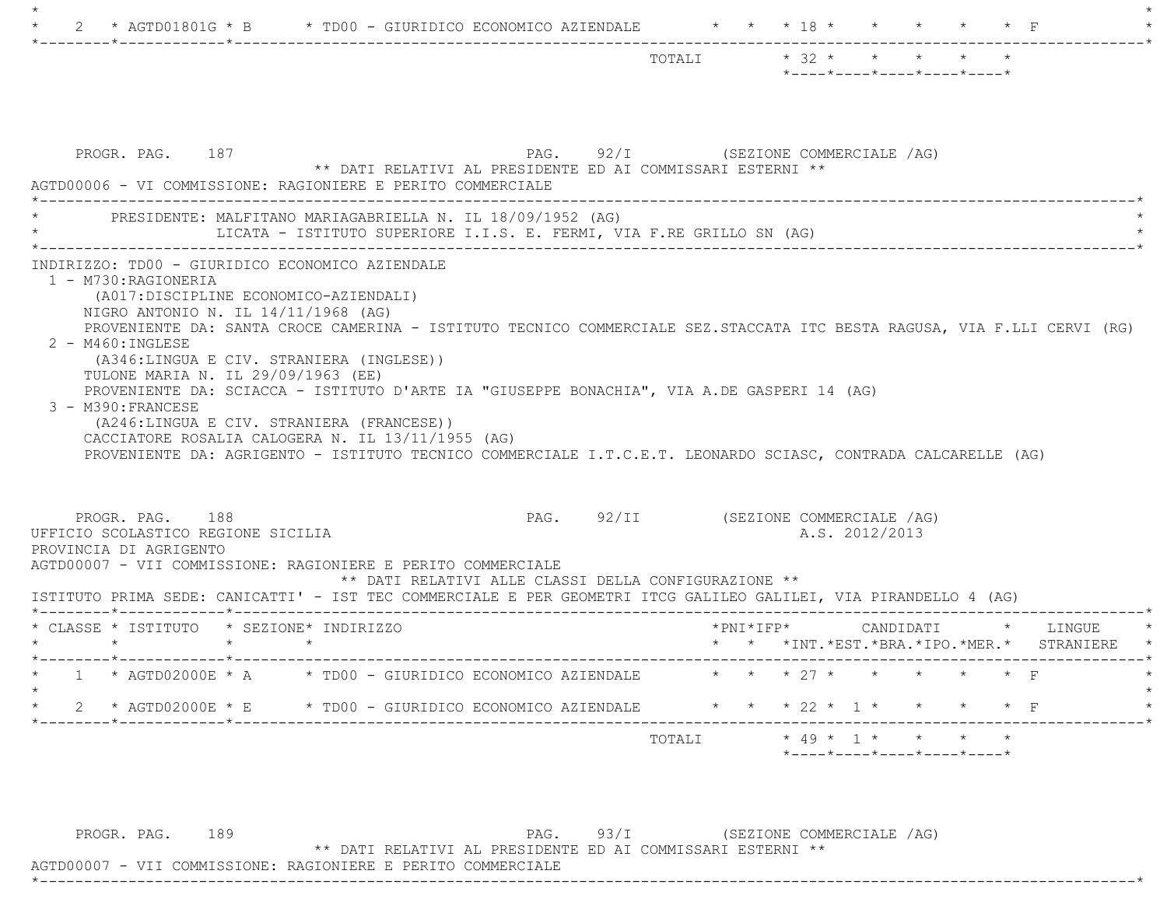|                                                                                                                                                                                                                                                                                                                                                           | $\star$ 32 $\star$ $\star$ $\star$ $\star$<br>TOTALI<br>$*$ ---- $*$ ---- $*$ ---- $*$ ---- $*$ |
|-----------------------------------------------------------------------------------------------------------------------------------------------------------------------------------------------------------------------------------------------------------------------------------------------------------------------------------------------------------|-------------------------------------------------------------------------------------------------|
|                                                                                                                                                                                                                                                                                                                                                           |                                                                                                 |
| PROGR. PAG. 187<br>** DATI RELATIVI AL PRESIDENTE ED AI COMMISSARI ESTERNI **<br>AGTD00006 - VI COMMISSIONE: RAGIONIERE E PERITO COMMERCIALE                                                                                                                                                                                                              | PAG. 92/I (SEZIONE COMMERCIALE /AG)                                                             |
| PRESIDENTE: MALFITANO MARIAGABRIELLA N. IL 18/09/1952 (AG)<br>LICATA - ISTITUTO SUPERIORE I.I.S. E. FERMI, VIA F.RE GRILLO SN (AG)                                                                                                                                                                                                                        |                                                                                                 |
| (A017:DISCIPLINE ECONOMICO-AZIENDALI)<br>NIGRO ANTONIO N. IL $14/11/1968$ (AG)<br>PROVENIENTE DA: SANTA CROCE CAMERINA - ISTITUTO TECNICO COMMERCIALE SEZ.STACCATA ITC BESTA RAGUSA, VIA F.LLI CERVI (RG)<br>2 - M460: INGLESE<br>(A346:LINGUA E CIV. STRANIERA (INGLESE))<br>TULONE MARIA N. IL 29/09/1963 (EE)                                          |                                                                                                 |
| PROVENIENTE DA: SCIACCA - ISTITUTO D'ARTE IA "GIUSEPPE BONACHIA", VIA A.DE GASPERI 14 (AG)<br>3 - M390: FRANCESE<br>(A246:LINGUA E CIV. STRANIERA (FRANCESE))<br>CACCIATORE ROSALIA CALOGERA N. IL 13/11/1955 (AG)<br>PROVENIENTE DA: AGRIGENTO - ISTITUTO TECNICO COMMERCIALE I.T.C.E.T. LEONARDO SCIASC, CONTRADA CALCARELLE (AG)<br>PROGR. PAG. 188    | PAG. 92/II (SEZIONE COMMERCIALE /AG)                                                            |
| ** DATI RELATIVI ALLE CLASSI DELLA CONFIGURAZIONE **                                                                                                                                                                                                                                                                                                      | A.S. 2012/2013                                                                                  |
| $\star$ $\star$                                                                                                                                                                                                                                                                                                                                           | * * *INT. *EST. *BRA. *IPO. *MER. * STRANIERE                                                   |
| UFFICIO SCOLASTICO REGIONE SICILIA<br>PROVINCIA DI AGRIGENTO<br>AGTD00007 - VII COMMISSIONE: RAGIONIERE E PERITO COMMERCIALE<br>ISTITUTO PRIMA SEDE: CANICATTI' - IST TEC COMMERCIALE E PER GEOMETRI ITCG GALILEO GALILEI, VIA PIRANDELLO 4 (AG)<br>* CLASSE * ISTITUTO * SEZIONE* INDIRIZZO<br>1 * AGTD02000E * A * TD00 - GIURIDICO ECONOMICO AZIENDALE | * * * ?7 * * *<br>$\star$ $\star$ $\Gamma$                                                      |
| 2 * AGTD02000E * E * TD00 - GIURIDICO ECONOMICO AZIENDALE * * * 22 * 1 * * * * * F                                                                                                                                                                                                                                                                        |                                                                                                 |

PROGR. PAG. 189 PAG. 93/I (SEZIONE COMMERCIALE /AG) \*\* DATI RELATIVI AL PRESIDENTE ED AI COMMISSARI ESTERNI \*\*

 AGTD00007 - VII COMMISSIONE: RAGIONIERE E PERITO COMMERCIALE \*----------------------------------------------------------------------------------------------------------------------------\*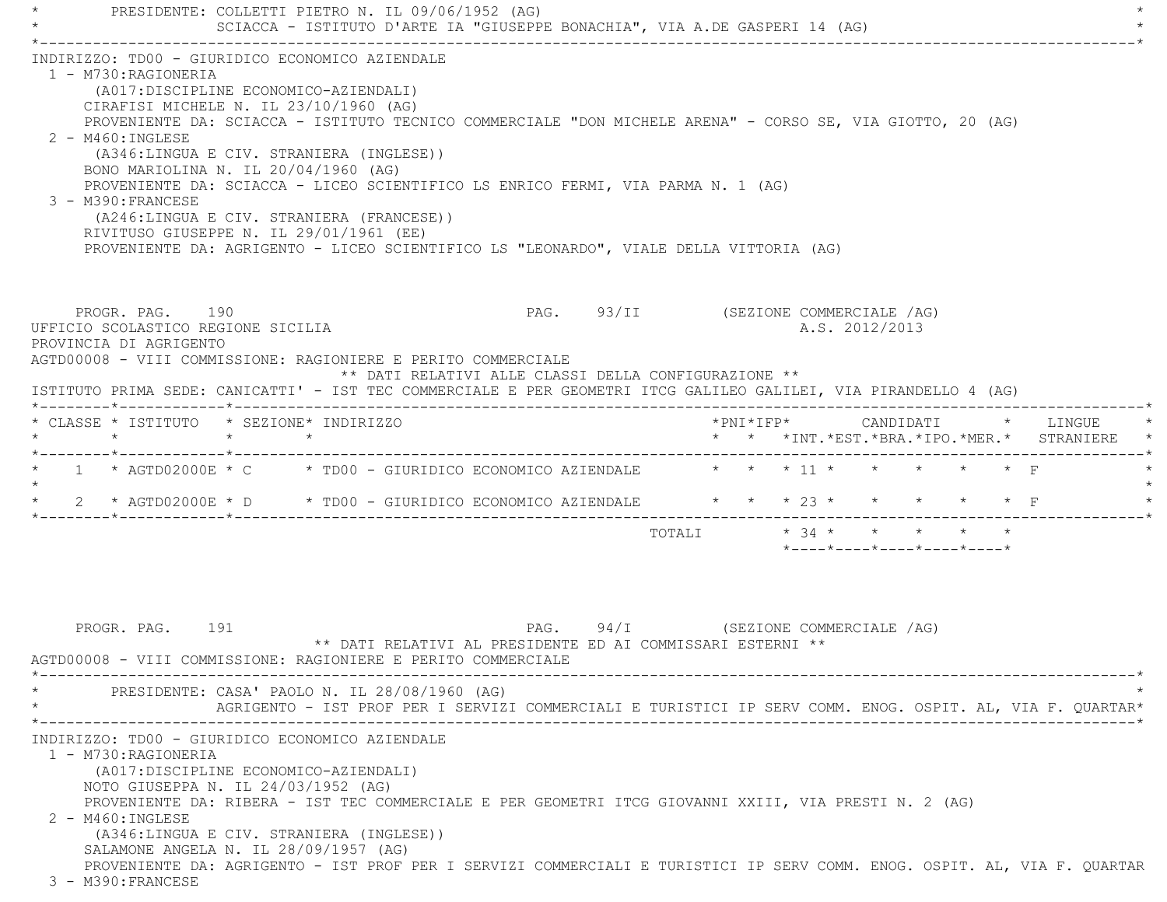PRESIDENTE: COLLETTI PIETRO N. IL 09/06/1952 (AG) SCIACCA - ISTITUTO D'ARTE IA "GIUSEPPE BONACHIA", VIA A.DE GASPERI 14 (AG) \*----------------------------------------------------------------------------------------------------------------------------\* INDIRIZZO: TD00 - GIURIDICO ECONOMICO AZIENDALE 1 - M730:RAGIONERIA (A017:DISCIPLINE ECONOMICO-AZIENDALI) CIRAFISI MICHELE N. IL 23/10/1960 (AG) PROVENIENTE DA: SCIACCA - ISTITUTO TECNICO COMMERCIALE "DON MICHELE ARENA" - CORSO SE, VIA GIOTTO, 20 (AG) 2 - M460:INGLESE (A346:LINGUA E CIV. STRANIERA (INGLESE)) BONO MARIOLINA N. IL 20/04/1960 (AG) PROVENIENTE DA: SCIACCA - LICEO SCIENTIFICO LS ENRICO FERMI, VIA PARMA N. 1 (AG) 3 - M390:FRANCESE (A246:LINGUA E CIV. STRANIERA (FRANCESE)) RIVITUSO GIUSEPPE N. IL 29/01/1961 (EE) PROVENIENTE DA: AGRIGENTO - LICEO SCIENTIFICO LS "LEONARDO", VIALE DELLA VITTORIA (AG) PROGR. PAG. 190 **PAG.** PAG. 93/II (SEZIONE COMMERCIALE /AG) UFFICIO SCOLASTICO REGIONE SICILIA A.S. 2012/2013 PROVINCIA DI AGRIGENTO AGTD00008 - VIII COMMISSIONE: RAGIONIERE E PERITO COMMERCIALE \*\* DATI RELATIVI ALLE CLASSI DELLA CONFIGURAZIONE \*\* ISTITUTO PRIMA SEDE: CANICATTI' - IST TEC COMMERCIALE E PER GEOMETRI ITCG GALILEO GALILEI, VIA PIRANDELLO 4 (AG) \*--------\*------------\*-------------------------------------------------------------------------------------------------------\* \* CLASSE \* ISTITUTO \* SEZIONE\* INDIRIZZO \*PNI\*IFP\* CANDIDATI \* LINGUE \* \* \* \* \* \* \* \*INT.\*EST.\*BRA.\*IPO.\*MER.\* STRANIERE \* \*--------\*------------\*-------------------------------------------------------------------------------------------------------\*1 \* AGTD02000E \* C \* TD00 - GIURIDICO ECONOMICO AZIENDALE \* \* \* 11 \* \* \* \* \* \* \* F  $\star$ \* 2 \* AGTD02000E \* D \* TD00 - GIURIDICO ECONOMICO AZIENDALE \* \* \* 23 \* \* \* \* \* \* \* F \*--------\*------------\*-------------------------------------------------------------------------------------------------------\*TOTALI  $\star$  34  $\star$   $\star$   $\star$   $\star$   $\star$ \*----\*----\*----\*----\*----\*

PROGR. PAG. 191 **PAG.** 94/I (SEZIONE COMMERCIALE /AG) \*\* DATI RELATIVI AL PRESIDENTE ED AI COMMISSARI ESTERNI \*\* AGTD00008 - VIII COMMISSIONE: RAGIONIERE E PERITO COMMERCIALE \*----------------------------------------------------------------------------------------------------------------------------\*PRESIDENTE: CASA' PAOLO N. IL 28/08/1960 (AG) \* AGRIGENTO - IST PROF PER I SERVIZI COMMERCIALI E TURISTICI IP SERV COMM. ENOG. OSPIT. AL, VIA F. QUARTAR\* \*----------------------------------------------------------------------------------------------------------------------------\* INDIRIZZO: TD00 - GIURIDICO ECONOMICO AZIENDALE 1 - M730:RAGIONERIA (A017:DISCIPLINE ECONOMICO-AZIENDALI) NOTO GIUSEPPA N. IL 24/03/1952 (AG) PROVENIENTE DA: RIBERA - IST TEC COMMERCIALE E PER GEOMETRI ITCG GIOVANNI XXIII, VIA PRESTI N. 2 (AG) 2 - M460:INGLESE (A346:LINGUA E CIV. STRANIERA (INGLESE)) SALAMONE ANGELA N. IL 28/09/1957 (AG) PROVENIENTE DA: AGRIGENTO - IST PROF PER I SERVIZI COMMERCIALI E TURISTICI IP SERV COMM. ENOG. OSPIT. AL, VIA F. QUARTAR 3 - M390:FRANCESE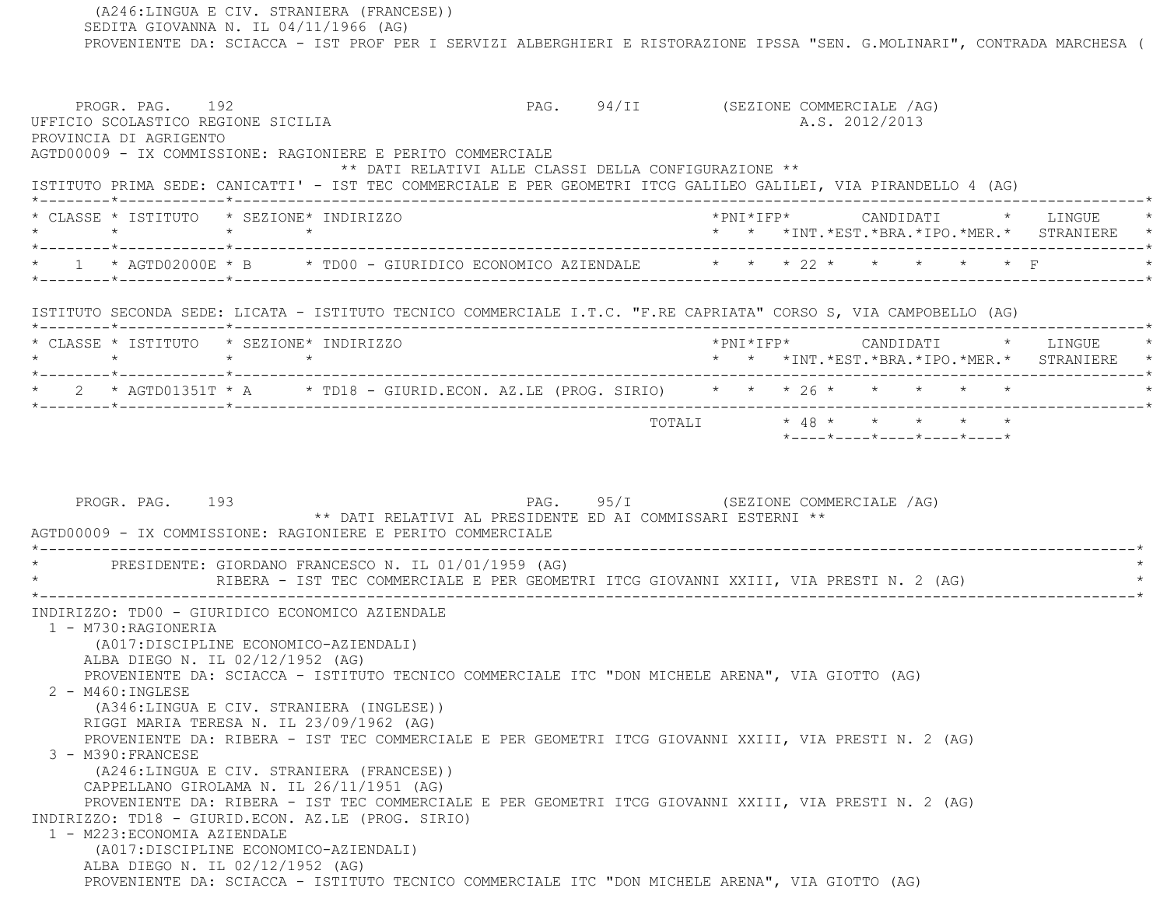(A246:LINGUA E CIV. STRANIERA (FRANCESE)) SEDITA GIOVANNA N. IL 04/11/1966 (AG) PROVENIENTE DA: SCIACCA - IST PROF PER I SERVIZI ALBERGHIERI E RISTORAZIONE IPSSA "SEN. G.MOLINARI", CONTRADA MARCHESA ( PROGR. PAG. 192 **PAG.** 94/II (SEZIONE COMMERCIALE /AG) UFFICIO SCOLASTICO REGIONE SICILIA A.S. 2012/2013 PROVINCIA DI AGRIGENTO AGTD00009 - IX COMMISSIONE: RAGIONIERE E PERITO COMMERCIALE \*\* DATI RELATIVI ALLE CLASSI DELLA CONFIGURAZIONE \*\* ISTITUTO PRIMA SEDE: CANICATTI' - IST TEC COMMERCIALE E PER GEOMETRI ITCG GALILEO GALILEI, VIA PIRANDELLO 4 (AG) \*--------\*------------\*-------------------------------------------------------------------------------------------------------\* \* CLASSE \* ISTITUTO \* SEZIONE\* INDIRIZZO \*PNI\*IFP\* CANDIDATI \* LINGUE \* \* \* \* \* \* \* \*INT.\*EST.\*BRA.\*IPO.\*MER.\* STRANIERE \* \*--------\*------------\*-------------------------------------------------------------------------------------------------------\* \* 1 \* AGTD02000E \* B \* TD00 - GIURIDICO ECONOMICO AZIENDALE \* \* \* 22 \* \* \* \* \* F \* \*--------\*------------\*-------------------------------------------------------------------------------------------------------\* ISTITUTO SECONDA SEDE: LICATA - ISTITUTO TECNICO COMMERCIALE I.T.C. "F.RE CAPRIATA" CORSO S, VIA CAMPOBELLO (AG) \*--------\*------------\*-------------------------------------------------------------------------------------------------------\* \* CLASSE \* ISTITUTO \* SEZIONE\* INDIRIZZO \*PNI\*IFP\* CANDIDATI \* LINGUE \* \* \* \* \* \* \* \*INT.\*EST.\*BRA.\*IPO.\*MER.\* STRANIERE \* \*--------\*------------\*-------------------------------------------------------------------------------------------------------\* \* 2 \* AGTD01351T \* A \* TD18 - GIURID.ECON. AZ.LE (PROG. SIRIO) \* \* \* 26 \* \* \* \* \* \* \*--------\*------------\*-------------------------------------------------------------------------------------------------------\* $\texttt{TOTAL} \qquad \qquad \star \; \; 48 \; \star \qquad \star \qquad \star \qquad \star \qquad \star \qquad \star$  \*----\*----\*----\*----\*----\*PROGR. PAG. 193 **PAG.** PAG. 95/I (SEZIONE COMMERCIALE /AG) \*\* DATI RELATIVI AL PRESIDENTE ED AI COMMISSARI ESTERNI \*\* AGTD00009 - IX COMMISSIONE: RAGIONIERE E PERITO COMMERCIALE \*----------------------------------------------------------------------------------------------------------------------------\*PRESIDENTE: GIORDANO FRANCESCO N. IL 01/01/1959 (AG) RIBERA - IST TEC COMMERCIALE E PER GEOMETRI ITCG GIOVANNI XXIII, VIA PRESTI N. 2 (AG) \*----------------------------------------------------------------------------------------------------------------------------\* INDIRIZZO: TD00 - GIURIDICO ECONOMICO AZIENDALE 1 - M730:RAGIONERIA (A017:DISCIPLINE ECONOMICO-AZIENDALI) ALBA DIEGO N. IL 02/12/1952 (AG) PROVENIENTE DA: SCIACCA - ISTITUTO TECNICO COMMERCIALE ITC "DON MICHELE ARENA", VIA GIOTTO (AG) 2 - M460:INGLESE (A346:LINGUA E CIV. STRANIERA (INGLESE)) RIGGI MARIA TERESA N. IL 23/09/1962 (AG) PROVENIENTE DA: RIBERA - IST TEC COMMERCIALE E PER GEOMETRI ITCG GIOVANNI XXIII, VIA PRESTI N. 2 (AG) 3 - M390:FRANCESE (A246:LINGUA E CIV. STRANIERA (FRANCESE)) CAPPELLANO GIROLAMA N. IL 26/11/1951 (AG) PROVENIENTE DA: RIBERA - IST TEC COMMERCIALE E PER GEOMETRI ITCG GIOVANNI XXIII, VIA PRESTI N. 2 (AG) INDIRIZZO: TD18 - GIURID.ECON. AZ.LE (PROG. SIRIO) 1 - M223:ECONOMIA AZIENDALE (A017:DISCIPLINE ECONOMICO-AZIENDALI) ALBA DIEGO N. IL 02/12/1952 (AG) PROVENIENTE DA: SCIACCA - ISTITUTO TECNICO COMMERCIALE ITC "DON MICHELE ARENA", VIA GIOTTO (AG)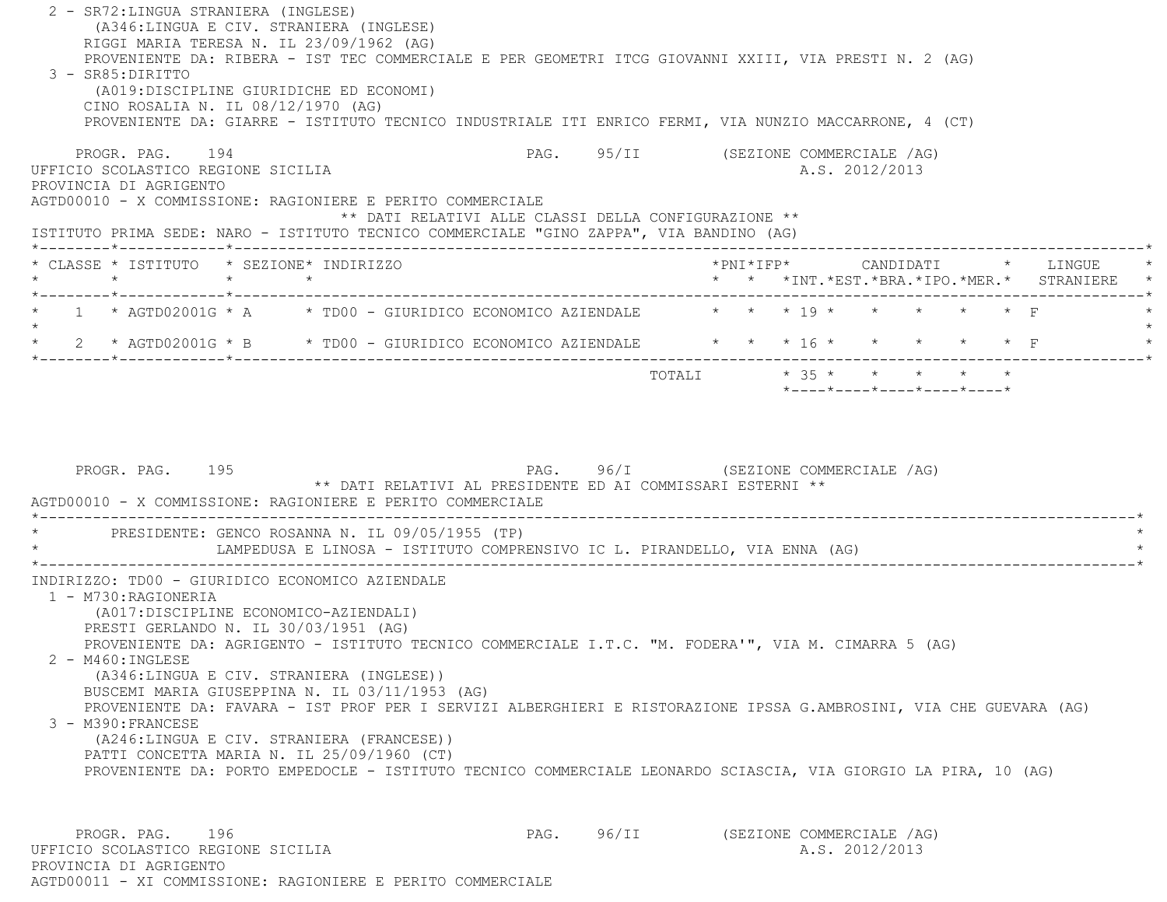| 2 - SR72: LINGUA STRANIERA (INGLESE)<br>(A346:LINGUA E CIV. STRANIERA (INGLESE)<br>RIGGI MARIA TERESA N. IL 23/09/1962 (AG)<br>PROVENIENTE DA: RIBERA - IST TEC COMMERCIALE E PER GEOMETRI ITCG GIOVANNI XXIII, VIA PRESTI N. 2 (AG)<br>3 - SR85: DIRITTO<br>(A019:DISCIPLINE GIURIDICHE ED ECONOMI)<br>CINO ROSALIA N. IL 08/12/1970 (AG)<br>PROVENIENTE DA: GIARRE - ISTITUTO TECNICO INDUSTRIALE ITI ENRICO FERMI, VIA NUNZIO MACCARRONE, 4 (CT)                                                                                                                                                                                                                                                                                          |                                                            |                                      |  |                           |  |
|----------------------------------------------------------------------------------------------------------------------------------------------------------------------------------------------------------------------------------------------------------------------------------------------------------------------------------------------------------------------------------------------------------------------------------------------------------------------------------------------------------------------------------------------------------------------------------------------------------------------------------------------------------------------------------------------------------------------------------------------|------------------------------------------------------------|--------------------------------------|--|---------------------------|--|
| PROGR. PAG. 194<br>UFFICIO SCOLASTICO REGIONE SICILIA<br>PROVINCIA DI AGRIGENTO<br>AGTD00010 - X COMMISSIONE: RAGIONIERE E PERITO COMMERCIALE<br>ISTITUTO PRIMA SEDE: NARO - ISTITUTO TECNICO COMMERCIALE "GINO ZAPPA", VIA BANDINO (AG)                                                                                                                                                                                                                                                                                                                                                                                                                                                                                                     | ** DATI RELATIVI ALLE CLASSI DELLA CONFIGURAZIONE **       | PAG. 95/II (SEZIONE COMMERCIALE /AG) |  | A.S. 2012/2013            |  |
| * CLASSE * ISTITUTO * SEZIONE* INDIRIZZO                                                                                                                                                                                                                                                                                                                                                                                                                                                                                                                                                                                                                                                                                                     |                                                            |                                      |  |                           |  |
| 1 * AGTD02001G * A * * TD00 - GIURIDICO ECONOMICO AZIENDALE * * * * 19 * * * * * * * F                                                                                                                                                                                                                                                                                                                                                                                                                                                                                                                                                                                                                                                       |                                                            |                                      |  |                           |  |
| 2 * AGTD02001G * B * TD00 - GIURIDICO ECONOMICO AZIENDALE * * * 16 * * * * * * * F                                                                                                                                                                                                                                                                                                                                                                                                                                                                                                                                                                                                                                                           |                                                            |                                      |  |                           |  |
| PROGR. PAG. 195<br>AGTD00010 - X COMMISSIONE: RAGIONIERE E PERITO COMMERCIALE<br>PRESIDENTE: GENCO ROSANNA N. IL 09/05/1955 (TP)                                                                                                                                                                                                                                                                                                                                                                                                                                                                                                                                                                                                             | ** DATI RELATIVI AL PRESIDENTE ED AI COMMISSARI ESTERNI ** | PAG. 96/I (SEZIONE COMMERCIALE /AG)  |  |                           |  |
| LAMPEDUSA E LINOSA - ISTITUTO COMPRENSIVO IC L. PIRANDELLO, VIA ENNA (AG)                                                                                                                                                                                                                                                                                                                                                                                                                                                                                                                                                                                                                                                                    |                                                            |                                      |  |                           |  |
| INDIRIZZO: TD00 - GIURIDICO ECONOMICO AZIENDALE<br>1 - M730: RAGIONERIA<br>(A017:DISCIPLINE ECONOMICO-AZIENDALI)<br>PRESTI GERLANDO N. IL 30/03/1951 (AG)<br>PROVENIENTE DA: AGRIGENTO - ISTITUTO TECNICO COMMERCIALE I.T.C. "M. FODERA'", VIA M. CIMARRA 5 (AG)<br>2 - M460: INGLESE<br>(A346:LINGUA E CIV. STRANIERA (INGLESE))<br>BUSCEMI MARIA GIUSEPPINA N. IL 03/11/1953 (AG)<br>PROVENIENTE DA: FAVARA - IST PROF PER I SERVIZI ALBERGHIERI E RISTORAZIONE IPSSA G.AMBROSINI, VIA CHE GUEVARA (AG)<br>3 - M390: FRANCESE<br>(A246:LINGUA E CIV. STRANIERA (FRANCESE))<br>PATTI CONCETTA MARIA N. IL 25/09/1960 (CT)<br>PROVENIENTE DA: PORTO EMPEDOCLE - ISTITUTO TECNICO COMMERCIALE LEONARDO SCIASCIA, VIA GIORGIO LA PIRA, 10 (AG) |                                                            |                                      |  |                           |  |
| PROGR. PAG.<br>196                                                                                                                                                                                                                                                                                                                                                                                                                                                                                                                                                                                                                                                                                                                           | PAG.                                                       | 96/II                                |  | (SEZIONE COMMERCIALE /AG) |  |

UFFICIO SCOLASTICO REGIONE SICILIA and a series of the series of the series of the series of the series of the series of the series of the series of the series of the series of the series of the series of the series of the PROVINCIA DI AGRIGENTO AGTD00011 - XI COMMISSIONE: RAGIONIERE E PERITO COMMERCIALE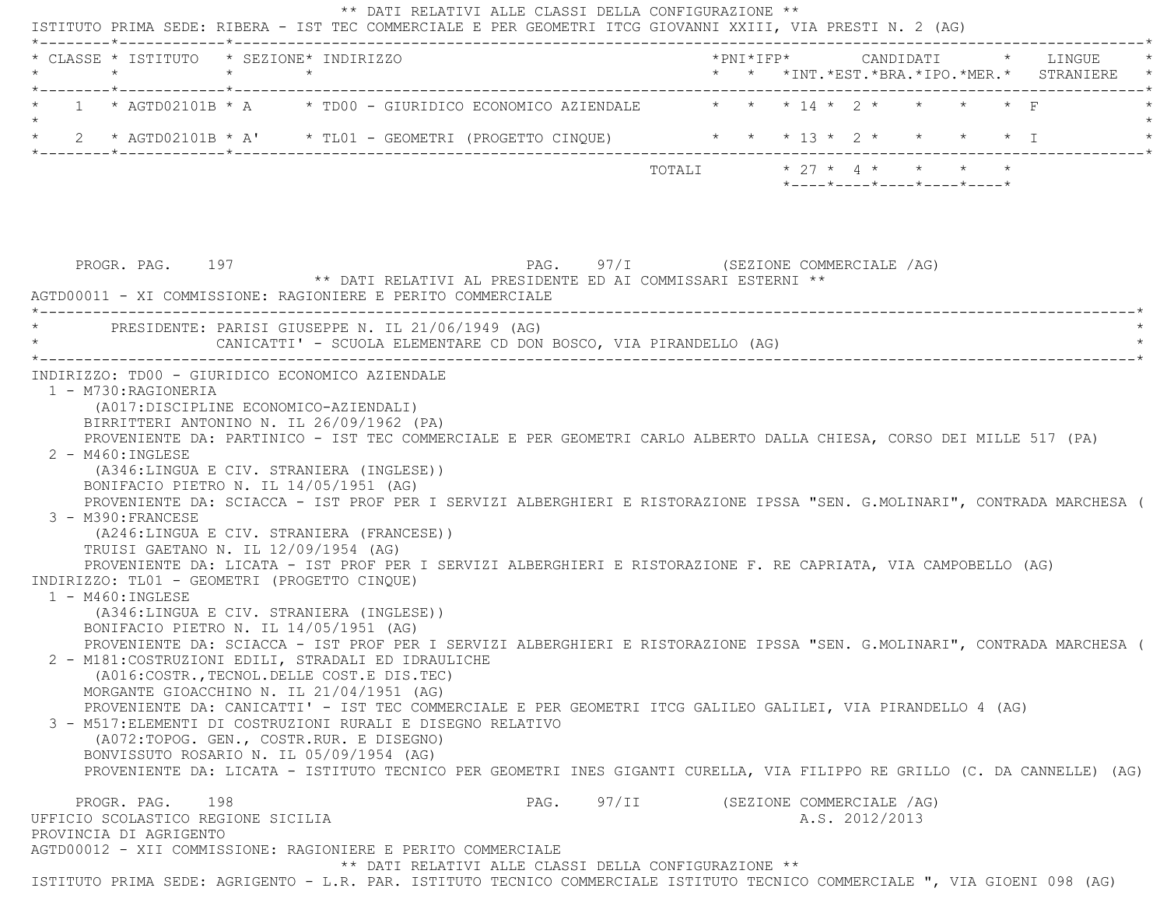| * CLASSE * ISTITUTO * SEZIONE* INDIRIZZO<br>$\star$<br>$\star$                                                                                                                                                                                                                                                           | $\star$                                                                                                                                                                                                                                                                                                                                                                                                                            | *PNI*IFP*     CANDIDATI    *   LINGUE<br>* * *INT. *EST. *BRA. *IPO. *MER. * STRANIERE |                                                                                                      |  |
|--------------------------------------------------------------------------------------------------------------------------------------------------------------------------------------------------------------------------------------------------------------------------------------------------------------------------|------------------------------------------------------------------------------------------------------------------------------------------------------------------------------------------------------------------------------------------------------------------------------------------------------------------------------------------------------------------------------------------------------------------------------------|----------------------------------------------------------------------------------------|------------------------------------------------------------------------------------------------------|--|
|                                                                                                                                                                                                                                                                                                                          | 1 * AGTD02101B * A * TD00 - GIURIDICO ECONOMICO AZIENDALE * * * 14 * 2 * *                                                                                                                                                                                                                                                                                                                                                         |                                                                                        |                                                                                                      |  |
|                                                                                                                                                                                                                                                                                                                          | 2 * AGTD02101B * A' * TL01 - GEOMETRI (PROGETTO CINQUE) * * * 13 * 2 * * * * * I                                                                                                                                                                                                                                                                                                                                                   |                                                                                        |                                                                                                      |  |
|                                                                                                                                                                                                                                                                                                                          |                                                                                                                                                                                                                                                                                                                                                                                                                                    | TOTALI                                                                                 | $\star$ 27 $\star$ 4 $\star$ + $\star$ + $\star$<br>$*$ ---- $*$ ---- $*$ ---- $*$ ---- $*$ ---- $*$ |  |
| PROGR. PAG. 197                                                                                                                                                                                                                                                                                                          | PAG. 97/I (SEZIONE COMMERCIALE /AG)<br>** DATI RELATIVI AL PRESIDENTE ED AI COMMISSARI ESTERNI **<br>AGTD00011 - XI COMMISSIONE: RAGIONIERE E PERITO COMMERCIALE                                                                                                                                                                                                                                                                   |                                                                                        |                                                                                                      |  |
|                                                                                                                                                                                                                                                                                                                          | PRESIDENTE: PARISI GIUSEPPE N. IL 21/06/1949 (AG)<br>CANICATTI' - SCUOLA ELEMENTARE CD DON BOSCO, VIA PIRANDELLO (AG)                                                                                                                                                                                                                                                                                                              |                                                                                        |                                                                                                      |  |
| 1 - M730: RAGIONERIA<br>(A017:DISCIPLINE ECONOMICO-AZIENDALI)<br>BIRRITTERI ANTONINO N. IL 26/09/1962 (PA)<br>$2 - M460$ : INGLESE<br>(A346:LINGUA E CIV. STRANIERA (INGLESE))                                                                                                                                           | PROVENIENTE DA: PARTINICO - IST TEC COMMERCIALE E PER GEOMETRI CARLO ALBERTO DALLA CHIESA, CORSO DEI MILLE 517 (PA)                                                                                                                                                                                                                                                                                                                |                                                                                        |                                                                                                      |  |
| INDIRIZZO: TD00 - GIURIDICO ECONOMICO AZIENDALE<br>BONIFACIO PIETRO N. IL 14/05/1951 (AG)<br>3 - M390: FRANCESE<br>(A246:LINGUA E CIV. STRANIERA (FRANCESE))<br>TRUISI GAETANO N. IL 12/09/1954 (AG)<br>INDIRIZZO: TL01 - GEOMETRI (PROGETTO CINQUE)<br>$1 - M460$ : INGLESE<br>(A346:LINGUA E CIV. STRANIERA (INGLESE)) | PROVENIENTE DA: SCIACCA - IST PROF PER I SERVIZI ALBERGHIERI E RISTORAZIONE IPSSA "SEN. G.MOLINARI", CONTRADA MARCHESA (<br>PROVENIENTE DA: LICATA - IST PROF PER I SERVIZI ALBERGHIERI E RISTORAZIONE F. RE CAPRIATA, VIA CAMPOBELLO (AG)                                                                                                                                                                                         |                                                                                        |                                                                                                      |  |
| BONIFACIO PIETRO N. IL 14/05/1951 (AG)<br>2 - M181: COSTRUZIONI EDILI, STRADALI ED IDRAULICHE<br>(A016:COSTR., TECNOL. DELLE COST.E DIS. TEC)<br>MORGANTE GIOACCHINO N. IL 21/04/1951 (AG)<br>(A072:TOPOG. GEN., COSTR.RUR. E DISEGNO)<br>BONVISSUTO ROSARIO N. IL 05/09/1954 (AG)                                       | PROVENIENTE DA: SCIACCA - IST PROF PER I SERVIZI ALBERGHIERI E RISTORAZIONE IPSSA "SEN. G.MOLINARI", CONTRADA MARCHESA (<br>PROVENIENTE DA: CANICATTI' - IST TEC COMMERCIALE E PER GEOMETRI ITCG GALILEO GALILEI, VIA PIRANDELLO 4 (AG)<br>3 - M517: ELEMENTI DI COSTRUZIONI RURALI E DISEGNO RELATIVO<br>PROVENIENTE DA: LICATA - ISTITUTO TECNICO PER GEOMETRI INES GIGANTI CURELLA, VIA FILIPPO RE GRILLO (C. DA CANNELLE) (AG) |                                                                                        |                                                                                                      |  |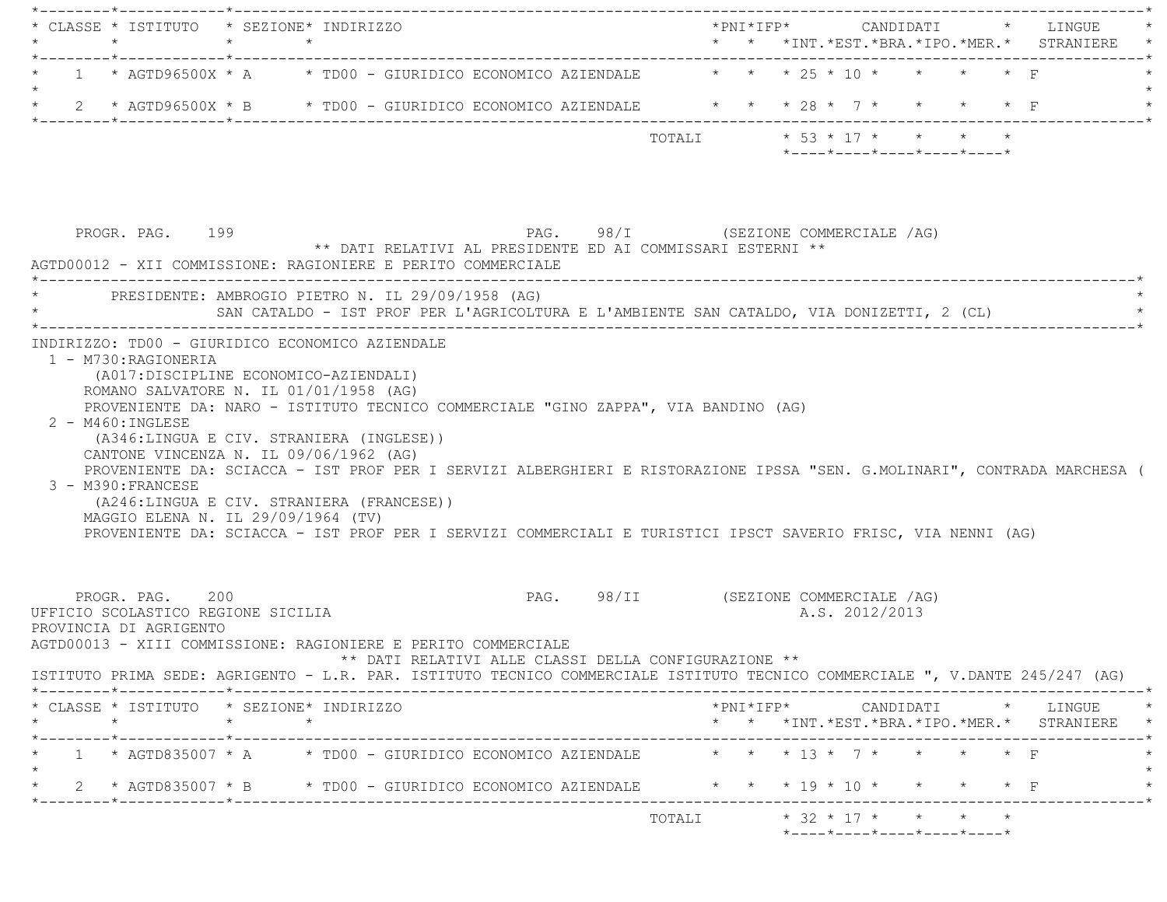|                      | $\star$ |                                           | * CLASSE * ISTITUTO * SEZIONE* INDIRIZZO<br>$\star$ $\star$                  |         |                                                                                       |                                                                                                                                                                                                                                          |                                      |                            |  |  |                |                                                  |                   |                                                                                                                                                                                                                                                                                                                                                                                                                                                 |  |
|----------------------|---------|-------------------------------------------|------------------------------------------------------------------------------|---------|---------------------------------------------------------------------------------------|------------------------------------------------------------------------------------------------------------------------------------------------------------------------------------------------------------------------------------------|--------------------------------------|----------------------------|--|--|----------------|--------------------------------------------------|-------------------|-------------------------------------------------------------------------------------------------------------------------------------------------------------------------------------------------------------------------------------------------------------------------------------------------------------------------------------------------------------------------------------------------------------------------------------------------|--|
|                      |         |                                           | *--------*------------*---------------                                       |         |                                                                                       | 1 * AGTD96500X * A $\qquad$ * TD00 - GIURIDICO ECONOMICO AZIENDALE $\qquad$ * * * 25 * 10 * * * * * F                                                                                                                                    |                                      |                            |  |  |                |                                                  |                   |                                                                                                                                                                                                                                                                                                                                                                                                                                                 |  |
|                      |         |                                           |                                                                              |         |                                                                                       | * 2 * AGTD96500X * B * TD00 - GIURIDICO ECONOMICO AZIENDALE * * * 28 * 7 * * * * * F                                                                                                                                                     |                                      |                            |  |  |                |                                                  |                   |                                                                                                                                                                                                                                                                                                                                                                                                                                                 |  |
|                      |         |                                           |                                                                              |         |                                                                                       |                                                                                                                                                                                                                                          |                                      | TOTALI * 53 * 17 * * * * * |  |  |                | $*$ ---- $*$ ---- $*$ ---- $*$ ---- $*$ ---- $*$ |                   | ------------------------*                                                                                                                                                                                                                                                                                                                                                                                                                       |  |
|                      |         | PROGR. PAG. 199                           |                                                                              |         |                                                                                       | PAG. 98/I (SEZIONE COMMERCIALE /AG)<br>** DATI RELATIVI AL PRESIDENTE ED AI COMMISSARI ESTERNI **                                                                                                                                        |                                      |                            |  |  |                |                                                  |                   |                                                                                                                                                                                                                                                                                                                                                                                                                                                 |  |
|                      |         |                                           |                                                                              |         |                                                                                       | AGTD00012 - XII COMMISSIONE: RAGIONIERE E PERITO COMMERCIALE                                                                                                                                                                             |                                      |                            |  |  |                |                                                  |                   |                                                                                                                                                                                                                                                                                                                                                                                                                                                 |  |
|                      |         |                                           |                                                                              |         | PRESIDENTE: AMBROGIO PIETRO N. IL 29/09/1958 (AG)                                     |                                                                                                                                                                                                                                          |                                      |                            |  |  |                |                                                  |                   |                                                                                                                                                                                                                                                                                                                                                                                                                                                 |  |
|                      |         |                                           |                                                                              |         |                                                                                       | SAN CATALDO - IST PROF PER L'AGRICOLTURA E L'AMBIENTE SAN CATALDO, VIA DONIZETTI, 2 (CL)                                                                                                                                                 |                                      |                            |  |  |                |                                                  |                   |                                                                                                                                                                                                                                                                                                                                                                                                                                                 |  |
| $2 - M460$ : INGLESE |         |                                           |                                                                              |         |                                                                                       | PROVENIENTE DA: NARO - ISTITUTO TECNICO COMMERCIALE "GINO ZAPPA", VIA BANDINO (AG)                                                                                                                                                       |                                      |                            |  |  |                |                                                  |                   |                                                                                                                                                                                                                                                                                                                                                                                                                                                 |  |
| 3 - M390: FRANCESE   |         |                                           | CANTONE VINCENZA N. IL 09/06/1962 (AG)<br>MAGGIO ELENA N. IL 29/09/1964 (TV) |         | (A346:LINGUA E CIV. STRANIERA (INGLESE))<br>(A246:LINGUA E CIV. STRANIERA (FRANCESE)) | PROVENIENTE DA: SCIACCA - IST PROF PER I SERVIZI ALBERGHIERI E RISTORAZIONE IPSSA "SEN. G.MOLINARI", CONTRADA MARCHESA (<br>PROVENIENTE DA: SCIACCA - IST PROF PER I SERVIZI COMMERCIALI E TURISTICI IPSCT SAVERIO FRISC, VIA NENNI (AG) |                                      |                            |  |  |                |                                                  |                   |                                                                                                                                                                                                                                                                                                                                                                                                                                                 |  |
|                      |         | PROGR. PAG. 200<br>PROVINCIA DI AGRIGENTO | UFFICIO SCOLASTICO REGIONE SICILIA                                           |         |                                                                                       | AGTD00013 - XIII COMMISSIONE: RAGIONIERE E PERITO COMMERCIALE<br>** DATI RELATIVI ALLE CLASSI DELLA CONFIGURAZIONE **                                                                                                                    | PAG. 98/II (SEZIONE COMMERCIALE /AG) |                            |  |  | A.S. 2012/2013 |                                                  |                   |                                                                                                                                                                                                                                                                                                                                                                                                                                                 |  |
|                      |         |                                           |                                                                              |         |                                                                                       | ISTITUTO PRIMA SEDE: AGRIGENTO - L.R. PAR. ISTITUTO TECNICO COMMERCIALE ISTITUTO TECNICO COMMERCIALE ", V.DANTE 245/247 (AG)                                                                                                             |                                      |                            |  |  |                |                                                  |                   |                                                                                                                                                                                                                                                                                                                                                                                                                                                 |  |
|                      | $\star$ |                                           | * CLASSE * ISTITUTO * SEZIONE* INDIRIZZO<br>$\star$                          | $\star$ |                                                                                       |                                                                                                                                                                                                                                          |                                      |                            |  |  |                |                                                  |                   | $\texttt{\char'{134}thm} \texttt{\char'{134}thm} \texttt{\char'{134}thm} \texttt{\char'{134}thm} \texttt{\char'{134}thm} \texttt{\char'{134}thm} \texttt{\char'{134}thm} \texttt{\char'{134}thm} \texttt{\char'{134}thm} \texttt{\char'{134}thm} \texttt{\char'{134}thm} \texttt{\char'{134}thm} \texttt{\char'{134}thm} \texttt{\char'{134}thm} \texttt{\char'{134}thm} \texttt{\char'{134$<br>* * *INT. *EST. *BRA. *IPO. *MER. * STRANIERE * |  |
|                      |         |                                           |                                                                              |         |                                                                                       | 1 * AGTD835007 * A * TD00 - GIURIDICO ECONOMICO AZIENDALE * * * 13 * 7 * * * * * F                                                                                                                                                       |                                      |                            |  |  |                |                                                  |                   |                                                                                                                                                                                                                                                                                                                                                                                                                                                 |  |
|                      |         |                                           |                                                                              |         |                                                                                       | 2 * AGTD835007 * B * TD00 - GIURIDICO ECONOMICO AZIENDALE                                                                                                                                                                                |                                      | * * * 19 * 10 * *          |  |  |                |                                                  | $\star$ $\star$ F |                                                                                                                                                                                                                                                                                                                                                                                                                                                 |  |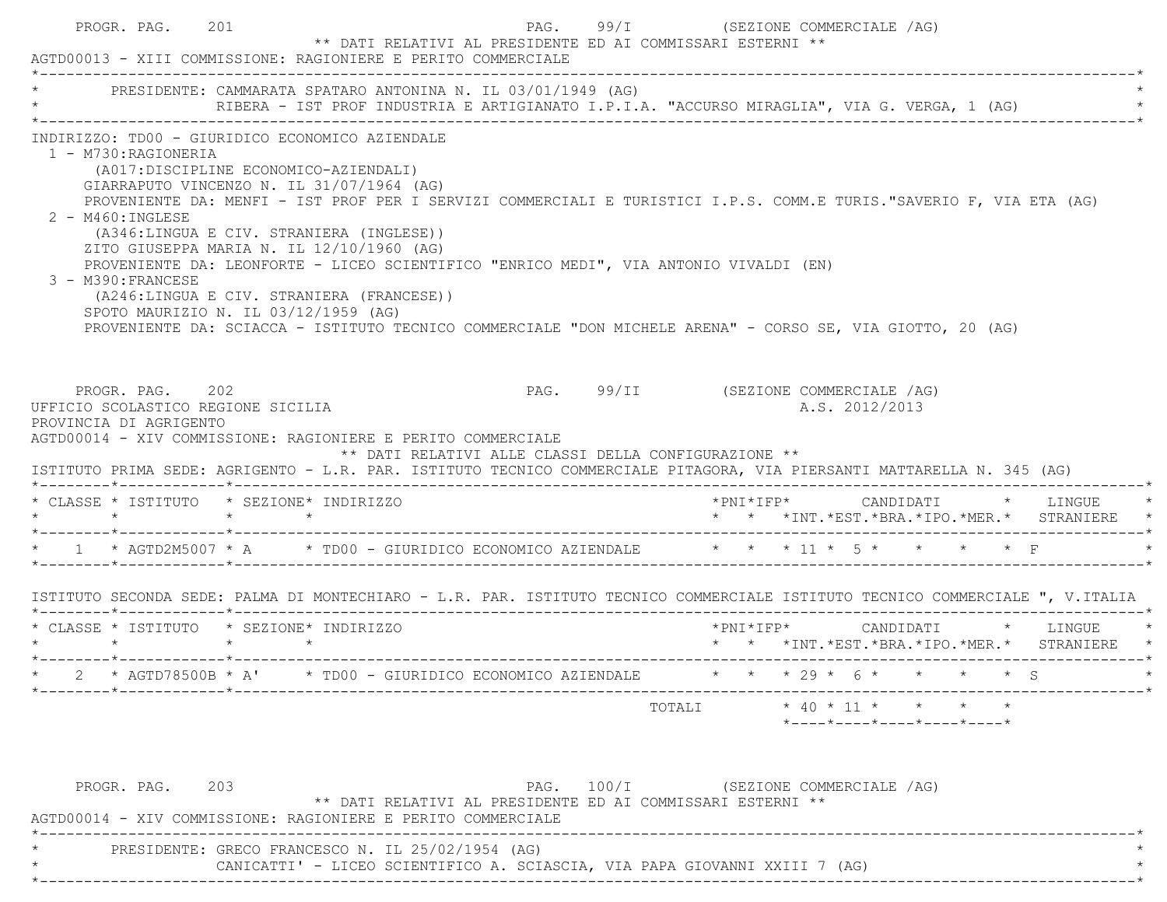|                                                                                                                                                                                                                                                                           |                                       |                                                                                                                                                                                 | PRESIDENTE: CAMMARATA SPATARO ANTONINA N. IL 03/01/1949 (AG)<br>RIBERA - IST PROF INDUSTRIA E ARTIGIANATO I.P.I.A. "ACCURSO MIRAGLIA", VIA G. VERGA, 1 (AG)                                                                                                                                                                |                                      |  |                |  |                                                                                     |
|---------------------------------------------------------------------------------------------------------------------------------------------------------------------------------------------------------------------------------------------------------------------------|---------------------------------------|---------------------------------------------------------------------------------------------------------------------------------------------------------------------------------|----------------------------------------------------------------------------------------------------------------------------------------------------------------------------------------------------------------------------------------------------------------------------------------------------------------------------|--------------------------------------|--|----------------|--|-------------------------------------------------------------------------------------|
| INDIRIZZO: TD00 - GIURIDICO ECONOMICO AZIENDALE<br>1 - M730: RAGIONERIA<br>$2 - M460$ : INGLESE<br>3 - M390: FRANCESE<br>SPOTO MAURIZIO N. IL 03/12/1959 (AG)                                                                                                             | (A017:DISCIPLINE ECONOMICO-AZIENDALI) | GIARRAPUTO VINCENZO N. IL 31/07/1964 (AG)<br>(A346:LINGUA E CIV. STRANIERA (INGLESE))<br>ZITO GIUSEPPA MARIA N. IL 12/10/1960 (AG)<br>(A246:LINGUA E CIV. STRANIERA (FRANCESE)) | PROVENIENTE DA: MENFI - IST PROF PER I SERVIZI COMMERCIALI E TURISTICI I.P.S. COMM.E TURIS."SAVERIO F, VIA ETA (AG)<br>PROVENIENTE DA: LEONFORTE - LICEO SCIENTIFICO "ENRICO MEDI", VIA ANTONIO VIVALDI (EN)<br>PROVENIENTE DA: SCIACCA - ISTITUTO TECNICO COMMERCIALE "DON MICHELE ARENA" - CORSO SE, VIA GIOTTO, 20 (AG) |                                      |  |                |  |                                                                                     |
|                                                                                                                                                                                                                                                                           |                                       |                                                                                                                                                                                 |                                                                                                                                                                                                                                                                                                                            |                                      |  |                |  |                                                                                     |
| PROGR. PAG. 202<br>UFFICIO SCOLASTICO REGIONE SICILIA<br>PROVINCIA DI AGRIGENTO<br>AGTD00014 - XIV COMMISSIONE: RAGIONIERE E PERITO COMMERCIALE<br>ISTITUTO PRIMA SEDE: AGRIGENTO - L.R. PAR. ISTITUTO TECNICO COMMERCIALE PITAGORA, VIA PIERSANTI MATTARELLA N. 345 (AG) |                                       |                                                                                                                                                                                 | ** DATI RELATIVI ALLE CLASSI DELLA CONFIGURAZIONE **                                                                                                                                                                                                                                                                       | PAG. 99/II (SEZIONE COMMERCIALE /AG) |  | A.S. 2012/2013 |  |                                                                                     |
| * CLASSE * ISTITUTO * SEZIONE* INDIRIZZO<br>$\star$ $\star$                                                                                                                                                                                                               | $\star$ $\star$                       |                                                                                                                                                                                 |                                                                                                                                                                                                                                                                                                                            |                                      |  |                |  | *PNI*IFP*     CANDIDATI    *   LINGUE<br>* * *INT.*EST.*BRA.*IPO.*MER.* STRANIERE * |
| * 1 * AGTD2M5007 * A * TD00 - GIURIDICO ECONOMICO AZIENDALE * * * 11 * 5 * * * * * F                                                                                                                                                                                      |                                       |                                                                                                                                                                                 |                                                                                                                                                                                                                                                                                                                            |                                      |  |                |  |                                                                                     |
| ISTITUTO SECONDA SEDE: PALMA DI MONTECHIARO - L.R. PAR. ISTITUTO TECNICO COMMERCIALE ISTITUTO TECNICO COMMERCIALE ", V.ITALIA                                                                                                                                             |                                       |                                                                                                                                                                                 |                                                                                                                                                                                                                                                                                                                            |                                      |  |                |  |                                                                                     |
| * CLASSE * ISTITUTO * SEZIONE* INDIRIZZO<br>$\star \qquad \qquad \star \qquad \qquad \star \qquad \qquad \star$                                                                                                                                                           |                                       |                                                                                                                                                                                 |                                                                                                                                                                                                                                                                                                                            |                                      |  |                |  |                                                                                     |
|                                                                                                                                                                                                                                                                           |                                       |                                                                                                                                                                                 | * AGTD78500B * A' * TD00 - GIURIDICO ECONOMICO AZIENDALE * * * 29 * 6 * * * * * \$ S                                                                                                                                                                                                                                       |                                      |  |                |  | * * *INT.*EST.*BRA.*IPO.*MER.* STRANIERE *                                          |

\* CANICATTI' - LICEO SCIENTIFICO A. SCIASCIA, VIA PAPA GIOVANNI XXIII 7 (AG) \*

\*----------------------------------------------------------------------------------------------------------------------------\*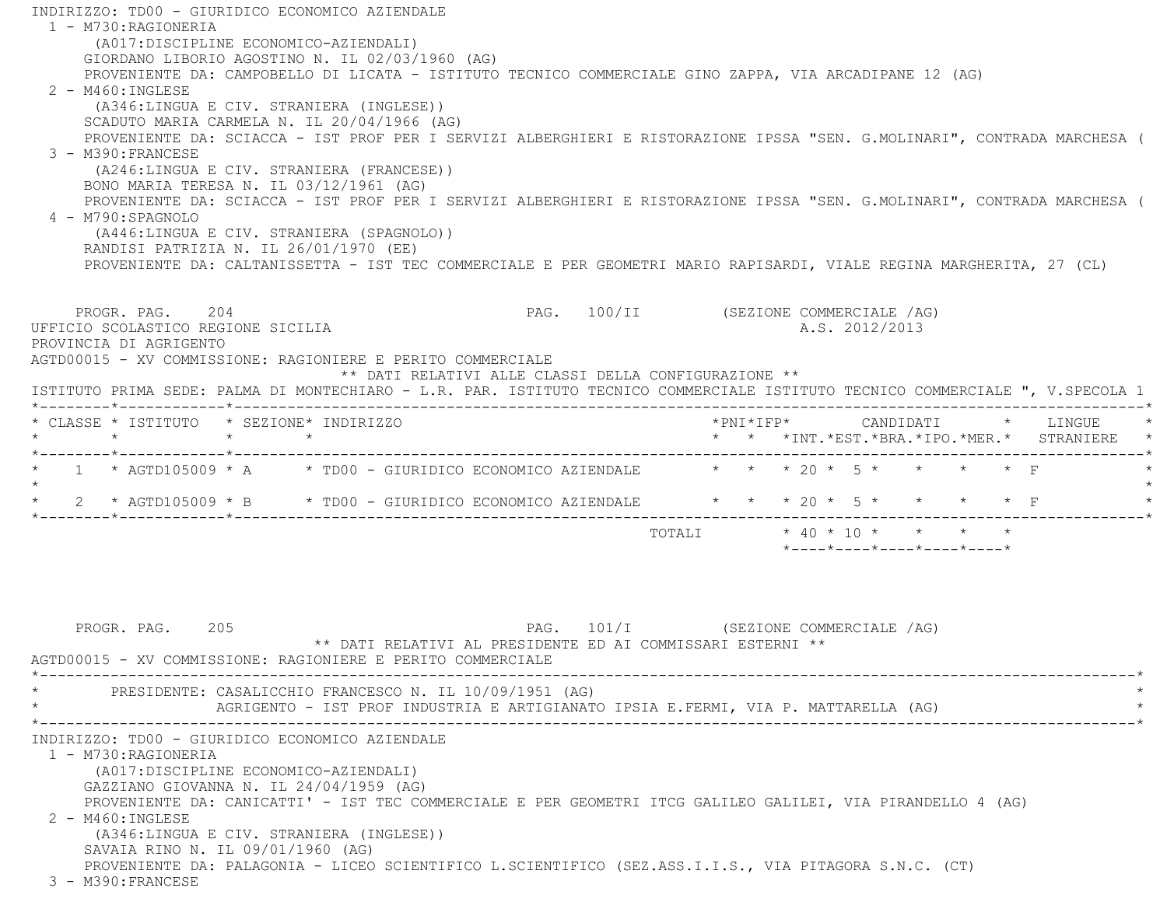INDIRIZZO: TD00 - GIURIDICO ECONOMICO AZIENDALE 1 - M730:RAGIONERIA (A017:DISCIPLINE ECONOMICO-AZIENDALI) GIORDANO LIBORIO AGOSTINO N. IL 02/03/1960 (AG) PROVENIENTE DA: CAMPOBELLO DI LICATA - ISTITUTO TECNICO COMMERCIALE GINO ZAPPA, VIA ARCADIPANE 12 (AG)  $2 - M460$ : INGLESE (A346:LINGUA E CIV. STRANIERA (INGLESE)) SCADUTO MARIA CARMELA N. IL 20/04/1966 (AG) PROVENIENTE DA: SCIACCA - IST PROF PER I SERVIZI ALBERGHIERI E RISTORAZIONE IPSSA "SEN. G.MOLINARI", CONTRADA MARCHESA ( 3 - M390:FRANCESE (A246:LINGUA E CIV. STRANIERA (FRANCESE)) BONO MARIA TERESA N. IL 03/12/1961 (AG) PROVENIENTE DA: SCIACCA - IST PROF PER I SERVIZI ALBERGHIERI E RISTORAZIONE IPSSA "SEN. G.MOLINARI", CONTRADA MARCHESA ( 4 - M790:SPAGNOLO (A446:LINGUA E CIV. STRANIERA (SPAGNOLO)) RANDISI PATRIZIA N. IL 26/01/1970 (EE) PROVENIENTE DA: CALTANISSETTA - IST TEC COMMERCIALE E PER GEOMETRI MARIO RAPISARDI, VIALE REGINA MARGHERITA, 27 (CL) PROGR. PAG. 204 PAG. PAG. 100/II (SEZIONE COMMERCIALE /AG) UFFICIO SCOLASTICO REGIONE SICILIA A.S. 2012/2013 PROVINCIA DI AGRIGENTO AGTD00015 - XV COMMISSIONE: RAGIONIERE E PERITO COMMERCIALE \*\* DATI RELATIVI ALLE CLASSI DELLA CONFIGURAZIONE \*\* ISTITUTO PRIMA SEDE: PALMA DI MONTECHIARO - L.R. PAR. ISTITUTO TECNICO COMMERCIALE ISTITUTO TECNICO COMMERCIALE ", V.SPECOLA 1 \*--------\*------------\*-------------------------------------------------------------------------------------------------------\* \* CLASSE \* ISTITUTO \* SEZIONE\* INDIRIZZO \*PNI\*IFP\* CANDIDATI \* LINGUE \* \* \* \* \* \* \* \*INT.\*EST.\*BRA.\*IPO.\*MER.\* STRANIERE \* \*--------\*------------\*-------------------------------------------------------------------------------------------------------\*1 \* AGTD105009 \* A \* TD00 - GIURIDICO ECONOMICO AZIENDALE \* \* \* 20 \* 5 \* \* \* \* \* F  $\star$ \* 2 \* AGTD105009 \* B \* TD00 - GIURIDICO ECONOMICO AZIENDALE \* \* \* 20 \* 5 \* \* \* \* \* F \*--------\*------------\*-------------------------------------------------------------------------------------------------------\* $\text{TOTAT.T}$   $*$  40  $*$  10  $*$   $*$   $*$   $*$   $*$  \*----\*----\*----\*----\*----\*PROGR. PAG. 205 200 200 200 200 200 200 200 PAG. 101/I (SEZIONE COMMERCIALE /AG) \*\* DATI RELATIVI AL PRESIDENTE ED AI COMMISSARI ESTERNI \*\* AGTD00015 - XV COMMISSIONE: RAGIONIERE E PERITO COMMERCIALE \*----------------------------------------------------------------------------------------------------------------------------\*PRESIDENTE: CASALICCHIO FRANCESCO N. IL 10/09/1951 (AG) AGRIGENTO - IST PROF INDUSTRIA E ARTIGIANATO IPSIA E.FERMI, VIA P. MATTARELLA (AG) \*----------------------------------------------------------------------------------------------------------------------------\*

INDIRIZZO: TD00 - GIURIDICO ECONOMICO AZIENDALE

1 - M730:RAGIONERIA

(A017:DISCIPLINE ECONOMICO-AZIENDALI)

GAZZIANO GIOVANNA N. IL 24/04/1959 (AG)

PROVENIENTE DA: CANICATTI' - IST TEC COMMERCIALE E PER GEOMETRI ITCG GALILEO GALILEI, VIA PIRANDELLO 4 (AG)

 2 - M460:INGLESE(A346:LINGUA E CIV. STRANIERA (INGLESE))

 SAVAIA RINO N. IL 09/01/1960 (AG) PROVENIENTE DA: PALAGONIA - LICEO SCIENTIFICO L.SCIENTIFICO (SEZ.ASS.I.I.S., VIA PITAGORA S.N.C. (CT)

3 - M390:FRANCESE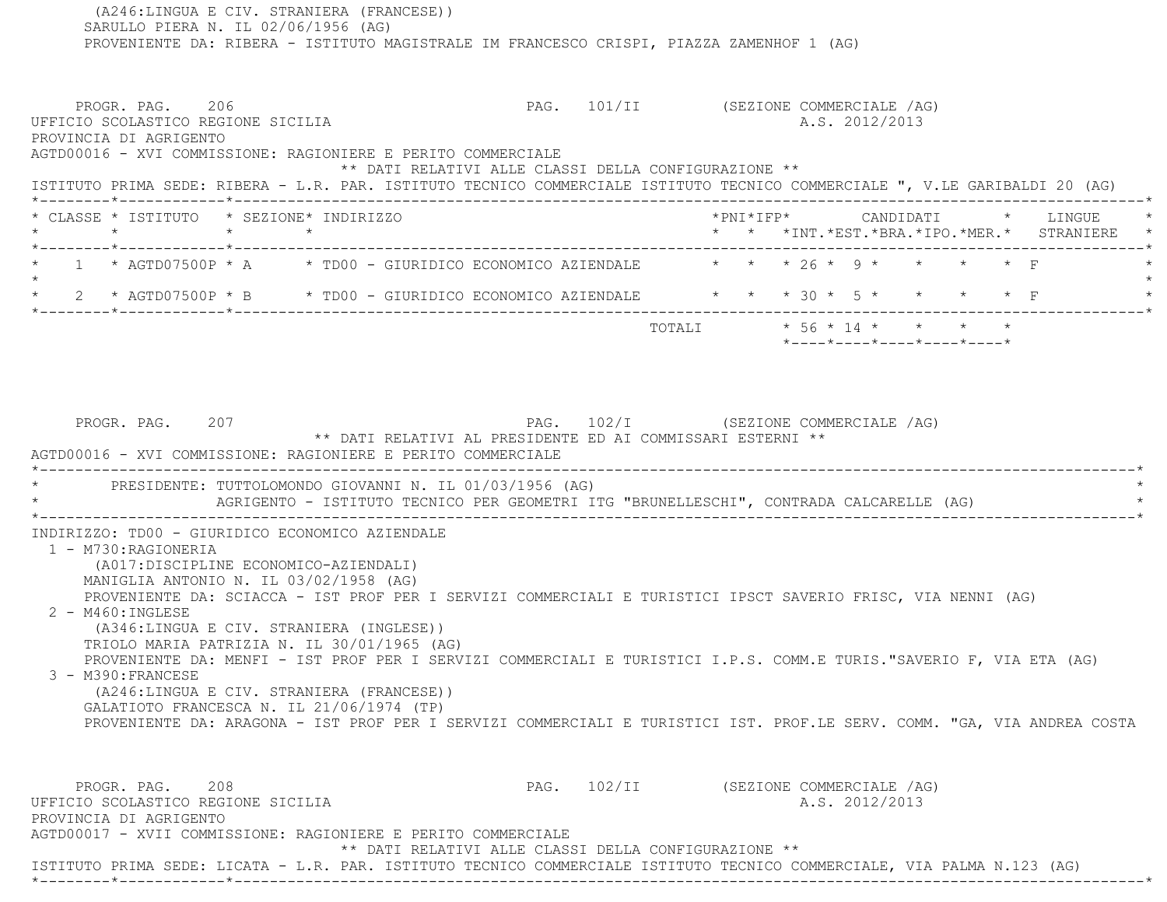(A246:LINGUA E CIV. STRANIERA (FRANCESE)) SARULLO PIERA N. IL 02/06/1956 (AG) PROVENIENTE DA: RIBERA - ISTITUTO MAGISTRALE IM FRANCESCO CRISPI, PIAZZA ZAMENHOF 1 (AG) PROGR. PAG. 206 206 PAG. 101/II (SEZIONE COMMERCIALE /AG) UFFICIO SCOLASTICO REGIONE SICILIA and a series of the series of the series of the series of the series of the series of the series of the series of the series of the series of the series of the series of the series of the PROVINCIA DI AGRIGENTO AGTD00016 - XVI COMMISSIONE: RAGIONIERE E PERITO COMMERCIALE \*\* DATI RELATIVI ALLE CLASSI DELLA CONFIGURAZIONE \*\* ISTITUTO PRIMA SEDE: RIBERA - L.R. PAR. ISTITUTO TECNICO COMMERCIALE ISTITUTO TECNICO COMMERCIALE ", V.LE GARIBALDI 20 (AG) \*--------\*------------\*-------------------------------------------------------------------------------------------------------\* \* CLASSE \* ISTITUTO \* SEZIONE\* INDIRIZZO \*PNI\*IFP\* CANDIDATI \* LINGUE \* \* \* \* \* \* \* \*INT.\*EST.\*BRA.\*IPO.\*MER.\* STRANIERE \* \*--------\*------------\*-------------------------------------------------------------------------------------------------------\*1 \* AGTD07500P \* A \* TD00 - GIURIDICO ECONOMICO AZIENDALE \* \* \* 26 \* 9 \* \* \* \* \* F  $\star$ \* 2 \* AGTD07500P \* B \* TD00 - GIURIDICO ECONOMICO AZIENDALE \* \* \* 30 \* 5 \* \* \* \* \* F \*--------\*------------\*-------------------------------------------------------------------------------------------------------\* TOTALI \* 56 \* 14 \* \* \* \* \*----\*----\*----\*----\*----\* PROGR. PAG. 207 PAG. 102/I (SEZIONE COMMERCIALE /AG) \*\* DATI RELATIVI AL PRESIDENTE ED AI COMMISSARI ESTERNI \*\* AGTD00016 - XVI COMMISSIONE: RAGIONIERE E PERITO COMMERCIALE \*----------------------------------------------------------------------------------------------------------------------------\*PRESIDENTE: TUTTOLOMONDO GIOVANNI N. IL 01/03/1956 (AG) AGRIGENTO - ISTITUTO TECNICO PER GEOMETRI ITG "BRUNELLESCHI", CONTRADA CALCARELLE (AG) \*----------------------------------------------------------------------------------------------------------------------------\* INDIRIZZO: TD00 - GIURIDICO ECONOMICO AZIENDALE 1 - M730:RAGIONERIA (A017:DISCIPLINE ECONOMICO-AZIENDALI) MANIGLIA ANTONIO N. IL 03/02/1958 (AG) PROVENIENTE DA: SCIACCA - IST PROF PER I SERVIZI COMMERCIALI E TURISTICI IPSCT SAVERIO FRISC, VIA NENNI (AG) 2 - M460:INGLESE (A346:LINGUA E CIV. STRANIERA (INGLESE)) TRIOLO MARIA PATRIZIA N. IL 30/01/1965 (AG) PROVENIENTE DA: MENFI - IST PROF PER I SERVIZI COMMERCIALI E TURISTICI I.P.S. COMM.E TURIS."SAVERIO F, VIA ETA (AG) 3 - M390:FRANCESE (A246:LINGUA E CIV. STRANIERA (FRANCESE)) GALATIOTO FRANCESCA N. IL 21/06/1974 (TP) PROVENIENTE DA: ARAGONA - IST PROF PER I SERVIZI COMMERCIALI E TURISTICI IST. PROF.LE SERV. COMM. "GA, VIA ANDREA COSTA PROGR. PAG. 208 208 PAG. 102/II (SEZIONE COMMERCIALE /AG) UFFICIO SCOLASTICO REGIONE SICILIA A.S. 2012/2013 PROVINCIA DI AGRIGENTO AGTD00017 - XVII COMMISSIONE: RAGIONIERE E PERITO COMMERCIALE \*\* DATI RELATIVI ALLE CLASSI DELLA CONFIGURAZIONE \*\*ISTITUTO PRIMA SEDE: LICATA - L.R. PAR. ISTITUTO TECNICO COMMERCIALE ISTITUTO TECNICO COMMERCIALE, VIA PALMA N.123 (AG)

\*--------\*------------\*-------------------------------------------------------------------------------------------------------\*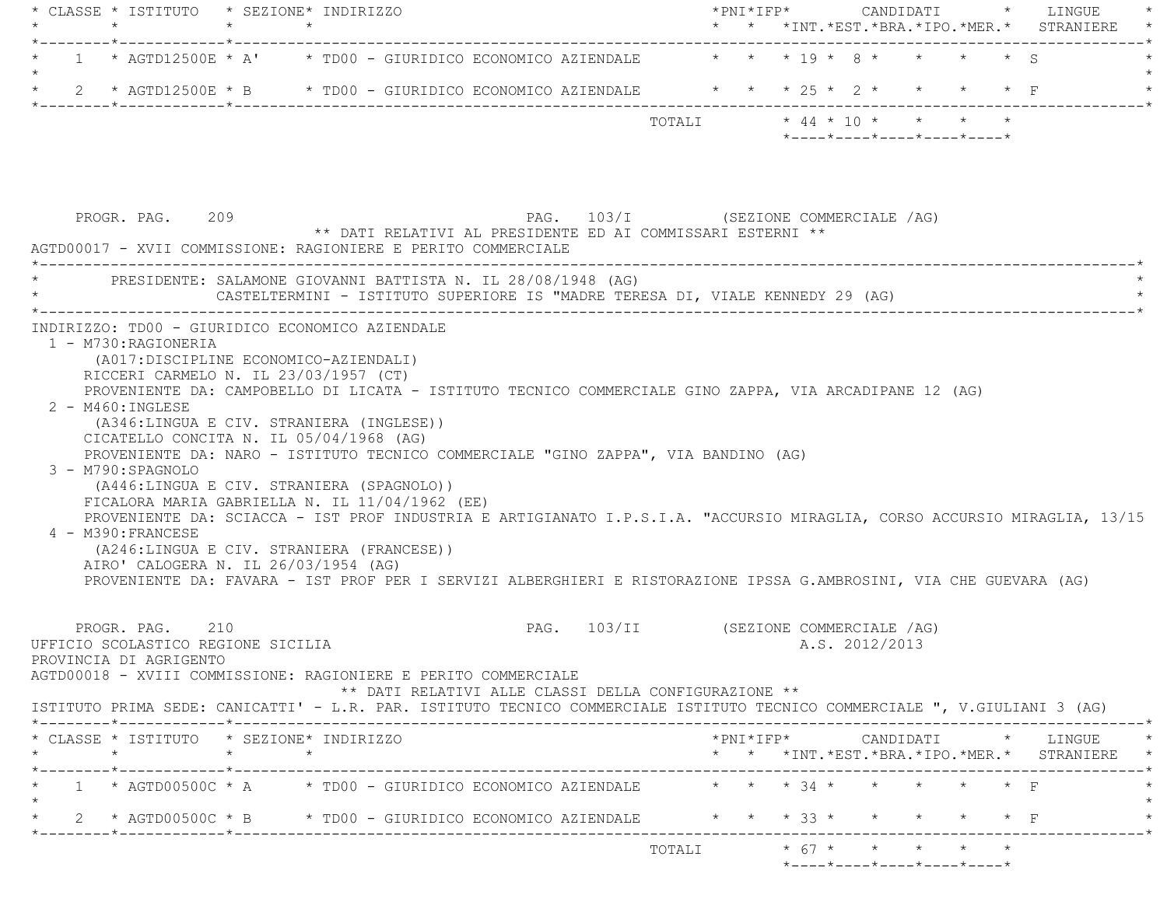| * * *INT. *EST. *BRA. *IPO. *MER. * STRANIERE                                                                                                                                                                                                 |                                                                                                                                                                                                                                                                                                                                                                                                                                                                                                                                                                    |
|-----------------------------------------------------------------------------------------------------------------------------------------------------------------------------------------------------------------------------------------------|--------------------------------------------------------------------------------------------------------------------------------------------------------------------------------------------------------------------------------------------------------------------------------------------------------------------------------------------------------------------------------------------------------------------------------------------------------------------------------------------------------------------------------------------------------------------|
|                                                                                                                                                                                                                                               |                                                                                                                                                                                                                                                                                                                                                                                                                                                                                                                                                                    |
|                                                                                                                                                                                                                                               |                                                                                                                                                                                                                                                                                                                                                                                                                                                                                                                                                                    |
| $*$ ---- $*$ ---- $*$ ---- $*$ ---- $*$ ---- $*$                                                                                                                                                                                              |                                                                                                                                                                                                                                                                                                                                                                                                                                                                                                                                                                    |
|                                                                                                                                                                                                                                               |                                                                                                                                                                                                                                                                                                                                                                                                                                                                                                                                                                    |
|                                                                                                                                                                                                                                               |                                                                                                                                                                                                                                                                                                                                                                                                                                                                                                                                                                    |
| PROVENIENTE DA: SCIACCA - IST PROF INDUSTRIA E ARTIGIANATO I.P.S.I.A. "ACCURSIO MIRAGLIA, CORSO ACCURSIO MIRAGLIA, 13/15                                                                                                                      |                                                                                                                                                                                                                                                                                                                                                                                                                                                                                                                                                                    |
| PROVENIENTE DA: FAVARA - IST PROF PER I SERVIZI ALBERGHIERI E RISTORAZIONE IPSSA G.AMBROSINI, VIA CHE GUEVARA (AG)                                                                                                                            |                                                                                                                                                                                                                                                                                                                                                                                                                                                                                                                                                                    |
| PAG. 103/II (SEZIONE COMMERCIALE /AG)<br>A.S. 2012/2013<br>** DATI RELATIVI ALLE CLASSI DELLA CONFIGURAZIONE **<br>ISTITUTO PRIMA SEDE: CANICATTI' - L.R. PAR. ISTITUTO TECNICO COMMERCIALE ISTITUTO TECNICO COMMERCIALE ", V.GIULIANI 3 (AG) |                                                                                                                                                                                                                                                                                                                                                                                                                                                                                                                                                                    |
| $*PNI*IFP* \qquad \qquad \text{CANDIDATI} \qquad \qquad * \qquad \text{LINGUE} \qquad \qquad *$                                                                                                                                               |                                                                                                                                                                                                                                                                                                                                                                                                                                                                                                                                                                    |
| * * *INT.*EST.*BRA.*IPO.*MER.* STRANIERE *                                                                                                                                                                                                    |                                                                                                                                                                                                                                                                                                                                                                                                                                                                                                                                                                    |
| 1 * AGTD00500C * A * TD00 - GIURIDICO ECONOMICO AZIENDALE * * * 34 * * * * * * F                                                                                                                                                              |                                                                                                                                                                                                                                                                                                                                                                                                                                                                                                                                                                    |
| 2 * AGTD00500C * B * TD00 - GIURIDICO ECONOMICO AZIENDALE * * * * 33 * * * * * * * F                                                                                                                                                          |                                                                                                                                                                                                                                                                                                                                                                                                                                                                                                                                                                    |
|                                                                                                                                                                                                                                               | 1 * AGTD12500E * A' * TD00 - GIURIDICO ECONOMICO AZIENDALE * * * 19 * 8 * * * * * * S<br>2 * AGTD12500E * B * TD00 - GIURIDICO ECONOMICO AZIENDALE * * * 25 * 2 * * * * * F<br>PAG. 103/I (SEZIONE COMMERCIALE /AG)<br>** DATI RELATIVI AL PRESIDENTE ED AI COMMISSARI ESTERNI **<br>CASTELTERMINI - ISTITUTO SUPERIORE IS "MADRE TERESA DI, VIALE KENNEDY 29 (AG)<br>PROVENIENTE DA: CAMPOBELLO DI LICATA - ISTITUTO TECNICO COMMERCIALE GINO ZAPPA, VIA ARCADIPANE 12 (AG)<br>PROVENIENTE DA: NARO - ISTITUTO TECNICO COMMERCIALE "GINO ZAPPA", VIA BANDINO (AG) |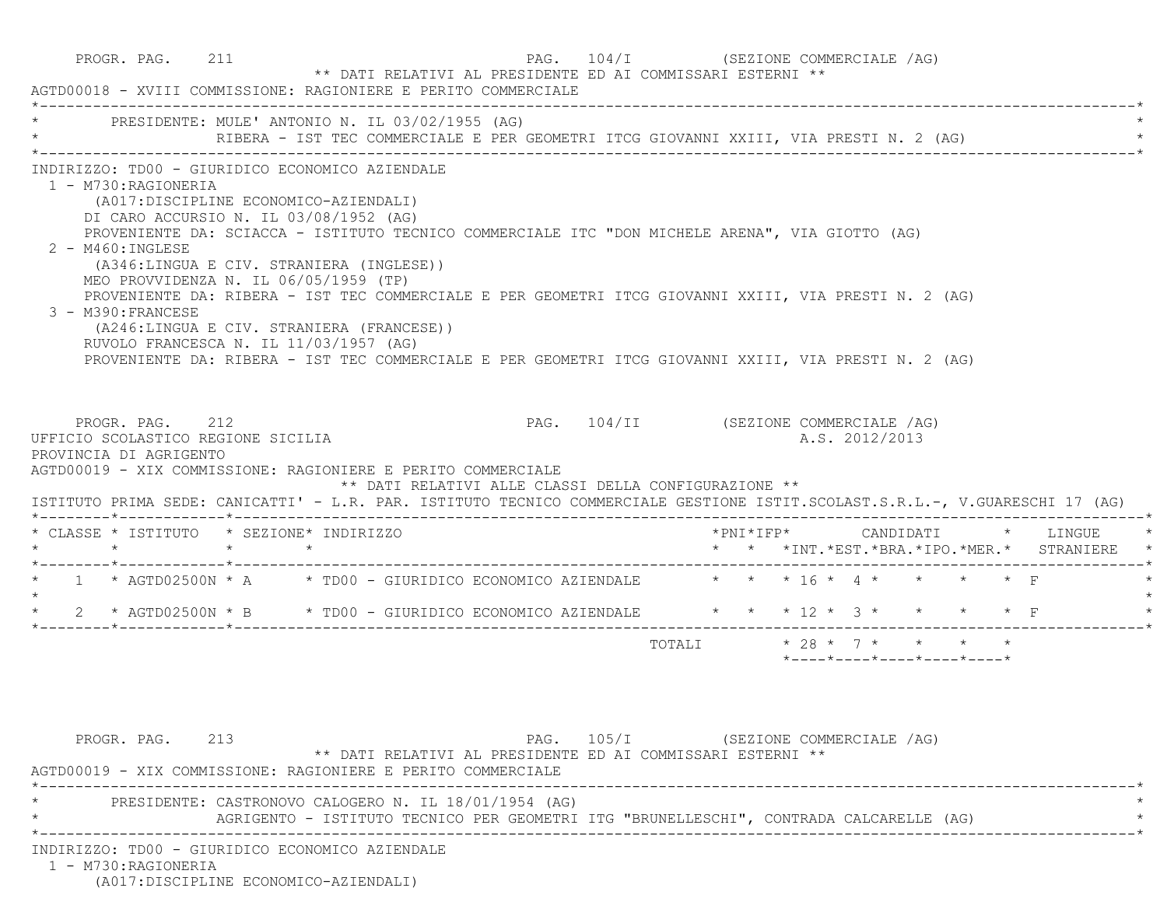| PROGR. PAG. 211                                                               | ** DATI RELATIVI AL PRESIDENTE ED AI COMMISSARI ESTERNI **<br>AGTD00018 - XVIII COMMISSIONE: RAGIONIERE E PERITO COMMERCIALE                                                                                                                                                                                                                                                                                                                                                                                                                                                                                                        | PAG. 104/I (SEZIONE COMMERCIALE /AG)  |                      |                                                                      |                    |
|-------------------------------------------------------------------------------|-------------------------------------------------------------------------------------------------------------------------------------------------------------------------------------------------------------------------------------------------------------------------------------------------------------------------------------------------------------------------------------------------------------------------------------------------------------------------------------------------------------------------------------------------------------------------------------------------------------------------------------|---------------------------------------|----------------------|----------------------------------------------------------------------|--------------------|
|                                                                               | * PRESIDENTE: MULE' ANTONIO N. IL 03/02/1955 (AG)<br>RIBERA - IST TEC COMMERCIALE E PER GEOMETRI ITCG GIOVANNI XXIII, VIA PRESTI N. 2 (AG)                                                                                                                                                                                                                                                                                                                                                                                                                                                                                          |                                       |                      |                                                                      |                    |
| 1 - M730:RAGIONERIA<br>$2 - M460$ : INGLESE<br>3 - M390: FRANCESE             | INDIRIZZO: TD00 - GIURIDICO ECONOMICO AZIENDALE<br>(A017:DISCIPLINE ECONOMICO-AZIENDALI)<br>DI CARO ACCURSIO N. IL 03/08/1952 (AG)<br>PROVENIENTE DA: SCIACCA - ISTITUTO TECNICO COMMERCIALE ITC "DON MICHELE ARENA", VIA GIOTTO (AG)<br>(A346:LINGUA E CIV. STRANIERA (INGLESE))<br>MEO PROVVIDENZA N. IL 06/05/1959 (TP)<br>PROVENIENTE DA: RIBERA - IST TEC COMMERCIALE E PER GEOMETRI ITCG GIOVANNI XXIII, VIA PRESTI N. 2 (AG)<br>(A246:LINGUA E CIV. STRANIERA (FRANCESE))<br>RUVOLO FRANCESCA N. IL 11/03/1957 (AG)<br>PROVENIENTE DA: RIBERA - IST TEC COMMERCIALE E PER GEOMETRI ITCG GIOVANNI XXIII, VIA PRESTI N. 2 (AG) |                                       |                      |                                                                      |                    |
| PROGR. PAG. 212<br>UFFICIO SCOLASTICO REGIONE SICILIA                         |                                                                                                                                                                                                                                                                                                                                                                                                                                                                                                                                                                                                                                     | PAG. 104/II (SEZIONE COMMERCIALE /AG) |                      | A.S. 2012/2013                                                       |                    |
| $\star$<br>$\star$                                                            | AGTD00019 - XIX COMMISSIONE: RAGIONIERE E PERITO COMMERCIALE<br>** DATI RELATIVI ALLE CLASSI DELLA CONFIGURAZIONE **<br>ISTITUTO PRIMA SEDE: CANICATTI' - L.R. PAR. ISTITUTO TECNICO COMMERCIALE GESTIONE ISTIT.SCOLAST.S.R.L.-, V.GUARESCHI 17 (AG)<br>$\star$                                                                                                                                                                                                                                                                                                                                                                     |                                       | $*$ PNI $*$ I FP $*$ |                                                                      | CANDIDATI * LINGUE |
|                                                                               | * 1 * AGTD02500N * A * TD00 - GIURIDICO ECONOMICO AZIENDALE * * * 16 * 4 * * * * * F                                                                                                                                                                                                                                                                                                                                                                                                                                                                                                                                                |                                       |                      | * * *INT.*EST.*BRA.*IPO.*MER.* STRANIERE                             |                    |
|                                                                               | 2 * AGTD02500N * B * TD00 - GIURIDICO ECONOMICO AZIENDALE * * * 12 * 3 * * * * * F                                                                                                                                                                                                                                                                                                                                                                                                                                                                                                                                                  |                                       |                      |                                                                      |                    |
| PROVINCIA DI AGRIGENTO<br>* CLASSE * ISTITUTO * SEZIONE* INDIRIZZO<br>$\star$ |                                                                                                                                                                                                                                                                                                                                                                                                                                                                                                                                                                                                                                     |                                       |                      | TOTALI * 28 * 7 * * * * *<br>$*$ ---- $*$ ---- $*$ ---- $*$ ---- $*$ |                    |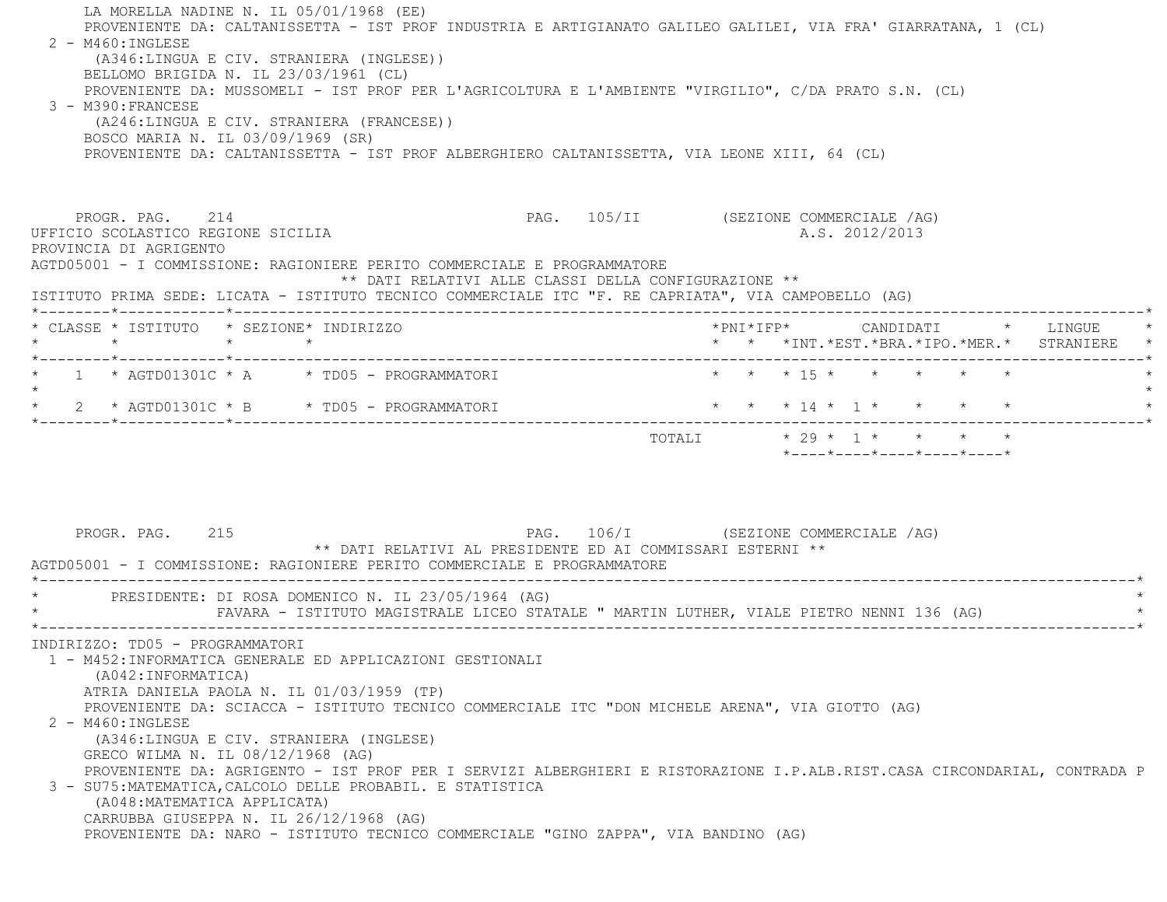| LA MORELLA NADINE N. IL 05/01/1968 (EE)<br>PROVENIENTE DA: CALTANISSETTA - IST PROF INDUSTRIA E ARTIGIANATO GALILEO GALILEI, VIA FRA' GIARRATANA, 1 (CL)<br>$2 - M460$ : INGLESE<br>(A346:LINGUA E CIV. STRANIERA (INGLESE))<br>BELLOMO BRIGIDA N. IL 23/03/1961 (CL)<br>PROVENIENTE DA: MUSSOMELI - IST PROF PER L'AGRICOLTURA E L'AMBIENTE "VIRGILIO", C/DA PRATO S.N. (CL)<br>$3 - M390 : FRANCESE$<br>(A246:LINGUA E CIV. STRANIERA (FRANCESE))<br>BOSCO MARIA N. IL 03/09/1969 (SR)<br>PROVENIENTE DA: CALTANISSETTA - IST PROF ALBERGHIERO CALTANISSETTA, VIA LEONE XIII, 64 (CL)                                                                                                                                             |                                                                 |
|-------------------------------------------------------------------------------------------------------------------------------------------------------------------------------------------------------------------------------------------------------------------------------------------------------------------------------------------------------------------------------------------------------------------------------------------------------------------------------------------------------------------------------------------------------------------------------------------------------------------------------------------------------------------------------------------------------------------------------------|-----------------------------------------------------------------|
| PROGR. PAG. 214<br>UFFICIO SCOLASTICO REGIONE SICILIA<br>PROVINCIA DI AGRIGENTO<br>AGTD05001 - I COMMISSIONE: RAGIONIERE PERITO COMMERCIALE E PROGRAMMATORE<br>** DATI RELATIVI ALLE CLASSI DELLA CONFIGURAZIONE **<br>ISTITUTO PRIMA SEDE: LICATA - ISTITUTO TECNICO COMMERCIALE ITC "F. RE CAPRIATA", VIA CAMPOBELLO (AG)                                                                                                                                                                                                                                                                                                                                                                                                         | PAG. 105/II (SEZIONE COMMERCIALE /AG)<br>A.S. 2012/2013         |
| * CLASSE * ISTITUTO * SEZIONE* INDIRIZZO                                                                                                                                                                                                                                                                                                                                                                                                                                                                                                                                                                                                                                                                                            | * * *INT. *EST. *BRA. *IPO. *MER. * STRANIERE                   |
| 1 * AGTD01301C * A * TD05 - PROGRAMMATORI<br>* 2 * AGTD01301C * B * TD05 - PROGRAMMATORI                                                                                                                                                                                                                                                                                                                                                                                                                                                                                                                                                                                                                                            | * * * 15 * * * * * *<br>* * * 14 * 1 * * * * *                  |
| PAG. 106/I (SEZIONE COMMERCIALE /AG)<br>PROGR. PAG. 215<br>** DATI RELATIVI AL PRESIDENTE ED AI COMMISSARI ESTERNI **<br>AGTD05001 - I COMMISSIONE: RAGIONIERE PERITO COMMERCIALE E PROGRAMMATORE                                                                                                                                                                                                                                                                                                                                                                                                                                                                                                                                   | $*$ - - - - $*$ - - - - $*$ - - - - $*$ - - - - $*$ - - - - $*$ |
| PRESIDENTE: DI ROSA DOMENICO N. IL 23/05/1964 (AG)<br>FAVARA - ISTITUTO MAGISTRALE LICEO STATALE " MARTIN LUTHER, VIALE PIETRO NENNI 136 (AG)                                                                                                                                                                                                                                                                                                                                                                                                                                                                                                                                                                                       |                                                                 |
| INDIRIZZO: TD05 - PROGRAMMATORI<br>1 - M452: INFORMATICA GENERALE ED APPLICAZIONI GESTIONALI<br>(A042: INFORMATICA)<br>ATRIA DANIELA PAOLA N. IL 01/03/1959 (TP)<br>PROVENIENTE DA: SCIACCA - ISTITUTO TECNICO COMMERCIALE ITC "DON MICHELE ARENA", VIA GIOTTO (AG)<br>2 - M460: INGLESE<br>(A346:LINGUA E CIV. STRANIERA (INGLESE)<br>GRECO WILMA N. IL 08/12/1968 (AG)<br>PROVENIENTE DA: AGRIGENTO - IST PROF PER I SERVIZI ALBERGHIERI E RISTORAZIONE I.P.ALB.RIST.CASA CIRCONDARIAL, CONTRADA P<br>3 - SU75: MATEMATICA, CALCOLO DELLE PROBABIL. E STATISTICA<br>(A048: MATEMATICA APPLICATA)<br>CARRUBBA GIUSEPPA N. IL 26/12/1968 (AG)<br>PROVENIENTE DA: NARO - ISTITUTO TECNICO COMMERCIALE "GINO ZAPPA", VIA BANDINO (AG) |                                                                 |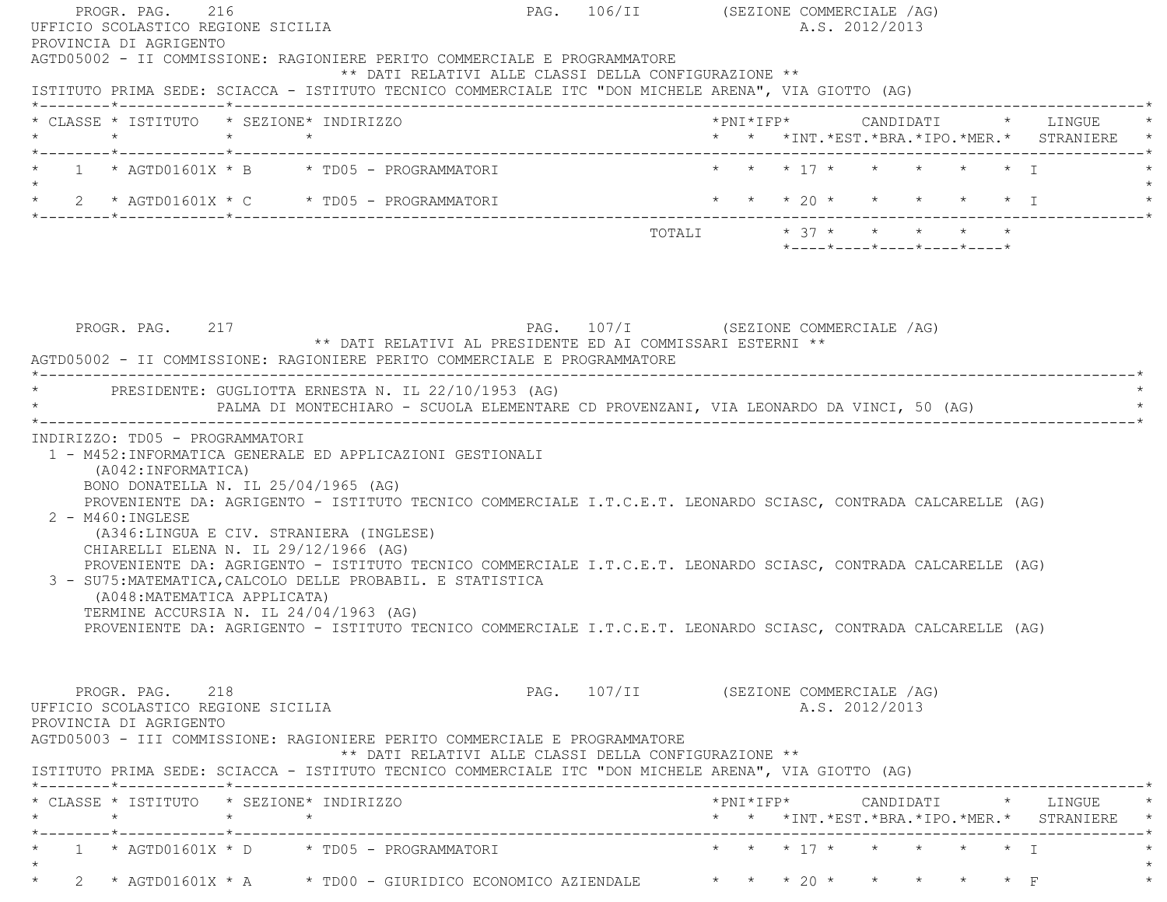| PROGR. PAG. 216<br>UFFICIO SCOLASTICO REGIONE SICILIA                                                                                                                                                                                                                                                                                                                        |                                                            | PAG. 106/II (SEZIONE COMMERCIALE /AG)<br>A.S. 2012/2013                                                                                                                                                                                                                                                                                         |
|------------------------------------------------------------------------------------------------------------------------------------------------------------------------------------------------------------------------------------------------------------------------------------------------------------------------------------------------------------------------------|------------------------------------------------------------|-------------------------------------------------------------------------------------------------------------------------------------------------------------------------------------------------------------------------------------------------------------------------------------------------------------------------------------------------|
| PROVINCIA DI AGRIGENTO<br>AGTD05002 - II COMMISSIONE: RAGIONIERE PERITO COMMERCIALE E PROGRAMMATORE<br>ISTITUTO PRIMA SEDE: SCIACCA - ISTITUTO TECNICO COMMERCIALE ITC "DON MICHELE ARENA", VIA GIOTTO (AG)                                                                                                                                                                  | ** DATI RELATIVI ALLE CLASSI DELLA CONFIGURAZIONE **       |                                                                                                                                                                                                                                                                                                                                                 |
| * CLASSE * ISTITUTO * SEZIONE* INDIRIZZO                                                                                                                                                                                                                                                                                                                                     |                                                            | *PNI*IFP* CANDIDATI * LINGUE<br>* * *INT. *EST. *BRA. *IPO. *MER. * STRANIERE *                                                                                                                                                                                                                                                                 |
| * $1$ * $AGTD01601X$ * B * TD05 - PROGRAMMATORI                                                                                                                                                                                                                                                                                                                              |                                                            | * * * 17 * * * * * T                                                                                                                                                                                                                                                                                                                            |
| $\star$                                                                                                                                                                                                                                                                                                                                                                      |                                                            |                                                                                                                                                                                                                                                                                                                                                 |
|                                                                                                                                                                                                                                                                                                                                                                              |                                                            | * 2 * AGTD01601X * C * TD05 - PROGRAMMATORI * * * * 20 * * * * * * * * * * * * T<br>TOTALI $* 37 * * * * * * * * *$<br>*----*----*----*----*----*                                                                                                                                                                                               |
| PROGR. PAG. 217<br>AGTD05002 - II COMMISSIONE: RAGIONIERE PERITO COMMERCIALE E PROGRAMMATORE                                                                                                                                                                                                                                                                                 | ** DATI RELATIVI AL PRESIDENTE ED AI COMMISSARI ESTERNI ** | PAG. 107/I (SEZIONE COMMERCIALE /AG)                                                                                                                                                                                                                                                                                                            |
| * PRESIDENTE: GUGLIOTTA ERNESTA N. IL 22/10/1953 (AG)                                                                                                                                                                                                                                                                                                                        |                                                            | PALMA DI MONTECHIARO - SCUOLA ELEMENTARE CD PROVENZANI, VIA LEONARDO DA VINCI, 50 (AG)                                                                                                                                                                                                                                                          |
| 1 - M452: INFORMATICA GENERALE ED APPLICAZIONI GESTIONALI<br>(A042: INFORMATICA)<br>BONO DONATELLA N. IL 25/04/1965 (AG)<br>$2 - M460$ : INGLESE<br>(A346:LINGUA E CIV. STRANIERA (INGLESE)<br>CHIARELLI ELENA N. IL 29/12/1966 (AG)<br>3 - SU75: MATEMATICA, CALCOLO DELLE PROBABIL. E STATISTICA<br>(A048: MATEMATICA APPLICATA)<br>TERMINE ACCURSIA N. IL 24/04/1963 (AG) |                                                            | PROVENIENTE DA: AGRIGENTO - ISTITUTO TECNICO COMMERCIALE I.T.C.E.T. LEONARDO SCIASC, CONTRADA CALCARELLE (AG)<br>PROVENIENTE DA: AGRIGENTO - ISTITUTO TECNICO COMMERCIALE I.T.C.E.T. LEONARDO SCIASC, CONTRADA CALCARELLE (AG)<br>PROVENIENTE DA: AGRIGENTO - ISTITUTO TECNICO COMMERCIALE I.T.C.E.T. LEONARDO SCIASC, CONTRADA CALCARELLE (AG) |
| PROGR. PAG. 218<br>UFFICIO SCOLASTICO REGIONE SICILIA<br>PROVINCIA DI AGRIGENTO<br>AGTD05003 - III COMMISSIONE: RAGIONIERE PERITO COMMERCIALE E PROGRAMMATORE<br>ISTITUTO PRIMA SEDE: SCIACCA - ISTITUTO TECNICO COMMERCIALE ITC "DON MICHELE ARENA", VIA GIOTTO (AG)                                                                                                        | ** DATI RELATIVI ALLE CLASSI DELLA CONFIGURAZIONE **       | PAG. 107/II (SEZIONE COMMERCIALE /AG)<br>A.S. 2012/2013                                                                                                                                                                                                                                                                                         |
| * CLASSE * ISTITUTO   * SEZIONE* INDIRIZZO                                                                                                                                                                                                                                                                                                                                   |                                                            | * * *INT. *EST. *BRA. *IPO. *MER. * STRANIERE *                                                                                                                                                                                                                                                                                                 |
| $1 \times \text{AGTDO1601X} \times \text{D} \times \text{TDO5 - PROGRAMMATORI}$                                                                                                                                                                                                                                                                                              |                                                            | * * * 17 * * * * * * 1                                                                                                                                                                                                                                                                                                                          |
|                                                                                                                                                                                                                                                                                                                                                                              |                                                            | * 2 * AGTD01601X * A * TD00 - GIURIDICO ECONOMICO AZIENDALE * * * 20 * * * * * * F                                                                                                                                                                                                                                                              |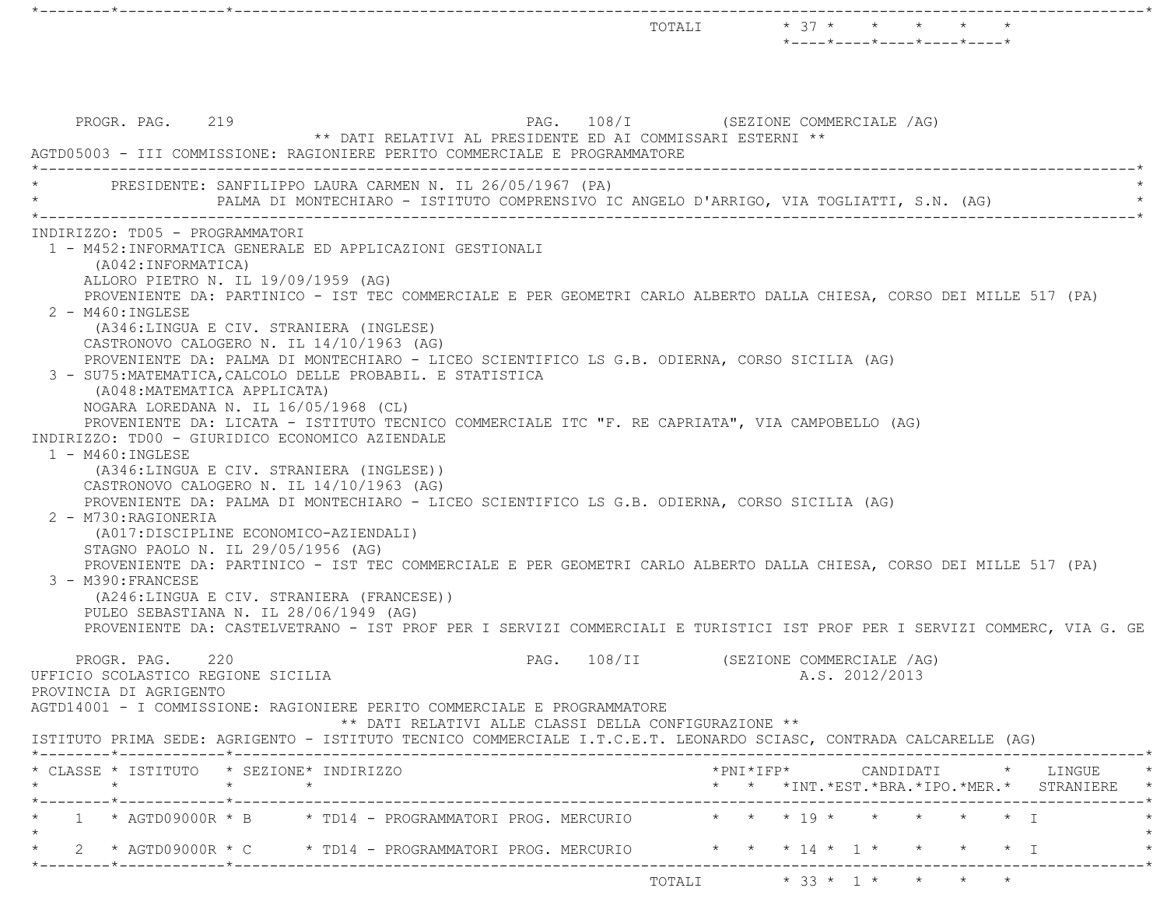|                                                                                                                                                                                                                                                                                                                                                                                                                                                                                                                                                                                                                                                                                                                                                                                                                                                                                                                                                                                                                                                                                                                                                                                                                                                                                                                                                                                                                                                                                    |     |                                                                                                                                                       |      |        | TOTALI * 37 * * *                    |                           |                | $*$ - - - - $*$ - - - - $*$ - - - - $*$ - - - - $*$ - - - - $*$ | $\star$ |                                                                                            |  |
|------------------------------------------------------------------------------------------------------------------------------------------------------------------------------------------------------------------------------------------------------------------------------------------------------------------------------------------------------------------------------------------------------------------------------------------------------------------------------------------------------------------------------------------------------------------------------------------------------------------------------------------------------------------------------------------------------------------------------------------------------------------------------------------------------------------------------------------------------------------------------------------------------------------------------------------------------------------------------------------------------------------------------------------------------------------------------------------------------------------------------------------------------------------------------------------------------------------------------------------------------------------------------------------------------------------------------------------------------------------------------------------------------------------------------------------------------------------------------------|-----|-------------------------------------------------------------------------------------------------------------------------------------------------------|------|--------|--------------------------------------|---------------------------|----------------|-----------------------------------------------------------------|---------|--------------------------------------------------------------------------------------------|--|
| PROGR. PAG. 219<br>AGTD05003 - III COMMISSIONE: RAGIONIERE PERITO COMMERCIALE E PROGRAMMATORE                                                                                                                                                                                                                                                                                                                                                                                                                                                                                                                                                                                                                                                                                                                                                                                                                                                                                                                                                                                                                                                                                                                                                                                                                                                                                                                                                                                      |     | ** DATI RELATIVI AL PRESIDENTE ED AI COMMISSARI ESTERNI **                                                                                            |      |        | PAG. 108/I (SEZIONE COMMERCIALE /AG) |                           |                |                                                                 |         |                                                                                            |  |
|                                                                                                                                                                                                                                                                                                                                                                                                                                                                                                                                                                                                                                                                                                                                                                                                                                                                                                                                                                                                                                                                                                                                                                                                                                                                                                                                                                                                                                                                                    |     | PRESIDENTE: SANFILIPPO LAURA CARMEN N. IL 26/05/1967 (PA)<br>PALMA DI MONTECHIARO - ISTITUTO COMPRENSIVO IC ANGELO D'ARRIGO, VIA TOGLIATTI, S.N. (AG) |      |        |                                      |                           |                |                                                                 |         |                                                                                            |  |
| INDIRIZZO: TD05 - PROGRAMMATORI<br>1 - M452:INFORMATICA GENERALE ED APPLICAZIONI GESTIONALI<br>(A042: INFORMATICA)<br>ALLORO PIETRO N. IL 19/09/1959 (AG)<br>PROVENIENTE DA: PARTINICO - IST TEC COMMERCIALE E PER GEOMETRI CARLO ALBERTO DALLA CHIESA, CORSO DEI MILLE 517 (PA)<br>$2 - M460$ : INGLESE<br>(A346:LINGUA E CIV. STRANIERA (INGLESE)<br>CASTRONOVO CALOGERO N. IL 14/10/1963 (AG)<br>PROVENIENTE DA: PALMA DI MONTECHIARO - LICEO SCIENTIFICO LS G.B. ODIERNA, CORSO SICILIA (AG)<br>3 - SU75: MATEMATICA, CALCOLO DELLE PROBABIL. E STATISTICA<br>(A048: MATEMATICA APPLICATA)<br>NOGARA LOREDANA N. IL 16/05/1968 (CL)<br>PROVENIENTE DA: LICATA - ISTITUTO TECNICO COMMERCIALE ITC "F. RE CAPRIATA", VIA CAMPOBELLO (AG)<br>INDIRIZZO: TD00 - GIURIDICO ECONOMICO AZIENDALE<br>1 - M460: INGLESE<br>(A346:LINGUA E CIV. STRANIERA (INGLESE))<br>CASTRONOVO CALOGERO N. IL 14/10/1963 (AG)<br>PROVENIENTE DA: PALMA DI MONTECHIARO - LICEO SCIENTIFICO LS G.B. ODIERNA, CORSO SICILIA (AG)<br>2 - M730: RAGIONERIA<br>(A017:DISCIPLINE ECONOMICO-AZIENDALI)<br>STAGNO PAOLO N. IL 29/05/1956 (AG)<br>PROVENIENTE DA: PARTINICO - IST TEC COMMERCIALE E PER GEOMETRI CARLO ALBERTO DALLA CHIESA, CORSO DEI MILLE 517 (PA)<br>3 - M390: FRANCESE<br>(A246:LINGUA E CIV. STRANIERA (FRANCESE))<br>PULEO SEBASTIANA N. IL 28/06/1949 (AG)<br>PROVENIENTE DA: CASTELVETRANO - IST PROF PER I SERVIZI COMMERCIALI E TURISTICI IST PROF PER I SERVIZI COMMERC, VIA G. GE |     |                                                                                                                                                       |      |        |                                      |                           |                |                                                                 |         |                                                                                            |  |
| PROGR. PAG.<br>UFFICIO SCOLASTICO REGIONE SICILIA<br>PROVINCIA DI AGRIGENTO                                                                                                                                                                                                                                                                                                                                                                                                                                                                                                                                                                                                                                                                                                                                                                                                                                                                                                                                                                                                                                                                                                                                                                                                                                                                                                                                                                                                        | 220 |                                                                                                                                                       | PAG. | 108/II |                                      | (SEZIONE COMMERCIALE /AG) | A.S. 2012/2013 |                                                                 |         |                                                                                            |  |
|                                                                                                                                                                                                                                                                                                                                                                                                                                                                                                                                                                                                                                                                                                                                                                                                                                                                                                                                                                                                                                                                                                                                                                                                                                                                                                                                                                                                                                                                                    |     | ** DATI RELATIVI ALLE CLASSI DELLA CONFIGURAZIONE **                                                                                                  |      |        |                                      |                           |                |                                                                 |         |                                                                                            |  |
| AGTD14001 - I COMMISSIONE: RAGIONIERE PERITO COMMERCIALE E PROGRAMMATORE<br>ISTITUTO PRIMA SEDE: AGRIGENTO - ISTITUTO TECNICO COMMERCIALE I.T.C.E.T. LEONARDO SCIASC, CONTRADA CALCARELLE (AG)                                                                                                                                                                                                                                                                                                                                                                                                                                                                                                                                                                                                                                                                                                                                                                                                                                                                                                                                                                                                                                                                                                                                                                                                                                                                                     |     |                                                                                                                                                       |      |        |                                      |                           |                |                                                                 |         |                                                                                            |  |
| * CLASSE * ISTITUTO * SEZIONE* INDIRIZZO                                                                                                                                                                                                                                                                                                                                                                                                                                                                                                                                                                                                                                                                                                                                                                                                                                                                                                                                                                                                                                                                                                                                                                                                                                                                                                                                                                                                                                           |     |                                                                                                                                                       |      |        |                                      |                           |                |                                                                 |         | $*$ PNI $*$ IFP $*$ CANDIDATI $*$ LINGUE $*$<br>* * *INT.*EST.*BRA.*IPO.*MER.* STRANIERE * |  |
| ·--------*------------*---------<br>1 * AGTD09000R * B * TD14 - PROGRAMMATORI PROG. MERCURIO * * * 19 * * * * * * * T                                                                                                                                                                                                                                                                                                                                                                                                                                                                                                                                                                                                                                                                                                                                                                                                                                                                                                                                                                                                                                                                                                                                                                                                                                                                                                                                                              |     |                                                                                                                                                       |      |        |                                      |                           |                |                                                                 |         |                                                                                            |  |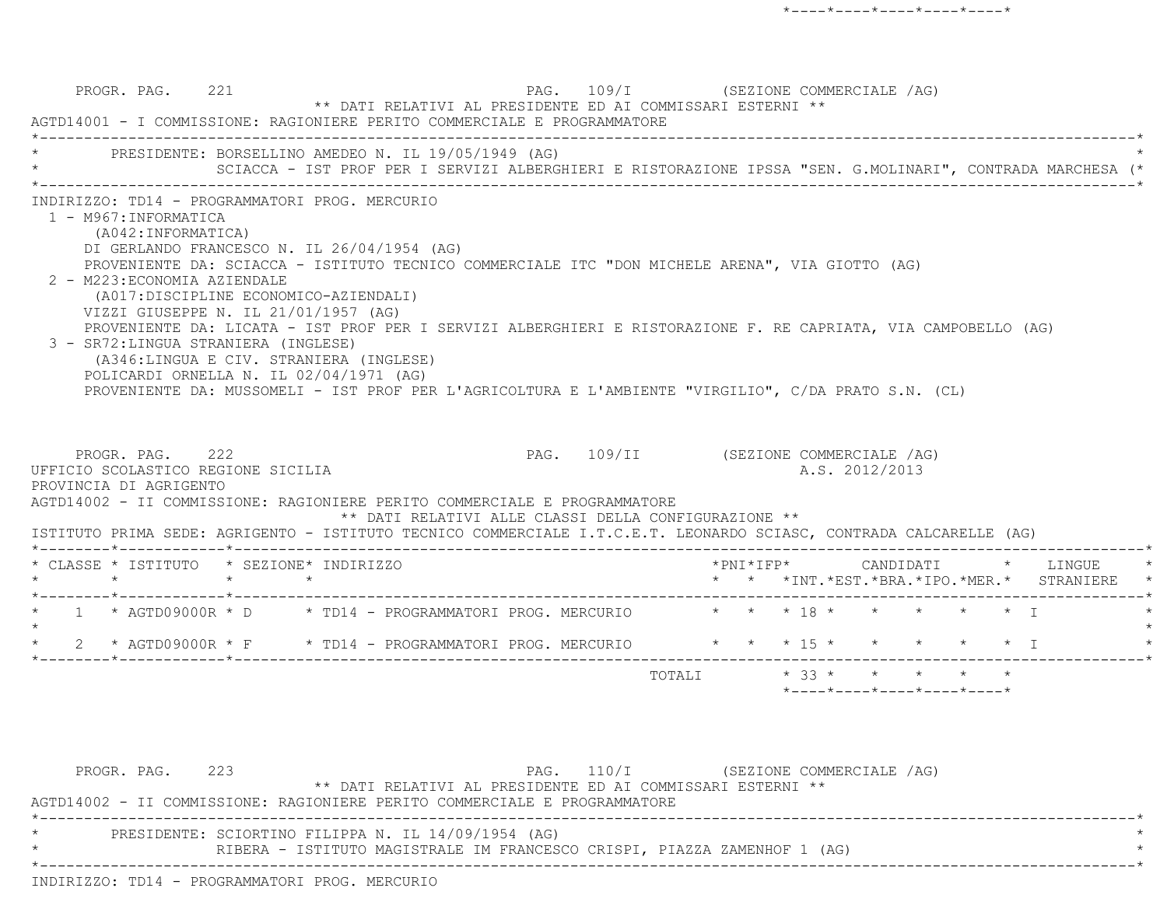| INDIRIZZO: TD14 - PROGRAMMATORI PROG. MERCURIO<br>1 - M967: INFORMATICA<br>(A042: INFORMATICA)<br>DI GERLANDO FRANCESCO N. IL 26/04/1954 (AG)<br>PROVENIENTE DA: SCIACCA - ISTITUTO TECNICO COMMERCIALE ITC "DON MICHELE ARENA", VIA GIOTTO (AG)<br>2 - M223: ECONOMIA AZIENDALE<br>(A017:DISCIPLINE ECONOMICO-AZIENDALI)<br>VIZZI GIUSEPPE N. IL 21/01/1957 (AG)<br>PROVENIENTE DA: LICATA - IST PROF PER I SERVIZI ALBERGHIERI E RISTORAZIONE F. RE CAPRIATA, VIA CAMPOBELLO (AG)<br>3 - SR72: LINGUA STRANIERA (INGLESE)<br>(A346:LINGUA E CIV. STRANIERA (INGLESE)<br>POLICARDI ORNELLA N. IL 02/04/1971 (AG)<br>PROVENIENTE DA: MUSSOMELI - IST PROF PER L'AGRICOLTURA E L'AMBIENTE "VIRGILIO", C/DA PRATO S.N. (CL)<br>PAG. 109/II (SEZIONE COMMERCIALE /AG)<br>PROGR. PAG. 222<br>UFFICIO SCOLASTICO REGIONE SICILIA<br>A.S. 2012/2013<br>PROVINCIA DI AGRIGENTO<br>AGTD14002 - II COMMISSIONE: RAGIONIERE PERITO COMMERCIALE E PROGRAMMATORE<br>** DATI RELATIVI ALLE CLASSI DELLA CONFIGURAZIONE **<br>ISTITUTO PRIMA SEDE: AGRIGENTO - ISTITUTO TECNICO COMMERCIALE I.T.C.E.T. LEONARDO SCIASC, CONTRADA CALCARELLE (AG)<br>* CLASSE * ISTITUTO * SEZIONE* INDIRIZZO<br>$\star$ $\star$<br>$\star$ $\star$<br>* * *INT.*EST.*BRA.*IPO.*MER.* STRANIERE<br>* 1 * AGTD09000R * D * TD14 - PROGRAMMATORI PROG. MERCURIO * * * 18 * * * * * * * I<br>* 2 * AGTD09000R * F * TD14 - PROGRAMMATORI PROG. MERCURIO * * * 15 * * * * * * * I | * PRESIDENTE: BORSELLINO AMEDEO N. IL 19/05/1949 (AG) | SCIACCA - IST PROF PER I SERVIZI ALBERGHIERI E RISTORAZIONE IPSSA "SEN. G.MOLINARI", CONTRADA MARCHESA (* |  |  |  |  |
|------------------------------------------------------------------------------------------------------------------------------------------------------------------------------------------------------------------------------------------------------------------------------------------------------------------------------------------------------------------------------------------------------------------------------------------------------------------------------------------------------------------------------------------------------------------------------------------------------------------------------------------------------------------------------------------------------------------------------------------------------------------------------------------------------------------------------------------------------------------------------------------------------------------------------------------------------------------------------------------------------------------------------------------------------------------------------------------------------------------------------------------------------------------------------------------------------------------------------------------------------------------------------------------------------------------------------------------------------------------------------------------------------------------------------------------------|-------------------------------------------------------|-----------------------------------------------------------------------------------------------------------|--|--|--|--|
|                                                                                                                                                                                                                                                                                                                                                                                                                                                                                                                                                                                                                                                                                                                                                                                                                                                                                                                                                                                                                                                                                                                                                                                                                                                                                                                                                                                                                                                |                                                       |                                                                                                           |  |  |  |  |
|                                                                                                                                                                                                                                                                                                                                                                                                                                                                                                                                                                                                                                                                                                                                                                                                                                                                                                                                                                                                                                                                                                                                                                                                                                                                                                                                                                                                                                                |                                                       |                                                                                                           |  |  |  |  |
|                                                                                                                                                                                                                                                                                                                                                                                                                                                                                                                                                                                                                                                                                                                                                                                                                                                                                                                                                                                                                                                                                                                                                                                                                                                                                                                                                                                                                                                |                                                       |                                                                                                           |  |  |  |  |
|                                                                                                                                                                                                                                                                                                                                                                                                                                                                                                                                                                                                                                                                                                                                                                                                                                                                                                                                                                                                                                                                                                                                                                                                                                                                                                                                                                                                                                                |                                                       |                                                                                                           |  |  |  |  |
|                                                                                                                                                                                                                                                                                                                                                                                                                                                                                                                                                                                                                                                                                                                                                                                                                                                                                                                                                                                                                                                                                                                                                                                                                                                                                                                                                                                                                                                |                                                       |                                                                                                           |  |  |  |  |

PROGR. PAG. 223 PAG. 110/I (SEZIONE COMMERCIALE /AG) \*\* DATI RELATIVI AL PRESIDENTE ED AI COMMISSARI ESTERNI \*\* AGTD14002 - II COMMISSIONE: RAGIONIERE PERITO COMMERCIALE E PROGRAMMATORE \*----------------------------------------------------------------------------------------------------------------------------\*PRESIDENTE: SCIORTINO FILIPPA N. IL 14/09/1954 (AG) \* RIBERA - ISTITUTO MAGISTRALE IM FRANCESCO CRISPI, PIAZZA ZAMENHOF 1 (AG) \* \*----------------------------------------------------------------------------------------------------------------------------\*INDIRIZZO: TD14 - PROGRAMMATORI PROG. MERCURIO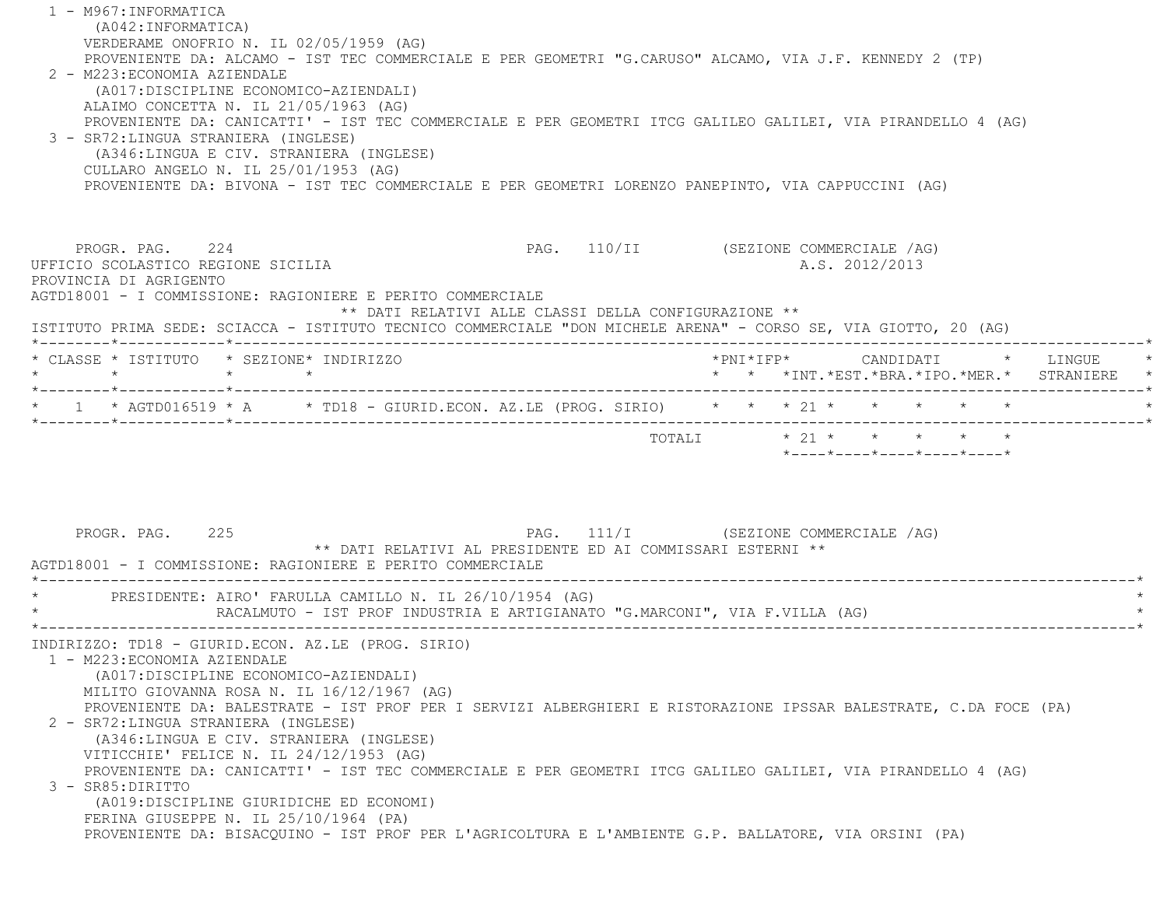1 - M967:INFORMATICA (A042:INFORMATICA) VERDERAME ONOFRIO N. IL 02/05/1959 (AG) PROVENIENTE DA: ALCAMO - IST TEC COMMERCIALE E PER GEOMETRI "G.CARUSO" ALCAMO, VIA J.F. KENNEDY 2 (TP) 2 - M223:ECONOMIA AZIENDALE (A017:DISCIPLINE ECONOMICO-AZIENDALI) ALAIMO CONCETTA N. IL 21/05/1963 (AG) PROVENIENTE DA: CANICATTI' - IST TEC COMMERCIALE E PER GEOMETRI ITCG GALILEO GALILEI, VIA PIRANDELLO 4 (AG) 3 - SR72:LINGUA STRANIERA (INGLESE) (A346:LINGUA E CIV. STRANIERA (INGLESE) CULLARO ANGELO N. IL 25/01/1953 (AG) PROVENIENTE DA: BIVONA - IST TEC COMMERCIALE E PER GEOMETRI LORENZO PANEPINTO, VIA CAPPUCCINI (AG) PROGR. PAG. 224 CHEER COMMERCIALE AG) UFFICIO SCOLASTICO REGIONE SICILIA A.S. 2012/2013 PROVINCIA DI AGRIGENTO AGTD18001 - I COMMISSIONE: RAGIONIERE E PERITO COMMERCIALE \*\* DATI RELATIVI ALLE CLASSI DELLA CONFIGURAZIONE \*\* ISTITUTO PRIMA SEDE: SCIACCA - ISTITUTO TECNICO COMMERCIALE "DON MICHELE ARENA" - CORSO SE, VIA GIOTTO, 20 (AG) \*--------\*------------\*-------------------------------------------------------------------------------------------------------\* \* CLASSE \* ISTITUTO \* SEZIONE\* INDIRIZZO \*PNI\*IFP\* CANDIDATI \* LINGUE \* \* \* \* \* \* \* \*INT.\*EST.\*BRA.\*IPO.\*MER.\* STRANIERE \* \*--------\*------------\*-------------------------------------------------------------------------------------------------------\* \* 1 \* AGTD016519 \* A \* TD18 - GIURID.ECON. AZ.LE (PROG. SIRIO) \* \* \* 21 \* \* \* \* \* \* \*--------\*------------\*-------------------------------------------------------------------------------------------------------\* TOTALI  $* 21 * * * * * * * * * *$  \*----\*----\*----\*----\*----\*PROGR. PAG. 225 PAG. 111/I (SEZIONE COMMERCIALE /AG) \*\* DATI RELATIVI AL PRESIDENTE ED AI COMMISSARI ESTERNI \*\* AGTD18001 - I COMMISSIONE: RAGIONIERE E PERITO COMMERCIALE \*----------------------------------------------------------------------------------------------------------------------------\*PRESIDENTE: AIRO' FARULLA CAMILLO N. IL 26/10/1954 (AG) RACALMUTO - IST PROF INDUSTRIA E ARTIGIANATO "G.MARCONI", VIA F.VILLA (AG) \*----------------------------------------------------------------------------------------------------------------------------\* INDIRIZZO: TD18 - GIURID.ECON. AZ.LE (PROG. SIRIO) 1 - M223:ECONOMIA AZIENDALE (A017:DISCIPLINE ECONOMICO-AZIENDALI) MILITO GIOVANNA ROSA N. IL 16/12/1967 (AG) PROVENIENTE DA: BALESTRATE - IST PROF PER I SERVIZI ALBERGHIERI E RISTORAZIONE IPSSAR BALESTRATE, C.DA FOCE (PA) 2 - SR72:LINGUA STRANIERA (INGLESE) (A346:LINGUA E CIV. STRANIERA (INGLESE) VITICCHIE' FELICE N. IL 24/12/1953 (AG) PROVENIENTE DA: CANICATTI' - IST TEC COMMERCIALE E PER GEOMETRI ITCG GALILEO GALILEI, VIA PIRANDELLO 4 (AG) 3 - SR85:DIRITTO (A019:DISCIPLINE GIURIDICHE ED ECONOMI) FERINA GIUSEPPE N. IL 25/10/1964 (PA) PROVENIENTE DA: BISACQUINO - IST PROF PER L'AGRICOLTURA E L'AMBIENTE G.P. BALLATORE, VIA ORSINI (PA)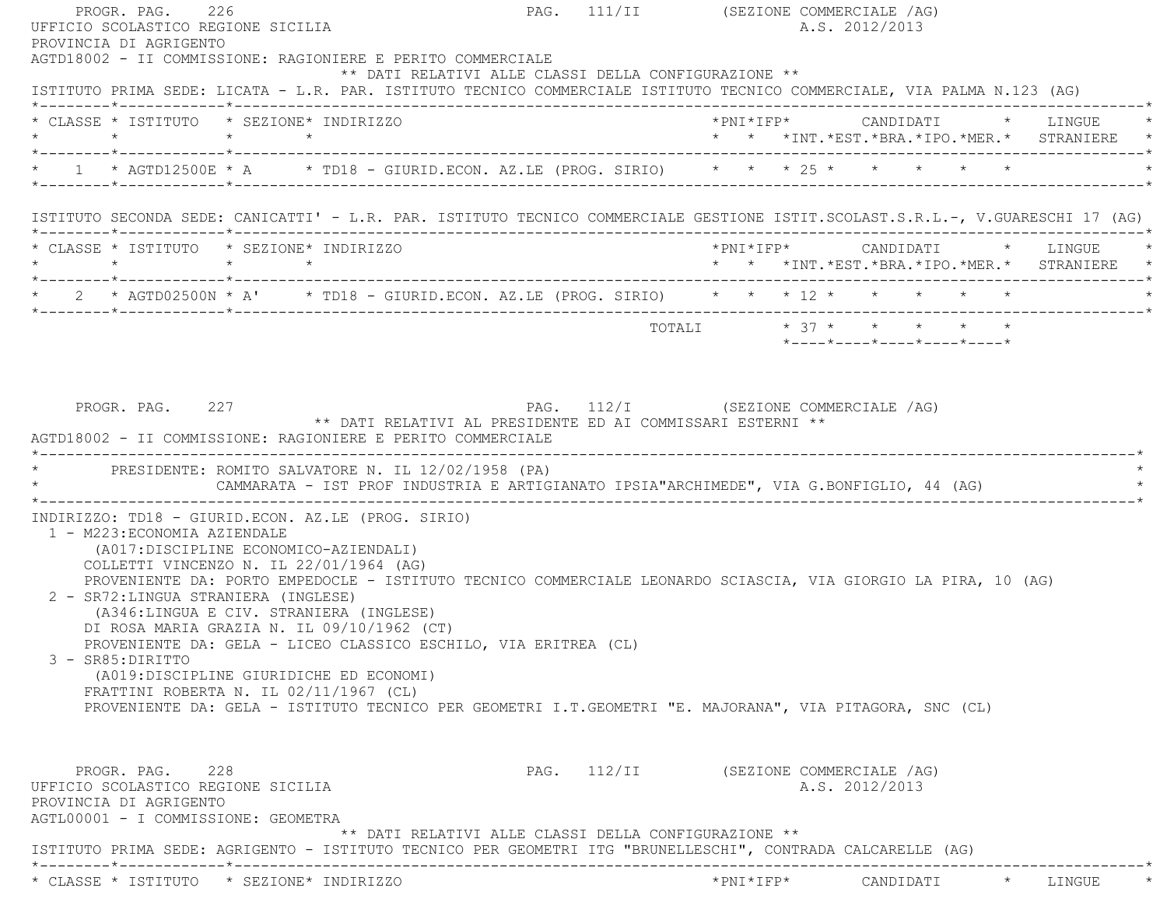PROGR. PAG. 226 226 PAG. 111/II (SEZIONE COMMERCIALE /AG) UFFICIO SCOLASTICO REGIONE SICILIA A.S. 2012/2013 PROVINCIA DI AGRIGENTO AGTD18002 - II COMMISSIONE: RAGIONIERE E PERITO COMMERCIALE \*\* DATI RELATIVI ALLE CLASSI DELLA CONFIGURAZIONE \*\* ISTITUTO PRIMA SEDE: LICATA - L.R. PAR. ISTITUTO TECNICO COMMERCIALE ISTITUTO TECNICO COMMERCIALE, VIA PALMA N.123 (AG) \*--------\*------------\*-------------------------------------------------------------------------------------------------------\* \* CLASSE \* ISTITUTO \* SEZIONE\* INDIRIZZO \*PNI\*IFP\* CANDIDATI \* LINGUE \* \* \* \* \* \* \* \*INT.\*EST.\*BRA.\*IPO.\*MER.\* STRANIERE \* \*--------\*------------\*-------------------------------------------------------------------------------------------------------\*\* 1 \* AGTD12500E \* A \* TD18 - GIURID.ECON. AZ.LE (PROG. SIRIO) \* \* \* \* 25 \* \* \* \* \* \* \*--------\*------------\*-------------------------------------------------------------------------------------------------------\* ISTITUTO SECONDA SEDE: CANICATTI' - L.R. PAR. ISTITUTO TECNICO COMMERCIALE GESTIONE ISTIT.SCOLAST.S.R.L.-, V.GUARESCHI 17 (AG) \*--------\*------------\*-------------------------------------------------------------------------------------------------------\* \* CLASSE \* ISTITUTO \* SEZIONE\* INDIRIZZO \*PNI\*IFP\* CANDIDATI \* LINGUE \* \* \* \* \* \* \* \*INT.\*EST.\*BRA.\*IPO.\*MER.\* STRANIERE \* \*--------\*------------\*-------------------------------------------------------------------------------------------------------\*\* 2 \* AGTD02500N \* A' \* TD18 - GIURID.ECON. AZ.LE (PROG. SIRIO) \* \* \* \* 12 \* \* \* \* \* \* \* \*--------\*------------\*-------------------------------------------------------------------------------------------------------\* $\texttt{TOTAL} \qquad \qquad \star \quad 37 \; \star \qquad \star \qquad \star \qquad \star \qquad \star \qquad \star$  \*----\*----\*----\*----\*----\*PROGR. PAG. 227 CHARGE 227 PAG. 112/I (SEZIONE COMMERCIALE /AG) \*\* DATI RELATIVI AL PRESIDENTE ED AI COMMISSARI ESTERNI \*\* AGTD18002 - II COMMISSIONE: RAGIONIERE E PERITO COMMERCIALE \*----------------------------------------------------------------------------------------------------------------------------\*PRESIDENTE: ROMITO SALVATORE N. IL 12/02/1958 (PA) CAMMARATA - IST PROF INDUSTRIA E ARTIGIANATO IPSIA"ARCHIMEDE", VIA G.BONFIGLIO, 44 (AG) \*----------------------------------------------------------------------------------------------------------------------------\* INDIRIZZO: TD18 - GIURID.ECON. AZ.LE (PROG. SIRIO) 1 - M223:ECONOMIA AZIENDALE (A017:DISCIPLINE ECONOMICO-AZIENDALI) COLLETTI VINCENZO N. IL 22/01/1964 (AG) PROVENIENTE DA: PORTO EMPEDOCLE - ISTITUTO TECNICO COMMERCIALE LEONARDO SCIASCIA, VIA GIORGIO LA PIRA, 10 (AG) 2 - SR72:LINGUA STRANIERA (INGLESE) (A346:LINGUA E CIV. STRANIERA (INGLESE) DI ROSA MARIA GRAZIA N. IL 09/10/1962 (CT) PROVENIENTE DA: GELA - LICEO CLASSICO ESCHILO, VIA ERITREA (CL) 3 - SR85:DIRITTO (A019:DISCIPLINE GIURIDICHE ED ECONOMI) FRATTINI ROBERTA N. IL 02/11/1967 (CL) PROVENIENTE DA: GELA - ISTITUTO TECNICO PER GEOMETRI I.T.GEOMETRI "E. MAJORANA", VIA PITAGORA, SNC (CL) PROGR. PAG. 228 PAG. 112/II (SEZIONE COMMERCIALE /AG) UFFICIO SCOLASTICO REGIONE SICILIA A.S. 2012/2013 PROVINCIA DI AGRIGENTO AGTL00001 - I COMMISSIONE: GEOMETRA \*\* DATI RELATIVI ALLE CLASSI DELLA CONFIGURAZIONE \*\* ISTITUTO PRIMA SEDE: AGRIGENTO - ISTITUTO TECNICO PER GEOMETRI ITG "BRUNELLESCHI", CONTRADA CALCARELLE (AG) \*--------\*------------\*-------------------------------------------------------------------------------------------------------\*\* CLASSE \* ISTITUTO \* SEZIONE\* INDIRIZZO \*PNI\*IFP\* CANDIDATI \* LINGUE \*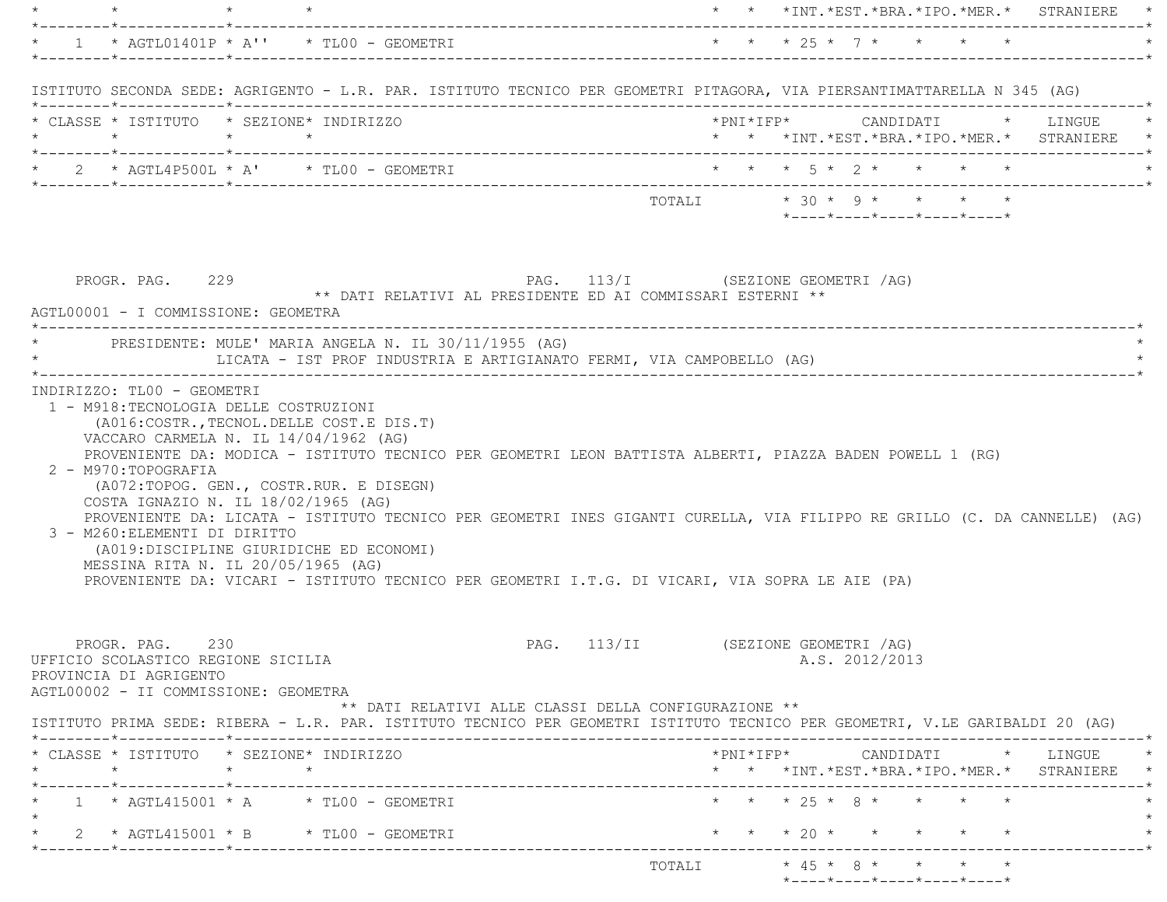|                                                                                                                                   |                 |                                                                                                                                                                                                                                                                                                                                                                                                                              |                              |                                     |                           |                            |  | *  *  *INT.*EST.*BRA.*IPO.*MER.*  STRANIERE                                                                                                        |
|-----------------------------------------------------------------------------------------------------------------------------------|-----------------|------------------------------------------------------------------------------------------------------------------------------------------------------------------------------------------------------------------------------------------------------------------------------------------------------------------------------------------------------------------------------------------------------------------------------|------------------------------|-------------------------------------|---------------------------|----------------------------|--|----------------------------------------------------------------------------------------------------------------------------------------------------|
|                                                                                                                                   |                 | * $1$ * AGTL01401P * A'' * TL00 - GEOMETRI                                                                                                                                                                                                                                                                                                                                                                                   |                              |                                     | * * * 25 * 7 * * * * *    |                            |  |                                                                                                                                                    |
|                                                                                                                                   |                 | ISTITUTO SECONDA SEDE: AGRIGENTO - L.R. PAR. ISTITUTO TECNICO PER GEOMETRI PITAGORA, VIA PIERSANTIMATTARELLA N 345 (AG)                                                                                                                                                                                                                                                                                                      |                              |                                     |                           |                            |  |                                                                                                                                                    |
| * CLASSE * ISTITUTO * SEZIONE* INDIRIZZO                                                                                          |                 |                                                                                                                                                                                                                                                                                                                                                                                                                              |                              |                                     |                           |                            |  | * * *INT.*EST.*BRA.*IPO.*MER.* STRANIERE *                                                                                                         |
|                                                                                                                                   |                 |                                                                                                                                                                                                                                                                                                                                                                                                                              |                              |                                     |                           |                            |  |                                                                                                                                                    |
|                                                                                                                                   |                 |                                                                                                                                                                                                                                                                                                                                                                                                                              |                              |                                     | TOTALI * 30 * 9 * * * * * | *----*----*----*----*----* |  |                                                                                                                                                    |
| PROGR. PAG. 229<br>AGTL00001 - I COMMISSIONE: GEOMETRA<br>*-------------------------------                                        |                 | PAG. 113/I (SEZIONE GEOMETRI /AG)<br>** DATI RELATIVI AL PRESIDENTE ED AI COMMISSARI ESTERNI **                                                                                                                                                                                                                                                                                                                              |                              |                                     |                           |                            |  |                                                                                                                                                    |
|                                                                                                                                   |                 | * PRESIDENTE: MULE' MARIA ANGELA N. IL 30/11/1955 (AG)<br>LICATA - IST PROF INDUSTRIA E ARTIGIANATO FERMI, VIA CAMPOBELLO (AG)                                                                                                                                                                                                                                                                                               |                              |                                     |                           |                            |  |                                                                                                                                                    |
| 2 - M970:TOPOGRAFIA<br>COSTA IGNAZIO N. IL 18/02/1965 (AG)<br>3 - M260: ELEMENTI DI DIRITTO<br>MESSINA RITA N. IL 20/05/1965 (AG) |                 | PROVENIENTE DA: MODICA - ISTITUTO TECNICO PER GEOMETRI LEON BATTISTA ALBERTI, PIAZZA BADEN POWELL 1 (RG)<br>(A072:TOPOG. GEN., COSTR.RUR. E DISEGN)<br>PROVENIENTE DA: LICATA - ISTITUTO TECNICO PER GEOMETRI INES GIGANTI CURELLA, VIA FILIPPO RE GRILLO (C. DA CANNELLE) (AG)<br>(A019:DISCIPLINE GIURIDICHE ED ECONOMI)<br>PROVENIENTE DA: VICARI - ISTITUTO TECNICO PER GEOMETRI I.T.G. DI VICARI, VIA SOPRA LE AIE (PA) |                              |                                     |                           |                            |  |                                                                                                                                                    |
| PROGR. PAG. 230<br>UFFICIO SCOLASTICO REGIONE SICILIA<br>PROVINCIA DI AGRIGENTO<br>AGTL00002 - II COMMISSIONE: GEOMETRA           |                 | ** DATI RELATIVI ALLE CLASSI DELLA CONFIGURAZIONE **                                                                                                                                                                                                                                                                                                                                                                         |                              | PAG. 113/II (SEZIONE GEOMETRI /AG)  |                           | A.S. 2012/2013             |  |                                                                                                                                                    |
|                                                                                                                                   |                 | ISTITUTO PRIMA SEDE: RIBERA - L.R. PAR. ISTITUTO TECNICO PER GEOMETRI ISTITUTO TECNICO PER GEOMETRI, V.LE GARIBALDI 20 (AG)                                                                                                                                                                                                                                                                                                  |                              |                                     |                           |                            |  |                                                                                                                                                    |
| * CLASSE * ISTITUTO * SEZIONE* INDIRIZZO<br>$\star$                                                                               | $\star$ $\star$ |                                                                                                                                                                                                                                                                                                                                                                                                                              |                              |                                     |                           |                            |  | $*PNI*IFP* \qquad \qquad \text{CANDIDATI} \qquad \qquad * \qquad \text{LINGUE} \qquad \qquad *$<br>* * *INT. *EST. *BRA. *IPO. *MER. * STRANIERE * |
| k_________*____________*________                                                                                                  |                 | $1 * AGTL415001 * A * TL00 - GEOMETRYI$                                                                                                                                                                                                                                                                                                                                                                                      |                              | ----------------------------------- | * * * 25 * 8 * * * * *    |                            |  |                                                                                                                                                    |
| *--------*------------*--------------                                                                                             |                 | * 2 * AGTL415001 * B * TL00 - GEOMETRI                                                                                                                                                                                                                                                                                                                                                                                       | ---------------------------- |                                     | * * * 20 * * * * * *      |                            |  |                                                                                                                                                    |
|                                                                                                                                   |                 |                                                                                                                                                                                                                                                                                                                                                                                                                              |                              |                                     |                           |                            |  |                                                                                                                                                    |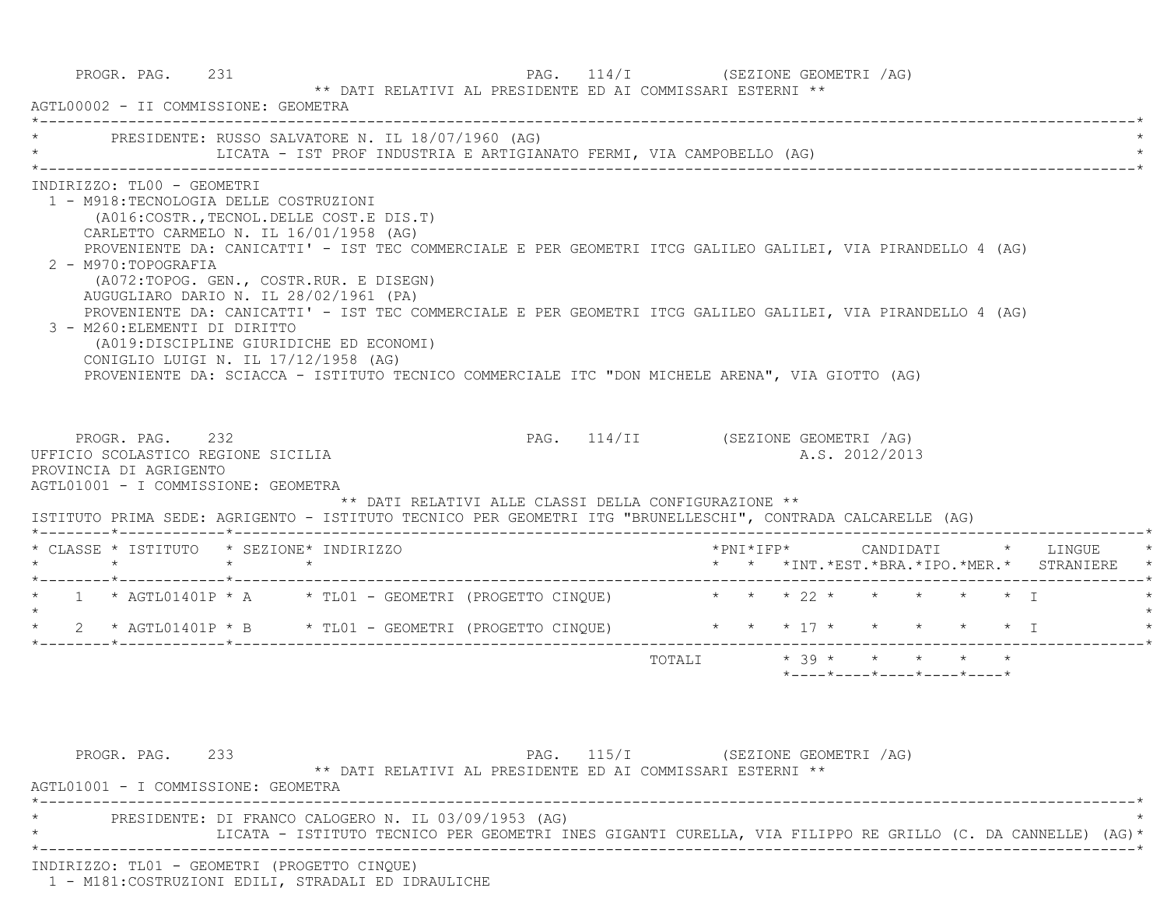| * PRESIDENTE: RUSSO SALVATORE N. IL 18/07/1960 (AG)                                                                                                                                                                                                                                                                                                                                                                                                                                                                                                                                                                                                                                                                              |  | LICATA - IST PROF INDUSTRIA E ARTIGIANATO FERMI, VIA CAMPOBELLO (AG)                       |                                |  |                            |  |                                                                                          |
|----------------------------------------------------------------------------------------------------------------------------------------------------------------------------------------------------------------------------------------------------------------------------------------------------------------------------------------------------------------------------------------------------------------------------------------------------------------------------------------------------------------------------------------------------------------------------------------------------------------------------------------------------------------------------------------------------------------------------------|--|--------------------------------------------------------------------------------------------|--------------------------------|--|----------------------------|--|------------------------------------------------------------------------------------------|
| INDIRIZZO: TL00 - GEOMETRI<br>1 - M918: TECNOLOGIA DELLE COSTRUZIONI<br>(A016: COSTR., TECNOL. DELLE COST. E DIS. T)<br>CARLETTO CARMELO N. IL 16/01/1958 (AG)<br>PROVENIENTE DA: CANICATTI' - IST TEC COMMERCIALE E PER GEOMETRI ITCG GALILEO GALILEI, VIA PIRANDELLO 4 (AG)<br>2 - M970: TOPOGRAFIA<br>(A072:TOPOG. GEN., COSTR.RUR. E DISEGN)<br>AUGUGLIARO DARIO N. IL 28/02/1961 (PA)<br>PROVENIENTE DA: CANICATTI' - IST TEC COMMERCIALE E PER GEOMETRI ITCG GALILEO GALILEI, VIA PIRANDELLO 4 (AG)<br>3 - M260: ELEMENTI DI DIRITTO<br>(A019:DISCIPLINE GIURIDICHE ED ECONOMI)<br>CONIGLIO LUIGI N. IL 17/12/1958 (AG)<br>PROVENIENTE DA: SCIACCA - ISTITUTO TECNICO COMMERCIALE ITC "DON MICHELE ARENA", VIA GIOTTO (AG) |  |                                                                                            |                                |  |                            |  |                                                                                          |
|                                                                                                                                                                                                                                                                                                                                                                                                                                                                                                                                                                                                                                                                                                                                  |  |                                                                                            |                                |  |                            |  |                                                                                          |
| PROGR. PAG. 232                                                                                                                                                                                                                                                                                                                                                                                                                                                                                                                                                                                                                                                                                                                  |  | PAG. 114/II (SEZIONE GEOMETRI /AG)<br>** DATI RELATIVI ALLE CLASSI DELLA CONFIGURAZIONE ** |                                |  | A.S. 2012/2013             |  |                                                                                          |
| UFFICIO SCOLASTICO REGIONE SICILIA<br>PROVINCIA DI AGRIGENTO<br>AGTL01001 - I COMMISSIONE: GEOMETRA<br>ISTITUTO PRIMA SEDE: AGRIGENTO - ISTITUTO TECNICO PER GEOMETRI ITG "BRUNELLESCHI", CONTRADA CALCARELLE (AG)<br>* CLASSE * ISTITUTO * SEZIONE* INDIRIZZO                                                                                                                                                                                                                                                                                                                                                                                                                                                                   |  |                                                                                            |                                |  |                            |  | *PNI*IFP*     CANDIDATI    *   LINGUE<br>* * *INT. *EST. *BRA. *IPO. *MER. * STRANIERE * |
|                                                                                                                                                                                                                                                                                                                                                                                                                                                                                                                                                                                                                                                                                                                                  |  |                                                                                            |                                |  |                            |  |                                                                                          |
| 2 * AGTL01401P * B * TL01 - GEOMETRI (PROGETTO CINQUE) * * * * 17 * * * * * * * T                                                                                                                                                                                                                                                                                                                                                                                                                                                                                                                                                                                                                                                |  |                                                                                            |                                |  |                            |  |                                                                                          |
|                                                                                                                                                                                                                                                                                                                                                                                                                                                                                                                                                                                                                                                                                                                                  |  |                                                                                            | TOTALI $*39 * * * * * * * * *$ |  |                            |  |                                                                                          |
|                                                                                                                                                                                                                                                                                                                                                                                                                                                                                                                                                                                                                                                                                                                                  |  |                                                                                            |                                |  | *----*----*----*----*----* |  |                                                                                          |
| * 1 * AGTL01401P * A * TL01 - GEOMETRI (PROGETTO CINQUE) * * * 22 * * * * * * * I<br>$\star$                                                                                                                                                                                                                                                                                                                                                                                                                                                                                                                                                                                                                                     |  |                                                                                            |                                |  |                            |  |                                                                                          |

INDIRIZZO: TL01 - GEOMETRI (PROGETTO CINQUE)

1 - M181:COSTRUZIONI EDILI, STRADALI ED IDRAULICHE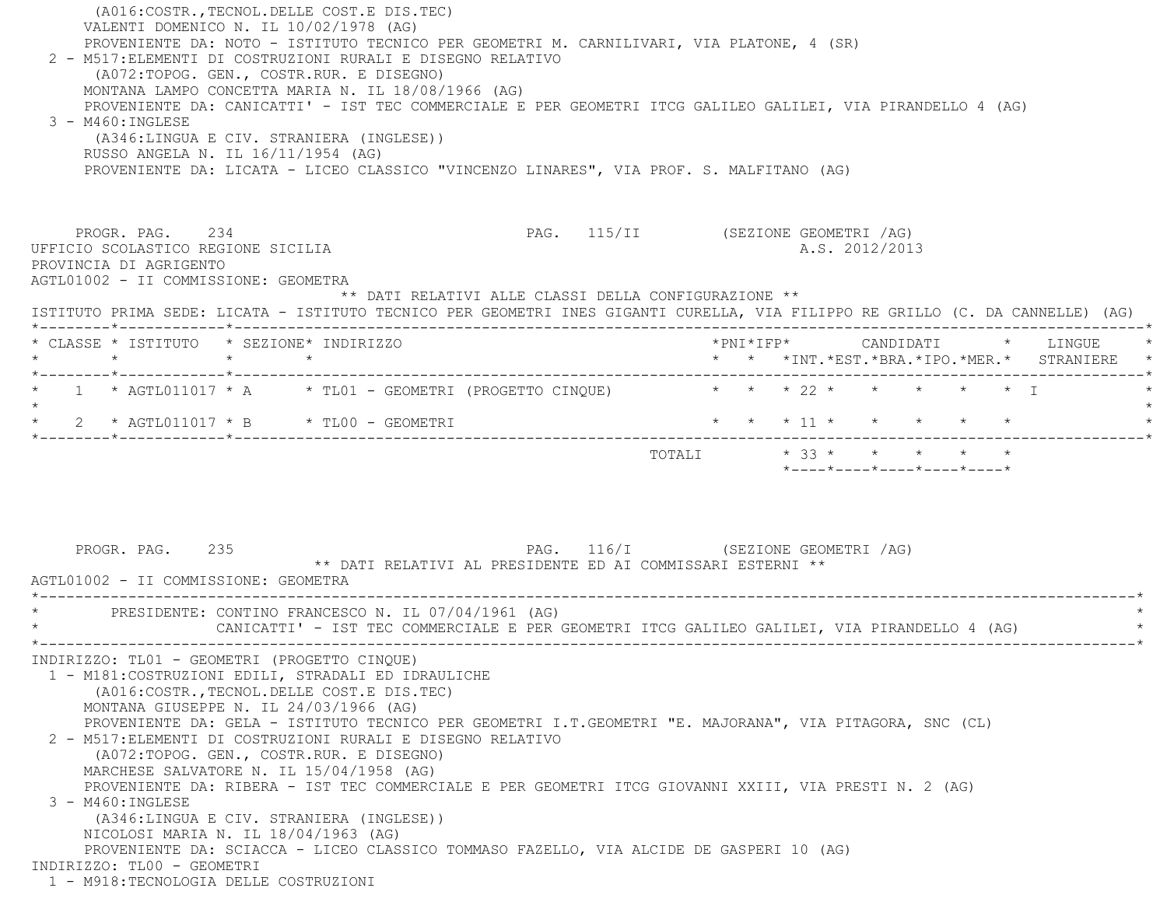| (A016: COSTR., TECNOL. DELLE COST. E DIS. TEC)<br>VALENTI DOMENICO N. IL 10/02/1978 (AG)<br>PROVENIENTE DA: NOTO - ISTITUTO TECNICO PER GEOMETRI M. CARNILIVARI, VIA PLATONE, 4 (SR)<br>2 - M517: ELEMENTI DI COSTRUZIONI RURALI E DISEGNO RELATIVO<br>(A072:TOPOG. GEN., COSTR.RUR. E DISEGNO)<br>MONTANA LAMPO CONCETTA MARIA N. IL 18/08/1966 (AG)<br>PROVENIENTE DA: CANICATTI' - IST TEC COMMERCIALE E PER GEOMETRI ITCG GALILEO GALILEI, VIA PIRANDELLO 4 (AG)<br>$3 - M460$ : INGLESE<br>(A346:LINGUA E CIV. STRANIERA (INGLESE))<br>RUSSO ANGELA N. IL 16/11/1954 (AG)<br>PROVENIENTE DA: LICATA - LICEO CLASSICO "VINCENZO LINARES", VIA PROF. S. MALFITANO (AG)                                                                                                                                                                                 |                                                                                            |
|-----------------------------------------------------------------------------------------------------------------------------------------------------------------------------------------------------------------------------------------------------------------------------------------------------------------------------------------------------------------------------------------------------------------------------------------------------------------------------------------------------------------------------------------------------------------------------------------------------------------------------------------------------------------------------------------------------------------------------------------------------------------------------------------------------------------------------------------------------------|--------------------------------------------------------------------------------------------|
| PROGR. PAG. 234<br>UFFICIO SCOLASTICO REGIONE SICILIA<br>PROVINCIA DI AGRIGENTO<br>AGTL01002 - II COMMISSIONE: GEOMETRA<br>** DATI RELATIVI ALLE CLASSI DELLA CONFIGURAZIONE **<br>ISTITUTO PRIMA SEDE: LICATA - ISTITUTO TECNICO PER GEOMETRI INES GIGANTI CURELLA, VIA FILIPPO RE GRILLO (C. DA CANNELLE) (AG)                                                                                                                                                                                                                                                                                                                                                                                                                                                                                                                                          | PAG. 115/II (SEZIONE GEOMETRI /AG)<br>A.S. 2012/2013                                       |
| * CLASSE * ISTITUTO * SEZIONE* INDIRIZZO<br>$\star$<br>$\star$ $\star$                                                                                                                                                                                                                                                                                                                                                                                                                                                                                                                                                                                                                                                                                                                                                                                    | *PNI*IFP* CANDIDATI * LINGUE<br>* * *INT.*EST.*BRA.*IPO.*MER.* STRANIERE *                 |
| 1 * AGTL011017 * A * TL01 - GEOMETRI (PROGETTO CINQUE) * * * 22 * * * * * * * T<br>* 2 * AGTL011017 * B * TL00 - GEOMETRI                                                                                                                                                                                                                                                                                                                                                                                                                                                                                                                                                                                                                                                                                                                                 | * * * 11 * * * * * *                                                                       |
| PAG. 116/I (SEZIONE GEOMETRI /AG)<br>PROGR. PAG. 235<br>** DATI RELATIVI AL PRESIDENTE ED AI COMMISSARI ESTERNI **<br>AGTL01002 - II COMMISSIONE: GEOMETRA                                                                                                                                                                                                                                                                                                                                                                                                                                                                                                                                                                                                                                                                                                | TOTALI * 33 * * * * * *<br>$*$ - - - - $*$ - - - - $*$ - - - - $*$ - - - - $*$ - - - - $*$ |
| PRESIDENTE: CONTINO FRANCESCO N. IL 07/04/1961 (AG)<br>CANICATTI' - IST TEC COMMERCIALE E PER GEOMETRI ITCG GALILEO GALILEI, VIA PIRANDELLO 4 (AG)                                                                                                                                                                                                                                                                                                                                                                                                                                                                                                                                                                                                                                                                                                        |                                                                                            |
| INDIRIZZO: TL01 - GEOMETRI (PROGETTO CINQUE)<br>1 - M181: COSTRUZIONI EDILI, STRADALI ED IDRAULICHE<br>(A016: COSTR., TECNOL. DELLE COST. E DIS. TEC)<br>MONTANA GIUSEPPE N. IL 24/03/1966 (AG)<br>PROVENIENTE DA: GELA - ISTITUTO TECNICO PER GEOMETRI I.T.GEOMETRI "E. MAJORANA", VIA PITAGORA, SNC (CL)<br>2 - M517: ELEMENTI DI COSTRUZIONI RURALI E DISEGNO RELATIVO<br>(A072:TOPOG. GEN., COSTR.RUR. E DISEGNO)<br>MARCHESE SALVATORE N. IL 15/04/1958 (AG)<br>PROVENIENTE DA: RIBERA - IST TEC COMMERCIALE E PER GEOMETRI ITCG GIOVANNI XXIII, VIA PRESTI N. 2 (AG)<br>$3 - M460$ : INGLESE<br>(A346:LINGUA E CIV. STRANIERA (INGLESE))<br>NICOLOSI MARIA N. IL 18/04/1963 (AG)<br>PROVENIENTE DA: SCIACCA - LICEO CLASSICO TOMMASO FAZELLO, VIA ALCIDE DE GASPERI 10 (AG)<br>INDIRIZZO: TL00 - GEOMETRI<br>1 - M918: TECNOLOGIA DELLE COSTRUZIONI |                                                                                            |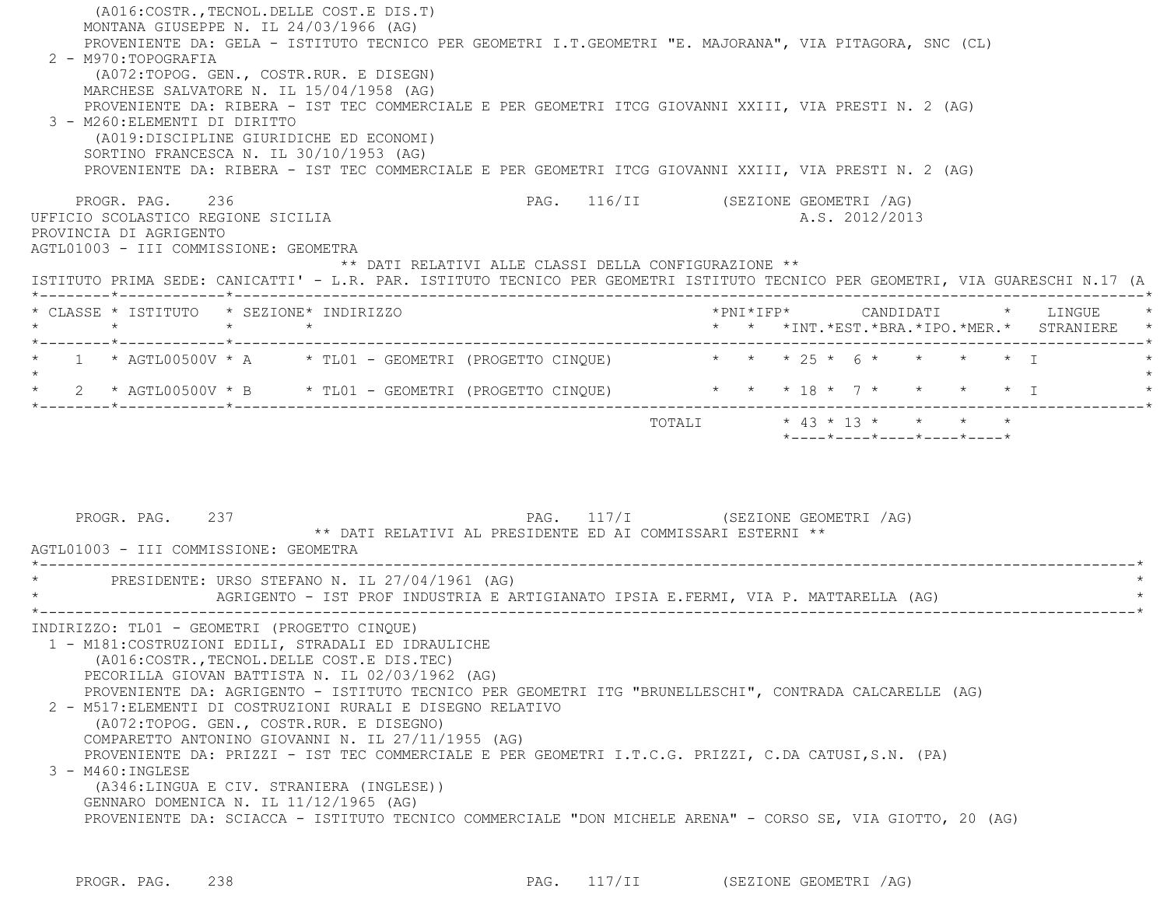| (A016: COSTR., TECNOL. DELLE COST. E DIS. T)<br>MONTANA GIUSEPPE N. IL 24/03/1966 (AG)<br>PROVENIENTE DA: GELA - ISTITUTO TECNICO PER GEOMETRI I.T.GEOMETRI "E. MAJORANA", VIA PITAGORA, SNC (CL)<br>2 - M970:TOPOGRAFIA                                                                                                                                                                                                                                                                                                                                                                                                                                                                             |                                                                                               |
|------------------------------------------------------------------------------------------------------------------------------------------------------------------------------------------------------------------------------------------------------------------------------------------------------------------------------------------------------------------------------------------------------------------------------------------------------------------------------------------------------------------------------------------------------------------------------------------------------------------------------------------------------------------------------------------------------|-----------------------------------------------------------------------------------------------|
| (A072:TOPOG. GEN., COSTR.RUR. E DISEGN)<br>MARCHESE SALVATORE N. IL 15/04/1958 (AG)<br>PROVENIENTE DA: RIBERA - IST TEC COMMERCIALE E PER GEOMETRI ITCG GIOVANNI XXIII, VIA PRESTI N. 2 (AG)<br>3 - M260: ELEMENTI DI DIRITTO                                                                                                                                                                                                                                                                                                                                                                                                                                                                        |                                                                                               |
| (A019:DISCIPLINE GIURIDICHE ED ECONOMI)<br>SORTINO FRANCESCA N. IL 30/10/1953 (AG)<br>PROVENIENTE DA: RIBERA - IST TEC COMMERCIALE E PER GEOMETRI ITCG GIOVANNI XXIII, VIA PRESTI N. 2 (AG)                                                                                                                                                                                                                                                                                                                                                                                                                                                                                                          |                                                                                               |
| PROGR. PAG. 236<br>UFFICIO SCOLASTICO REGIONE SICILIA<br>PROVINCIA DI AGRIGENTO<br>AGTL01003 - III COMMISSIONE: GEOMETRA<br>** DATI RELATIVI ALLE CLASSI DELLA CONFIGURAZIONE **                                                                                                                                                                                                                                                                                                                                                                                                                                                                                                                     | PAG. 116/II (SEZIONE GEOMETRI /AG)<br>A.S. 2012/2013                                          |
| ISTITUTO PRIMA SEDE: CANICATTI' - L.R. PAR. ISTITUTO TECNICO PER GEOMETRI ISTITUTO TECNICO PER GEOMETRI, VIA GUARESCHI N.17 (A                                                                                                                                                                                                                                                                                                                                                                                                                                                                                                                                                                       |                                                                                               |
| * CLASSE * ISTITUTO * SEZIONE* INDIRIZZO                                                                                                                                                                                                                                                                                                                                                                                                                                                                                                                                                                                                                                                             | *PNI*IFP* CANDIDATI * LINGUE                                                                  |
| 1 * AGTL00500V * A * TL01 - GEOMETRI (PROGETTO CINQUE) * * * 25 * 6 * * * * * * I                                                                                                                                                                                                                                                                                                                                                                                                                                                                                                                                                                                                                    |                                                                                               |
|                                                                                                                                                                                                                                                                                                                                                                                                                                                                                                                                                                                                                                                                                                      |                                                                                               |
| PROGR. PAG. 237<br>** DATI RELATIVI AL PRESIDENTE ED AI COMMISSARI ESTERNI **                                                                                                                                                                                                                                                                                                                                                                                                                                                                                                                                                                                                                        | TOTALI * 43 * 13 * * * * *<br>*----*----*----*----*----*<br>PAG. 117/I (SEZIONE GEOMETRI /AG) |
| AGTL01003 - III COMMISSIONE: GEOMETRA                                                                                                                                                                                                                                                                                                                                                                                                                                                                                                                                                                                                                                                                |                                                                                               |
| PRESIDENTE: URSO STEFANO N. IL 27/04/1961 (AG)<br>AGRIGENTO - IST PROF INDUSTRIA E ARTIGIANATO IPSIA E.FERMI, VIA P. MATTARELLA (AG)                                                                                                                                                                                                                                                                                                                                                                                                                                                                                                                                                                 |                                                                                               |
| INDIRIZZO: TL01 - GEOMETRI (PROGETTO CINQUE)<br>1 - M181: COSTRUZIONI EDILI, STRADALI ED IDRAULICHE<br>(A016: COSTR., TECNOL. DELLE COST. E DIS. TEC)<br>PECORILLA GIOVAN BATTISTA N. IL 02/03/1962 (AG)<br>PROVENIENTE DA: AGRIGENTO - ISTITUTO TECNICO PER GEOMETRI ITG "BRUNELLESCHI", CONTRADA CALCARELLE (AG)<br>2 - M517: ELEMENTI DI COSTRUZIONI RURALI E DISEGNO RELATIVO<br>(A072:TOPOG. GEN., COSTR.RUR. E DISEGNO)<br>COMPARETTO ANTONINO GIOVANNI N. IL 27/11/1955 (AG)<br>PROVENIENTE DA: PRIZZI - IST TEC COMMERCIALE E PER GEOMETRI I.T.C.G. PRIZZI, C.DA CATUSI,S.N. (PA)<br>3 - M460: INGLESE<br>(A346:LINGUA E CIV. STRANIERA (INGLESE))<br>GENNARO DOMENICA N. IL 11/12/1965 (AG) |                                                                                               |

PROGR. PAG. 238 238 PAG. 117/II (SEZIONE GEOMETRI /AG)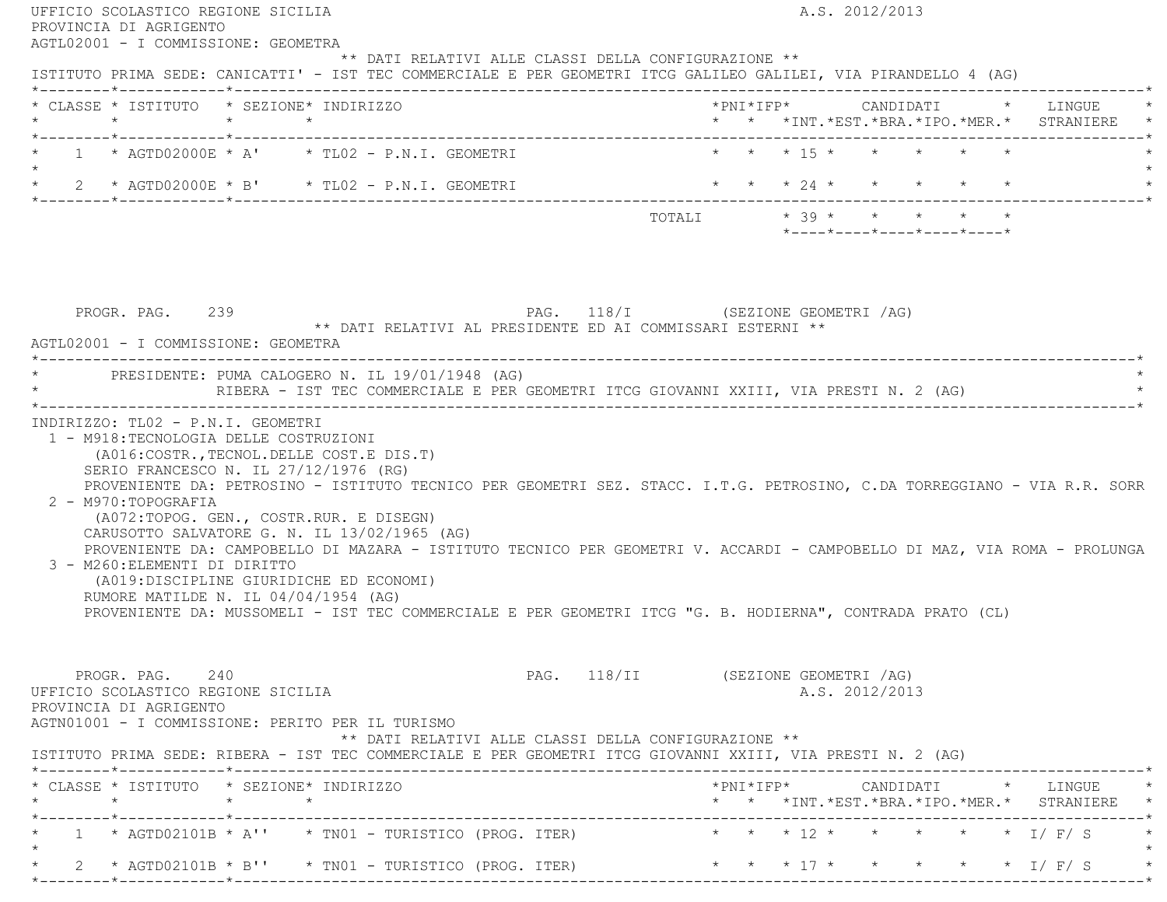| AGTL02001 - I COMMISSIONE: GEOMETRA                                                                                                                                                                                                                                                                                                              |                                                                                                                          |
|--------------------------------------------------------------------------------------------------------------------------------------------------------------------------------------------------------------------------------------------------------------------------------------------------------------------------------------------------|--------------------------------------------------------------------------------------------------------------------------|
| ** DATI RELATIVI ALLE CLASSI DELLA CONFIGURAZIONE **<br>ISTITUTO PRIMA SEDE: CANICATTI' - IST TEC COMMERCIALE E PER GEOMETRI ITCG GALILEO GALILEI, VIA PIRANDELLO 4 (AG)                                                                                                                                                                         |                                                                                                                          |
| * CLASSE * ISTITUTO * SEZIONE* INDIRIZZO                                                                                                                                                                                                                                                                                                         | * * * INT. *EST. *BRA. *IPO. *MER. * STRANIERE *                                                                         |
| * 1 * AGTD02000E * A' * TL02 - P.N.I. GEOMETRI<br>$\star$                                                                                                                                                                                                                                                                                        | * * * 15 * * * * * *                                                                                                     |
| * 2 * AGTD02000E * B' * TL02 - P.N.I. GEOMETRI                                                                                                                                                                                                                                                                                                   | * * * 24 * * * * * *                                                                                                     |
|                                                                                                                                                                                                                                                                                                                                                  | $*$ - - - - $*$ - - - - $*$ - - - - $*$ - - - - $*$ - - - - $*$                                                          |
| PROGR. PAG. 239 PAG. 118/I (SEZIONE GEOMETRI /AG)<br>** DATI RELATIVI AL PRESIDENTE ED AI COMMISSARI ESTERNI **<br>AGTL02001 - I COMMISSIONE: GEOMETRA                                                                                                                                                                                           |                                                                                                                          |
| * PRESIDENTE: PUMA CALOGERO N. IL 19/01/1948 (AG)<br>RIBERA - IST TEC COMMERCIALE E PER GEOMETRI ITCG GIOVANNI XXIII, VIA PRESTI N. 2 (AG)                                                                                                                                                                                                       |                                                                                                                          |
| (A016: COSTR., TECNOL. DELLE COST. E DIS. T)<br>SERIO FRANCESCO N. IL 27/12/1976 (RG)<br>PROVENIENTE DA: PETROSINO - ISTITUTO TECNICO PER GEOMETRI SEZ. STACC. I.T.G. PETROSINO, C.DA TORREGGIANO - VIA R.R. SORR                                                                                                                                |                                                                                                                          |
| 2 - M970: TOPOGRAFIA<br>(A072:TOPOG. GEN., COSTR.RUR. E DISEGN)<br>CARUSOTTO SALVATORE G. N. IL 13/02/1965 (AG)<br>3 - M260: ELEMENTI DI DIRITTO<br>(A019:DISCIPLINE GIURIDICHE ED ECONOMI)<br>RUMORE MATILDE N. IL 04/04/1954 (AG)<br>PROVENIENTE DA: MUSSOMELI - IST TEC COMMERCIALE E PER GEOMETRI ITCG "G. B. HODIERNA", CONTRADA PRATO (CL) | PROVENIENTE DA: CAMPOBELLO DI MAZARA - ISTITUTO TECNICO PER GEOMETRI V. ACCARDI - CAMPOBELLO DI MAZ, VIA ROMA - PROLUNGA |
| PROGR. PAG. 240<br>** DATI RELATIVI ALLE CLASSI DELLA CONFIGURAZIONE **                                                                                                                                                                                                                                                                          | PAG. 118/II (SEZIONE GEOMETRI /AG)<br>A.S. 2012/2013                                                                     |
| UFFICIO SCOLASTICO REGIONE SICILIA<br>PROVINCIA DI AGRIGENTO<br>AGTN01001 - I COMMISSIONE: PERITO PER IL TURISMO<br>ISTITUTO PRIMA SEDE: RIBERA - IST TEC COMMERCIALE E PER GEOMETRI ITCG GIOVANNI XXIII, VIA PRESTI N. 2 (AG)<br>* CLASSE * ISTITUTO * SEZIONE* INDIRIZZO                                                                       |                                                                                                                          |
|                                                                                                                                                                                                                                                                                                                                                  | * * *INT.*EST.*BRA.*IPO.*MER.* STRANIERE *                                                                               |
| 1 * AGTD02101B * A'' * TN01 - TURISTICO (PROG. ITER) * * * * 12 * * * * * * * I/ F/ S                                                                                                                                                                                                                                                            |                                                                                                                          |